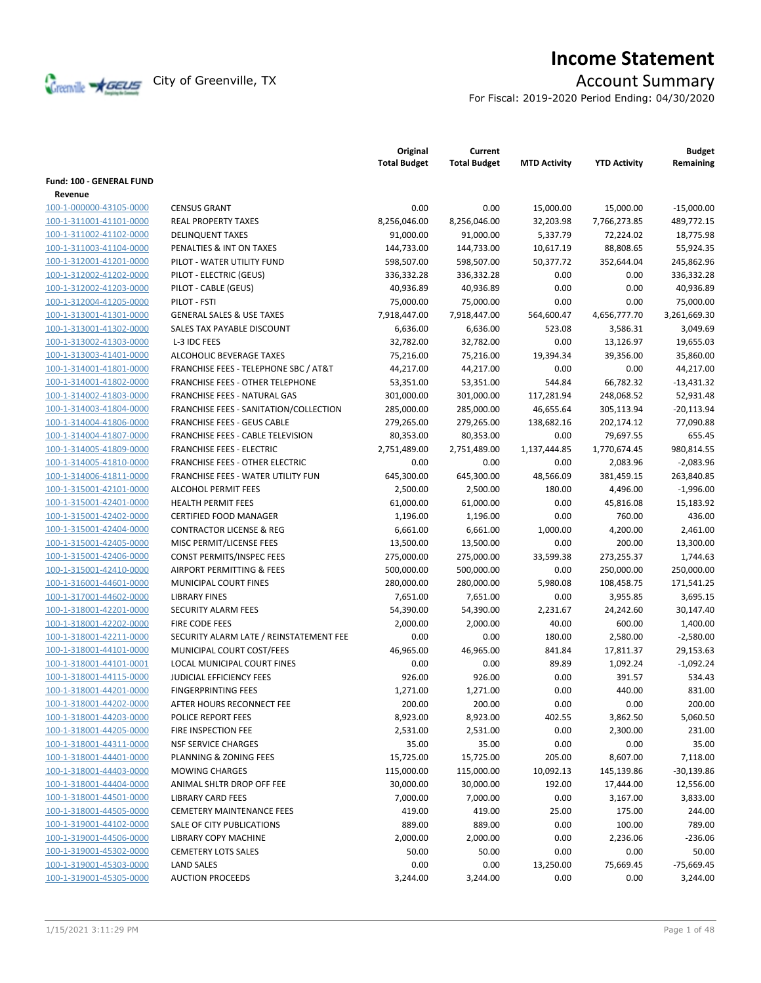

# **Income Statement**

For Fiscal: 2019-2020 Period Ending: 04/30/2020

|                          |                                         | Original<br><b>Total Budget</b> | Current<br><b>Total Budget</b> | <b>MTD Activity</b> | <b>YTD Activity</b> | <b>Budget</b><br>Remaining |
|--------------------------|-----------------------------------------|---------------------------------|--------------------------------|---------------------|---------------------|----------------------------|
| Fund: 100 - GENERAL FUND |                                         |                                 |                                |                     |                     |                            |
| Revenue                  |                                         |                                 |                                |                     |                     |                            |
| 100-1-000000-43105-0000  | <b>CENSUS GRANT</b>                     | 0.00                            | 0.00                           | 15,000.00           | 15,000.00           | $-15,000.00$               |
| 100-1-311001-41101-0000  | <b>REAL PROPERTY TAXES</b>              | 8,256,046.00                    | 8,256,046.00                   | 32,203.98           | 7,766,273.85        | 489,772.15                 |
| 100-1-311002-41102-0000  | <b>DELINQUENT TAXES</b>                 | 91,000.00                       | 91,000.00                      | 5,337.79            | 72,224.02           | 18,775.98                  |
| 100-1-311003-41104-0000  | PENALTIES & INT ON TAXES                | 144,733.00                      | 144,733.00                     | 10,617.19           | 88,808.65           | 55,924.35                  |
| 100-1-312001-41201-0000  | PILOT - WATER UTILITY FUND              | 598,507.00                      | 598,507.00                     | 50,377.72           | 352,644.04          | 245,862.96                 |
| 100-1-312002-41202-0000  | PILOT - ELECTRIC (GEUS)                 | 336,332.28                      | 336,332.28                     | 0.00                | 0.00                | 336,332.28                 |
| 100-1-312002-41203-0000  | PILOT - CABLE (GEUS)                    | 40,936.89                       | 40,936.89                      | 0.00                | 0.00                | 40,936.89                  |
| 100-1-312004-41205-0000  | PILOT - FSTI                            | 75,000.00                       | 75,000.00                      | 0.00                | 0.00                | 75,000.00                  |
| 100-1-313001-41301-0000  | <b>GENERAL SALES &amp; USE TAXES</b>    | 7,918,447.00                    | 7,918,447.00                   | 564,600.47          | 4,656,777.70        | 3,261,669.30               |
| 100-1-313001-41302-0000  | SALES TAX PAYABLE DISCOUNT              | 6,636.00                        | 6,636.00                       | 523.08              | 3,586.31            | 3,049.69                   |
| 100-1-313002-41303-0000  | L-3 IDC FEES                            | 32,782.00                       | 32,782.00                      | 0.00                | 13,126.97           | 19,655.03                  |
| 100-1-313003-41401-0000  | <b>ALCOHOLIC BEVERAGE TAXES</b>         | 75,216.00                       | 75,216.00                      | 19,394.34           | 39,356.00           | 35,860.00                  |
| 100-1-314001-41801-0000  | FRANCHISE FEES - TELEPHONE SBC / AT&T   | 44,217.00                       | 44,217.00                      | 0.00                | 0.00                | 44,217.00                  |
| 100-1-314001-41802-0000  | <b>FRANCHISE FEES - OTHER TELEPHONE</b> | 53,351.00                       | 53,351.00                      | 544.84              | 66,782.32           | $-13,431.32$               |
| 100-1-314002-41803-0000  | FRANCHISE FEES - NATURAL GAS            | 301,000.00                      | 301,000.00                     | 117,281.94          | 248,068.52          | 52,931.48                  |
| 100-1-314003-41804-0000  | FRANCHISE FEES - SANITATION/COLLECTION  | 285,000.00                      | 285,000.00                     | 46,655.64           | 305,113.94          | $-20,113.94$               |
| 100-1-314004-41806-0000  | <b>FRANCHISE FEES - GEUS CABLE</b>      | 279,265.00                      | 279,265.00                     | 138,682.16          | 202,174.12          | 77,090.88                  |
| 100-1-314004-41807-0000  | FRANCHISE FEES - CABLE TELEVISION       | 80,353.00                       | 80,353.00                      | 0.00                | 79,697.55           | 655.45                     |
| 100-1-314005-41809-0000  | <b>FRANCHISE FEES - ELECTRIC</b>        | 2,751,489.00                    | 2,751,489.00                   | 1,137,444.85        | 1,770,674.45        | 980,814.55                 |
| 100-1-314005-41810-0000  | <b>FRANCHISE FEES - OTHER ELECTRIC</b>  | 0.00                            | 0.00                           | 0.00                | 2,083.96            | $-2,083.96$                |
| 100-1-314006-41811-0000  | FRANCHISE FEES - WATER UTILITY FUN      | 645,300.00                      | 645,300.00                     | 48,566.09           | 381,459.15          | 263,840.85                 |
| 100-1-315001-42101-0000  | <b>ALCOHOL PERMIT FEES</b>              | 2,500.00                        | 2,500.00                       | 180.00              | 4,496.00            | $-1,996.00$                |
| 100-1-315001-42401-0000  | <b>HEALTH PERMIT FEES</b>               | 61,000.00                       | 61,000.00                      | 0.00                | 45,816.08           | 15,183.92                  |
| 100-1-315001-42402-0000  | <b>CERTIFIED FOOD MANAGER</b>           | 1,196.00                        | 1,196.00                       | 0.00                | 760.00              | 436.00                     |
| 100-1-315001-42404-0000  | <b>CONTRACTOR LICENSE &amp; REG</b>     | 6,661.00                        | 6,661.00                       | 1,000.00            | 4,200.00            | 2,461.00                   |
| 100-1-315001-42405-0000  | MISC PERMIT/LICENSE FEES                | 13,500.00                       | 13,500.00                      | 0.00                | 200.00              | 13,300.00                  |
| 100-1-315001-42406-0000  | <b>CONST PERMITS/INSPEC FEES</b>        | 275,000.00                      | 275,000.00                     | 33,599.38           | 273,255.37          | 1,744.63                   |
| 100-1-315001-42410-0000  | AIRPORT PERMITTING & FEES               | 500,000.00                      | 500,000.00                     | 0.00                | 250,000.00          | 250,000.00                 |
| 100-1-316001-44601-0000  | MUNICIPAL COURT FINES                   | 280,000.00                      | 280,000.00                     | 5,980.08            | 108,458.75          | 171,541.25                 |
| 100-1-317001-44602-0000  | <b>LIBRARY FINES</b>                    | 7,651.00                        | 7,651.00                       | 0.00                | 3,955.85            | 3,695.15                   |
| 100-1-318001-42201-0000  | SECURITY ALARM FEES                     | 54,390.00                       | 54,390.00                      | 2,231.67            | 24,242.60           | 30,147.40                  |
| 100-1-318001-42202-0000  | <b>FIRE CODE FEES</b>                   | 2,000.00                        | 2,000.00                       | 40.00               | 600.00              | 1,400.00                   |
| 100-1-318001-42211-0000  | SECURITY ALARM LATE / REINSTATEMENT FEE | 0.00                            | 0.00                           | 180.00              | 2,580.00            | $-2,580.00$                |
| 100-1-318001-44101-0000  | MUNICIPAL COURT COST/FEES               | 46.965.00                       | 46,965.00                      | 841.84              | 17,811.37           | 29,153.63                  |
| 100-1-318001-44101-0001  | <b>LOCAL MUNICIPAL COURT FINES</b>      | 0.00                            | 0.00                           | 89.89               | 1,092.24            | $-1,092.24$                |
| 100-1-318001-44115-0000  | <b>JUDICIAL EFFICIENCY FEES</b>         | 926.00                          | 926.00                         | 0.00                | 391.57              | 534.43                     |
| 100-1-318001-44201-0000  | <b>FINGERPRINTING FEES</b>              | 1,271.00                        | 1,271.00                       | 0.00                | 440.00              | 831.00                     |
| 100-1-318001-44202-0000  | AFTER HOURS RECONNECT FEE               | 200.00                          | 200.00                         | 0.00                | 0.00                | 200.00                     |
| 100-1-318001-44203-0000  | POLICE REPORT FEES                      | 8,923.00                        | 8,923.00                       | 402.55              | 3,862.50            | 5,060.50                   |
| 100-1-318001-44205-0000  | FIRE INSPECTION FEE                     | 2,531.00                        | 2,531.00                       | 0.00                | 2,300.00            | 231.00                     |
| 100-1-318001-44311-0000  | <b>NSF SERVICE CHARGES</b>              | 35.00                           | 35.00                          | 0.00                | 0.00                | 35.00                      |
| 100-1-318001-44401-0000  | PLANNING & ZONING FEES                  | 15,725.00                       | 15,725.00                      | 205.00              | 8,607.00            | 7,118.00                   |
| 100-1-318001-44403-0000  | <b>MOWING CHARGES</b>                   | 115,000.00                      | 115,000.00                     | 10,092.13           | 145,139.86          | $-30,139.86$               |
| 100-1-318001-44404-0000  | ANIMAL SHLTR DROP OFF FEE               | 30,000.00                       | 30,000.00                      | 192.00              | 17,444.00           | 12,556.00                  |
| 100-1-318001-44501-0000  | <b>LIBRARY CARD FEES</b>                | 7,000.00                        | 7,000.00                       | 0.00                | 3,167.00            | 3,833.00                   |
| 100-1-318001-44505-0000  | <b>CEMETERY MAINTENANCE FEES</b>        | 419.00                          | 419.00                         | 25.00               | 175.00              | 244.00                     |
| 100-1-319001-44102-0000  | SALE OF CITY PUBLICATIONS               | 889.00                          | 889.00                         | 0.00                | 100.00              | 789.00                     |
| 100-1-319001-44506-0000  | LIBRARY COPY MACHINE                    | 2,000.00                        | 2,000.00                       | 0.00                | 2,236.06            | $-236.06$                  |
| 100-1-319001-45302-0000  | <b>CEMETERY LOTS SALES</b>              | 50.00                           | 50.00                          | 0.00                | 0.00                | 50.00                      |
| 100-1-319001-45303-0000  | <b>LAND SALES</b>                       | 0.00                            | 0.00                           | 13,250.00           | 75,669.45           | $-75,669.45$               |
| 100-1-319001-45305-0000  | <b>AUCTION PROCEEDS</b>                 | 3,244.00                        | 3,244.00                       | 0.00                | 0.00                | 3,244.00                   |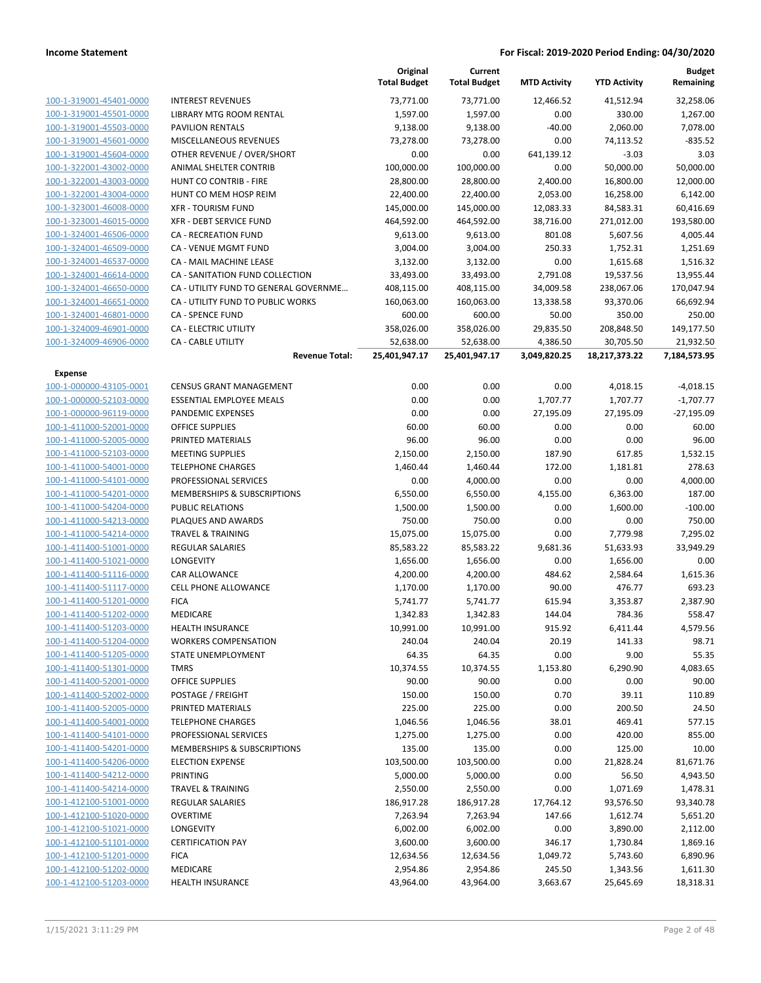|                         |                                        | Original<br><b>Total Budget</b> | Current<br><b>Total Budget</b> | <b>MTD Activity</b> | <b>YTD Activity</b> | <b>Budget</b><br>Remaining |
|-------------------------|----------------------------------------|---------------------------------|--------------------------------|---------------------|---------------------|----------------------------|
| 100-1-319001-45401-0000 | <b>INTEREST REVENUES</b>               | 73,771.00                       | 73,771.00                      | 12,466.52           | 41,512.94           | 32,258.06                  |
| 100-1-319001-45501-0000 | LIBRARY MTG ROOM RENTAL                | 1,597.00                        | 1,597.00                       | 0.00                | 330.00              | 1,267.00                   |
| 100-1-319001-45503-0000 | <b>PAVILION RENTALS</b>                | 9,138.00                        | 9,138.00                       | $-40.00$            | 2,060.00            | 7,078.00                   |
| 100-1-319001-45601-0000 | MISCELLANEOUS REVENUES                 | 73,278.00                       | 73,278.00                      | 0.00                | 74,113.52           | $-835.52$                  |
| 100-1-319001-45604-0000 | OTHER REVENUE / OVER/SHORT             | 0.00                            | 0.00                           | 641,139.12          | $-3.03$             | 3.03                       |
| 100-1-322001-43002-0000 | ANIMAL SHELTER CONTRIB                 | 100,000.00                      | 100,000.00                     | 0.00                | 50,000.00           | 50,000.00                  |
| 100-1-322001-43003-0000 | HUNT CO CONTRIB - FIRE                 | 28,800.00                       | 28,800.00                      | 2,400.00            | 16,800.00           | 12,000.00                  |
| 100-1-322001-43004-0000 | HUNT CO MEM HOSP REIM                  | 22,400.00                       | 22,400.00                      | 2,053.00            | 16,258.00           | 6,142.00                   |
| 100-1-323001-46008-0000 | <b>XFR - TOURISM FUND</b>              | 145,000.00                      | 145,000.00                     | 12,083.33           | 84,583.31           | 60,416.69                  |
| 100-1-323001-46015-0000 | XFR - DEBT SERVICE FUND                | 464,592.00                      | 464,592.00                     | 38,716.00           | 271,012.00          | 193,580.00                 |
| 100-1-324001-46506-0000 | <b>CA - RECREATION FUND</b>            | 9,613.00                        | 9,613.00                       | 801.08              | 5,607.56            | 4,005.44                   |
| 100-1-324001-46509-0000 | CA - VENUE MGMT FUND                   | 3,004.00                        | 3,004.00                       | 250.33              | 1,752.31            | 1,251.69                   |
| 100-1-324001-46537-0000 | CA - MAIL MACHINE LEASE                | 3,132.00                        | 3,132.00                       | 0.00                | 1,615.68            | 1,516.32                   |
| 100-1-324001-46614-0000 | CA - SANITATION FUND COLLECTION        | 33,493.00                       | 33,493.00                      | 2,791.08            | 19,537.56           | 13,955.44                  |
| 100-1-324001-46650-0000 | CA - UTILITY FUND TO GENERAL GOVERNME  | 408,115.00                      | 408,115.00                     | 34,009.58           | 238,067.06          | 170,047.94                 |
| 100-1-324001-46651-0000 | CA - UTILITY FUND TO PUBLIC WORKS      | 160,063.00                      | 160,063.00                     | 13,338.58           | 93,370.06           | 66,692.94                  |
| 100-1-324001-46801-0000 | CA - SPENCE FUND                       | 600.00                          | 600.00                         | 50.00               | 350.00              | 250.00                     |
| 100-1-324009-46901-0000 | CA - ELECTRIC UTILITY                  | 358,026.00                      | 358,026.00                     | 29,835.50           | 208,848.50          | 149,177.50                 |
| 100-1-324009-46906-0000 | <b>CA - CABLE UTILITY</b>              | 52,638.00                       | 52,638.00                      | 4,386.50            | 30,705.50           | 21,932.50                  |
|                         | <b>Revenue Total:</b>                  | 25,401,947.17                   | 25,401,947.17                  | 3,049,820.25        | 18,217,373.22       | 7,184,573.95               |
| <b>Expense</b>          |                                        |                                 |                                |                     |                     |                            |
| 100-1-000000-43105-0001 | <b>CENSUS GRANT MANAGEMENT</b>         | 0.00                            | 0.00                           | 0.00                | 4,018.15            | $-4,018.15$                |
| 100-1-000000-52103-0000 | <b>ESSENTIAL EMPLOYEE MEALS</b>        | 0.00                            | 0.00                           | 1,707.77            | 1,707.77            | $-1,707.77$                |
| 100-1-000000-96119-0000 | PANDEMIC EXPENSES                      | 0.00                            | 0.00                           | 27,195.09           | 27,195.09           | $-27,195.09$               |
| 100-1-411000-52001-0000 | <b>OFFICE SUPPLIES</b>                 | 60.00                           | 60.00                          | 0.00                | 0.00                | 60.00                      |
| 100-1-411000-52005-0000 | PRINTED MATERIALS                      | 96.00                           | 96.00                          | 0.00                | 0.00                | 96.00                      |
| 100-1-411000-52103-0000 | <b>MEETING SUPPLIES</b>                | 2,150.00                        | 2,150.00                       | 187.90              | 617.85              | 1,532.15                   |
| 100-1-411000-54001-0000 | <b>TELEPHONE CHARGES</b>               | 1,460.44                        | 1,460.44                       | 172.00              | 1,181.81            | 278.63                     |
| 100-1-411000-54101-0000 | PROFESSIONAL SERVICES                  | 0.00                            | 4,000.00                       | 0.00                | 0.00                | 4,000.00                   |
| 100-1-411000-54201-0000 | MEMBERSHIPS & SUBSCRIPTIONS            | 6,550.00                        | 6,550.00                       | 4,155.00            | 6,363.00            | 187.00                     |
| 100-1-411000-54204-0000 | <b>PUBLIC RELATIONS</b>                | 1,500.00                        | 1,500.00                       | 0.00                | 1,600.00            | $-100.00$                  |
| 100-1-411000-54213-0000 | PLAQUES AND AWARDS                     | 750.00                          | 750.00                         | 0.00                | 0.00                | 750.00                     |
| 100-1-411000-54214-0000 | <b>TRAVEL &amp; TRAINING</b>           | 15,075.00                       | 15,075.00                      | 0.00                | 7,779.98            | 7,295.02                   |
| 100-1-411400-51001-0000 | <b>REGULAR SALARIES</b>                | 85,583.22                       | 85,583.22                      | 9,681.36            | 51,633.93           | 33,949.29                  |
| 100-1-411400-51021-0000 | <b>LONGEVITY</b>                       | 1,656.00                        | 1,656.00                       | 0.00                | 1,656.00            | 0.00                       |
| 100-1-411400-51116-0000 | CAR ALLOWANCE                          | 4,200.00                        | 4,200.00                       | 484.62              | 2,584.64            | 1,615.36                   |
| 100-1-411400-51117-0000 | <b>CELL PHONE ALLOWANCE</b>            | 1,170.00                        | 1,170.00                       | 90.00               | 476.77              | 693.23                     |
| 100-1-411400-51201-0000 | <b>FICA</b>                            | 5,741.77                        | 5,741.77                       | 615.94              | 3,353.87            | 2,387.90                   |
| 100-1-411400-51202-0000 | <b>MEDICARE</b>                        | 1,342.83                        | 1,342.83                       | 144.04              | 784.36              | 558.47                     |
| 100-1-411400-51203-0000 | <b>HEALTH INSURANCE</b>                | 10,991.00                       | 10,991.00                      | 915.92              | 6,411.44            | 4,579.56                   |
| 100-1-411400-51204-0000 | <b>WORKERS COMPENSATION</b>            | 240.04                          | 240.04                         | 20.19               | 141.33              | 98.71                      |
| 100-1-411400-51205-0000 | <b>STATE UNEMPLOYMENT</b>              | 64.35                           | 64.35                          | 0.00                | 9.00                | 55.35                      |
| 100-1-411400-51301-0000 | <b>TMRS</b>                            | 10,374.55                       | 10,374.55                      | 1,153.80            | 6,290.90            | 4,083.65                   |
| 100-1-411400-52001-0000 | <b>OFFICE SUPPLIES</b>                 | 90.00                           | 90.00                          | 0.00                | 0.00                | 90.00                      |
| 100-1-411400-52002-0000 | POSTAGE / FREIGHT                      | 150.00                          | 150.00                         | 0.70                | 39.11               | 110.89                     |
| 100-1-411400-52005-0000 | PRINTED MATERIALS                      | 225.00                          | 225.00                         | 0.00                | 200.50              | 24.50                      |
| 100-1-411400-54001-0000 | <b>TELEPHONE CHARGES</b>               | 1,046.56                        | 1,046.56                       | 38.01               | 469.41              | 577.15                     |
| 100-1-411400-54101-0000 | PROFESSIONAL SERVICES                  | 1,275.00                        | 1,275.00                       | 0.00                | 420.00              | 855.00                     |
| 100-1-411400-54201-0000 | <b>MEMBERSHIPS &amp; SUBSCRIPTIONS</b> | 135.00                          | 135.00                         | 0.00                | 125.00              | 10.00                      |
| 100-1-411400-54206-0000 | <b>ELECTION EXPENSE</b>                | 103,500.00                      | 103,500.00                     | 0.00                | 21,828.24           | 81,671.76                  |
| 100-1-411400-54212-0000 | <b>PRINTING</b>                        | 5,000.00                        | 5,000.00                       | 0.00                | 56.50               | 4,943.50                   |
| 100-1-411400-54214-0000 | <b>TRAVEL &amp; TRAINING</b>           | 2,550.00                        | 2,550.00                       | 0.00                | 1,071.69            | 1,478.31                   |
| 100-1-412100-51001-0000 | REGULAR SALARIES                       | 186,917.28                      | 186,917.28                     | 17,764.12           | 93,576.50           | 93,340.78                  |
| 100-1-412100-51020-0000 | <b>OVERTIME</b>                        | 7,263.94                        | 7,263.94                       | 147.66              | 1,612.74            | 5,651.20                   |
| 100-1-412100-51021-0000 | LONGEVITY                              | 6,002.00                        | 6,002.00                       | 0.00                | 3,890.00            | 2,112.00                   |
| 100-1-412100-51101-0000 | <b>CERTIFICATION PAY</b>               | 3,600.00                        | 3,600.00                       | 346.17              | 1,730.84            | 1,869.16                   |
| 100-1-412100-51201-0000 | <b>FICA</b>                            | 12,634.56                       | 12,634.56                      | 1,049.72            | 5,743.60            | 6,890.96                   |
| 100-1-412100-51202-0000 | MEDICARE                               | 2,954.86                        | 2,954.86                       | 245.50              | 1,343.56            | 1,611.30                   |
| 100-1-412100-51203-0000 | <b>HEALTH INSURANCE</b>                | 43,964.00                       | 43,964.00                      | 3,663.67            | 25,645.69           | 18,318.31                  |
|                         |                                        |                                 |                                |                     |                     |                            |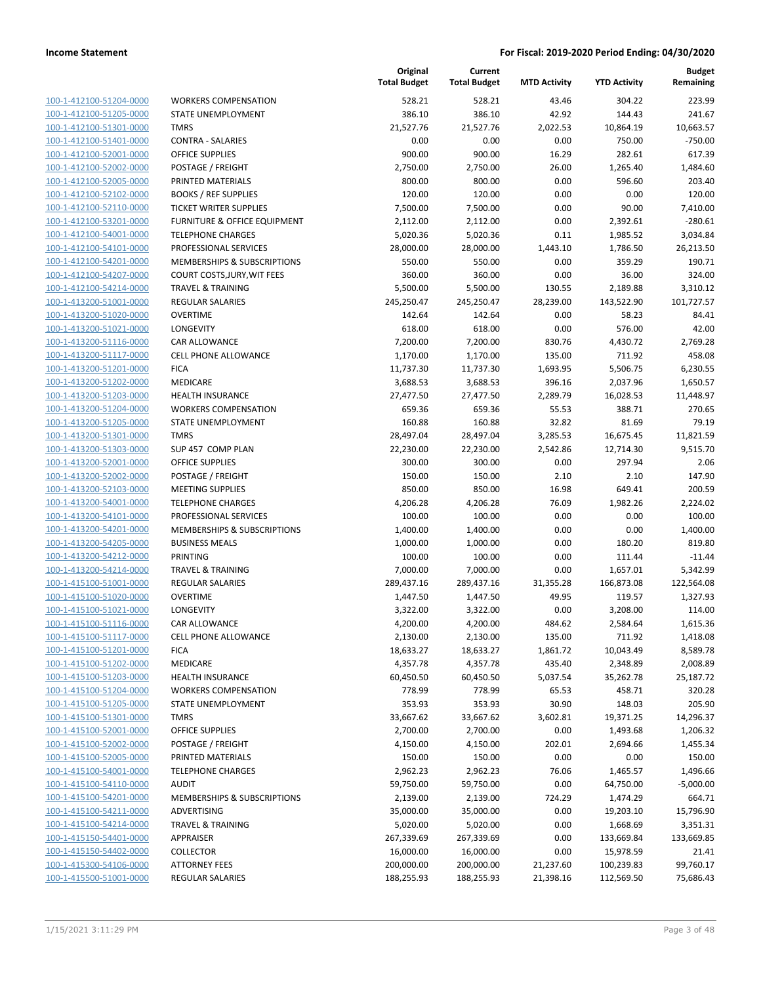100-1-412100-51204-0000 100-1-412100-51205-0000 100-1-412100-51301-0000 100-1-412100-51401-0000 100-1-412100-52001-0000 100-1-412100-52002-0000 100-1-412100-52005-0000 100-1-412100-52102-0000 100-1-412100-52110-0000 100-1-412100-53201-0000 100-1-412100-54001-0000 100-1-412100-54101-0000 100-1-412100-54201-0000 100-1-412100-54207-0000 100-1-412100-54214-0000 100-1-413200-51001-0000 100-1-413200-51020-0000 100-1-413200-51021-0000 100-1-413200-51116-0000 100-1-413200-51117-0000 100-1-413200-51201-0000 100-1-413200-51202-0000 100-1-413200-51203-0000 100-1-413200-51204-0000 100-1-413200-51205-0000 100-1-413200-51301-0000 100-1-413200-51303-0000 100-1-413200-52001-0000 100-1-413200-52002-0000 100-1-413200-52103-0000 100-1-413200-54001-0000 100-1-413200-54101-0000 100-1-413200-54201-0000 100-1-413200-54205-0000 100-1-413200-54212-0000 100-1-413200-54214-0000 100-1-415100-51001-0000 100-1-415100-51020-0000 100-1-415100-51021-0000 100-1-415100-51116-0000 100-1-415100-51117-0000 100-1-415100-51201-0000 100-1-415100-51202-0000 100-1-415100-51203-0000 100-1-415100-51204-0000 100-1-415100-51205-0000 100-1-415100-51301-0000 100-1-415100-52001-0000 100-1-415100-52002-0000 100-1-415100-52005-0000 PRINTED MATERIALS 150.00 150.00 0.00 0.00 150.00 100-1-415100-54001-0000 100-1-415100-54110-0000 100-1-415100-54201-0000 100-1-415100-54211-0000 100-1-415100-54214-0000 100-1-415150-54401-0000 100-1-415150-54402-0000 100-1-415300-54106-0000 100-1-415500-51001-0000

|                               | Original<br><b>Total Budget</b> | Current<br><b>Total Budget</b> | <b>MTD Activity</b> | <b>YTD Activity</b> | <b>Budget</b><br>Remaining |
|-------------------------------|---------------------------------|--------------------------------|---------------------|---------------------|----------------------------|
| <b>WORKERS COMPENSATION</b>   | 528.21                          | 528.21                         | 43.46               | 304.22              | 223.99                     |
| STATE UNEMPLOYMENT            | 386.10                          | 386.10                         | 42.92               | 144.43              | 241.67                     |
| <b>TMRS</b>                   | 21,527.76                       | 21,527.76                      | 2,022.53            | 10,864.19           | 10,663.57                  |
| <b>CONTRA - SALARIES</b>      | 0.00                            | 0.00                           | 0.00                | 750.00              | $-750.00$                  |
| <b>OFFICE SUPPLIES</b>        | 900.00                          | 900.00                         | 16.29               | 282.61              | 617.39                     |
| POSTAGE / FREIGHT             | 2,750.00                        | 2,750.00                       | 26.00               | 1,265.40            | 1,484.60                   |
| PRINTED MATERIALS             | 800.00                          | 800.00                         | 0.00                | 596.60              | 203.40                     |
| <b>BOOKS / REF SUPPLIES</b>   | 120.00                          | 120.00                         | 0.00                | 0.00                | 120.00                     |
| <b>TICKET WRITER SUPPLIES</b> | 7,500.00                        | 7,500.00                       | 0.00                | 90.00               | 7,410.00                   |
| FURNITURE & OFFICE EQUIPMENT  | 2,112.00                        | 2,112.00                       | 0.00                | 2,392.61            | $-280.61$                  |
| <b>TELEPHONE CHARGES</b>      | 5,020.36                        | 5,020.36                       | 0.11                | 1,985.52            | 3,034.84                   |
| PROFESSIONAL SERVICES         | 28,000.00                       | 28,000.00                      | 1,443.10            | 1,786.50            | 26,213.50                  |
| MEMBERSHIPS & SUBSCRIPTIONS   | 550.00                          | 550.00                         | 0.00                | 359.29              | 190.71                     |
| COURT COSTS, JURY, WIT FEES   | 360.00                          | 360.00                         | 0.00                | 36.00               | 324.00                     |
| <b>TRAVEL &amp; TRAINING</b>  | 5,500.00                        | 5,500.00                       | 130.55              | 2,189.88            | 3,310.12                   |
| REGULAR SALARIES              | 245,250.47                      | 245,250.47                     | 28,239.00           | 143,522.90          | 101,727.57                 |
| <b>OVERTIME</b>               | 142.64                          | 142.64                         | 0.00                | 58.23               | 84.41                      |
| LONGEVITY                     | 618.00                          | 618.00                         | 0.00                | 576.00              | 42.00                      |
| CAR ALLOWANCE                 | 7,200.00                        | 7,200.00                       | 830.76              | 4,430.72            | 2,769.28                   |
| <b>CELL PHONE ALLOWANCE</b>   | 1,170.00                        | 1,170.00                       | 135.00              | 711.92              | 458.08                     |
| <b>FICA</b>                   | 11,737.30                       | 11,737.30                      | 1,693.95            | 5,506.75            | 6,230.55                   |
| MEDICARE                      | 3,688.53                        | 3,688.53                       | 396.16              | 2,037.96            | 1,650.57                   |
| <b>HEALTH INSURANCE</b>       | 27,477.50                       | 27,477.50                      | 2,289.79            | 16,028.53           | 11,448.97                  |
| <b>WORKERS COMPENSATION</b>   | 659.36                          | 659.36                         | 55.53               | 388.71              | 270.65                     |
| STATE UNEMPLOYMENT            | 160.88                          | 160.88                         | 32.82               | 81.69               | 79.19                      |
| <b>TMRS</b>                   | 28,497.04                       | 28,497.04                      | 3,285.53            | 16,675.45           | 11,821.59                  |
| SUP 457 COMP PLAN             | 22,230.00                       | 22,230.00                      | 2,542.86            | 12,714.30           | 9,515.70                   |
| <b>OFFICE SUPPLIES</b>        | 300.00                          | 300.00                         | 0.00                | 297.94              | 2.06                       |
| POSTAGE / FREIGHT             | 150.00                          | 150.00                         | 2.10                | 2.10                | 147.90                     |
| <b>MEETING SUPPLIES</b>       | 850.00                          | 850.00                         | 16.98               | 649.41              | 200.59                     |
| <b>TELEPHONE CHARGES</b>      | 4,206.28                        | 4,206.28                       | 76.09               | 1,982.26            | 2,224.02                   |
| PROFESSIONAL SERVICES         | 100.00                          | 100.00                         | 0.00                | 0.00                | 100.00                     |
| MEMBERSHIPS & SUBSCRIPTIONS   | 1,400.00                        | 1,400.00                       | 0.00                | 0.00                | 1,400.00                   |
| <b>BUSINESS MEALS</b>         | 1,000.00                        | 1,000.00                       | 0.00                | 180.20              | 819.80                     |
| PRINTING                      | 100.00                          | 100.00                         | 0.00                | 111.44              | $-11.44$                   |
| <b>TRAVEL &amp; TRAINING</b>  | 7,000.00                        | 7,000.00                       | 0.00                | 1,657.01            | 5,342.99                   |
| <b>REGULAR SALARIES</b>       | 289,437.16                      | 289,437.16                     | 31,355.28           | 166,873.08          | 122,564.08                 |
| <b>OVERTIME</b>               | 1,447.50                        | 1,447.50                       | 49.95               | 119.57              | 1,327.93                   |
| LONGEVITY                     | 3,322.00                        | 3,322.00                       | 0.00                | 3,208.00            | 114.00                     |
| CAR ALLOWANCE                 | 4,200.00                        | 4,200.00                       | 484.62              | 2,584.64            | 1,615.36                   |
| <b>CELL PHONE ALLOWANCE</b>   | 2,130.00                        | 2,130.00                       | 135.00              | 711.92              | 1,418.08                   |
| <b>FICA</b>                   | 18,633.27                       | 18,633.27                      | 1,861.72            | 10,043.49           | 8,589.78                   |
| MEDICARE                      | 4,357.78                        | 4,357.78                       | 435.40              | 2,348.89            | 2,008.89                   |
| <b>HEALTH INSURANCE</b>       | 60,450.50                       | 60,450.50                      | 5,037.54            | 35,262.78           | 25,187.72                  |
| <b>WORKERS COMPENSATION</b>   | 778.99                          | 778.99                         | 65.53               | 458.71              | 320.28                     |
| STATE UNEMPLOYMENT            | 353.93                          | 353.93                         | 30.90               | 148.03              | 205.90                     |
| <b>TMRS</b>                   | 33,667.62                       | 33,667.62                      | 3,602.81            | 19,371.25           | 14,296.37                  |
| <b>OFFICE SUPPLIES</b>        | 2,700.00                        | 2,700.00                       | 0.00                | 1,493.68            | 1,206.32                   |
| POSTAGE / FREIGHT             | 4,150.00                        | 4,150.00                       | 202.01              | 2,694.66            | 1,455.34                   |
| PRINTED MATERIALS             | 150.00                          | 150.00                         | 0.00                | 0.00                | 150.00                     |
| <b>TELEPHONE CHARGES</b>      | 2,962.23                        | 2,962.23                       | 76.06               | 1,465.57            | 1,496.66                   |
| <b>AUDIT</b>                  | 59,750.00                       | 59,750.00                      | 0.00                | 64,750.00           | $-5,000.00$                |
| MEMBERSHIPS & SUBSCRIPTIONS   | 2,139.00                        | 2,139.00                       | 724.29              | 1,474.29            | 664.71                     |
| ADVERTISING                   | 35,000.00                       | 35,000.00                      | 0.00                | 19,203.10           | 15,796.90                  |
| TRAVEL & TRAINING             | 5,020.00                        | 5,020.00                       | 0.00                | 1,668.69            | 3,351.31                   |
| APPRAISER                     | 267,339.69                      | 267,339.69                     | 0.00                | 133,669.84          | 133,669.85                 |
| <b>COLLECTOR</b>              | 16,000.00                       | 16,000.00                      | 0.00                | 15,978.59           | 21.41                      |
| <b>ATTORNEY FEES</b>          | 200,000.00                      | 200,000.00                     | 21,237.60           | 100,239.83          | 99,760.17                  |
| REGULAR SALARIES              | 188,255.93                      | 188,255.93                     | 21,398.16           | 112,569.50          | 75,686.43                  |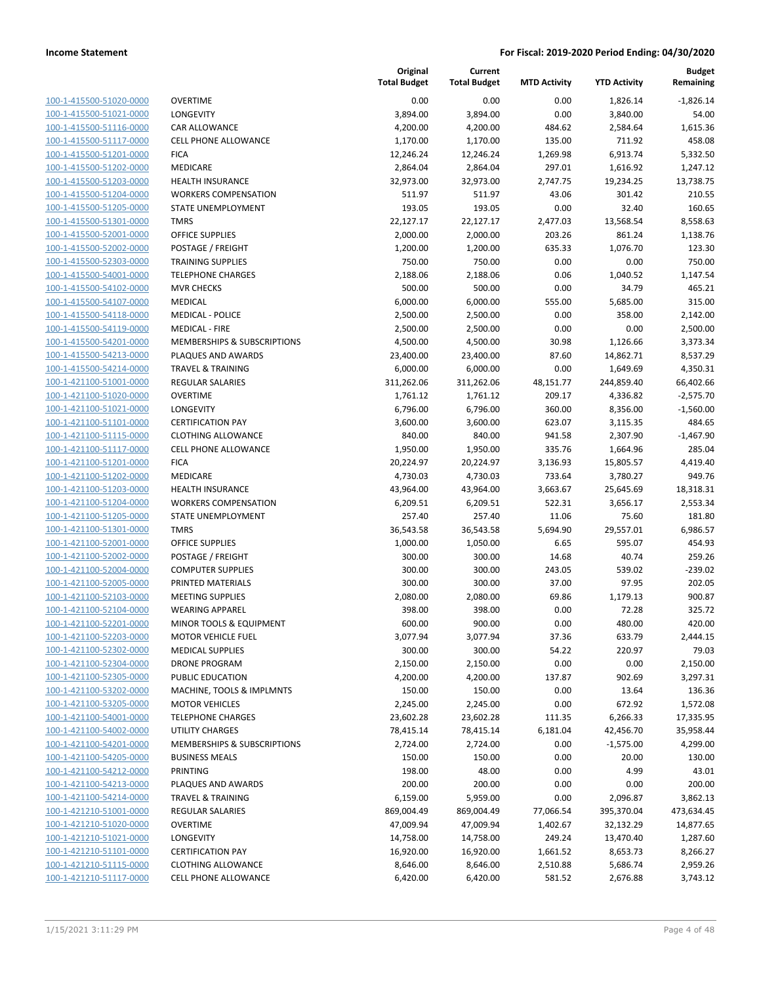| 100-1-415500-51020-0000<br>100-1-415500-51021-0000<br>100-1-415500-51116-0000<br>100-1-415500-51117-0000<br>100-1-415500-51201-0000<br>100-1-415500-51202-0000<br>100-1-415500-51203-0000<br>100-1-415500-51204-0000<br>100-1-415500-51205-0000<br>100-1-415500-51301-0000<br>100-1-415500-52001-0000<br>100-1-415500-52002-0000<br>100-1-415500-52303-0000<br>100-1-415500-54001-0000<br>100-1-415500-54102-0000<br>100-1-415500-54107-0000<br>100-1-415500-54118-0000<br>100-1-415500-54119-0000<br>100-1-415500-54201-0000<br>100-1-415500-54213-0000<br>100-1-415500-54214-0000<br>100-1-421100-51001-0000<br>100-1-421100-51020-0000<br>100-1-421100-51021-0000<br>100-1-421100-51101-0000<br>100-1-421100-51115-0000<br>100-1-421100-51117-0000<br>100-1-421100-51201-0000<br>100-1-421100-51202-0000<br>100-1-421100-51203-0000<br>100-1-421100-51204-0000<br>100-1-421100-51205-0000<br>100-1-421100-51301-0000<br>100-1-421100-52001-0000<br>100-1-421100-52002-0000<br>100-1-421100-52004-0000<br>100-1-421100-52005-0000<br>100-1-421100-52103-0000<br>100-1-421100-52104-0000<br>100-1-421100-52201-0000<br>100-1-421100-52203-0000<br><u>100-1-421100-52302-0000</u><br>100-1-421100-52304-0000<br><u>100-1-421100-52305-0000</u><br>100-1-421100-53202-0000<br><u>100-1-421100-53205-0000</u><br>100-1-421100-54001-0000<br><u>100-1-421100-54002-0000</u><br><u>100-1-421100-54201-0000</u><br>100-1-421100-54205-0000<br><u>100-1-421100-54212-0000</u><br>100-1-421100-54213-0000<br><u>100-1-421100-54214-0000</u><br><u>100-1-421210-51001-0000</u><br>100-1-421210-51020-0000<br><u>100-1-421210-51021-0000</u><br><u>100-1-421210-51101-0000</u><br><u>100-1-421210-51115-0000</u><br>100-1-421210-51117-0000 |  |
|------------------------------------------------------------------------------------------------------------------------------------------------------------------------------------------------------------------------------------------------------------------------------------------------------------------------------------------------------------------------------------------------------------------------------------------------------------------------------------------------------------------------------------------------------------------------------------------------------------------------------------------------------------------------------------------------------------------------------------------------------------------------------------------------------------------------------------------------------------------------------------------------------------------------------------------------------------------------------------------------------------------------------------------------------------------------------------------------------------------------------------------------------------------------------------------------------------------------------------------------------------------------------------------------------------------------------------------------------------------------------------------------------------------------------------------------------------------------------------------------------------------------------------------------------------------------------------------------------------------------------------------------------------------------------------------------------------------------------------|--|
|                                                                                                                                                                                                                                                                                                                                                                                                                                                                                                                                                                                                                                                                                                                                                                                                                                                                                                                                                                                                                                                                                                                                                                                                                                                                                                                                                                                                                                                                                                                                                                                                                                                                                                                                    |  |
|                                                                                                                                                                                                                                                                                                                                                                                                                                                                                                                                                                                                                                                                                                                                                                                                                                                                                                                                                                                                                                                                                                                                                                                                                                                                                                                                                                                                                                                                                                                                                                                                                                                                                                                                    |  |
|                                                                                                                                                                                                                                                                                                                                                                                                                                                                                                                                                                                                                                                                                                                                                                                                                                                                                                                                                                                                                                                                                                                                                                                                                                                                                                                                                                                                                                                                                                                                                                                                                                                                                                                                    |  |
|                                                                                                                                                                                                                                                                                                                                                                                                                                                                                                                                                                                                                                                                                                                                                                                                                                                                                                                                                                                                                                                                                                                                                                                                                                                                                                                                                                                                                                                                                                                                                                                                                                                                                                                                    |  |
|                                                                                                                                                                                                                                                                                                                                                                                                                                                                                                                                                                                                                                                                                                                                                                                                                                                                                                                                                                                                                                                                                                                                                                                                                                                                                                                                                                                                                                                                                                                                                                                                                                                                                                                                    |  |
|                                                                                                                                                                                                                                                                                                                                                                                                                                                                                                                                                                                                                                                                                                                                                                                                                                                                                                                                                                                                                                                                                                                                                                                                                                                                                                                                                                                                                                                                                                                                                                                                                                                                                                                                    |  |
|                                                                                                                                                                                                                                                                                                                                                                                                                                                                                                                                                                                                                                                                                                                                                                                                                                                                                                                                                                                                                                                                                                                                                                                                                                                                                                                                                                                                                                                                                                                                                                                                                                                                                                                                    |  |
|                                                                                                                                                                                                                                                                                                                                                                                                                                                                                                                                                                                                                                                                                                                                                                                                                                                                                                                                                                                                                                                                                                                                                                                                                                                                                                                                                                                                                                                                                                                                                                                                                                                                                                                                    |  |
|                                                                                                                                                                                                                                                                                                                                                                                                                                                                                                                                                                                                                                                                                                                                                                                                                                                                                                                                                                                                                                                                                                                                                                                                                                                                                                                                                                                                                                                                                                                                                                                                                                                                                                                                    |  |
|                                                                                                                                                                                                                                                                                                                                                                                                                                                                                                                                                                                                                                                                                                                                                                                                                                                                                                                                                                                                                                                                                                                                                                                                                                                                                                                                                                                                                                                                                                                                                                                                                                                                                                                                    |  |
|                                                                                                                                                                                                                                                                                                                                                                                                                                                                                                                                                                                                                                                                                                                                                                                                                                                                                                                                                                                                                                                                                                                                                                                                                                                                                                                                                                                                                                                                                                                                                                                                                                                                                                                                    |  |
|                                                                                                                                                                                                                                                                                                                                                                                                                                                                                                                                                                                                                                                                                                                                                                                                                                                                                                                                                                                                                                                                                                                                                                                                                                                                                                                                                                                                                                                                                                                                                                                                                                                                                                                                    |  |
|                                                                                                                                                                                                                                                                                                                                                                                                                                                                                                                                                                                                                                                                                                                                                                                                                                                                                                                                                                                                                                                                                                                                                                                                                                                                                                                                                                                                                                                                                                                                                                                                                                                                                                                                    |  |
|                                                                                                                                                                                                                                                                                                                                                                                                                                                                                                                                                                                                                                                                                                                                                                                                                                                                                                                                                                                                                                                                                                                                                                                                                                                                                                                                                                                                                                                                                                                                                                                                                                                                                                                                    |  |
|                                                                                                                                                                                                                                                                                                                                                                                                                                                                                                                                                                                                                                                                                                                                                                                                                                                                                                                                                                                                                                                                                                                                                                                                                                                                                                                                                                                                                                                                                                                                                                                                                                                                                                                                    |  |
|                                                                                                                                                                                                                                                                                                                                                                                                                                                                                                                                                                                                                                                                                                                                                                                                                                                                                                                                                                                                                                                                                                                                                                                                                                                                                                                                                                                                                                                                                                                                                                                                                                                                                                                                    |  |
|                                                                                                                                                                                                                                                                                                                                                                                                                                                                                                                                                                                                                                                                                                                                                                                                                                                                                                                                                                                                                                                                                                                                                                                                                                                                                                                                                                                                                                                                                                                                                                                                                                                                                                                                    |  |
|                                                                                                                                                                                                                                                                                                                                                                                                                                                                                                                                                                                                                                                                                                                                                                                                                                                                                                                                                                                                                                                                                                                                                                                                                                                                                                                                                                                                                                                                                                                                                                                                                                                                                                                                    |  |
|                                                                                                                                                                                                                                                                                                                                                                                                                                                                                                                                                                                                                                                                                                                                                                                                                                                                                                                                                                                                                                                                                                                                                                                                                                                                                                                                                                                                                                                                                                                                                                                                                                                                                                                                    |  |
|                                                                                                                                                                                                                                                                                                                                                                                                                                                                                                                                                                                                                                                                                                                                                                                                                                                                                                                                                                                                                                                                                                                                                                                                                                                                                                                                                                                                                                                                                                                                                                                                                                                                                                                                    |  |
|                                                                                                                                                                                                                                                                                                                                                                                                                                                                                                                                                                                                                                                                                                                                                                                                                                                                                                                                                                                                                                                                                                                                                                                                                                                                                                                                                                                                                                                                                                                                                                                                                                                                                                                                    |  |
|                                                                                                                                                                                                                                                                                                                                                                                                                                                                                                                                                                                                                                                                                                                                                                                                                                                                                                                                                                                                                                                                                                                                                                                                                                                                                                                                                                                                                                                                                                                                                                                                                                                                                                                                    |  |
|                                                                                                                                                                                                                                                                                                                                                                                                                                                                                                                                                                                                                                                                                                                                                                                                                                                                                                                                                                                                                                                                                                                                                                                                                                                                                                                                                                                                                                                                                                                                                                                                                                                                                                                                    |  |
|                                                                                                                                                                                                                                                                                                                                                                                                                                                                                                                                                                                                                                                                                                                                                                                                                                                                                                                                                                                                                                                                                                                                                                                                                                                                                                                                                                                                                                                                                                                                                                                                                                                                                                                                    |  |
|                                                                                                                                                                                                                                                                                                                                                                                                                                                                                                                                                                                                                                                                                                                                                                                                                                                                                                                                                                                                                                                                                                                                                                                                                                                                                                                                                                                                                                                                                                                                                                                                                                                                                                                                    |  |
|                                                                                                                                                                                                                                                                                                                                                                                                                                                                                                                                                                                                                                                                                                                                                                                                                                                                                                                                                                                                                                                                                                                                                                                                                                                                                                                                                                                                                                                                                                                                                                                                                                                                                                                                    |  |
|                                                                                                                                                                                                                                                                                                                                                                                                                                                                                                                                                                                                                                                                                                                                                                                                                                                                                                                                                                                                                                                                                                                                                                                                                                                                                                                                                                                                                                                                                                                                                                                                                                                                                                                                    |  |
|                                                                                                                                                                                                                                                                                                                                                                                                                                                                                                                                                                                                                                                                                                                                                                                                                                                                                                                                                                                                                                                                                                                                                                                                                                                                                                                                                                                                                                                                                                                                                                                                                                                                                                                                    |  |
|                                                                                                                                                                                                                                                                                                                                                                                                                                                                                                                                                                                                                                                                                                                                                                                                                                                                                                                                                                                                                                                                                                                                                                                                                                                                                                                                                                                                                                                                                                                                                                                                                                                                                                                                    |  |
|                                                                                                                                                                                                                                                                                                                                                                                                                                                                                                                                                                                                                                                                                                                                                                                                                                                                                                                                                                                                                                                                                                                                                                                                                                                                                                                                                                                                                                                                                                                                                                                                                                                                                                                                    |  |
|                                                                                                                                                                                                                                                                                                                                                                                                                                                                                                                                                                                                                                                                                                                                                                                                                                                                                                                                                                                                                                                                                                                                                                                                                                                                                                                                                                                                                                                                                                                                                                                                                                                                                                                                    |  |
|                                                                                                                                                                                                                                                                                                                                                                                                                                                                                                                                                                                                                                                                                                                                                                                                                                                                                                                                                                                                                                                                                                                                                                                                                                                                                                                                                                                                                                                                                                                                                                                                                                                                                                                                    |  |
|                                                                                                                                                                                                                                                                                                                                                                                                                                                                                                                                                                                                                                                                                                                                                                                                                                                                                                                                                                                                                                                                                                                                                                                                                                                                                                                                                                                                                                                                                                                                                                                                                                                                                                                                    |  |
|                                                                                                                                                                                                                                                                                                                                                                                                                                                                                                                                                                                                                                                                                                                                                                                                                                                                                                                                                                                                                                                                                                                                                                                                                                                                                                                                                                                                                                                                                                                                                                                                                                                                                                                                    |  |
|                                                                                                                                                                                                                                                                                                                                                                                                                                                                                                                                                                                                                                                                                                                                                                                                                                                                                                                                                                                                                                                                                                                                                                                                                                                                                                                                                                                                                                                                                                                                                                                                                                                                                                                                    |  |
|                                                                                                                                                                                                                                                                                                                                                                                                                                                                                                                                                                                                                                                                                                                                                                                                                                                                                                                                                                                                                                                                                                                                                                                                                                                                                                                                                                                                                                                                                                                                                                                                                                                                                                                                    |  |
|                                                                                                                                                                                                                                                                                                                                                                                                                                                                                                                                                                                                                                                                                                                                                                                                                                                                                                                                                                                                                                                                                                                                                                                                                                                                                                                                                                                                                                                                                                                                                                                                                                                                                                                                    |  |
|                                                                                                                                                                                                                                                                                                                                                                                                                                                                                                                                                                                                                                                                                                                                                                                                                                                                                                                                                                                                                                                                                                                                                                                                                                                                                                                                                                                                                                                                                                                                                                                                                                                                                                                                    |  |
|                                                                                                                                                                                                                                                                                                                                                                                                                                                                                                                                                                                                                                                                                                                                                                                                                                                                                                                                                                                                                                                                                                                                                                                                                                                                                                                                                                                                                                                                                                                                                                                                                                                                                                                                    |  |
|                                                                                                                                                                                                                                                                                                                                                                                                                                                                                                                                                                                                                                                                                                                                                                                                                                                                                                                                                                                                                                                                                                                                                                                                                                                                                                                                                                                                                                                                                                                                                                                                                                                                                                                                    |  |
|                                                                                                                                                                                                                                                                                                                                                                                                                                                                                                                                                                                                                                                                                                                                                                                                                                                                                                                                                                                                                                                                                                                                                                                                                                                                                                                                                                                                                                                                                                                                                                                                                                                                                                                                    |  |
|                                                                                                                                                                                                                                                                                                                                                                                                                                                                                                                                                                                                                                                                                                                                                                                                                                                                                                                                                                                                                                                                                                                                                                                                                                                                                                                                                                                                                                                                                                                                                                                                                                                                                                                                    |  |
|                                                                                                                                                                                                                                                                                                                                                                                                                                                                                                                                                                                                                                                                                                                                                                                                                                                                                                                                                                                                                                                                                                                                                                                                                                                                                                                                                                                                                                                                                                                                                                                                                                                                                                                                    |  |
|                                                                                                                                                                                                                                                                                                                                                                                                                                                                                                                                                                                                                                                                                                                                                                                                                                                                                                                                                                                                                                                                                                                                                                                                                                                                                                                                                                                                                                                                                                                                                                                                                                                                                                                                    |  |
|                                                                                                                                                                                                                                                                                                                                                                                                                                                                                                                                                                                                                                                                                                                                                                                                                                                                                                                                                                                                                                                                                                                                                                                                                                                                                                                                                                                                                                                                                                                                                                                                                                                                                                                                    |  |
|                                                                                                                                                                                                                                                                                                                                                                                                                                                                                                                                                                                                                                                                                                                                                                                                                                                                                                                                                                                                                                                                                                                                                                                                                                                                                                                                                                                                                                                                                                                                                                                                                                                                                                                                    |  |
|                                                                                                                                                                                                                                                                                                                                                                                                                                                                                                                                                                                                                                                                                                                                                                                                                                                                                                                                                                                                                                                                                                                                                                                                                                                                                                                                                                                                                                                                                                                                                                                                                                                                                                                                    |  |
|                                                                                                                                                                                                                                                                                                                                                                                                                                                                                                                                                                                                                                                                                                                                                                                                                                                                                                                                                                                                                                                                                                                                                                                                                                                                                                                                                                                                                                                                                                                                                                                                                                                                                                                                    |  |
|                                                                                                                                                                                                                                                                                                                                                                                                                                                                                                                                                                                                                                                                                                                                                                                                                                                                                                                                                                                                                                                                                                                                                                                                                                                                                                                                                                                                                                                                                                                                                                                                                                                                                                                                    |  |
|                                                                                                                                                                                                                                                                                                                                                                                                                                                                                                                                                                                                                                                                                                                                                                                                                                                                                                                                                                                                                                                                                                                                                                                                                                                                                                                                                                                                                                                                                                                                                                                                                                                                                                                                    |  |
|                                                                                                                                                                                                                                                                                                                                                                                                                                                                                                                                                                                                                                                                                                                                                                                                                                                                                                                                                                                                                                                                                                                                                                                                                                                                                                                                                                                                                                                                                                                                                                                                                                                                                                                                    |  |
|                                                                                                                                                                                                                                                                                                                                                                                                                                                                                                                                                                                                                                                                                                                                                                                                                                                                                                                                                                                                                                                                                                                                                                                                                                                                                                                                                                                                                                                                                                                                                                                                                                                                                                                                    |  |
|                                                                                                                                                                                                                                                                                                                                                                                                                                                                                                                                                                                                                                                                                                                                                                                                                                                                                                                                                                                                                                                                                                                                                                                                                                                                                                                                                                                                                                                                                                                                                                                                                                                                                                                                    |  |
|                                                                                                                                                                                                                                                                                                                                                                                                                                                                                                                                                                                                                                                                                                                                                                                                                                                                                                                                                                                                                                                                                                                                                                                                                                                                                                                                                                                                                                                                                                                                                                                                                                                                                                                                    |  |
|                                                                                                                                                                                                                                                                                                                                                                                                                                                                                                                                                                                                                                                                                                                                                                                                                                                                                                                                                                                                                                                                                                                                                                                                                                                                                                                                                                                                                                                                                                                                                                                                                                                                                                                                    |  |
|                                                                                                                                                                                                                                                                                                                                                                                                                                                                                                                                                                                                                                                                                                                                                                                                                                                                                                                                                                                                                                                                                                                                                                                                                                                                                                                                                                                                                                                                                                                                                                                                                                                                                                                                    |  |
|                                                                                                                                                                                                                                                                                                                                                                                                                                                                                                                                                                                                                                                                                                                                                                                                                                                                                                                                                                                                                                                                                                                                                                                                                                                                                                                                                                                                                                                                                                                                                                                                                                                                                                                                    |  |
|                                                                                                                                                                                                                                                                                                                                                                                                                                                                                                                                                                                                                                                                                                                                                                                                                                                                                                                                                                                                                                                                                                                                                                                                                                                                                                                                                                                                                                                                                                                                                                                                                                                                                                                                    |  |
|                                                                                                                                                                                                                                                                                                                                                                                                                                                                                                                                                                                                                                                                                                                                                                                                                                                                                                                                                                                                                                                                                                                                                                                                                                                                                                                                                                                                                                                                                                                                                                                                                                                                                                                                    |  |
|                                                                                                                                                                                                                                                                                                                                                                                                                                                                                                                                                                                                                                                                                                                                                                                                                                                                                                                                                                                                                                                                                                                                                                                                                                                                                                                                                                                                                                                                                                                                                                                                                                                                                                                                    |  |
|                                                                                                                                                                                                                                                                                                                                                                                                                                                                                                                                                                                                                                                                                                                                                                                                                                                                                                                                                                                                                                                                                                                                                                                                                                                                                                                                                                                                                                                                                                                                                                                                                                                                                                                                    |  |

| VERTIME                                |
|----------------------------------------|
| ONGEVITY                               |
| AR ALLOWANCE                           |
| ELL PHONE ALLOWANCE                    |
| <b>ICA</b>                             |
| <b>IEDICARE</b>                        |
| <b>EALTH INSURANCE</b>                 |
| /ORKERS COMPENSATION                   |
| TATE UNEMPLOYMENT                      |
| MRS                                    |
| <b>FFICE SUPPLIES</b>                  |
| OSTAGE / FREIGHT                       |
| RAINING SUPPLIES                       |
| ELEPHONE CHARGES                       |
| IVR CHECKS                             |
| <b>IEDICAL</b>                         |
| 1EDICAL - POLICE                       |
| 1EDICAL - FIRE                         |
| <b>IEMBERSHIPS &amp; SUBSCRIPTIONS</b> |
| LAQUES AND AWARDS                      |
| RAVEL & TRAINING                       |
| EGULAR SALARIES                        |
| VERTIME                                |
| <b>ONGEVITY</b>                        |
| ERTIFICATION PAY<br>LOTHING ALLOWANCE  |
| ELL PHONE ALLOWANCE                    |
| ICA                                    |
| <b>IEDICARE</b>                        |
| <b>EALTH INSURANCE</b>                 |
| /ORKERS COMPENSATION                   |
| TATE UNEMPLOYMENT                      |
| MRS                                    |
| <b>FFICE SUPPLIES</b>                  |
| OSTAGE / FREIGHT                       |
| OMPUTER SUPPLIES                       |
| RINTED MATERIALS                       |
| 1EETING SUPPLIES                       |
| /EARING APPAREL                        |
| 1INOR TOOLS & EQUIPMENT                |
| 1OTOR VEHICLE FUEL                     |
| <b>IEDICAL SUPPLIES</b>                |
| RONE PROGRAM                           |
| UBLIC EDUCATION                        |
| 1ACHINE, TOOLS & IMPLMNTS              |
| <b>IOTOR VEHICLES</b>                  |
| <b>ELEPHONE CHARGES</b>                |
| <b>TILITY CHARGES</b>                  |
| IEMBERSHIPS & SUBSCRIPTIONS            |
| USINESS MEALS                          |
| RINTING                                |
| LAQUES AND AWARDS                      |
| RAVEL & TRAINING                       |
| <b>EGULAR SALARIES</b>                 |
| VERTIME                                |
| <b>ONGEVITY</b>                        |
| ERTIFICATION PAY                       |
| $0.71111C$ $0.11C$                     |

|                         |                                        | Original<br><b>Total Budget</b> | Current<br><b>Total Budget</b> | <b>MTD Activity</b> | <b>YTD Activity</b> | <b>Budget</b><br>Remaining |
|-------------------------|----------------------------------------|---------------------------------|--------------------------------|---------------------|---------------------|----------------------------|
| 100-1-415500-51020-0000 | <b>OVERTIME</b>                        | 0.00                            | 0.00                           | 0.00                | 1,826.14            | $-1,826.14$                |
| 100-1-415500-51021-0000 | LONGEVITY                              | 3,894.00                        | 3,894.00                       | 0.00                | 3,840.00            | 54.00                      |
| 100-1-415500-51116-0000 | CAR ALLOWANCE                          | 4,200.00                        | 4,200.00                       | 484.62              | 2,584.64            | 1,615.36                   |
| 100-1-415500-51117-0000 | <b>CELL PHONE ALLOWANCE</b>            | 1,170.00                        | 1,170.00                       | 135.00              | 711.92              | 458.08                     |
| 100-1-415500-51201-0000 | <b>FICA</b>                            | 12,246.24                       | 12,246.24                      | 1,269.98            | 6,913.74            | 5,332.50                   |
| 100-1-415500-51202-0000 | MEDICARE                               | 2,864.04                        | 2,864.04                       | 297.01              | 1,616.92            | 1,247.12                   |
| 100-1-415500-51203-0000 | <b>HEALTH INSURANCE</b>                | 32,973.00                       | 32,973.00                      | 2,747.75            | 19,234.25           | 13,738.75                  |
| 100-1-415500-51204-0000 | <b>WORKERS COMPENSATION</b>            | 511.97                          | 511.97                         | 43.06               | 301.42              | 210.55                     |
| 100-1-415500-51205-0000 | <b>STATE UNEMPLOYMENT</b>              | 193.05                          | 193.05                         | 0.00                | 32.40               | 160.65                     |
| 100-1-415500-51301-0000 | <b>TMRS</b>                            | 22,127.17                       | 22,127.17                      | 2,477.03            | 13,568.54           | 8,558.63                   |
| 100-1-415500-52001-0000 | <b>OFFICE SUPPLIES</b>                 | 2,000.00                        | 2,000.00                       | 203.26              | 861.24              | 1,138.76                   |
| 100-1-415500-52002-0000 | POSTAGE / FREIGHT                      | 1,200.00                        | 1,200.00                       | 635.33              | 1,076.70            | 123.30                     |
| 100-1-415500-52303-0000 | <b>TRAINING SUPPLIES</b>               | 750.00                          | 750.00                         | 0.00                | 0.00                | 750.00                     |
| 100-1-415500-54001-0000 | <b>TELEPHONE CHARGES</b>               | 2,188.06                        | 2,188.06                       | 0.06                | 1,040.52            | 1,147.54                   |
| 100-1-415500-54102-0000 | <b>MVR CHECKS</b>                      | 500.00                          | 500.00                         | 0.00                | 34.79               | 465.21                     |
| 100-1-415500-54107-0000 | <b>MEDICAL</b>                         | 6,000.00                        | 6,000.00                       | 555.00              | 5,685.00            | 315.00                     |
| 100-1-415500-54118-0000 | <b>MEDICAL - POLICE</b>                | 2,500.00                        | 2,500.00                       | 0.00                | 358.00              | 2,142.00                   |
| 100-1-415500-54119-0000 | <b>MEDICAL - FIRE</b>                  | 2,500.00                        | 2,500.00                       | 0.00                | 0.00                | 2,500.00                   |
| 100-1-415500-54201-0000 | <b>MEMBERSHIPS &amp; SUBSCRIPTIONS</b> | 4,500.00                        | 4,500.00                       | 30.98               | 1,126.66            | 3,373.34                   |
| 100-1-415500-54213-0000 | PLAQUES AND AWARDS                     | 23,400.00                       | 23,400.00                      | 87.60               | 14,862.71           | 8,537.29                   |
| 100-1-415500-54214-0000 | <b>TRAVEL &amp; TRAINING</b>           | 6,000.00                        | 6,000.00                       | 0.00                | 1,649.69            | 4,350.31                   |
| 100-1-421100-51001-0000 | REGULAR SALARIES                       | 311,262.06                      | 311,262.06                     | 48,151.77           | 244,859.40          | 66,402.66                  |
| 100-1-421100-51020-0000 | <b>OVERTIME</b>                        | 1,761.12                        | 1,761.12                       | 209.17              | 4,336.82            | $-2,575.70$                |
| 100-1-421100-51021-0000 | LONGEVITY                              | 6,796.00                        | 6,796.00                       | 360.00              | 8,356.00            | $-1,560.00$                |
| 100-1-421100-51101-0000 | <b>CERTIFICATION PAY</b>               | 3,600.00                        | 3,600.00                       | 623.07              | 3,115.35            | 484.65                     |
| 100-1-421100-51115-0000 | <b>CLOTHING ALLOWANCE</b>              | 840.00                          | 840.00                         | 941.58              | 2,307.90            | $-1,467.90$                |
| 100-1-421100-51117-0000 | CELL PHONE ALLOWANCE                   | 1,950.00                        | 1,950.00                       | 335.76              | 1,664.96            | 285.04                     |
| 100-1-421100-51201-0000 | <b>FICA</b>                            | 20,224.97                       | 20,224.97                      | 3,136.93            | 15,805.57           | 4,419.40                   |
| 100-1-421100-51202-0000 | MEDICARE                               | 4,730.03                        | 4,730.03                       | 733.64              | 3,780.27            | 949.76                     |
| 100-1-421100-51203-0000 | <b>HEALTH INSURANCE</b>                | 43,964.00                       | 43,964.00                      | 3,663.67            | 25,645.69           | 18,318.31                  |
| 100-1-421100-51204-0000 | <b>WORKERS COMPENSATION</b>            | 6,209.51                        | 6,209.51                       | 522.31              | 3,656.17            | 2,553.34                   |
| 100-1-421100-51205-0000 | STATE UNEMPLOYMENT                     | 257.40                          | 257.40                         | 11.06               | 75.60               | 181.80                     |
| 100-1-421100-51301-0000 | <b>TMRS</b>                            | 36,543.58                       | 36,543.58                      | 5,694.90            | 29,557.01           | 6,986.57                   |
| 100-1-421100-52001-0000 | <b>OFFICE SUPPLIES</b>                 | 1,000.00                        | 1,050.00                       | 6.65                | 595.07              | 454.93                     |
| 100-1-421100-52002-0000 | POSTAGE / FREIGHT                      | 300.00                          | 300.00                         | 14.68               | 40.74               | 259.26                     |
| 100-1-421100-52004-0000 | <b>COMPUTER SUPPLIES</b>               | 300.00                          | 300.00                         | 243.05              | 539.02              | $-239.02$                  |
| 100-1-421100-52005-0000 | PRINTED MATERIALS                      | 300.00                          | 300.00                         | 37.00               | 97.95               | 202.05                     |
| 100-1-421100-52103-0000 | <b>MEETING SUPPLIES</b>                | 2,080.00                        | 2,080.00                       | 69.86               | 1,179.13            | 900.87                     |
| 100-1-421100-52104-0000 | <b>WEARING APPAREL</b>                 | 398.00                          | 398.00                         | 0.00                | 72.28               | 325.72                     |
| 100-1-421100-52201-0000 | MINOR TOOLS & EQUIPMENT                | 600.00                          | 900.00                         | 0.00                | 480.00              | 420.00                     |
| 100-1-421100-52203-0000 | <b>MOTOR VEHICLE FUEL</b>              | 3,077.94                        | 3,077.94                       | 37.36               | 633.79              | 2,444.15                   |
| 100-1-421100-52302-0000 | <b>MEDICAL SUPPLIES</b>                | 300.00                          | 300.00                         | 54.22               | 220.97              | 79.03                      |
| 100-1-421100-52304-0000 | <b>DRONE PROGRAM</b>                   | 2,150.00                        | 2,150.00                       | 0.00                | 0.00                | 2,150.00                   |
| 100-1-421100-52305-0000 | PUBLIC EDUCATION                       | 4,200.00                        | 4,200.00                       | 137.87              | 902.69              | 3,297.31                   |
| 100-1-421100-53202-0000 | MACHINE, TOOLS & IMPLMNTS              | 150.00                          | 150.00                         | 0.00                | 13.64               | 136.36                     |
| 100-1-421100-53205-0000 | <b>MOTOR VEHICLES</b>                  | 2,245.00                        | 2,245.00                       | 0.00                | 672.92              | 1,572.08                   |
| 100-1-421100-54001-0000 | <b>TELEPHONE CHARGES</b>               | 23,602.28                       | 23,602.28                      | 111.35              | 6,266.33            | 17,335.95                  |
| 100-1-421100-54002-0000 | <b>UTILITY CHARGES</b>                 | 78,415.14                       | 78,415.14                      | 6,181.04            | 42,456.70           | 35,958.44                  |
| 100-1-421100-54201-0000 | MEMBERSHIPS & SUBSCRIPTIONS            | 2,724.00                        | 2,724.00                       | 0.00                | $-1,575.00$         | 4,299.00                   |
| 100-1-421100-54205-0000 | <b>BUSINESS MEALS</b>                  | 150.00                          | 150.00                         | 0.00                | 20.00               | 130.00                     |
| 100-1-421100-54212-0000 | PRINTING                               | 198.00                          | 48.00                          | 0.00                | 4.99                | 43.01                      |
| 100-1-421100-54213-0000 | PLAQUES AND AWARDS                     | 200.00                          | 200.00                         | 0.00                | 0.00                | 200.00                     |
| 100-1-421100-54214-0000 | <b>TRAVEL &amp; TRAINING</b>           | 6,159.00                        | 5,959.00                       | 0.00                | 2,096.87            | 3,862.13                   |
| 100-1-421210-51001-0000 | REGULAR SALARIES                       | 869,004.49                      | 869,004.49                     | 77,066.54           | 395,370.04          | 473,634.45                 |
| 100-1-421210-51020-0000 | <b>OVERTIME</b>                        | 47,009.94                       | 47,009.94                      | 1,402.67            | 32,132.29           | 14,877.65                  |
| 100-1-421210-51021-0000 | LONGEVITY                              | 14,758.00                       | 14,758.00                      | 249.24              | 13,470.40           | 1,287.60                   |
| 100-1-421210-51101-0000 | <b>CERTIFICATION PAY</b>               | 16,920.00                       | 16,920.00                      | 1,661.52            | 8,653.73            | 8,266.27                   |
| 100-1-421210-51115-0000 | <b>CLOTHING ALLOWANCE</b>              | 8,646.00                        | 8,646.00                       | 2,510.88            | 5,686.74            | 2,959.26                   |
| 100-1-421210-51117-0000 | <b>CELL PHONE ALLOWANCE</b>            | 6,420.00                        | 6,420.00                       | 581.52              | 2,676.88            | 3,743.12                   |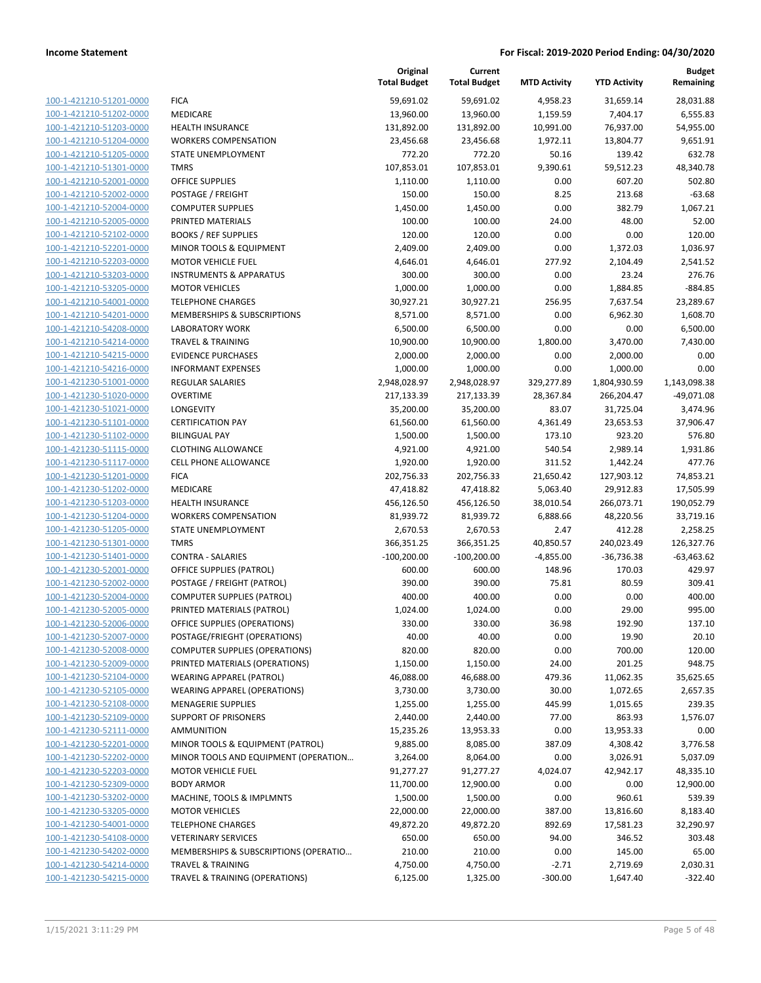|                                |                                       | Original<br><b>Total Budget</b> | Current<br><b>Total Budget</b> | <b>MTD Activity</b> | <b>YTD Activity</b> | <b>Budget</b><br>Remaining |
|--------------------------------|---------------------------------------|---------------------------------|--------------------------------|---------------------|---------------------|----------------------------|
| 100-1-421210-51201-0000        | <b>FICA</b>                           | 59,691.02                       | 59,691.02                      | 4,958.23            | 31,659.14           | 28,031.88                  |
| 100-1-421210-51202-0000        | MEDICARE                              | 13,960.00                       | 13,960.00                      | 1,159.59            | 7,404.17            | 6,555.83                   |
| 100-1-421210-51203-0000        | <b>HEALTH INSURANCE</b>               | 131,892.00                      | 131,892.00                     | 10,991.00           | 76,937.00           | 54,955.00                  |
| 100-1-421210-51204-0000        | <b>WORKERS COMPENSATION</b>           | 23,456.68                       | 23,456.68                      | 1,972.11            | 13,804.77           | 9,651.91                   |
| 100-1-421210-51205-0000        | STATE UNEMPLOYMENT                    | 772.20                          | 772.20                         | 50.16               | 139.42              | 632.78                     |
| 100-1-421210-51301-0000        | <b>TMRS</b>                           | 107,853.01                      | 107,853.01                     | 9,390.61            | 59,512.23           | 48,340.78                  |
| 100-1-421210-52001-0000        | <b>OFFICE SUPPLIES</b>                | 1,110.00                        | 1,110.00                       | 0.00                | 607.20              | 502.80                     |
| 100-1-421210-52002-0000        | POSTAGE / FREIGHT                     | 150.00                          | 150.00                         | 8.25                | 213.68              | $-63.68$                   |
| 100-1-421210-52004-0000        | <b>COMPUTER SUPPLIES</b>              | 1,450.00                        | 1,450.00                       | 0.00                | 382.79              | 1,067.21                   |
| 100-1-421210-52005-0000        | PRINTED MATERIALS                     | 100.00                          | 100.00                         | 24.00               | 48.00               | 52.00                      |
| 100-1-421210-52102-0000        | <b>BOOKS / REF SUPPLIES</b>           | 120.00                          | 120.00                         | 0.00                | 0.00                | 120.00                     |
| 100-1-421210-52201-0000        | MINOR TOOLS & EQUIPMENT               | 2,409.00                        | 2,409.00                       | 0.00                | 1,372.03            | 1,036.97                   |
| 100-1-421210-52203-0000        | <b>MOTOR VEHICLE FUEL</b>             | 4,646.01                        | 4,646.01                       | 277.92              | 2,104.49            | 2,541.52                   |
| 100-1-421210-53203-0000        | <b>INSTRUMENTS &amp; APPARATUS</b>    | 300.00                          | 300.00                         | 0.00                | 23.24               | 276.76                     |
| 100-1-421210-53205-0000        | <b>MOTOR VEHICLES</b>                 | 1,000.00                        | 1,000.00                       | 0.00                | 1,884.85            | $-884.85$                  |
| 100-1-421210-54001-0000        | <b>TELEPHONE CHARGES</b>              | 30,927.21                       | 30,927.21                      | 256.95              | 7,637.54            | 23,289.67                  |
| 100-1-421210-54201-0000        | MEMBERSHIPS & SUBSCRIPTIONS           | 8,571.00                        | 8,571.00                       | 0.00                | 6,962.30            | 1,608.70                   |
| 100-1-421210-54208-0000        | <b>LABORATORY WORK</b>                | 6,500.00                        | 6,500.00                       | 0.00                | 0.00                | 6,500.00                   |
| 100-1-421210-54214-0000        | <b>TRAVEL &amp; TRAINING</b>          | 10,900.00                       | 10,900.00                      | 1,800.00            | 3,470.00            | 7,430.00                   |
| 100-1-421210-54215-0000        | <b>EVIDENCE PURCHASES</b>             | 2,000.00                        | 2,000.00                       | 0.00                | 2,000.00            | 0.00                       |
| 100-1-421210-54216-0000        | <b>INFORMANT EXPENSES</b>             | 1,000.00                        | 1,000.00                       | 0.00                | 1,000.00            | 0.00                       |
| 100-1-421230-51001-0000        | <b>REGULAR SALARIES</b>               | 2,948,028.97                    | 2,948,028.97                   | 329,277.89          | 1,804,930.59        | 1,143,098.38               |
| 100-1-421230-51020-0000        | <b>OVERTIME</b>                       | 217,133.39                      | 217,133.39                     | 28,367.84           | 266,204.47          | $-49,071.08$               |
| 100-1-421230-51021-0000        | <b>LONGEVITY</b>                      | 35,200.00                       | 35,200.00                      | 83.07               | 31,725.04           | 3,474.96                   |
| 100-1-421230-51101-0000        | <b>CERTIFICATION PAY</b>              | 61,560.00                       | 61,560.00                      | 4,361.49            | 23,653.53           | 37,906.47                  |
| 100-1-421230-51102-0000        | <b>BILINGUAL PAY</b>                  | 1,500.00                        | 1,500.00                       | 173.10              | 923.20              | 576.80                     |
| 100-1-421230-51115-0000        | <b>CLOTHING ALLOWANCE</b>             | 4,921.00                        | 4,921.00                       | 540.54              | 2,989.14            | 1,931.86                   |
| 100-1-421230-51117-0000        | <b>CELL PHONE ALLOWANCE</b>           | 1,920.00                        | 1,920.00                       | 311.52              | 1,442.24            | 477.76                     |
| 100-1-421230-51201-0000        | <b>FICA</b>                           | 202,756.33                      | 202,756.33                     | 21,650.42           | 127,903.12          | 74,853.21                  |
| 100-1-421230-51202-0000        | MEDICARE                              | 47,418.82                       | 47,418.82                      | 5,063.40            | 29,912.83           | 17,505.99                  |
| 100-1-421230-51203-0000        | <b>HEALTH INSURANCE</b>               | 456,126.50                      | 456,126.50                     | 38,010.54           | 266,073.71          | 190,052.79                 |
| 100-1-421230-51204-0000        | <b>WORKERS COMPENSATION</b>           | 81,939.72                       | 81,939.72                      | 6,888.66            | 48,220.56           | 33,719.16                  |
| 100-1-421230-51205-0000        | STATE UNEMPLOYMENT                    | 2,670.53                        | 2,670.53                       | 2.47                | 412.28              | 2,258.25                   |
| 100-1-421230-51301-0000        | <b>TMRS</b>                           | 366,351.25                      | 366,351.25                     | 40,850.57           | 240,023.49          | 126,327.76                 |
| 100-1-421230-51401-0000        | <b>CONTRA - SALARIES</b>              | $-100,200.00$                   | $-100,200.00$                  | $-4,855.00$         | $-36,736.38$        | $-63,463.62$               |
| 100-1-421230-52001-0000        | <b>OFFICE SUPPLIES (PATROL)</b>       | 600.00                          | 600.00                         | 148.96              | 170.03              | 429.97                     |
| 100-1-421230-52002-0000        | POSTAGE / FREIGHT (PATROL)            | 390.00                          | 390.00                         | 75.81               | 80.59               | 309.41                     |
| 100-1-421230-52004-0000        | <b>COMPUTER SUPPLIES (PATROL)</b>     | 400.00                          | 400.00                         | 0.00                | 0.00                | 400.00                     |
| 100-1-421230-52005-0000        | PRINTED MATERIALS (PATROL)            | 1,024.00                        | 1,024.00                       | 0.00                | 29.00               | 995.00                     |
| <u>100-1-421230-52006-0000</u> | OFFICE SUPPLIES (OPERATIONS)          | 330.00                          | 330.00                         | 36.98               | 192.90              | 137.10                     |
| 100-1-421230-52007-0000        | POSTAGE/FRIEGHT (OPERATIONS)          | 40.00                           | 40.00                          | 0.00                | 19.90               | 20.10                      |
| 100-1-421230-52008-0000        | <b>COMPUTER SUPPLIES (OPERATIONS)</b> | 820.00                          | 820.00                         | 0.00                | 700.00              | 120.00                     |
| 100-1-421230-52009-0000        | PRINTED MATERIALS (OPERATIONS)        | 1,150.00                        | 1,150.00                       | 24.00               | 201.25              | 948.75                     |
| 100-1-421230-52104-0000        | <b>WEARING APPAREL (PATROL)</b>       | 46,088.00                       | 46,688.00                      | 479.36              | 11,062.35           | 35,625.65                  |
| 100-1-421230-52105-0000        | WEARING APPAREL (OPERATIONS)          | 3,730.00                        | 3,730.00                       | 30.00               | 1,072.65            | 2,657.35                   |
| 100-1-421230-52108-0000        | <b>MENAGERIE SUPPLIES</b>             | 1,255.00                        | 1,255.00                       | 445.99              | 1,015.65            | 239.35                     |
| 100-1-421230-52109-0000        | <b>SUPPORT OF PRISONERS</b>           | 2,440.00                        | 2,440.00                       | 77.00               | 863.93              | 1,576.07                   |
| 100-1-421230-52111-0000        | <b>AMMUNITION</b>                     | 15,235.26                       | 13,953.33                      | 0.00                | 13,953.33           | 0.00                       |
| 100-1-421230-52201-0000        | MINOR TOOLS & EQUIPMENT (PATROL)      | 9,885.00                        | 8,085.00                       | 387.09              | 4,308.42            | 3,776.58                   |
| 100-1-421230-52202-0000        | MINOR TOOLS AND EQUIPMENT (OPERATION  | 3,264.00                        | 8,064.00                       | 0.00                | 3,026.91            | 5,037.09                   |
| 100-1-421230-52203-0000        | <b>MOTOR VEHICLE FUEL</b>             | 91,277.27                       | 91,277.27                      | 4,024.07            | 42,942.17           | 48,335.10                  |
| 100-1-421230-52309-0000        | <b>BODY ARMOR</b>                     | 11,700.00                       | 12,900.00                      | 0.00                | 0.00                | 12,900.00                  |
| 100-1-421230-53202-0000        | MACHINE, TOOLS & IMPLMNTS             | 1,500.00                        | 1,500.00                       | 0.00                | 960.61              | 539.39                     |
| 100-1-421230-53205-0000        | <b>MOTOR VEHICLES</b>                 | 22,000.00                       | 22,000.00                      | 387.00              | 13,816.60           | 8,183.40                   |
| 100-1-421230-54001-0000        | <b>TELEPHONE CHARGES</b>              | 49,872.20                       | 49,872.20                      | 892.69              | 17,581.23           | 32,290.97                  |
| 100-1-421230-54108-0000        | <b>VETERINARY SERVICES</b>            | 650.00                          | 650.00                         | 94.00               | 346.52              | 303.48                     |
| 100-1-421230-54202-0000        | MEMBERSHIPS & SUBSCRIPTIONS (OPERATIO | 210.00                          | 210.00                         | 0.00                | 145.00              | 65.00                      |
| 100-1-421230-54214-0000        | <b>TRAVEL &amp; TRAINING</b>          | 4,750.00                        | 4,750.00                       | $-2.71$             | 2,719.69            | 2,030.31                   |
| 100-1-421230-54215-0000        | TRAVEL & TRAINING (OPERATIONS)        | 6,125.00                        | 1,325.00                       | $-300.00$           | 1,647.40            | $-322.40$                  |
|                                |                                       |                                 |                                |                     |                     |                            |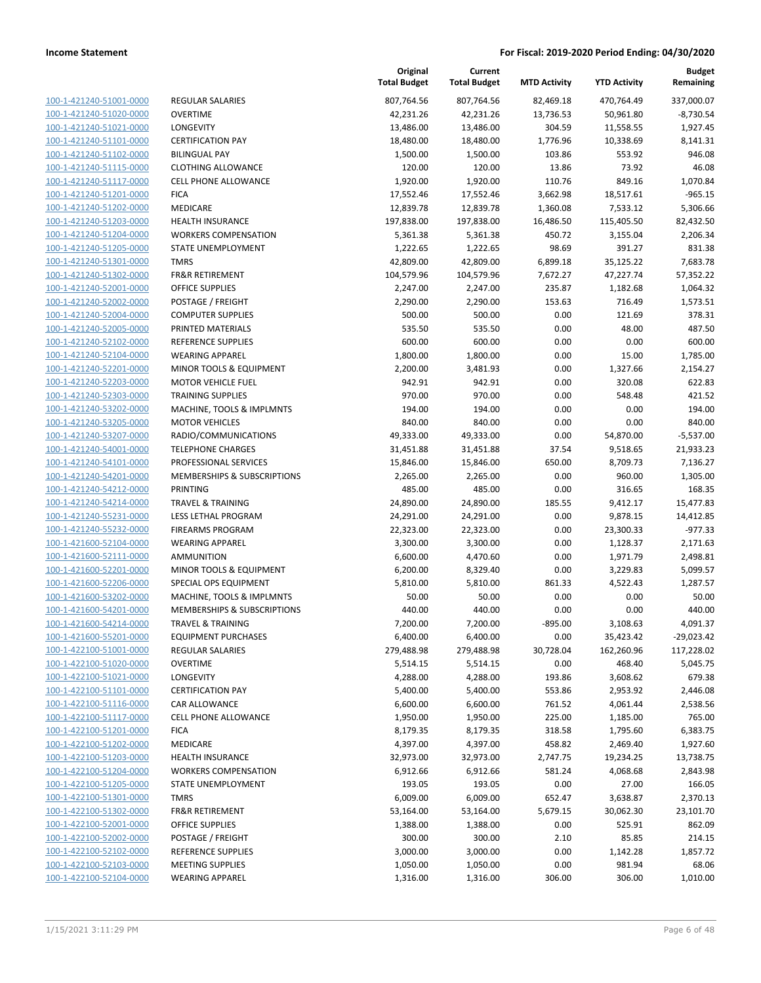| 100-1-421240-51001-0000        |
|--------------------------------|
| 100-1-421240-51020-0000        |
| 100-1-421240-51021-0000        |
| 100-1-421240-51101-0000        |
| 100-1-421240-51102-0000        |
| 100-1-421240-51115-0000        |
| 100-1-421240-51117-0000        |
| 100-1-421240-51201-0000        |
| 100-1-421240-51202-0000        |
| 100-1-421240-51203-0000        |
| 100-1-421240-51204-0000        |
| 100-1-421240-51205-0000        |
| 100-1-421240-51301-0000        |
| 100-1-421240-51302-0000        |
| 100-1-421240-52001-0000        |
| 100-1-421240-52002-0000        |
| 100-1-421240-52004-0000        |
| 100-1-421240-52005-0000        |
| 100-1-421240-52102-0000        |
| 100-1-421240-52104-0000        |
| 100-1-421240-52201-0000        |
| 100-1-421240-52203-0000        |
| 100-1-421240-52303-0000        |
| 100-1-421240-53202-0000        |
| 100-1-421240-53205-0000        |
| 100-1-421240-53207-0000        |
| 100-1-421240-54001-0000        |
|                                |
| 100-1-421240-54101-0000        |
| 100-1-421240-54201-0000        |
| 100-1-421240-54212-0000        |
| 100-1-421240-54214-0000        |
| 100-1-421240-55231-0000        |
| 100-1-421240-55232-0000        |
| 100-1-421600-52104-0000        |
| 100-1-421600-52111-0000        |
| <u>100-1-421600-52201-0000</u> |
| 100-1-421600-52206-0000        |
| 100-1-421600-53202-0000        |
| 100-1-421600-54201-0000        |
| 100-1-421600-54214-0000        |
| 100-1-421600-55201-0000        |
| <u>100-1-422100-51001-0000</u> |
| 100-1-422100-51020-0000        |
| 100-1-422100-51021-0000        |
| 100-1-422100-51101-0000        |
| <u>100-1-422100-51116-0000</u> |
| <u>100-1-422100-51117-0000</u> |
| <u>100-1-422100-51201-0000</u> |
| 100-1-422100-51202-0000        |
| <u>100-1-422100-51203-0000</u> |
| <u>100-1-422100-51204-0000</u> |
| <u>100-1-422100-51205-0000</u> |
| 100-1-422100-51301-0000        |
| 100-1-422100-51302-0000        |
| <u>100-1-422100-52001-0000</u> |
| <u>100-1-422100-52002-0000</u> |
| <u>100-1-422100-52102-0000</u> |
| 100-1-422100-52103-0000        |
| 100-1-422100-52104-0000        |
|                                |

|                                                    |                                             | Original<br><b>Total Budget</b> | Current<br><b>Total Budget</b> | <b>MTD Activity</b> | <b>YTD Activity</b>  | <b>Budget</b><br>Remaining |
|----------------------------------------------------|---------------------------------------------|---------------------------------|--------------------------------|---------------------|----------------------|----------------------------|
| 100-1-421240-51001-0000                            | REGULAR SALARIES                            | 807,764.56                      | 807,764.56                     | 82,469.18           | 470,764.49           | 337,000.07                 |
| 100-1-421240-51020-0000                            | OVERTIME                                    | 42,231.26                       | 42,231.26                      | 13,736.53           | 50,961.80            | $-8,730.54$                |
| 100-1-421240-51021-0000                            | <b>LONGEVITY</b>                            | 13,486.00                       | 13,486.00                      | 304.59              | 11,558.55            | 1,927.45                   |
| 100-1-421240-51101-0000                            | <b>CERTIFICATION PAY</b>                    | 18,480.00                       | 18,480.00                      | 1,776.96            | 10,338.69            | 8,141.31                   |
| 100-1-421240-51102-0000                            | <b>BILINGUAL PAY</b>                        | 1,500.00                        | 1,500.00                       | 103.86              | 553.92               | 946.08                     |
| 100-1-421240-51115-0000                            | <b>CLOTHING ALLOWANCE</b>                   | 120.00                          | 120.00                         | 13.86               | 73.92                | 46.08                      |
| 100-1-421240-51117-0000                            | CELL PHONE ALLOWANCE                        | 1,920.00                        | 1,920.00                       | 110.76              | 849.16               | 1,070.84                   |
| 100-1-421240-51201-0000                            | <b>FICA</b>                                 | 17,552.46                       | 17,552.46                      | 3,662.98            | 18,517.61            | $-965.15$                  |
| 100-1-421240-51202-0000                            | MEDICARE                                    | 12,839.78                       | 12,839.78                      | 1,360.08            | 7,533.12             | 5,306.66                   |
| 100-1-421240-51203-0000                            | <b>HEALTH INSURANCE</b>                     | 197,838.00                      | 197,838.00                     | 16,486.50           | 115,405.50           | 82,432.50                  |
| 100-1-421240-51204-0000                            | <b>WORKERS COMPENSATION</b>                 | 5,361.38                        | 5,361.38                       | 450.72              | 3,155.04             | 2,206.34                   |
| 100-1-421240-51205-0000                            | <b>STATE UNEMPLOYMENT</b>                   | 1,222.65                        | 1,222.65                       | 98.69               | 391.27               | 831.38                     |
| 100-1-421240-51301-0000                            | <b>TMRS</b>                                 | 42,809.00                       | 42,809.00                      | 6,899.18            | 35,125.22            | 7,683.78                   |
| 100-1-421240-51302-0000                            | <b>FR&amp;R RETIREMENT</b>                  | 104,579.96                      | 104,579.96                     | 7,672.27            | 47,227.74            | 57,352.22                  |
| 100-1-421240-52001-0000                            | <b>OFFICE SUPPLIES</b>                      | 2,247.00                        | 2,247.00                       | 235.87              | 1,182.68             | 1,064.32                   |
| 100-1-421240-52002-0000                            | POSTAGE / FREIGHT                           | 2,290.00                        | 2,290.00                       | 153.63              | 716.49               | 1,573.51                   |
| 100-1-421240-52004-0000                            | <b>COMPUTER SUPPLIES</b>                    | 500.00                          | 500.00                         | 0.00                | 121.69               | 378.31                     |
| 100-1-421240-52005-0000                            | PRINTED MATERIALS                           | 535.50                          | 535.50                         | 0.00                | 48.00                | 487.50                     |
| 100-1-421240-52102-0000                            | REFERENCE SUPPLIES                          | 600.00                          | 600.00                         | 0.00                | 0.00                 | 600.00                     |
| 100-1-421240-52104-0000                            | <b>WEARING APPAREL</b>                      | 1,800.00                        | 1,800.00                       | 0.00                | 15.00                | 1,785.00                   |
| 100-1-421240-52201-0000                            | MINOR TOOLS & EQUIPMENT                     | 2,200.00                        | 3,481.93                       | 0.00                | 1,327.66             | 2,154.27                   |
| 100-1-421240-52203-0000                            | <b>MOTOR VEHICLE FUEL</b>                   | 942.91                          | 942.91                         | 0.00                | 320.08               | 622.83                     |
| 100-1-421240-52303-0000                            | <b>TRAINING SUPPLIES</b>                    | 970.00                          | 970.00                         | 0.00                | 548.48               | 421.52                     |
| 100-1-421240-53202-0000                            | MACHINE, TOOLS & IMPLMNTS                   | 194.00                          | 194.00                         | 0.00                | 0.00                 | 194.00                     |
| 100-1-421240-53205-0000                            | <b>MOTOR VEHICLES</b>                       | 840.00                          | 840.00                         | 0.00                | 0.00                 | 840.00                     |
| 100-1-421240-53207-0000                            | RADIO/COMMUNICATIONS                        | 49,333.00                       | 49,333.00                      | 0.00                | 54,870.00            | $-5,537.00$                |
| 100-1-421240-54001-0000                            | <b>TELEPHONE CHARGES</b>                    | 31,451.88                       | 31,451.88                      | 37.54               | 9,518.65             | 21,933.23                  |
| 100-1-421240-54101-0000                            | PROFESSIONAL SERVICES                       | 15,846.00                       | 15,846.00                      | 650.00              | 8,709.73             | 7,136.27                   |
| 100-1-421240-54201-0000                            | MEMBERSHIPS & SUBSCRIPTIONS                 | 2,265.00                        | 2,265.00                       | 0.00                | 960.00               | 1,305.00                   |
| 100-1-421240-54212-0000                            | <b>PRINTING</b>                             | 485.00                          | 485.00                         | 0.00                | 316.65               | 168.35                     |
| 100-1-421240-54214-0000                            | <b>TRAVEL &amp; TRAINING</b>                | 24,890.00                       | 24,890.00                      | 185.55              | 9,412.17             | 15,477.83                  |
| 100-1-421240-55231-0000                            | LESS LETHAL PROGRAM                         | 24,291.00                       | 24,291.00                      | 0.00                | 9,878.15             | 14,412.85                  |
| 100-1-421240-55232-0000                            | <b>FIREARMS PROGRAM</b>                     | 22,323.00                       | 22,323.00                      | 0.00                | 23,300.33            | $-977.33$                  |
| 100-1-421600-52104-0000<br>100-1-421600-52111-0000 | <b>WEARING APPAREL</b><br><b>AMMUNITION</b> | 3,300.00                        | 3,300.00                       | 0.00                | 1,128.37             | 2,171.63                   |
|                                                    | MINOR TOOLS & EQUIPMENT                     | 6,600.00                        | 4,470.60                       | 0.00                | 1,971.79             | 2,498.81                   |
| 100-1-421600-52201-0000<br>100-1-421600-52206-0000 | SPECIAL OPS EQUIPMENT                       | 6,200.00<br>5,810.00            | 8,329.40<br>5,810.00           | 0.00<br>861.33      | 3,229.83<br>4,522.43 | 5,099.57<br>1,287.57       |
| 100-1-421600-53202-0000                            | MACHINE, TOOLS & IMPLMNTS                   | 50.00                           | 50.00                          | 0.00                | 0.00                 | 50.00                      |
| 100-1-421600-54201-0000                            | MEMBERSHIPS & SUBSCRIPTIONS                 | 440.00                          | 440.00                         | 0.00                | 0.00                 | 440.00                     |
| 100-1-421600-54214-0000                            | TRAVEL & TRAINING                           | 7,200.00                        | 7,200.00                       | $-895.00$           | 3,108.63             | 4,091.37                   |
| 100-1-421600-55201-0000                            | <b>EQUIPMENT PURCHASES</b>                  | 6,400.00                        | 6,400.00                       | 0.00                | 35,423.42            | $-29,023.42$               |
| 100-1-422100-51001-0000                            | REGULAR SALARIES                            | 279,488.98                      | 279,488.98                     | 30,728.04           | 162,260.96           | 117,228.02                 |
| 100-1-422100-51020-0000                            | <b>OVERTIME</b>                             | 5,514.15                        | 5,514.15                       | 0.00                | 468.40               | 5,045.75                   |
| 100-1-422100-51021-0000                            | LONGEVITY                                   | 4,288.00                        | 4,288.00                       | 193.86              | 3,608.62             | 679.38                     |
| 100-1-422100-51101-0000                            | <b>CERTIFICATION PAY</b>                    | 5,400.00                        | 5,400.00                       | 553.86              | 2,953.92             | 2,446.08                   |
| 100-1-422100-51116-0000                            | CAR ALLOWANCE                               | 6,600.00                        | 6,600.00                       | 761.52              | 4,061.44             | 2,538.56                   |
| 100-1-422100-51117-0000                            | <b>CELL PHONE ALLOWANCE</b>                 | 1,950.00                        | 1,950.00                       | 225.00              | 1,185.00             | 765.00                     |
| 100-1-422100-51201-0000                            | <b>FICA</b>                                 | 8,179.35                        | 8,179.35                       | 318.58              | 1,795.60             | 6,383.75                   |
| 100-1-422100-51202-0000                            | MEDICARE                                    | 4,397.00                        | 4,397.00                       | 458.82              | 2,469.40             | 1,927.60                   |
| 100-1-422100-51203-0000                            | <b>HEALTH INSURANCE</b>                     | 32,973.00                       | 32,973.00                      | 2,747.75            | 19,234.25            | 13,738.75                  |
| 100-1-422100-51204-0000                            | <b>WORKERS COMPENSATION</b>                 | 6,912.66                        | 6,912.66                       | 581.24              | 4,068.68             | 2,843.98                   |
| 100-1-422100-51205-0000                            | <b>STATE UNEMPLOYMENT</b>                   | 193.05                          | 193.05                         | 0.00                | 27.00                | 166.05                     |
| 100-1-422100-51301-0000                            | <b>TMRS</b>                                 | 6,009.00                        | 6,009.00                       | 652.47              | 3,638.87             | 2,370.13                   |
| 100-1-422100-51302-0000                            | FR&R RETIREMENT                             | 53,164.00                       | 53,164.00                      | 5,679.15            | 30,062.30            | 23,101.70                  |
| 100-1-422100-52001-0000                            | OFFICE SUPPLIES                             | 1,388.00                        | 1,388.00                       | 0.00                | 525.91               | 862.09                     |
| 100-1-422100-52002-0000                            | POSTAGE / FREIGHT                           | 300.00                          | 300.00                         | 2.10                | 85.85                | 214.15                     |
| 100-1-422100-52102-0000                            | REFERENCE SUPPLIES                          | 3,000.00                        | 3,000.00                       | 0.00                | 1,142.28             | 1,857.72                   |
| 100-1-422100-52103-0000                            | <b>MEETING SUPPLIES</b>                     | 1,050.00                        | 1,050.00                       | 0.00                | 981.94               | 68.06                      |
| 100-1-422100-52104-0000                            | <b>WEARING APPAREL</b>                      | 1,316.00                        | 1,316.00                       | 306.00              | 306.00               | 1,010.00                   |
|                                                    |                                             |                                 |                                |                     |                      |                            |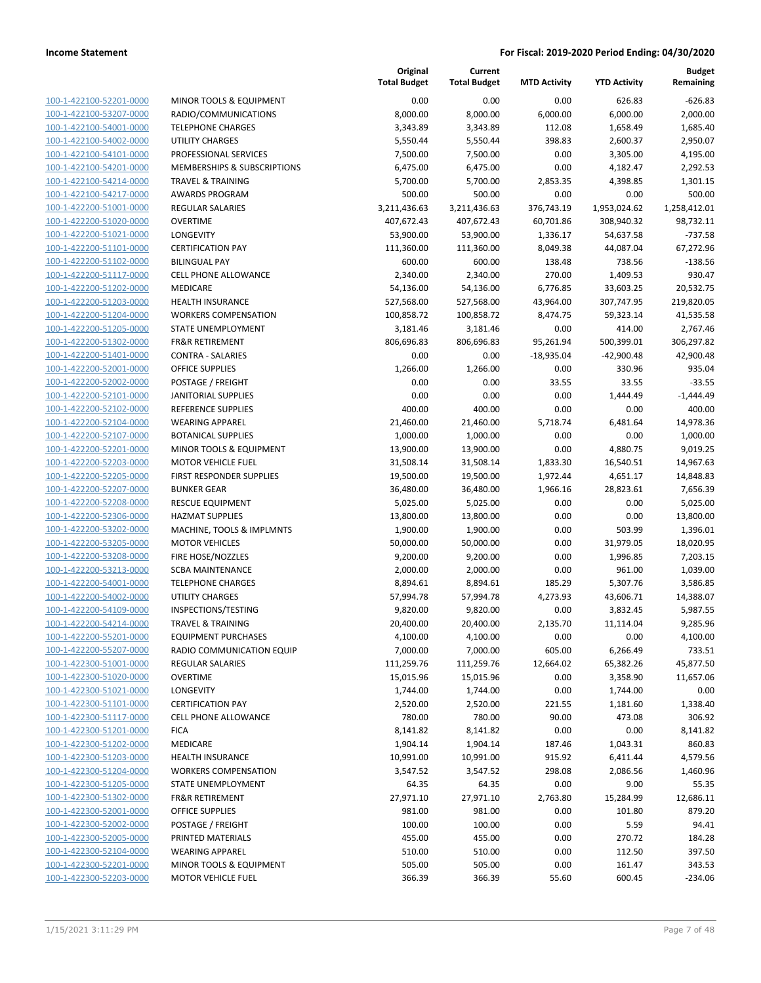| 100-1-422100-52201-0000        |
|--------------------------------|
| 100-1-422100-53207-0000        |
| 100-1-422100-54001-0000        |
| 100-1-422100-54002-0000        |
| 100-1-422100-54101-0000        |
| 100-1-422100-54201-0000        |
| 100-1-422100-54214-0000        |
| 100-1-422100-54217-0000        |
| 100-1-422200-51001-0000        |
|                                |
| 100-1-422200-51020-0000        |
| 100-1-422200-51021-0000        |
| 100-1-422200-51101-0000        |
| 100-1-422200-51102-0000        |
| 100-1-422200-51117-0000        |
| 100-1-422200-51202-0000        |
| 100-1-422200-51203-0000        |
| 100-1-422200-51204-0000        |
| 100-1-422200-51205-0000        |
| 100-1-422200-51302-0000        |
| 100-1-422200-51401-0000        |
| 100-1-422200-52001-0000        |
| 100-1-422200-52002-0000        |
|                                |
| 100-1-422200-52101-0000        |
| 100-1-422200-52102-0000        |
| 100-1-422200-52104-0000        |
| 100-1-422200-52107-0000        |
| 100-1-422200-52201-0000        |
| 100-1-422200-52203-0000        |
| 100-1-422200-52205-0000        |
| 100-1-422200-52207-0000        |
| 100-1-422200-52208-0000        |
| 100-1-422200-52306-0000        |
| 100-1-422200-53202-0000        |
| 100-1-422200-53205-0000        |
| 100-1-422200-53208-0000        |
| 100-1-422200-53213-0000        |
| 100-1-422200-54001-0000        |
| 100-1-422200-54002-0000        |
|                                |
| 100-1-422200-54109-0000        |
| 100-1-422200-54214-0000        |
| 100-1-422200-55201-0000        |
| 100-1-422200-55207-0000        |
| 100-1-422300-51001-0000        |
| <u>100-1-422300-51020-0000</u> |
| 100-1-422300-51021-0000        |
| <u>100-1-422300-51101-0000</u> |
| 100-1-422300-51117-0000        |
| <u>100-1-422300-51201-0000</u> |
| 100-1-422300-51202-0000        |
| <u>100-1-422300-51203-0000</u> |
| 100-1-422300-51204-0000        |
|                                |
| 100-1-422300-51205-0000        |
| <u>100-1-422300-51302-0000</u> |
| <u>100-1-422300-52001-0000</u> |
| <u>100-1-422300-52002-0000</u> |
| <u>100-1-422300-52005-0000</u> |
| 100-1-422300-52104-0000        |
| <u>100-1-422300-52201-0000</u> |
| <u>100-1-422300-52203-0000</u> |
|                                |

| MINOR TOOLS & EQUIPMENT                              |
|------------------------------------------------------|
| RADIO/COMMUNICATIONS                                 |
| <b>ELEPHONE CHARGES</b>                              |
| JTILITY CHARGES                                      |
| <b>PROFESSIONAL SERVICES</b>                         |
| MEMBERSHIPS & SUBSCRIPTIONS                          |
| <b>RAVEL &amp; TRAINING</b>                          |
| WARDS PROGRAM                                        |
| REGULAR SALARIES                                     |
| <b>DVERTIME</b>                                      |
| ONGEVITY.                                            |
| <b>CERTIFICATION PAY</b>                             |
| <b>BILINGUAL PAY</b>                                 |
| CELL PHONE ALLOWANCE                                 |
| <b>MEDICARE</b>                                      |
| HEALTH INSURANCE                                     |
| WORKERS COMPENSATION                                 |
| TATE UNEMPLOYMENT                                    |
| R&R RETIREMENT                                       |
| CONTRA - SALARIES                                    |
| <b>DEFICE SUPPLIES</b>                               |
| OSTAGE / FREIGHT                                     |
| <b>ANITORIAL SUPPLIES</b>                            |
| REFERENCE SUPPLIES                                   |
| VEARING APPAREL                                      |
| BOTANICAL SUPPLIES                                   |
| MINOR TOOLS & EQUIPMENT                              |
| MOTOR VEHICLE FUEL                                   |
| <b>IRST RESPONDER SUPPLIES</b><br><b>BUNKER GEAR</b> |
| RESCUE EQUIPMENT                                     |
| <b>HAZMAT SUPPLIES</b>                               |
| <b>MACHINE, TOOLS &amp; IMPLMNTS</b>                 |
| <b>MOTOR VEHICLES</b>                                |
| IRE HOSE/NOZZLES                                     |
| CBA MAINTENANCE                                      |
| <b>ELEPHONE CHARGES</b>                              |
| <b>JTILITY CHARGES</b>                               |
| NSPECTIONS/TESTING                                   |
| <b>RAVEL &amp; TRAINING</b>                          |
| <b>QUIPMENT PURCHASES</b>                            |
| RADIO COMMUNICATION EQUIP                            |
| <b>REGULAR SALARIES</b>                              |
| <b>OVERTIME</b>                                      |
| ONGEVITY                                             |
| <b>CERTIFICATION PAY</b>                             |
| <b>ELL PHONE ALLOWANCE</b>                           |
| <b>ICA</b>                                           |
| <b>MEDICARE</b>                                      |
| <b>IEALTH INSURANCE</b>                              |
| <b>NORKERS COMPENSATION</b>                          |
| TATE UNEMPLOYMENT                                    |
| <b>R&amp;R RETIREMENT</b>                            |
| <b>DEFICE SUPPLIES</b>                               |
| POSTAGE / FREIGHT<br>PRINTED MATERIALS               |
| <b><i>NEARING APPAREL</i></b>                        |
| <b>MINOR TOOLS &amp; EQUIPMENT</b>                   |
|                                                      |

|                                                    |                                                  | Original<br><b>Total Budget</b> | Current<br><b>Total Budget</b> | <b>MTD Activity</b> | <b>YTD Activity</b> | Budget<br>Remaining |
|----------------------------------------------------|--------------------------------------------------|---------------------------------|--------------------------------|---------------------|---------------------|---------------------|
| 100-1-422100-52201-0000                            | <b>MINOR TOOLS &amp; EQUIPMENT</b>               | 0.00                            | 0.00                           | 0.00                | 626.83              | $-626.83$           |
| 100-1-422100-53207-0000                            | RADIO/COMMUNICATIONS                             | 8,000.00                        | 8,000.00                       | 6,000.00            | 6,000.00            | 2,000.00            |
| 100-1-422100-54001-0000                            | <b>TELEPHONE CHARGES</b>                         | 3,343.89                        | 3,343.89                       | 112.08              | 1,658.49            | 1,685.40            |
| 100-1-422100-54002-0000                            | <b>UTILITY CHARGES</b>                           | 5,550.44                        | 5,550.44                       | 398.83              | 2,600.37            | 2,950.07            |
| 100-1-422100-54101-0000                            | PROFESSIONAL SERVICES                            | 7,500.00                        | 7,500.00                       | 0.00                | 3,305.00            | 4,195.00            |
| 100-1-422100-54201-0000                            | MEMBERSHIPS & SUBSCRIPTIONS                      | 6,475.00                        | 6,475.00                       | 0.00                | 4,182.47            | 2,292.53            |
| 100-1-422100-54214-0000                            | <b>TRAVEL &amp; TRAINING</b>                     | 5,700.00                        | 5,700.00                       | 2,853.35            | 4,398.85            | 1,301.15            |
| 100-1-422100-54217-0000                            | <b>AWARDS PROGRAM</b>                            | 500.00                          | 500.00                         | 0.00                | 0.00                | 500.00              |
| 100-1-422200-51001-0000                            | <b>REGULAR SALARIES</b>                          | 3,211,436.63                    | 3,211,436.63                   | 376,743.19          | 1,953,024.62        | 1,258,412.01        |
| 100-1-422200-51020-0000                            | <b>OVERTIME</b>                                  | 407,672.43                      | 407,672.43                     | 60,701.86           | 308,940.32          | 98,732.11           |
| 100-1-422200-51021-0000                            | LONGEVITY                                        | 53,900.00                       | 53,900.00                      | 1,336.17            | 54,637.58           | $-737.58$           |
| 100-1-422200-51101-0000                            | <b>CERTIFICATION PAY</b>                         | 111,360.00                      | 111,360.00                     | 8,049.38            | 44,087.04           | 67,272.96           |
| 100-1-422200-51102-0000                            | <b>BILINGUAL PAY</b>                             | 600.00                          | 600.00                         | 138.48              | 738.56              | $-138.56$           |
| 100-1-422200-51117-0000                            | <b>CELL PHONE ALLOWANCE</b>                      | 2,340.00                        | 2,340.00                       | 270.00              | 1,409.53            | 930.47              |
| 100-1-422200-51202-0000                            | MEDICARE                                         | 54,136.00                       | 54,136.00                      | 6,776.85            | 33,603.25           | 20,532.75           |
| 100-1-422200-51203-0000                            | <b>HEALTH INSURANCE</b>                          | 527,568.00                      | 527,568.00                     | 43,964.00           | 307,747.95          | 219,820.05          |
| 100-1-422200-51204-0000                            | <b>WORKERS COMPENSATION</b>                      | 100,858.72                      | 100,858.72                     | 8,474.75            | 59,323.14           | 41,535.58           |
| 100-1-422200-51205-0000                            | STATE UNEMPLOYMENT                               | 3,181.46                        | 3,181.46                       | 0.00                | 414.00              | 2,767.46            |
| 100-1-422200-51302-0000                            | <b>FR&amp;R RETIREMENT</b>                       | 806,696.83                      | 806,696.83                     | 95,261.94           | 500,399.01          | 306,297.82          |
| 100-1-422200-51401-0000                            | <b>CONTRA - SALARIES</b>                         | 0.00                            | 0.00                           | $-18,935.04$        | $-42,900.48$        | 42,900.48           |
| 100-1-422200-52001-0000                            | <b>OFFICE SUPPLIES</b>                           | 1,266.00                        | 1,266.00                       | 0.00                | 330.96              | 935.04              |
| 100-1-422200-52002-0000                            | POSTAGE / FREIGHT                                | 0.00                            | 0.00                           | 33.55               | 33.55               | $-33.55$            |
| 100-1-422200-52101-0000                            | <b>JANITORIAL SUPPLIES</b>                       | 0.00                            | 0.00                           | 0.00                | 1,444.49            | $-1,444.49$         |
| 100-1-422200-52102-0000                            | <b>REFERENCE SUPPLIES</b>                        | 400.00                          | 400.00                         | 0.00                | 0.00                | 400.00              |
| 100-1-422200-52104-0000                            | <b>WEARING APPAREL</b>                           | 21,460.00                       | 21,460.00                      | 5,718.74            | 6,481.64            | 14,978.36           |
| 100-1-422200-52107-0000                            | <b>BOTANICAL SUPPLIES</b>                        | 1,000.00                        | 1,000.00                       | 0.00                | 0.00                | 1,000.00            |
| 100-1-422200-52201-0000                            | MINOR TOOLS & EQUIPMENT                          | 13,900.00                       | 13,900.00                      | 0.00                | 4,880.75            | 9,019.25            |
| 100-1-422200-52203-0000                            | <b>MOTOR VEHICLE FUEL</b>                        | 31,508.14                       | 31,508.14                      | 1,833.30            | 16,540.51           | 14,967.63           |
| 100-1-422200-52205-0000                            | FIRST RESPONDER SUPPLIES                         | 19,500.00                       | 19,500.00                      | 1,972.44            | 4,651.17            | 14,848.83           |
| 100-1-422200-52207-0000                            | <b>BUNKER GEAR</b>                               | 36,480.00                       | 36,480.00                      | 1,966.16            | 28,823.61           | 7,656.39            |
| 100-1-422200-52208-0000                            | <b>RESCUE EQUIPMENT</b>                          | 5,025.00                        | 5,025.00                       | 0.00                | 0.00                | 5,025.00            |
| 100-1-422200-52306-0000                            | <b>HAZMAT SUPPLIES</b>                           | 13,800.00                       | 13,800.00                      | 0.00                | 0.00                | 13,800.00           |
| 100-1-422200-53202-0000                            | MACHINE, TOOLS & IMPLMNTS                        | 1,900.00                        | 1,900.00                       | 0.00                | 503.99              | 1,396.01            |
| 100-1-422200-53205-0000                            | <b>MOTOR VEHICLES</b>                            | 50,000.00                       | 50,000.00                      | 0.00                | 31,979.05           | 18,020.95           |
| 100-1-422200-53208-0000                            | FIRE HOSE/NOZZLES                                | 9,200.00                        | 9,200.00                       | 0.00                | 1,996.85            | 7,203.15            |
| 100-1-422200-53213-0000                            | <b>SCBA MAINTENANCE</b>                          | 2,000.00                        | 2,000.00                       | 0.00                | 961.00              | 1,039.00            |
| 100-1-422200-54001-0000                            | <b>TELEPHONE CHARGES</b>                         | 8,894.61                        | 8,894.61                       | 185.29              | 5,307.76            | 3,586.85            |
| 100-1-422200-54002-0000                            | UTILITY CHARGES                                  | 57,994.78                       | 57,994.78                      | 4,273.93            | 43,606.71           | 14,388.07           |
| 100-1-422200-54109-0000                            | INSPECTIONS/TESTING                              | 9,820.00                        | 9,820.00                       | 0.00                | 3,832.45            | 5,987.55            |
| 100-1-422200-54214-0000                            | <b>TRAVEL &amp; TRAINING</b>                     | 20,400.00                       | 20,400.00                      | 2,135.70            | 11,114.04           | 9,285.96            |
| 100-1-422200-55201-0000                            | <b>EQUIPMENT PURCHASES</b>                       | 4,100.00                        | 4,100.00                       | 0.00                | 0.00                | 4,100.00            |
| 100-1-422200-55207-0000                            | RADIO COMMUNICATION EQUIP                        | 7,000.00                        | 7,000.00                       | 605.00              | 6,266.49            | 733.51              |
| 100-1-422300-51001-0000                            | REGULAR SALARIES                                 | 111,259.76                      | 111,259.76                     | 12,664.02           | 65,382.26           | 45,877.50           |
| 100-1-422300-51020-0000                            | <b>OVERTIME</b>                                  | 15,015.96                       | 15,015.96                      | 0.00                | 3,358.90            | 11,657.06           |
| 100-1-422300-51021-0000                            | LONGEVITY                                        | 1,744.00                        | 1,744.00                       | 0.00                | 1,744.00            | 0.00                |
| 100-1-422300-51101-0000                            | <b>CERTIFICATION PAY</b>                         | 2,520.00                        | 2,520.00                       | 221.55              | 1,181.60            | 1,338.40            |
| 100-1-422300-51117-0000<br>100-1-422300-51201-0000 | <b>CELL PHONE ALLOWANCE</b>                      | 780.00                          | 780.00                         | 90.00               | 473.08              | 306.92              |
| 100-1-422300-51202-0000                            | <b>FICA</b>                                      | 8,141.82                        | 8,141.82                       | 0.00                | 0.00                | 8,141.82            |
|                                                    | MEDICARE                                         | 1,904.14                        | 1,904.14                       | 187.46              | 1,043.31            | 860.83              |
| 100-1-422300-51203-0000<br>100-1-422300-51204-0000 | <b>HEALTH INSURANCE</b>                          | 10,991.00                       | 10,991.00                      | 915.92              | 6,411.44            | 4,579.56            |
| 100-1-422300-51205-0000                            | <b>WORKERS COMPENSATION</b>                      | 3,547.52                        | 3,547.52                       | 298.08              | 2,086.56            | 1,460.96            |
| 100-1-422300-51302-0000                            | STATE UNEMPLOYMENT<br><b>FR&amp;R RETIREMENT</b> | 64.35                           | 64.35                          | 0.00                | 9.00                | 55.35               |
| 100-1-422300-52001-0000                            |                                                  | 27,971.10                       | 27,971.10                      | 2,763.80            | 15,284.99           | 12,686.11           |
| 100-1-422300-52002-0000                            | <b>OFFICE SUPPLIES</b><br>POSTAGE / FREIGHT      | 981.00<br>100.00                | 981.00<br>100.00               | 0.00<br>0.00        | 101.80<br>5.59      | 879.20<br>94.41     |
| 100-1-422300-52005-0000                            | PRINTED MATERIALS                                | 455.00                          | 455.00                         | 0.00                | 270.72              | 184.28              |
| 100-1-422300-52104-0000                            | <b>WEARING APPAREL</b>                           | 510.00                          | 510.00                         | 0.00                | 112.50              | 397.50              |
| 100-1-422300-52201-0000                            | MINOR TOOLS & EQUIPMENT                          | 505.00                          | 505.00                         | 0.00                | 161.47              | 343.53              |
| 100-1-422300-52203-0000                            | MOTOR VEHICLE FUEL                               | 366.39                          | 366.39                         | 55.60               | 600.45              | $-234.06$           |
|                                                    |                                                  |                                 |                                |                     |                     |                     |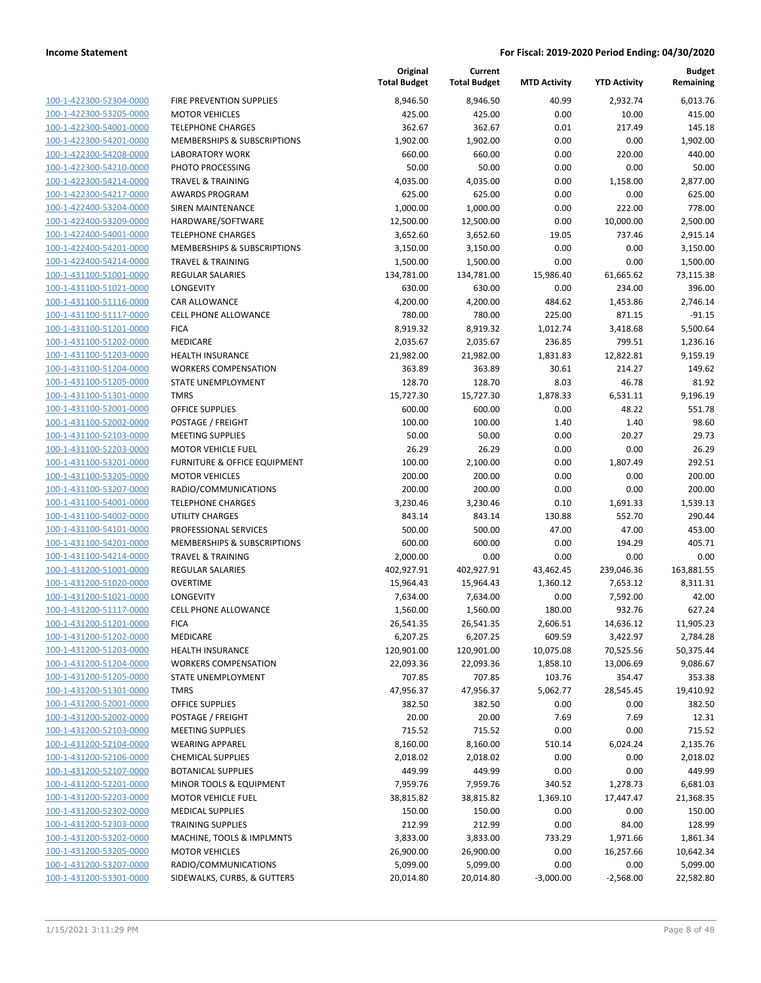| 100-1-422300-52304-0000                                   |
|-----------------------------------------------------------|
| 100-1-422300-53205-0000                                   |
| 100-1-422300-54001-0000                                   |
| 100-1-422300-54201-0000                                   |
| 100-1-422300-54208-0000                                   |
| 100-1-422300-54210-0000                                   |
| 100-1-422300-54214-0000                                   |
| 100-1-422300-54217-0000                                   |
| 100-1-422400-53204-0000                                   |
|                                                           |
| 100-1-422400-53209-0000                                   |
| 100-1-422400-54001-0000                                   |
| 100-1-422400-54201-0000                                   |
| 100-1-422400-54214-0000                                   |
| 100-1-431100-51001-0000                                   |
| 100-1-431100-51021-0000                                   |
| 100-1-431100-51116-0000                                   |
| 100-1-431100-51117-0000                                   |
| 100-1-431100-51201-0000                                   |
| 100-1-431100-51202-0000                                   |
| 100-1-431100-51203-0000                                   |
| 100-1-431100-51204-0000                                   |
| 100-1-431100-51205-0000                                   |
| 100-1-431100-51301-0000                                   |
| 100-1-431100-52001-0000                                   |
| 100-1-431100-52002-0000                                   |
| 100-1-431100-52103-0000                                   |
|                                                           |
| 100-1-431100-52203-0000                                   |
| 100-1-431100-53201-0000                                   |
| 100-1-431100-53205-0000                                   |
| 100-1-431100-53207-0000                                   |
| 100-1-431100-54001-0000                                   |
| 100-1-431100-54002-0000                                   |
| 100-1-431100-54101-0000                                   |
| 100-1-431100-54201-0000                                   |
| 100-1-431100-54214-0000                                   |
| 100-1-431200-51001-0000                                   |
| 100-1-431200-51020-0000                                   |
| 100-1-431200-51021-0000                                   |
| 100-1-431200-51117-0000                                   |
| 100-1-431200-51201-0000                                   |
|                                                           |
| 100-1-431200-51202-0000                                   |
| 100-1-431200-51203-0000                                   |
| <u>100-1-431200-51204-0000</u>                            |
| <u>100-1-431200-51205-0000</u>                            |
| 100-1-431200-51301-0000                                   |
| 100-1-431200-52001-0000                                   |
| 100-1-431200-52002-0000                                   |
| <u>100-1-431200-52103-0000</u>                            |
| <u>100-1-431200-52104-0000</u>                            |
| 100-1-431200-52106-0000                                   |
| 100-1-431200-52107-0000                                   |
| 100-1-431200-52201-0000                                   |
| 100-1-431200-52203-0000                                   |
| 100-1-431200-52302-0000                                   |
|                                                           |
| 100-1-431200-52303-0000                                   |
| <u>100-1-431200-53202-0000</u>                            |
| 100-1-431200-53205-0000                                   |
|                                                           |
| 100-1-431200-53207-0000<br><u>100-1-431200-53301-0000</u> |

|                         |                                        | Original<br><b>Total Budget</b> | Current<br><b>Total Budget</b> | <b>MTD Activity</b> | <b>YTD Activity</b> | <b>Budget</b><br>Remaining |
|-------------------------|----------------------------------------|---------------------------------|--------------------------------|---------------------|---------------------|----------------------------|
| 100-1-422300-52304-0000 | FIRE PREVENTION SUPPLIES               | 8,946.50                        | 8,946.50                       | 40.99               | 2,932.74            | 6,013.76                   |
| 100-1-422300-53205-0000 | <b>MOTOR VEHICLES</b>                  | 425.00                          | 425.00                         | 0.00                | 10.00               | 415.00                     |
| 100-1-422300-54001-0000 | <b>TELEPHONE CHARGES</b>               | 362.67                          | 362.67                         | 0.01                | 217.49              | 145.18                     |
| 100-1-422300-54201-0000 | <b>MEMBERSHIPS &amp; SUBSCRIPTIONS</b> | 1,902.00                        | 1,902.00                       | 0.00                | 0.00                | 1,902.00                   |
| 100-1-422300-54208-0000 | <b>LABORATORY WORK</b>                 | 660.00                          | 660.00                         | 0.00                | 220.00              | 440.00                     |
| 100-1-422300-54210-0000 | PHOTO PROCESSING                       | 50.00                           | 50.00                          | 0.00                | 0.00                | 50.00                      |
| 100-1-422300-54214-0000 | <b>TRAVEL &amp; TRAINING</b>           | 4,035.00                        | 4,035.00                       | 0.00                | 1,158.00            | 2,877.00                   |
| 100-1-422300-54217-0000 | <b>AWARDS PROGRAM</b>                  | 625.00                          | 625.00                         | 0.00                | 0.00                | 625.00                     |
| 100-1-422400-53204-0000 | <b>SIREN MAINTENANCE</b>               | 1,000.00                        | 1,000.00                       | 0.00                | 222.00              | 778.00                     |
| 100-1-422400-53209-0000 | HARDWARE/SOFTWARE                      | 12,500.00                       | 12,500.00                      | 0.00                | 10,000.00           | 2,500.00                   |
| 100-1-422400-54001-0000 | <b>TELEPHONE CHARGES</b>               | 3,652.60                        | 3,652.60                       | 19.05               | 737.46              | 2,915.14                   |
| 100-1-422400-54201-0000 | MEMBERSHIPS & SUBSCRIPTIONS            | 3,150.00                        | 3,150.00                       | 0.00                | 0.00                | 3,150.00                   |
| 100-1-422400-54214-0000 | <b>TRAVEL &amp; TRAINING</b>           | 1,500.00                        | 1,500.00                       | 0.00                | 0.00                | 1,500.00                   |
| 100-1-431100-51001-0000 | <b>REGULAR SALARIES</b>                | 134,781.00                      | 134,781.00                     | 15,986.40           | 61,665.62           | 73,115.38                  |
| 100-1-431100-51021-0000 | LONGEVITY                              | 630.00                          | 630.00                         | 0.00                | 234.00              | 396.00                     |
| 100-1-431100-51116-0000 | CAR ALLOWANCE                          | 4,200.00                        | 4,200.00                       | 484.62              | 1,453.86            | 2,746.14                   |
| 100-1-431100-51117-0000 | <b>CELL PHONE ALLOWANCE</b>            | 780.00                          | 780.00                         | 225.00              | 871.15              | $-91.15$                   |
| 100-1-431100-51201-0000 | <b>FICA</b>                            | 8,919.32                        | 8,919.32                       | 1,012.74            | 3,418.68            | 5,500.64                   |
| 100-1-431100-51202-0000 | MEDICARE                               | 2,035.67                        | 2,035.67                       | 236.85              | 799.51              | 1,236.16                   |
| 100-1-431100-51203-0000 | HEALTH INSURANCE                       | 21,982.00                       | 21,982.00                      | 1,831.83            | 12,822.81           | 9,159.19                   |
| 100-1-431100-51204-0000 | <b>WORKERS COMPENSATION</b>            | 363.89                          | 363.89                         | 30.61               | 214.27              | 149.62                     |
| 100-1-431100-51205-0000 | STATE UNEMPLOYMENT                     | 128.70                          | 128.70                         | 8.03                | 46.78               | 81.92                      |
| 100-1-431100-51301-0000 | <b>TMRS</b>                            | 15,727.30                       | 15,727.30                      | 1,878.33            | 6,531.11            | 9,196.19                   |
| 100-1-431100-52001-0000 | <b>OFFICE SUPPLIES</b>                 | 600.00                          | 600.00                         | 0.00                | 48.22               | 551.78                     |
| 100-1-431100-52002-0000 | POSTAGE / FREIGHT                      | 100.00                          | 100.00                         | 1.40                | 1.40                | 98.60                      |
| 100-1-431100-52103-0000 | <b>MEETING SUPPLIES</b>                | 50.00                           | 50.00                          | 0.00                | 20.27               | 29.73                      |
| 100-1-431100-52203-0000 | <b>MOTOR VEHICLE FUEL</b>              | 26.29                           | 26.29                          | 0.00                | 0.00                | 26.29                      |
| 100-1-431100-53201-0000 | FURNITURE & OFFICE EQUIPMENT           | 100.00                          | 2,100.00                       | 0.00                | 1,807.49            | 292.51                     |
| 100-1-431100-53205-0000 | <b>MOTOR VEHICLES</b>                  | 200.00                          | 200.00                         | 0.00                | 0.00                | 200.00                     |
| 100-1-431100-53207-0000 | RADIO/COMMUNICATIONS                   | 200.00                          | 200.00                         | 0.00                | 0.00                | 200.00                     |
| 100-1-431100-54001-0000 | <b>TELEPHONE CHARGES</b>               | 3,230.46                        | 3,230.46                       | 0.10                | 1,691.33            | 1,539.13                   |
| 100-1-431100-54002-0000 | <b>UTILITY CHARGES</b>                 | 843.14                          | 843.14                         | 130.88              | 552.70              | 290.44                     |
| 100-1-431100-54101-0000 | PROFESSIONAL SERVICES                  | 500.00                          | 500.00                         | 47.00               | 47.00               | 453.00                     |
| 100-1-431100-54201-0000 | MEMBERSHIPS & SUBSCRIPTIONS            | 600.00                          | 600.00                         | 0.00                | 194.29              | 405.71                     |
| 100-1-431100-54214-0000 | <b>TRAVEL &amp; TRAINING</b>           | 2,000.00                        | 0.00                           | 0.00                | 0.00                | 0.00                       |
| 100-1-431200-51001-0000 | <b>REGULAR SALARIES</b>                | 402,927.91                      | 402,927.91                     | 43,462.45           | 239,046.36          | 163,881.55                 |
| 100-1-431200-51020-0000 | <b>OVERTIME</b>                        | 15,964.43                       | 15,964.43                      | 1,360.12            | 7,653.12            | 8,311.31                   |
| 100-1-431200-51021-0000 | <b>LONGEVITY</b>                       | 7,634.00                        | 7,634.00                       | 0.00                | 7,592.00            | 42.00                      |
| 100-1-431200-51117-0000 | <b>CELL PHONE ALLOWANCE</b>            | 1,560.00                        | 1,560.00                       | 180.00              | 932.76              | 627.24                     |
| 100-1-431200-51201-0000 | <b>FICA</b>                            | 26,541.35                       | 26,541.35                      | 2,606.51            | 14,636.12           | 11,905.23                  |
| 100-1-431200-51202-0000 | MEDICARE                               | 6,207.25                        | 6,207.25                       | 609.59              | 3,422.97            | 2,784.28                   |
| 100-1-431200-51203-0000 | <b>HEALTH INSURANCE</b>                | 120,901.00                      | 120,901.00                     | 10,075.08           | 70,525.56           | 50,375.44                  |
| 100-1-431200-51204-0000 | <b>WORKERS COMPENSATION</b>            | 22,093.36                       | 22,093.36                      | 1,858.10            | 13,006.69           | 9,086.67                   |
| 100-1-431200-51205-0000 | STATE UNEMPLOYMENT                     | 707.85                          | 707.85                         | 103.76              | 354.47              | 353.38                     |
| 100-1-431200-51301-0000 | <b>TMRS</b>                            | 47,956.37                       | 47,956.37                      | 5,062.77            | 28,545.45           | 19,410.92                  |
| 100-1-431200-52001-0000 | OFFICE SUPPLIES                        | 382.50                          | 382.50                         | 0.00                | 0.00                | 382.50                     |
| 100-1-431200-52002-0000 | POSTAGE / FREIGHT                      | 20.00                           | 20.00                          | 7.69                | 7.69                | 12.31                      |
| 100-1-431200-52103-0000 | <b>MEETING SUPPLIES</b>                | 715.52                          | 715.52                         | 0.00                | 0.00                | 715.52                     |
| 100-1-431200-52104-0000 | <b>WEARING APPAREL</b>                 | 8,160.00                        | 8,160.00                       | 510.14              | 6,024.24            | 2,135.76                   |
| 100-1-431200-52106-0000 | <b>CHEMICAL SUPPLIES</b>               | 2,018.02                        | 2,018.02                       | 0.00                | 0.00                | 2,018.02                   |
| 100-1-431200-52107-0000 | <b>BOTANICAL SUPPLIES</b>              | 449.99                          | 449.99                         | 0.00                | 0.00                | 449.99                     |
| 100-1-431200-52201-0000 | MINOR TOOLS & EQUIPMENT                | 7,959.76                        | 7,959.76                       | 340.52              | 1,278.73            | 6,681.03                   |
| 100-1-431200-52203-0000 | <b>MOTOR VEHICLE FUEL</b>              | 38,815.82                       | 38,815.82                      | 1,369.10            | 17,447.47           | 21,368.35                  |
| 100-1-431200-52302-0000 | <b>MEDICAL SUPPLIES</b>                | 150.00                          | 150.00                         | 0.00                | 0.00                | 150.00                     |
| 100-1-431200-52303-0000 | <b>TRAINING SUPPLIES</b>               | 212.99                          | 212.99                         | 0.00                | 84.00               | 128.99                     |
| 100-1-431200-53202-0000 | MACHINE, TOOLS & IMPLMNTS              | 3,833.00                        | 3,833.00                       | 733.29              | 1,971.66            | 1,861.34                   |
| 100-1-431200-53205-0000 | <b>MOTOR VEHICLES</b>                  | 26,900.00                       | 26,900.00                      | 0.00                | 16,257.66           | 10,642.34                  |
| 100-1-431200-53207-0000 | RADIO/COMMUNICATIONS                   | 5,099.00                        | 5,099.00                       | 0.00                | 0.00                | 5,099.00                   |
| 100-1-431200-53301-0000 | SIDEWALKS, CURBS, & GUTTERS            | 20,014.80                       | 20,014.80                      | $-3,000.00$         | $-2,568.00$         | 22,582.80                  |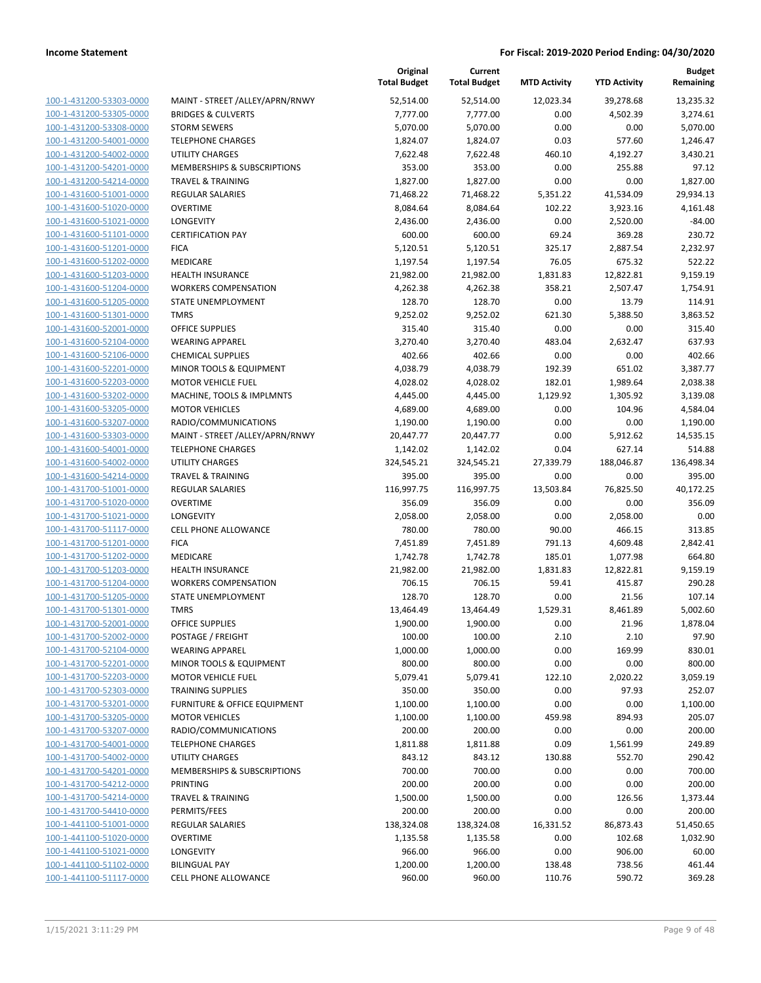| 100-1-431200-53303-0000        |
|--------------------------------|
| 100-1-431200-53305-0000        |
| 100-1-431200-53308-0000        |
| 100-1-431200-54001-0000        |
| 100-1-431200-54002-0000        |
|                                |
| 100-1-431200-54201-0000        |
| 100-1-431200-54214-0000        |
| 100-1-431600-51001-0000        |
| 100-1-431600-51020-0000        |
| 100-1-431600-51021-0000        |
| 100-1-431600-51101-0000        |
| 100-1-431600-51201-0000        |
|                                |
| <u>100-1-431600-51202-0000</u> |
| 100-1-431600-51203-0000        |
| 100-1-431600-51204-0000        |
| 100-1-431600-51205-0000        |
| 100-1-431600-51301-0000        |
| 100-1-431600-52001-0000        |
| 100-1-431600-52104-0000        |
| 100-1-431600-52106-0000        |
| 100-1-431600-52201-0000        |
|                                |
| 100-1-431600-52203-0000        |
| 100-1-431600-53202-0000        |
| 100-1-431600-53205-0000        |
| 100-1-431600-53207-0000        |
| 100-1-431600-53303-0000        |
| 100-1-431600-54001-0000        |
| 100-1-431600-54002-0000        |
|                                |
| 100-1-431600-54214-0000        |
| 100-1-431700-51001-0000        |
| 100-1-431700-51020-0000        |
| 100-1-431700-51021-0000        |
| <u>100-1-431700-51117-0000</u> |
| 100-1-431700-51201-0000        |
| 100-1-431700-51202-0000        |
| 100-1-431700-51203-0000        |
|                                |
| 100-1-431700-51204-0000        |
| 100-1-431700-51205-0000        |
| 100-1-431700-51301-0000        |
| 100-1-431700-52001-0000        |
| 100-1-431700-52002-0000        |
| 100-1-431700-52104-0000        |
| <u>100-1-431700-52201-0000</u> |
| <u>100-1-431700-52203-0000</u> |
| <u>100-1-431700-52303-0000</u> |
|                                |
| 100-1-431700-53201-0000        |
| <u>100-1-431700-53205-0000</u> |
| <u>100-1-431700-53207-0000</u> |
| <u>100-1-431700-54001-0000</u> |
| <u>100-1-431700-54002-0000</u> |
| 100-1-431700-54201-0000        |
| 100-1-431700-54212-0000        |
|                                |
| 100-1-431700-54214-0000        |
| <u>100-1-431700-54410-0000</u> |
| 100-1-441100-51001-0000        |
| <u>100-1-441100-51020-0000</u> |
| <u>100-1-441100-51021-0000</u> |
| <u>100-1-441100-51102-0000</u> |
|                                |
| 100-1-441100-51117-0000        |

|                                                    |                                                 | Original<br><b>Total Budget</b> | Current<br><b>Total Budget</b> | <b>MTD Activity</b> | <b>YTD Activity</b> | <b>Budget</b><br>Remaining |
|----------------------------------------------------|-------------------------------------------------|---------------------------------|--------------------------------|---------------------|---------------------|----------------------------|
| 100-1-431200-53303-0000                            | MAINT - STREET /ALLEY/APRN/RNWY                 | 52,514.00                       | 52,514.00                      | 12,023.34           | 39,278.68           | 13,235.32                  |
| 100-1-431200-53305-0000                            | <b>BRIDGES &amp; CULVERTS</b>                   | 7,777.00                        | 7,777.00                       | 0.00                | 4,502.39            | 3,274.61                   |
| 100-1-431200-53308-0000                            | <b>STORM SEWERS</b>                             | 5,070.00                        | 5,070.00                       | 0.00                | 0.00                | 5,070.00                   |
| 100-1-431200-54001-0000                            | <b>TELEPHONE CHARGES</b>                        | 1,824.07                        | 1,824.07                       | 0.03                | 577.60              | 1,246.47                   |
| 100-1-431200-54002-0000                            | UTILITY CHARGES                                 | 7,622.48                        | 7,622.48                       | 460.10              | 4,192.27            | 3,430.21                   |
| 100-1-431200-54201-0000                            | MEMBERSHIPS & SUBSCRIPTIONS                     | 353.00                          | 353.00                         | 0.00                | 255.88              | 97.12                      |
| 100-1-431200-54214-0000                            | <b>TRAVEL &amp; TRAINING</b>                    | 1,827.00                        | 1,827.00                       | 0.00                | 0.00                | 1,827.00                   |
| 100-1-431600-51001-0000                            | <b>REGULAR SALARIES</b>                         | 71,468.22                       | 71,468.22                      | 5,351.22            | 41,534.09           | 29,934.13                  |
| 100-1-431600-51020-0000                            | <b>OVERTIME</b>                                 | 8,084.64                        | 8,084.64                       | 102.22              | 3,923.16            | 4,161.48                   |
| 100-1-431600-51021-0000                            | <b>LONGEVITY</b>                                | 2,436.00                        | 2,436.00                       | 0.00                | 2,520.00            | $-84.00$                   |
| 100-1-431600-51101-0000                            | <b>CERTIFICATION PAY</b>                        | 600.00                          | 600.00                         | 69.24               | 369.28              | 230.72                     |
| 100-1-431600-51201-0000                            | <b>FICA</b>                                     | 5,120.51                        | 5,120.51                       | 325.17              | 2,887.54            | 2,232.97                   |
| 100-1-431600-51202-0000                            | MEDICARE                                        | 1,197.54                        | 1,197.54                       | 76.05               | 675.32              | 522.22                     |
| 100-1-431600-51203-0000                            | HEALTH INSURANCE                                | 21,982.00                       | 21,982.00                      | 1,831.83            | 12,822.81           | 9,159.19                   |
| 100-1-431600-51204-0000                            | <b>WORKERS COMPENSATION</b>                     | 4,262.38                        | 4,262.38                       | 358.21              | 2,507.47            | 1,754.91                   |
| 100-1-431600-51205-0000                            | STATE UNEMPLOYMENT                              | 128.70                          | 128.70                         | 0.00                | 13.79               | 114.91                     |
| 100-1-431600-51301-0000                            | <b>TMRS</b>                                     | 9,252.02                        | 9,252.02                       | 621.30              | 5,388.50            | 3,863.52                   |
| 100-1-431600-52001-0000                            | <b>OFFICE SUPPLIES</b>                          | 315.40                          | 315.40                         | 0.00                | 0.00                | 315.40                     |
| 100-1-431600-52104-0000                            | <b>WEARING APPAREL</b>                          | 3,270.40                        | 3,270.40                       | 483.04              | 2,632.47            | 637.93                     |
| 100-1-431600-52106-0000                            | <b>CHEMICAL SUPPLIES</b>                        | 402.66                          | 402.66                         | 0.00                | 0.00                | 402.66                     |
| 100-1-431600-52201-0000                            | MINOR TOOLS & EQUIPMENT                         | 4,038.79                        | 4,038.79                       | 192.39              | 651.02              | 3,387.77                   |
| 100-1-431600-52203-0000                            | <b>MOTOR VEHICLE FUEL</b>                       | 4,028.02                        | 4,028.02                       | 182.01              | 1,989.64            | 2,038.38                   |
| 100-1-431600-53202-0000                            | MACHINE, TOOLS & IMPLMNTS                       | 4,445.00                        | 4,445.00                       | 1,129.92            | 1,305.92            | 3,139.08                   |
| 100-1-431600-53205-0000                            | <b>MOTOR VEHICLES</b>                           | 4,689.00                        | 4,689.00                       | 0.00                | 104.96              | 4,584.04                   |
| 100-1-431600-53207-0000                            | RADIO/COMMUNICATIONS                            | 1,190.00                        | 1,190.00                       | 0.00                | 0.00                | 1,190.00                   |
| 100-1-431600-53303-0000                            | MAINT - STREET /ALLEY/APRN/RNWY                 | 20,447.77                       | 20,447.77                      | 0.00                | 5,912.62            | 14,535.15                  |
| 100-1-431600-54001-0000                            | <b>TELEPHONE CHARGES</b>                        | 1,142.02                        | 1,142.02                       | 0.04                | 627.14              | 514.88                     |
| 100-1-431600-54002-0000                            | UTILITY CHARGES                                 | 324,545.21                      | 324,545.21                     | 27,339.79           | 188,046.87          | 136,498.34                 |
| 100-1-431600-54214-0000                            | <b>TRAVEL &amp; TRAINING</b>                    | 395.00                          | 395.00                         | 0.00                | 0.00                | 395.00                     |
| 100-1-431700-51001-0000<br>100-1-431700-51020-0000 | <b>REGULAR SALARIES</b>                         | 116,997.75                      | 116,997.75                     | 13,503.84           | 76,825.50           | 40,172.25                  |
|                                                    | <b>OVERTIME</b>                                 | 356.09                          | 356.09                         | 0.00                | 0.00                | 356.09<br>0.00             |
| 100-1-431700-51021-0000                            | <b>LONGEVITY</b><br><b>CELL PHONE ALLOWANCE</b> | 2,058.00                        | 2,058.00                       | 0.00                | 2,058.00            |                            |
| 100-1-431700-51117-0000<br>100-1-431700-51201-0000 | <b>FICA</b>                                     | 780.00<br>7,451.89              | 780.00<br>7,451.89             | 90.00<br>791.13     | 466.15<br>4,609.48  | 313.85<br>2,842.41         |
| 100-1-431700-51202-0000                            | MEDICARE                                        | 1,742.78                        | 1,742.78                       | 185.01              | 1,077.98            | 664.80                     |
| 100-1-431700-51203-0000                            | HEALTH INSURANCE                                | 21,982.00                       | 21,982.00                      | 1,831.83            | 12,822.81           | 9,159.19                   |
| 100-1-431700-51204-0000                            | <b>WORKERS COMPENSATION</b>                     | 706.15                          | 706.15                         | 59.41               | 415.87              | 290.28                     |
| 100-1-431700-51205-0000                            | STATE UNEMPLOYMENT                              | 128.70                          | 128.70                         | 0.00                | 21.56               | 107.14                     |
| 100-1-431700-51301-0000                            | <b>TMRS</b>                                     | 13,464.49                       | 13,464.49                      | 1,529.31            | 8,461.89            | 5,002.60                   |
| 100-1-431700-52001-0000                            | OFFICE SUPPLIES                                 | 1,900.00                        | 1,900.00                       | 0.00                | 21.96               | 1,878.04                   |
| 100-1-431700-52002-0000                            | POSTAGE / FREIGHT                               | 100.00                          | 100.00                         | 2.10                | 2.10                | 97.90                      |
| 100-1-431700-52104-0000                            | <b>WEARING APPAREL</b>                          | 1,000.00                        | 1,000.00                       | 0.00                | 169.99              | 830.01                     |
| 100-1-431700-52201-0000                            | MINOR TOOLS & EQUIPMENT                         | 800.00                          | 800.00                         | 0.00                | 0.00                | 800.00                     |
| 100-1-431700-52203-0000                            | <b>MOTOR VEHICLE FUEL</b>                       | 5,079.41                        | 5,079.41                       | 122.10              | 2,020.22            | 3,059.19                   |
| 100-1-431700-52303-0000                            | <b>TRAINING SUPPLIES</b>                        | 350.00                          | 350.00                         | 0.00                | 97.93               | 252.07                     |
| 100-1-431700-53201-0000                            | <b>FURNITURE &amp; OFFICE EQUIPMENT</b>         | 1,100.00                        | 1,100.00                       | 0.00                | 0.00                | 1,100.00                   |
| 100-1-431700-53205-0000                            | <b>MOTOR VEHICLES</b>                           | 1,100.00                        | 1,100.00                       | 459.98              | 894.93              | 205.07                     |
| 100-1-431700-53207-0000                            | RADIO/COMMUNICATIONS                            | 200.00                          | 200.00                         | 0.00                | 0.00                | 200.00                     |
| 100-1-431700-54001-0000                            | <b>TELEPHONE CHARGES</b>                        | 1,811.88                        | 1,811.88                       | 0.09                | 1,561.99            | 249.89                     |
| 100-1-431700-54002-0000                            | UTILITY CHARGES                                 | 843.12                          | 843.12                         | 130.88              | 552.70              | 290.42                     |
| 100-1-431700-54201-0000                            | MEMBERSHIPS & SUBSCRIPTIONS                     | 700.00                          | 700.00                         | 0.00                | 0.00                | 700.00                     |
| 100-1-431700-54212-0000                            | PRINTING                                        | 200.00                          | 200.00                         | 0.00                | 0.00                | 200.00                     |
| 100-1-431700-54214-0000                            | <b>TRAVEL &amp; TRAINING</b>                    | 1,500.00                        | 1,500.00                       | 0.00                | 126.56              | 1,373.44                   |
| 100-1-431700-54410-0000                            | PERMITS/FEES                                    | 200.00                          | 200.00                         | 0.00                | 0.00                | 200.00                     |
| 100-1-441100-51001-0000                            | <b>REGULAR SALARIES</b>                         | 138,324.08                      | 138,324.08                     | 16,331.52           | 86,873.43           | 51,450.65                  |
| 100-1-441100-51020-0000                            | <b>OVERTIME</b>                                 | 1,135.58                        | 1,135.58                       | 0.00                | 102.68              | 1,032.90                   |
| 100-1-441100-51021-0000                            | <b>LONGEVITY</b>                                | 966.00                          | 966.00                         | 0.00                | 906.00              | 60.00                      |
| 100-1-441100-51102-0000                            | <b>BILINGUAL PAY</b>                            | 1,200.00                        | 1,200.00                       | 138.48              | 738.56              | 461.44                     |
| 100-1-441100-51117-0000                            | <b>CELL PHONE ALLOWANCE</b>                     | 960.00                          | 960.00                         | 110.76              | 590.72              | 369.28                     |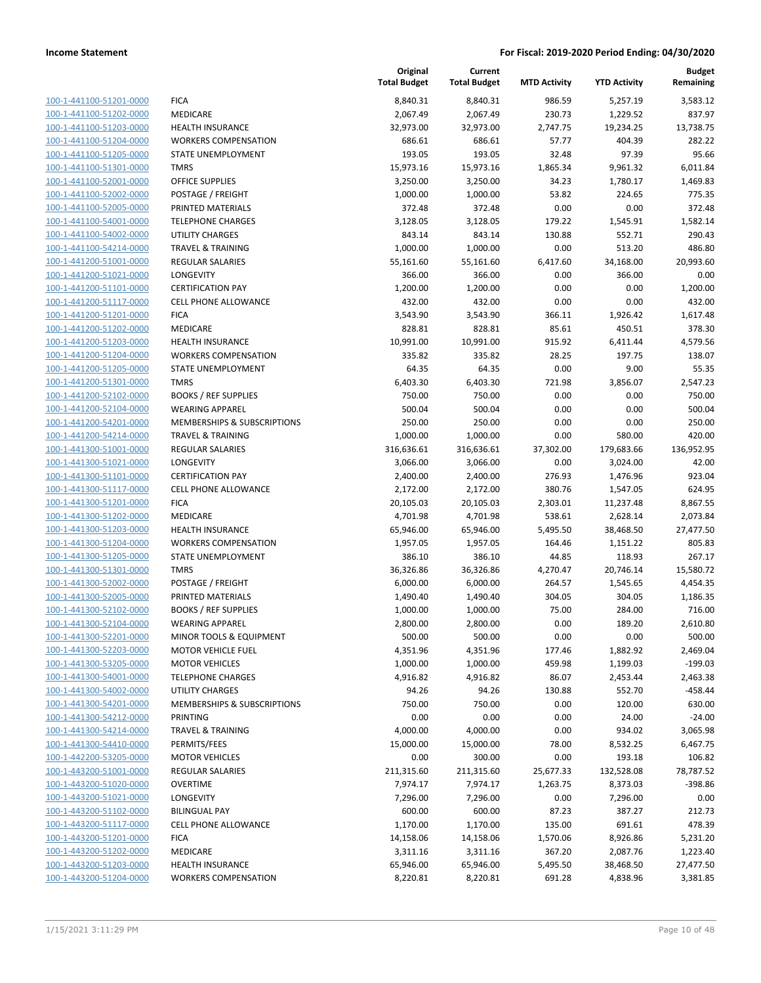| <u>100-1-441100-51201-0000</u>                     |
|----------------------------------------------------|
| 100-1-441100-51202-0000                            |
| 100-1-441100-51203-0000                            |
| 100-1-441100-51204-0000                            |
| 100-1-441100-51205-0000                            |
| <u>100-1-441100-51301-0000</u>                     |
| 100-1-441100-52001-0000                            |
| 100-1-441100-52002-0000                            |
| 100-1-441100-52005-0000                            |
| 100-1-441100-54001-0000                            |
| <u>100-1-441100-54002-0000</u>                     |
| 100-1-441100-54214-0000                            |
| 100-1-441200-51001-0000                            |
| 100-1-441200-51021-0000                            |
|                                                    |
| <u>100-1-441200-51101-0000</u>                     |
| 100-1-441200-51117-0000                            |
| <u>100-1-441200-51201-0000</u>                     |
| 100-1-441200-51202-0000                            |
| 100-1-441200-51203-0000                            |
| 100-1-441200-51204-0000                            |
| <u>100-1-441200-51205-0000</u>                     |
| 100-1-441200-51301-0000                            |
| -441200-52102-0000<br>$100 - 1$                    |
| 100-1-441200-52104-0000                            |
| 100-1-441200-54201-0000                            |
| <u>100-1-441200-54214-0000</u>                     |
| 100-1-441300-51001-0000                            |
| 100-1-441300-51021-0000                            |
| 100-1-441300-51101-0000                            |
| <u>100-1-441300-51117-0000</u>                     |
| <u>100-1-441300-51201-0000</u>                     |
| 100-1-441300-51202-0000                            |
| 441300-51203-0000<br>$100 - 1$                     |
| 100-1-441300-51204-0000                            |
| <u>100-1-441300-51205-0000</u>                     |
| <u>100-1-441300-51301-0000</u>                     |
| 100-1-441300-52002-0000                            |
|                                                    |
| 100-1-441300-52005-0000                            |
| 100-1-441300-52102-0000                            |
| 100-1-441300-52104-0000                            |
| 100-1-441300-52201-0000                            |
| 100-1-441300-52203-0000                            |
| 100-1-441300-53205-0000                            |
| 100-1-441300-54001-0000                            |
| 100-1-441300-54002-0000                            |
| 100-1-441300-54201-0000                            |
| <u>100-1-441300-54212-0000</u>                     |
| 100-1-441300-54214-0000                            |
| 100-1-441300-54410-0000                            |
| 100-1-442200-53205-0000                            |
| <u>100-1-443200-51001-0000</u>                     |
| 100-1-443200-51020-0000                            |
| 100-1-443200-51021-0000                            |
| 100-1-443200-51102-0000                            |
| <u>100-1-443200-51117-0000</u>                     |
| 100-1-443200-51201-0000                            |
| <u>100-1-443200-51202-0000</u>                     |
|                                                    |
|                                                    |
| 100-1-443200-51203-0000<br>100-1-443200-51204-0000 |

|                         |                              | Original<br><b>Total Budget</b> | Current<br><b>Total Budget</b> | <b>MTD Activity</b> | <b>YTD Activity</b> | <b>Budget</b><br>Remaining |
|-------------------------|------------------------------|---------------------------------|--------------------------------|---------------------|---------------------|----------------------------|
| 100-1-441100-51201-0000 | <b>FICA</b>                  | 8,840.31                        | 8,840.31                       | 986.59              | 5,257.19            | 3,583.12                   |
| 100-1-441100-51202-0000 | MEDICARE                     | 2,067.49                        | 2,067.49                       | 230.73              | 1,229.52            | 837.97                     |
| 100-1-441100-51203-0000 | HEALTH INSURANCE             | 32,973.00                       | 32,973.00                      | 2,747.75            | 19,234.25           | 13,738.75                  |
| 100-1-441100-51204-0000 | <b>WORKERS COMPENSATION</b>  | 686.61                          | 686.61                         | 57.77               | 404.39              | 282.22                     |
| 100-1-441100-51205-0000 | STATE UNEMPLOYMENT           | 193.05                          | 193.05                         | 32.48               | 97.39               | 95.66                      |
| 100-1-441100-51301-0000 | <b>TMRS</b>                  | 15,973.16                       | 15,973.16                      | 1,865.34            | 9,961.32            | 6,011.84                   |
| 100-1-441100-52001-0000 | <b>OFFICE SUPPLIES</b>       | 3,250.00                        | 3,250.00                       | 34.23               | 1,780.17            | 1,469.83                   |
| 100-1-441100-52002-0000 | POSTAGE / FREIGHT            | 1,000.00                        | 1,000.00                       | 53.82               | 224.65              | 775.35                     |
| 100-1-441100-52005-0000 | PRINTED MATERIALS            | 372.48                          | 372.48                         | 0.00                | 0.00                | 372.48                     |
| 100-1-441100-54001-0000 | <b>TELEPHONE CHARGES</b>     | 3,128.05                        | 3,128.05                       | 179.22              | 1,545.91            | 1,582.14                   |
| 100-1-441100-54002-0000 | <b>UTILITY CHARGES</b>       | 843.14                          | 843.14                         | 130.88              | 552.71              | 290.43                     |
| 100-1-441100-54214-0000 | <b>TRAVEL &amp; TRAINING</b> | 1,000.00                        | 1,000.00                       | 0.00                | 513.20              | 486.80                     |
| 100-1-441200-51001-0000 | <b>REGULAR SALARIES</b>      | 55,161.60                       | 55,161.60                      | 6,417.60            | 34,168.00           | 20,993.60                  |
| 100-1-441200-51021-0000 | <b>LONGEVITY</b>             | 366.00                          | 366.00                         | 0.00                | 366.00              | 0.00                       |
| 100-1-441200-51101-0000 | <b>CERTIFICATION PAY</b>     | 1,200.00                        | 1,200.00                       | 0.00                | 0.00                | 1,200.00                   |
| 100-1-441200-51117-0000 | <b>CELL PHONE ALLOWANCE</b>  | 432.00                          | 432.00                         | 0.00                | 0.00                | 432.00                     |
| 100-1-441200-51201-0000 | <b>FICA</b>                  | 3,543.90                        | 3,543.90                       | 366.11              | 1,926.42            | 1,617.48                   |
| 100-1-441200-51202-0000 | MEDICARE                     | 828.81                          | 828.81                         | 85.61               | 450.51              | 378.30                     |
| 100-1-441200-51203-0000 | <b>HEALTH INSURANCE</b>      | 10,991.00                       | 10,991.00                      | 915.92              | 6,411.44            | 4,579.56                   |
| 100-1-441200-51204-0000 | WORKERS COMPENSATION         | 335.82                          | 335.82                         | 28.25               | 197.75              | 138.07                     |
| 100-1-441200-51205-0000 | STATE UNEMPLOYMENT           | 64.35                           | 64.35                          | 0.00                | 9.00                | 55.35                      |
| 100-1-441200-51301-0000 | <b>TMRS</b>                  | 6,403.30                        | 6,403.30                       | 721.98              | 3,856.07            | 2,547.23                   |
| 100-1-441200-52102-0000 | <b>BOOKS / REF SUPPLIES</b>  | 750.00                          | 750.00                         | 0.00                | 0.00                | 750.00                     |
| 100-1-441200-52104-0000 | <b>WEARING APPAREL</b>       | 500.04                          | 500.04                         | 0.00                | 0.00                | 500.04                     |
| 100-1-441200-54201-0000 | MEMBERSHIPS & SUBSCRIPTIONS  | 250.00                          | 250.00                         | 0.00                | 0.00                | 250.00                     |
| 100-1-441200-54214-0000 | <b>TRAVEL &amp; TRAINING</b> | 1,000.00                        | 1,000.00                       | 0.00                | 580.00              | 420.00                     |
| 100-1-441300-51001-0000 | <b>REGULAR SALARIES</b>      | 316,636.61                      | 316,636.61                     | 37,302.00           | 179,683.66          | 136,952.95                 |
| 100-1-441300-51021-0000 | LONGEVITY                    | 3,066.00                        | 3,066.00                       | 0.00                | 3,024.00            | 42.00                      |
| 100-1-441300-51101-0000 | <b>CERTIFICATION PAY</b>     | 2,400.00                        | 2,400.00                       | 276.93              | 1,476.96            | 923.04                     |
| 100-1-441300-51117-0000 | <b>CELL PHONE ALLOWANCE</b>  | 2,172.00                        | 2,172.00                       | 380.76              | 1,547.05            | 624.95                     |
| 100-1-441300-51201-0000 | <b>FICA</b>                  | 20,105.03                       | 20,105.03                      | 2,303.01            | 11,237.48           | 8,867.55                   |
| 100-1-441300-51202-0000 | MEDICARE                     | 4,701.98                        | 4,701.98                       | 538.61              | 2,628.14            | 2,073.84                   |
| 100-1-441300-51203-0000 | HEALTH INSURANCE             | 65,946.00                       | 65,946.00                      | 5,495.50            | 38,468.50           | 27,477.50                  |
| 100-1-441300-51204-0000 | <b>WORKERS COMPENSATION</b>  | 1,957.05                        | 1,957.05                       | 164.46              | 1,151.22            | 805.83                     |
| 100-1-441300-51205-0000 | STATE UNEMPLOYMENT           | 386.10                          | 386.10                         | 44.85               | 118.93              | 267.17                     |
| 100-1-441300-51301-0000 | <b>TMRS</b>                  | 36,326.86                       | 36,326.86                      | 4,270.47            | 20,746.14           | 15,580.72                  |
| 100-1-441300-52002-0000 | POSTAGE / FREIGHT            | 6,000.00                        | 6,000.00                       | 264.57              | 1,545.65            | 4,454.35                   |
| 100-1-441300-52005-0000 | PRINTED MATERIALS            | 1,490.40                        | 1,490.40                       | 304.05              | 304.05              | 1,186.35                   |
| 100-1-441300-52102-0000 | <b>BOOKS / REF SUPPLIES</b>  | 1,000.00                        | 1,000.00                       | 75.00               | 284.00              | 716.00                     |
| 100-1-441300-52104-0000 | <b>WEARING APPAREL</b>       | 2,800.00                        | 2,800.00                       | 0.00                | 189.20              | 2,610.80                   |
| 100-1-441300-52201-0000 | MINOR TOOLS & EQUIPMENT      | 500.00                          | 500.00                         | 0.00                | 0.00                | 500.00                     |
| 100-1-441300-52203-0000 | <b>MOTOR VEHICLE FUEL</b>    | 4,351.96                        | 4,351.96                       | 177.46              | 1,882.92            | 2,469.04                   |
| 100-1-441300-53205-0000 | <b>MOTOR VEHICLES</b>        | 1,000.00                        | 1,000.00                       | 459.98              | 1,199.03            | $-199.03$                  |
| 100-1-441300-54001-0000 | <b>TELEPHONE CHARGES</b>     | 4,916.82                        | 4,916.82                       | 86.07               | 2,453.44            | 2,463.38                   |
| 100-1-441300-54002-0000 | <b>UTILITY CHARGES</b>       | 94.26                           | 94.26                          | 130.88              | 552.70              | $-458.44$                  |
| 100-1-441300-54201-0000 | MEMBERSHIPS & SUBSCRIPTIONS  | 750.00                          | 750.00                         | 0.00                | 120.00              | 630.00                     |
| 100-1-441300-54212-0000 | PRINTING                     | 0.00                            | 0.00                           | 0.00                | 24.00               | $-24.00$                   |
| 100-1-441300-54214-0000 | <b>TRAVEL &amp; TRAINING</b> | 4,000.00                        | 4,000.00                       | 0.00                | 934.02              | 3,065.98                   |
| 100-1-441300-54410-0000 | PERMITS/FEES                 | 15,000.00                       | 15,000.00                      | 78.00               | 8,532.25            | 6,467.75                   |
| 100-1-442200-53205-0000 | <b>MOTOR VEHICLES</b>        | 0.00                            | 300.00                         | 0.00                | 193.18              | 106.82                     |
| 100-1-443200-51001-0000 | <b>REGULAR SALARIES</b>      | 211,315.60                      | 211,315.60                     | 25,677.33           | 132,528.08          | 78,787.52                  |
| 100-1-443200-51020-0000 | <b>OVERTIME</b>              | 7,974.17                        | 7,974.17                       | 1,263.75            | 8,373.03            | $-398.86$                  |
| 100-1-443200-51021-0000 | LONGEVITY                    | 7,296.00                        | 7,296.00                       | 0.00                | 7,296.00            | 0.00                       |
| 100-1-443200-51102-0000 | <b>BILINGUAL PAY</b>         | 600.00                          | 600.00                         | 87.23               | 387.27              | 212.73                     |
| 100-1-443200-51117-0000 | <b>CELL PHONE ALLOWANCE</b>  | 1,170.00                        | 1,170.00                       | 135.00              | 691.61              | 478.39                     |
| 100-1-443200-51201-0000 | <b>FICA</b>                  | 14,158.06                       | 14,158.06                      | 1,570.06            | 8,926.86            | 5,231.20                   |
| 100-1-443200-51202-0000 | MEDICARE                     | 3,311.16                        | 3,311.16                       | 367.20              | 2,087.76            | 1,223.40                   |
| 100-1-443200-51203-0000 | HEALTH INSURANCE             | 65,946.00                       | 65,946.00                      | 5,495.50            | 38,468.50           | 27,477.50                  |
| 100-1-443200-51204-0000 | <b>WORKERS COMPENSATION</b>  | 8,220.81                        | 8,220.81                       | 691.28              | 4,838.96            | 3,381.85                   |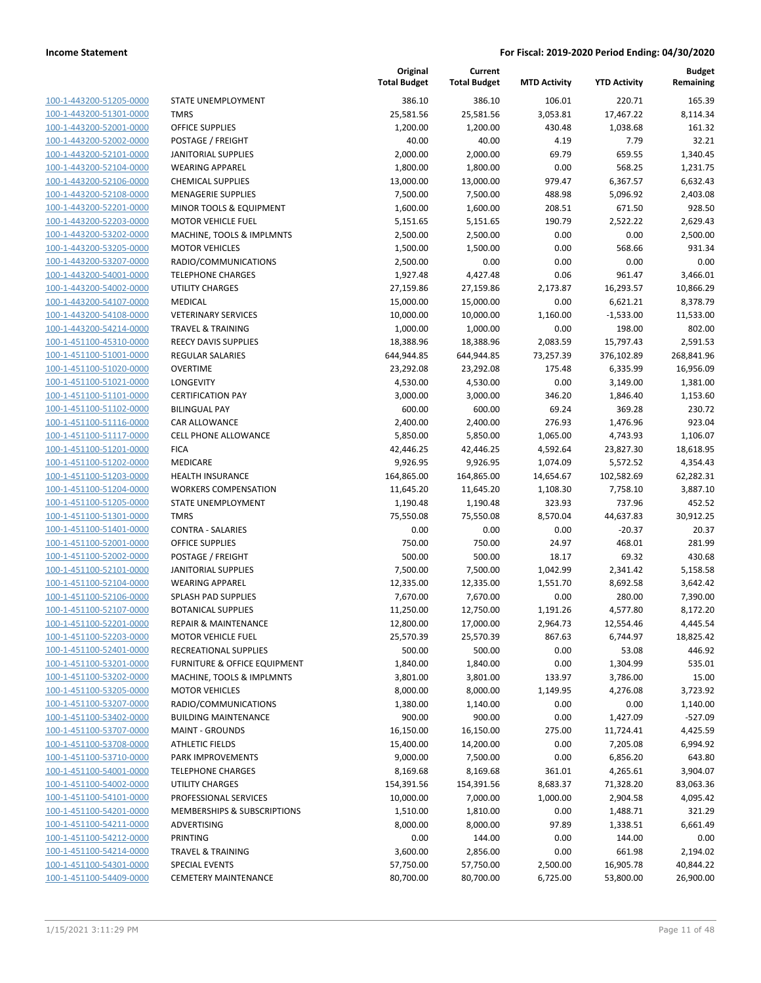|                         |                                         | Original<br><b>Total Budget</b> | Current<br><b>Total Budget</b> | <b>MTD Activity</b> | <b>YTD Activity</b> | <b>Budget</b><br>Remaining |
|-------------------------|-----------------------------------------|---------------------------------|--------------------------------|---------------------|---------------------|----------------------------|
| 100-1-443200-51205-0000 | STATE UNEMPLOYMENT                      | 386.10                          | 386.10                         | 106.01              | 220.71              | 165.39                     |
| 100-1-443200-51301-0000 | <b>TMRS</b>                             | 25,581.56                       | 25,581.56                      | 3,053.81            | 17,467.22           | 8,114.34                   |
| 100-1-443200-52001-0000 | <b>OFFICE SUPPLIES</b>                  | 1,200.00                        | 1,200.00                       | 430.48              | 1,038.68            | 161.32                     |
| 100-1-443200-52002-0000 | POSTAGE / FREIGHT                       | 40.00                           | 40.00                          | 4.19                | 7.79                | 32.21                      |
| 100-1-443200-52101-0000 | <b>JANITORIAL SUPPLIES</b>              | 2,000.00                        | 2,000.00                       | 69.79               | 659.55              | 1,340.45                   |
| 100-1-443200-52104-0000 | <b>WEARING APPAREL</b>                  | 1,800.00                        | 1,800.00                       | 0.00                | 568.25              | 1,231.75                   |
| 100-1-443200-52106-0000 | <b>CHEMICAL SUPPLIES</b>                | 13,000.00                       | 13,000.00                      | 979.47              | 6,367.57            | 6,632.43                   |
| 100-1-443200-52108-0000 | <b>MENAGERIE SUPPLIES</b>               | 7,500.00                        | 7,500.00                       | 488.98              | 5,096.92            | 2,403.08                   |
| 100-1-443200-52201-0000 | MINOR TOOLS & EQUIPMENT                 | 1,600.00                        | 1,600.00                       | 208.51              | 671.50              | 928.50                     |
| 100-1-443200-52203-0000 | <b>MOTOR VEHICLE FUEL</b>               | 5,151.65                        | 5,151.65                       | 190.79              | 2,522.22            | 2,629.43                   |
| 100-1-443200-53202-0000 | MACHINE, TOOLS & IMPLMNTS               | 2,500.00                        | 2,500.00                       | 0.00                | 0.00                | 2,500.00                   |
| 100-1-443200-53205-0000 | <b>MOTOR VEHICLES</b>                   | 1,500.00                        | 1,500.00                       | 0.00                | 568.66              | 931.34                     |
| 100-1-443200-53207-0000 | RADIO/COMMUNICATIONS                    | 2,500.00                        | 0.00                           | 0.00                | 0.00                | 0.00                       |
| 100-1-443200-54001-0000 | <b>TELEPHONE CHARGES</b>                | 1,927.48                        | 4,427.48                       | 0.06                | 961.47              | 3,466.01                   |
| 100-1-443200-54002-0000 | UTILITY CHARGES                         | 27,159.86                       | 27,159.86                      | 2,173.87            | 16,293.57           | 10,866.29                  |
| 100-1-443200-54107-0000 | MEDICAL                                 | 15,000.00                       | 15,000.00                      | 0.00                | 6,621.21            | 8,378.79                   |
| 100-1-443200-54108-0000 | <b>VETERINARY SERVICES</b>              | 10,000.00                       | 10,000.00                      | 1,160.00            | $-1,533.00$         | 11,533.00                  |
| 100-1-443200-54214-0000 | <b>TRAVEL &amp; TRAINING</b>            | 1,000.00                        | 1,000.00                       | 0.00                | 198.00              | 802.00                     |
| 100-1-451100-45310-0000 | <b>REECY DAVIS SUPPLIES</b>             | 18,388.96                       | 18,388.96                      | 2,083.59            | 15,797.43           | 2,591.53                   |
| 100-1-451100-51001-0000 | <b>REGULAR SALARIES</b>                 | 644,944.85                      | 644,944.85                     | 73,257.39           | 376,102.89          | 268,841.96                 |
| 100-1-451100-51020-0000 | <b>OVERTIME</b>                         | 23,292.08                       | 23,292.08                      | 175.48              | 6,335.99            | 16,956.09                  |
| 100-1-451100-51021-0000 | <b>LONGEVITY</b>                        | 4,530.00                        | 4,530.00                       | 0.00                | 3,149.00            | 1,381.00                   |
| 100-1-451100-51101-0000 | <b>CERTIFICATION PAY</b>                | 3,000.00                        | 3,000.00                       | 346.20              | 1,846.40            | 1,153.60                   |
| 100-1-451100-51102-0000 | <b>BILINGUAL PAY</b>                    | 600.00                          | 600.00                         | 69.24               | 369.28              | 230.72                     |
| 100-1-451100-51116-0000 | CAR ALLOWANCE                           | 2,400.00                        | 2,400.00                       | 276.93              | 1,476.96            | 923.04                     |
| 100-1-451100-51117-0000 | <b>CELL PHONE ALLOWANCE</b>             | 5,850.00                        | 5,850.00                       | 1,065.00            | 4,743.93            | 1,106.07                   |
| 100-1-451100-51201-0000 | <b>FICA</b>                             | 42,446.25                       | 42,446.25                      | 4,592.64            | 23,827.30           | 18,618.95                  |
| 100-1-451100-51202-0000 | MEDICARE                                | 9,926.95                        | 9,926.95                       | 1,074.09            | 5,572.52            | 4,354.43                   |
| 100-1-451100-51203-0000 | <b>HEALTH INSURANCE</b>                 | 164,865.00                      | 164,865.00                     | 14,654.67           | 102,582.69          | 62,282.31                  |
| 100-1-451100-51204-0000 | <b>WORKERS COMPENSATION</b>             | 11,645.20                       | 11,645.20                      | 1,108.30            | 7,758.10            | 3,887.10                   |
| 100-1-451100-51205-0000 | STATE UNEMPLOYMENT                      | 1,190.48                        | 1,190.48                       | 323.93              | 737.96              | 452.52                     |
| 100-1-451100-51301-0000 | <b>TMRS</b>                             | 75,550.08                       | 75,550.08                      | 8,570.04            | 44,637.83           | 30,912.25                  |
| 100-1-451100-51401-0000 | <b>CONTRA - SALARIES</b>                | 0.00                            | 0.00                           | 0.00                | $-20.37$            | 20.37                      |
| 100-1-451100-52001-0000 | <b>OFFICE SUPPLIES</b>                  | 750.00                          | 750.00                         | 24.97               | 468.01              | 281.99                     |
| 100-1-451100-52002-0000 | POSTAGE / FREIGHT                       | 500.00                          | 500.00                         | 18.17               | 69.32               | 430.68                     |
| 100-1-451100-52101-0000 | <b>JANITORIAL SUPPLIES</b>              | 7,500.00                        | 7,500.00                       | 1,042.99            | 2,341.42            | 5,158.58                   |
| 100-1-451100-52104-0000 | <b>WEARING APPAREL</b>                  | 12,335.00                       | 12,335.00                      | 1,551.70            | 8,692.58            | 3,642.42                   |
| 100-1-451100-52106-0000 | SPLASH PAD SUPPLIES                     | 7,670.00                        | 7,670.00                       | 0.00                | 280.00              | 7,390.00                   |
| 100-1-451100-52107-0000 | <b>BOTANICAL SUPPLIES</b>               | 11,250.00                       | 12,750.00                      | 1,191.26            | 4,577.80            | 8,172.20                   |
| 100-1-451100-52201-0000 | <b>REPAIR &amp; MAINTENANCE</b>         | 12,800.00                       | 17,000.00                      | 2,964.73            | 12,554.46           | 4,445.54                   |
| 100-1-451100-52203-0000 | <b>MOTOR VEHICLE FUEL</b>               | 25,570.39                       | 25,570.39                      | 867.63              | 6,744.97            | 18,825.42                  |
| 100-1-451100-52401-0000 | RECREATIONAL SUPPLIES                   | 500.00                          | 500.00                         | 0.00                | 53.08               | 446.92                     |
| 100-1-451100-53201-0000 | <b>FURNITURE &amp; OFFICE EQUIPMENT</b> | 1,840.00                        | 1,840.00                       | 0.00                | 1,304.99            | 535.01                     |
| 100-1-451100-53202-0000 | MACHINE, TOOLS & IMPLMNTS               | 3,801.00                        | 3,801.00                       | 133.97              | 3,786.00            | 15.00                      |
| 100-1-451100-53205-0000 | <b>MOTOR VEHICLES</b>                   | 8,000.00                        | 8,000.00                       | 1,149.95            | 4,276.08            | 3,723.92                   |
| 100-1-451100-53207-0000 | RADIO/COMMUNICATIONS                    | 1,380.00                        | 1,140.00                       | 0.00                | 0.00                | 1,140.00                   |
| 100-1-451100-53402-0000 | <b>BUILDING MAINTENANCE</b>             | 900.00                          | 900.00                         | 0.00                | 1,427.09            | $-527.09$                  |
| 100-1-451100-53707-0000 | <b>MAINT - GROUNDS</b>                  | 16,150.00                       | 16,150.00                      | 275.00              | 11,724.41           | 4,425.59                   |
| 100-1-451100-53708-0000 | <b>ATHLETIC FIELDS</b>                  | 15,400.00                       | 14,200.00                      | 0.00                | 7,205.08            | 6,994.92                   |
| 100-1-451100-53710-0000 | PARK IMPROVEMENTS                       | 9,000.00                        | 7,500.00                       | 0.00                | 6,856.20            | 643.80                     |
| 100-1-451100-54001-0000 | <b>TELEPHONE CHARGES</b>                | 8,169.68                        |                                | 361.01              |                     | 3,904.07                   |
|                         |                                         |                                 | 8,169.68                       |                     | 4,265.61            |                            |
| 100-1-451100-54002-0000 | <b>UTILITY CHARGES</b>                  | 154,391.56                      | 154,391.56                     | 8,683.37            | 71,328.20           | 83,063.36                  |
| 100-1-451100-54101-0000 | PROFESSIONAL SERVICES                   | 10,000.00                       | 7,000.00                       | 1,000.00            | 2,904.58            | 4,095.42                   |
| 100-1-451100-54201-0000 | MEMBERSHIPS & SUBSCRIPTIONS             | 1,510.00                        | 1,810.00                       | 0.00                | 1,488.71            | 321.29                     |
| 100-1-451100-54211-0000 | ADVERTISING                             | 8,000.00                        | 8,000.00                       | 97.89               | 1,338.51            | 6,661.49                   |
| 100-1-451100-54212-0000 | PRINTING                                | 0.00                            | 144.00                         | 0.00                | 144.00              | 0.00                       |
| 100-1-451100-54214-0000 | <b>TRAVEL &amp; TRAINING</b>            | 3,600.00                        | 2,856.00                       | 0.00                | 661.98              | 2,194.02                   |
| 100-1-451100-54301-0000 | <b>SPECIAL EVENTS</b>                   | 57,750.00                       | 57,750.00                      | 2,500.00            | 16,905.78           | 40,844.22                  |
| 100-1-451100-54409-0000 | <b>CEMETERY MAINTENANCE</b>             | 80,700.00                       | 80,700.00                      | 6,725.00            | 53,800.00           | 26,900.00                  |

**Original**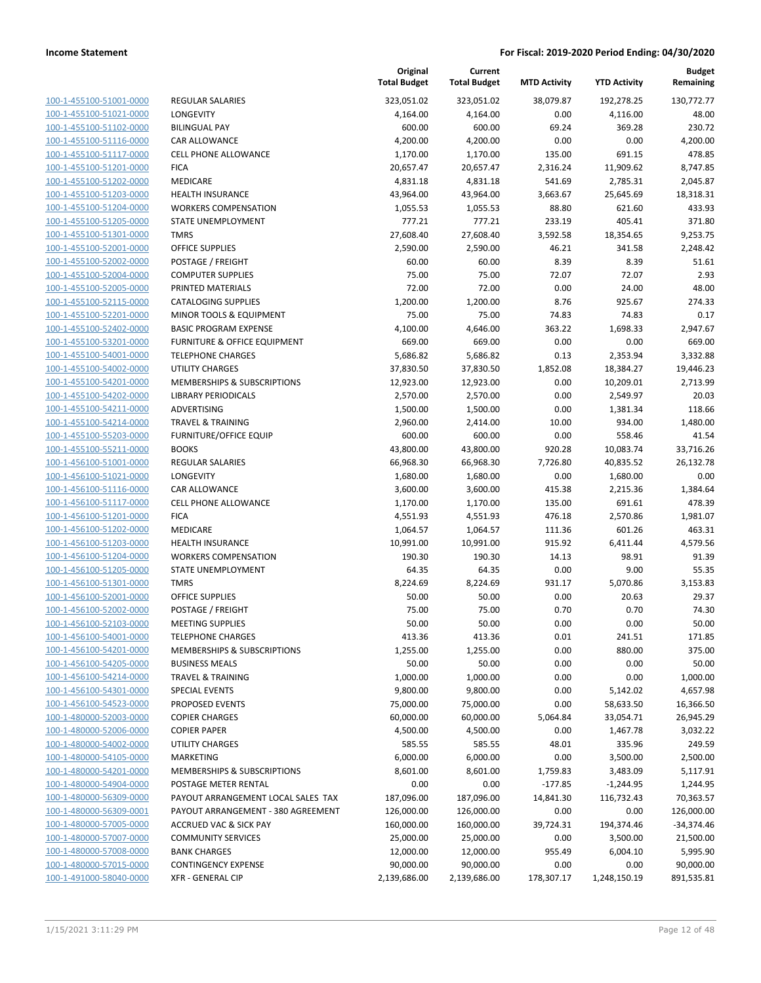| 100-1-455100-51001-0000        |
|--------------------------------|
| 100-1-455100-51021-0000        |
| 100-1-455100-51102-0000        |
| <u>100-1-455100-51116-0000</u> |
| 100-1-455100-51117-0000        |
| 100-1-455100-51201-0000        |
| 100-1-455100-51202-0000        |
| 100-1-455100-51203-0000        |
| 100-1-455100-51204-0000        |
| 100-1-455100-51205-0000        |
| 100-1-455100-51301-0000        |
| 100-1-455100-52001-0000        |
| 100-1-455100-52002-0000        |
| <u>100-1-455100-52004-0000</u> |
| 100-1-455100-52005-0000        |
| 100-1-455100-52115-0000        |
| 100-1-455100-52201-0000        |
| 100-1-455100-52402-0000        |
|                                |
| 100-1-455100-53201-0000        |
| 100-1-455100-54001-0000        |
| 100-1-455100-54002-0000        |
| 100-1-455100-54201-0000        |
| 100-1-455100-54202-0000        |
| 100-1-455100-54211-0000        |
| 100-1-455100-54214-0000        |
| 100-1-455100-55203-0000        |
| 100-1-455100-55211-0000        |
| 100-1-456100-51001-0000        |
| 100-1-456100-51021-0000        |
| 100-1-456100-51116-0000        |
| 100-1-456100-51117-0000        |
| 100-1-456100-51201-0000        |
| 100-1-456100-51202-0000        |
| <u>100-1-456100-51203-0000</u> |
| 100-1-456100-51204-0000        |
| 100-1-456100-51205-0000        |
| 100-1-456100-51301-0000        |
| 100-1-456100-52001-0000        |
| <u>100-1-456100-52002-0000</u> |
| 100-1-456100-52103-0000        |
| 100-1-456100-54001-0000        |
| <u>100-1-456100-54201-0000</u> |
| 100-1-456100-54205-0000        |
| <u>100-1-456100-54214-0000</u> |
| <u>100-1-456100-54301-0000</u> |
| 100-1-456100-54523-0000        |
| 100-1-480000-52003-0000        |
|                                |
| <u>100-1-480000-52006-0000</u> |
| <u>100-1-480000-54002-0000</u> |
| <u>100-1-480000-54105-0000</u> |
| <u>100-1-480000-54201-0000</u> |
| 100-1-480000-54904-0000        |
| <u>100-1-480000-56309-0000</u> |
| <u>100-1-480000-56309-0001</u> |
| <u>100-1-480000-57005-0000</u> |
| <u>100-1-480000-57007-0000</u> |
| 100-1-480000-57008-0000        |
| <u>100-1-480000-57015-0000</u> |
| <u>100-1-491000-58040-0000</u> |
|                                |

|                                                        | Total Bu       |
|--------------------------------------------------------|----------------|
| REGULAR SALARIES                                       | 323,05         |
| LONGEVITY                                              | 4,16           |
| <b>BILINGUAL PAY</b>                                   | 60             |
| CAR ALLOWANCE                                          | 4,20           |
| <b>CELL PHONE ALLOWANCE</b>                            | 1,17           |
| <b>FICA</b>                                            | 20,65          |
| MEDICARE                                               | 4,83           |
| <b>HEALTH INSURANCE</b><br><b>WORKERS COMPENSATION</b> | 43,96<br>1,05  |
| <b>STATE UNEMPLOYMENT</b>                              | 77             |
| <b>TMRS</b>                                            | 27,60          |
| <b>OFFICE SUPPLIES</b>                                 | 2,59           |
| POSTAGE / FREIGHT                                      | 6              |
| <b>COMPUTER SUPPLIES</b>                               | 7              |
| PRINTED MATERIALS                                      | 7              |
| <b>CATALOGING SUPPLIES</b>                             | 1,20           |
| MINOR TOOLS & EQUIPMENT                                | 7              |
| <b>BASIC PROGRAM EXPENSE</b>                           | 4,10           |
| <b>FURNITURE &amp; OFFICE EQUIPMENT</b>                | 66             |
| <b>TELEPHONE CHARGES</b>                               | 5,68           |
| <b>UTILITY CHARGES</b>                                 | 37,83          |
| <b>MEMBERSHIPS &amp; SUBSCRIPTIONS</b>                 | 12,92          |
| <b>LIBRARY PERIODICALS</b>                             | 2,57           |
| ADVERTISING                                            | 1,50           |
| TRAVEL & TRAINING                                      | 2,96           |
| <b>FURNITURE/OFFICE EQUIP</b>                          | 60             |
| <b>BOOKS</b><br><b>REGULAR SALARIES</b>                | 43,80<br>66,96 |
| <b>LONGEVITY</b>                                       | 1,68           |
| CAR ALLOWANCE                                          | 3,60           |
| <b>CELL PHONE ALLOWANCE</b>                            | 1,17           |
| <b>FICA</b>                                            | 4,55           |
| <b>MEDICARE</b>                                        | 1,06           |
| <b>HEALTH INSURANCE</b>                                | 10,99          |
| <b>WORKERS COMPENSATION</b>                            | 19             |
| STATE UNEMPLOYMENT                                     | 6              |
| <b>TMRS</b>                                            | 8,22           |
| <b>OFFICE SUPPLIES</b>                                 | 5              |
| POSTAGE / FREIGHT                                      | 7              |
| <b>MEETING SUPPLIES</b>                                | 5              |
| <b>TELEPHONE CHARGES</b>                               | 41             |
| MEMBERSHIPS & SUBSCRIPTIONS                            | 1,25           |
| <b>BUSINESS MEALS</b>                                  | 5              |
| <b>TRAVEL &amp; TRAINING</b>                           | 1,00           |
| <b>SPECIAL EVENTS</b><br>PROPOSED EVENTS               | 9,80           |
| <b>COPIER CHARGES</b>                                  | 75,00<br>60,00 |
| <b>COPIER PAPER</b>                                    | 4,50           |
| <b>UTILITY CHARGES</b>                                 | 58             |
| MARKETING                                              | 6,00           |
| MEMBERSHIPS & SUBSCRIPTIONS                            | 8,60           |
| POSTAGE METER RENTAL                                   |                |
| PAYOUT ARRANGEMENT LOCAL SALES TAX                     | 187,09         |
| PAYOUT ARRANGEMENT - 380 AGREEMENT                     | 126,00         |
| <b>ACCRUED VAC &amp; SICK PAY</b>                      | 160,00         |
| <b>COMMUNITY SERVICES</b>                              | 25,00          |
| <b>BANK CHARGES</b>                                    | 12,00          |
| <b>CONTINGENCY EXPENSE</b>                             | 90,00          |
| <b>XFR - GENERAL CIP</b>                               | 2,139,68       |

|                                                    |                                             | Original<br><b>Total Budget</b> | Current<br><b>Total Budget</b> | <b>MTD Activity</b> | <b>YTD Activity</b> | <b>Budget</b><br>Remaining |
|----------------------------------------------------|---------------------------------------------|---------------------------------|--------------------------------|---------------------|---------------------|----------------------------|
| 100-1-455100-51001-0000                            | <b>REGULAR SALARIES</b>                     | 323,051.02                      | 323,051.02                     | 38,079.87           | 192,278.25          | 130,772.77                 |
| 100-1-455100-51021-0000                            | LONGEVITY                                   | 4,164.00                        | 4,164.00                       | 0.00                | 4,116.00            | 48.00                      |
| 100-1-455100-51102-0000                            | <b>BILINGUAL PAY</b>                        | 600.00                          | 600.00                         | 69.24               | 369.28              | 230.72                     |
| 100-1-455100-51116-0000                            | CAR ALLOWANCE                               | 4,200.00                        | 4,200.00                       | 0.00                | 0.00                | 4,200.00                   |
| 100-1-455100-51117-0000                            | <b>CELL PHONE ALLOWANCE</b>                 | 1,170.00                        | 1,170.00                       | 135.00              | 691.15              | 478.85                     |
| 100-1-455100-51201-0000                            | <b>FICA</b>                                 | 20,657.47                       | 20,657.47                      | 2,316.24            | 11,909.62           | 8,747.85                   |
| 100-1-455100-51202-0000                            | MEDICARE                                    | 4,831.18                        | 4,831.18                       | 541.69              | 2,785.31            | 2,045.87                   |
| 100-1-455100-51203-0000                            | HEALTH INSURANCE                            | 43,964.00                       | 43,964.00                      | 3,663.67            | 25,645.69           | 18,318.31                  |
| 100-1-455100-51204-0000                            | <b>WORKERS COMPENSATION</b>                 | 1,055.53                        | 1,055.53                       | 88.80               | 621.60              | 433.93                     |
| 100-1-455100-51205-0000                            | STATE UNEMPLOYMENT                          | 777.21                          | 777.21                         | 233.19              | 405.41              | 371.80                     |
| 100-1-455100-51301-0000                            | <b>TMRS</b>                                 | 27,608.40                       | 27,608.40                      | 3,592.58            | 18,354.65           | 9,253.75                   |
| 100-1-455100-52001-0000                            | <b>OFFICE SUPPLIES</b>                      | 2,590.00                        | 2,590.00                       | 46.21               | 341.58              | 2,248.42                   |
| 100-1-455100-52002-0000                            | POSTAGE / FREIGHT                           | 60.00                           | 60.00                          | 8.39                | 8.39                | 51.61                      |
| 100-1-455100-52004-0000                            | <b>COMPUTER SUPPLIES</b>                    | 75.00                           | 75.00                          | 72.07               | 72.07               | 2.93                       |
| 100-1-455100-52005-0000                            | PRINTED MATERIALS                           | 72.00                           | 72.00                          | 0.00                | 24.00               | 48.00                      |
| 100-1-455100-52115-0000                            | <b>CATALOGING SUPPLIES</b>                  | 1,200.00                        | 1,200.00                       | 8.76                | 925.67              | 274.33                     |
| 100-1-455100-52201-0000                            | MINOR TOOLS & EQUIPMENT                     | 75.00                           | 75.00                          | 74.83               | 74.83               | 0.17                       |
| 100-1-455100-52402-0000                            | <b>BASIC PROGRAM EXPENSE</b>                | 4,100.00                        | 4,646.00                       | 363.22              | 1,698.33            | 2,947.67                   |
| 100-1-455100-53201-0000                            | FURNITURE & OFFICE EQUIPMENT                | 669.00                          | 669.00                         | 0.00                | 0.00                | 669.00                     |
| 100-1-455100-54001-0000                            | <b>TELEPHONE CHARGES</b>                    | 5,686.82                        | 5,686.82                       | 0.13                | 2,353.94            | 3,332.88                   |
| 100-1-455100-54002-0000                            | <b>UTILITY CHARGES</b>                      | 37,830.50                       | 37,830.50                      | 1,852.08            | 18,384.27           | 19,446.23                  |
| 100-1-455100-54201-0000                            | MEMBERSHIPS & SUBSCRIPTIONS                 | 12,923.00                       | 12,923.00                      | 0.00                | 10,209.01           | 2,713.99                   |
| 100-1-455100-54202-0000<br>100-1-455100-54211-0000 | <b>LIBRARY PERIODICALS</b>                  | 2,570.00                        | 2,570.00                       | 0.00                | 2,549.97            | 20.03                      |
| 100-1-455100-54214-0000                            | ADVERTISING<br><b>TRAVEL &amp; TRAINING</b> | 1,500.00<br>2,960.00            | 1,500.00<br>2,414.00           | 0.00<br>10.00       | 1,381.34<br>934.00  | 118.66<br>1,480.00         |
| 100-1-455100-55203-0000                            | <b>FURNITURE/OFFICE EQUIP</b>               | 600.00                          | 600.00                         | 0.00                | 558.46              | 41.54                      |
| 100-1-455100-55211-0000                            | <b>BOOKS</b>                                | 43,800.00                       | 43,800.00                      | 920.28              | 10,083.74           | 33,716.26                  |
| 100-1-456100-51001-0000                            | <b>REGULAR SALARIES</b>                     | 66,968.30                       | 66,968.30                      | 7,726.80            | 40,835.52           | 26,132.78                  |
| 100-1-456100-51021-0000                            | LONGEVITY                                   | 1,680.00                        | 1,680.00                       | 0.00                | 1,680.00            | 0.00                       |
| 100-1-456100-51116-0000                            | CAR ALLOWANCE                               | 3,600.00                        | 3,600.00                       | 415.38              | 2,215.36            | 1,384.64                   |
| 100-1-456100-51117-0000                            | <b>CELL PHONE ALLOWANCE</b>                 | 1,170.00                        | 1,170.00                       | 135.00              | 691.61              | 478.39                     |
| 100-1-456100-51201-0000                            | <b>FICA</b>                                 | 4,551.93                        | 4,551.93                       | 476.18              | 2,570.86            | 1,981.07                   |
| 100-1-456100-51202-0000                            | MEDICARE                                    | 1,064.57                        | 1,064.57                       | 111.36              | 601.26              | 463.31                     |
| 100-1-456100-51203-0000                            | <b>HEALTH INSURANCE</b>                     | 10,991.00                       | 10,991.00                      | 915.92              | 6,411.44            | 4,579.56                   |
| 100-1-456100-51204-0000                            | <b>WORKERS COMPENSATION</b>                 | 190.30                          | 190.30                         | 14.13               | 98.91               | 91.39                      |
| 100-1-456100-51205-0000                            | STATE UNEMPLOYMENT                          | 64.35                           | 64.35                          | 0.00                | 9.00                | 55.35                      |
| 100-1-456100-51301-0000                            | <b>TMRS</b>                                 | 8,224.69                        | 8,224.69                       | 931.17              | 5,070.86            | 3,153.83                   |
| 100-1-456100-52001-0000                            | <b>OFFICE SUPPLIES</b>                      | 50.00                           | 50.00                          | 0.00                | 20.63               | 29.37                      |
| 100-1-456100-52002-0000                            | POSTAGE / FREIGHT                           | 75.00                           | 75.00                          | 0.70                | 0.70                | 74.30                      |
| 100-1-456100-52103-0000                            | <b>MEETING SUPPLIES</b>                     | 50.00                           | 50.00                          | 0.00                | 0.00                | 50.00                      |
| 100-1-456100-54001-0000                            | <b>TELEPHONE CHARGES</b>                    | 413.36                          | 413.36                         | 0.01                | 241.51              | 171.85                     |
| 100-1-456100-54201-0000                            | MEMBERSHIPS & SUBSCRIPTIONS                 | 1,255.00                        | 1,255.00                       | 0.00                | 880.00              | 375.00                     |
| 100-1-456100-54205-0000                            | <b>BUSINESS MEALS</b>                       | 50.00                           | 50.00                          | 0.00                | 0.00                | 50.00                      |
| 100-1-456100-54214-0000                            | <b>TRAVEL &amp; TRAINING</b>                | 1,000.00                        | 1,000.00                       | 0.00                | 0.00                | 1,000.00                   |
| 100-1-456100-54301-0000                            | <b>SPECIAL EVENTS</b>                       | 9,800.00                        | 9,800.00                       | 0.00                | 5,142.02            | 4,657.98                   |
| 100-1-456100-54523-0000                            | <b>PROPOSED EVENTS</b>                      | 75,000.00                       | 75,000.00                      | 0.00                | 58,633.50           | 16,366.50                  |
| 100-1-480000-52003-0000                            | <b>COPIER CHARGES</b>                       | 60,000.00                       | 60,000.00                      | 5,064.84            | 33,054.71           | 26,945.29                  |
| 100-1-480000-52006-0000                            | <b>COPIER PAPER</b>                         | 4,500.00                        | 4,500.00                       | 0.00                | 1,467.78            | 3,032.22                   |
| 100-1-480000-54002-0000                            | <b>UTILITY CHARGES</b>                      | 585.55                          | 585.55                         | 48.01               | 335.96              | 249.59                     |
| 100-1-480000-54105-0000                            | <b>MARKETING</b>                            | 6,000.00                        | 6,000.00                       | 0.00                | 3,500.00            | 2,500.00                   |
| 100-1-480000-54201-0000                            | MEMBERSHIPS & SUBSCRIPTIONS                 | 8,601.00                        | 8,601.00                       | 1,759.83            | 3,483.09            | 5,117.91                   |
| 100-1-480000-54904-0000                            | POSTAGE METER RENTAL                        | 0.00                            | 0.00                           | $-177.85$           | $-1,244.95$         | 1,244.95                   |
| 100-1-480000-56309-0000                            | PAYOUT ARRANGEMENT LOCAL SALES TAX          | 187,096.00                      | 187,096.00                     | 14,841.30           | 116,732.43          | 70,363.57                  |
| 100-1-480000-56309-0001                            | PAYOUT ARRANGEMENT - 380 AGREEMENT          | 126,000.00                      | 126,000.00                     | 0.00                | 0.00                | 126,000.00                 |
| 100-1-480000-57005-0000                            | ACCRUED VAC & SICK PAY                      | 160,000.00                      | 160,000.00                     | 39,724.31           | 194,374.46          | $-34,374.46$               |
| 100-1-480000-57007-0000                            | <b>COMMUNITY SERVICES</b>                   | 25,000.00                       | 25,000.00                      | 0.00                | 3,500.00            | 21,500.00                  |
| 100-1-480000-57008-0000                            | <b>BANK CHARGES</b>                         | 12,000.00                       | 12,000.00                      | 955.49              | 6,004.10            | 5,995.90                   |
| 100-1-480000-57015-0000                            | <b>CONTINGENCY EXPENSE</b>                  | 90,000.00                       | 90,000.00                      | 0.00                | 0.00                | 90,000.00                  |
| 100-1-491000-58040-0000                            | <b>XFR - GENERAL CIP</b>                    | 2,139,686.00                    | 2,139,686.00                   | 178,307.17          | 1,248,150.19        | 891,535.81                 |
|                                                    |                                             |                                 |                                |                     |                     |                            |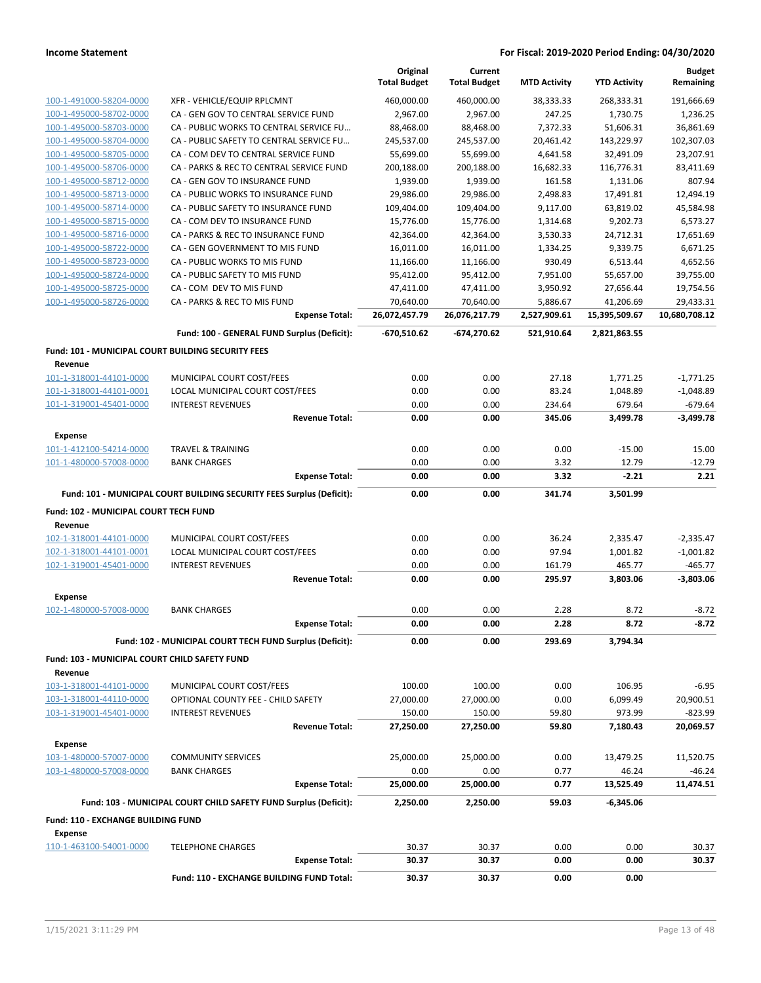|                                                    |                                                                       | Original<br><b>Total Budget</b> | Current<br><b>Total Budget</b> | <b>MTD Activity</b> | <b>YTD Activity</b> | <b>Budget</b><br>Remaining |
|----------------------------------------------------|-----------------------------------------------------------------------|---------------------------------|--------------------------------|---------------------|---------------------|----------------------------|
| 100-1-491000-58204-0000                            | XFR - VEHICLE/EQUIP RPLCMNT                                           | 460,000.00                      | 460,000.00                     | 38,333.33           | 268,333.31          | 191,666.69                 |
| 100-1-495000-58702-0000                            | CA - GEN GOV TO CENTRAL SERVICE FUND                                  | 2,967.00                        | 2,967.00                       | 247.25              | 1,730.75            | 1,236.25                   |
| 100-1-495000-58703-0000                            | CA - PUBLIC WORKS TO CENTRAL SERVICE FU                               | 88,468.00                       | 88,468.00                      | 7,372.33            | 51,606.31           | 36,861.69                  |
| 100-1-495000-58704-0000                            | CA - PUBLIC SAFETY TO CENTRAL SERVICE FU                              | 245,537.00                      | 245,537.00                     | 20,461.42           | 143,229.97          | 102,307.03                 |
| 100-1-495000-58705-0000                            | CA - COM DEV TO CENTRAL SERVICE FUND                                  | 55,699.00                       | 55,699.00                      | 4,641.58            | 32,491.09           | 23,207.91                  |
| 100-1-495000-58706-0000                            | CA - PARKS & REC TO CENTRAL SERVICE FUND                              | 200,188.00                      | 200,188.00                     | 16,682.33           | 116,776.31          | 83,411.69                  |
| 100-1-495000-58712-0000                            | CA - GEN GOV TO INSURANCE FUND                                        | 1,939.00                        | 1,939.00                       | 161.58              | 1,131.06            | 807.94                     |
| 100-1-495000-58713-0000                            | CA - PUBLIC WORKS TO INSURANCE FUND                                   | 29,986.00                       | 29,986.00                      | 2,498.83            | 17,491.81           | 12,494.19                  |
| 100-1-495000-58714-0000                            | CA - PUBLIC SAFETY TO INSURANCE FUND                                  | 109,404.00                      | 109,404.00                     | 9,117.00            | 63,819.02           | 45,584.98                  |
| 100-1-495000-58715-0000                            | CA - COM DEV TO INSURANCE FUND                                        | 15,776.00                       | 15,776.00                      | 1,314.68            | 9,202.73            | 6,573.27                   |
| 100-1-495000-58716-0000                            | CA - PARKS & REC TO INSURANCE FUND                                    | 42,364.00                       | 42,364.00                      | 3,530.33            | 24,712.31           | 17,651.69                  |
| 100-1-495000-58722-0000                            | CA - GEN GOVERNMENT TO MIS FUND                                       | 16,011.00                       | 16,011.00                      | 1,334.25            | 9,339.75            | 6,671.25                   |
| 100-1-495000-58723-0000                            | CA - PUBLIC WORKS TO MIS FUND                                         | 11,166.00                       | 11,166.00                      | 930.49              | 6,513.44            | 4,652.56                   |
| 100-1-495000-58724-0000                            | CA - PUBLIC SAFETY TO MIS FUND                                        | 95,412.00                       | 95,412.00                      | 7,951.00            | 55,657.00           | 39,755.00                  |
| 100-1-495000-58725-0000                            | CA - COM DEV TO MIS FUND                                              | 47,411.00                       | 47,411.00                      | 3,950.92            | 27,656.44           | 19,754.56                  |
| 100-1-495000-58726-0000                            | CA - PARKS & REC TO MIS FUND                                          | 70,640.00                       | 70,640.00                      | 5,886.67            | 41,206.69           | 29,433.31                  |
|                                                    | <b>Expense Total:</b>                                                 | 26,072,457.79                   | 26,076,217.79                  | 2,527,909.61        | 15,395,509.67       | 10,680,708.12              |
|                                                    | Fund: 100 - GENERAL FUND Surplus (Deficit):                           | -670,510.62                     | -674,270.62                    | 521,910.64          | 2,821,863.55        |                            |
| Fund: 101 - MUNICIPAL COURT BUILDING SECURITY FEES |                                                                       |                                 |                                |                     |                     |                            |
| Revenue                                            |                                                                       |                                 |                                |                     |                     |                            |
| 101-1-318001-44101-0000                            | MUNICIPAL COURT COST/FEES                                             | 0.00                            | 0.00                           | 27.18               | 1,771.25            | $-1,771.25$                |
| 101-1-318001-44101-0001                            | LOCAL MUNICIPAL COURT COST/FEES                                       | 0.00                            | 0.00                           | 83.24               | 1,048.89            | $-1,048.89$                |
| 101-1-319001-45401-0000                            | <b>INTEREST REVENUES</b><br><b>Revenue Total:</b>                     | 0.00<br>0.00                    | 0.00<br>0.00                   | 234.64<br>345.06    | 679.64<br>3,499.78  | $-679.64$<br>$-3.499.78$   |
|                                                    |                                                                       |                                 |                                |                     |                     |                            |
| <b>Expense</b>                                     |                                                                       |                                 |                                |                     |                     |                            |
| 101-1-412100-54214-0000                            | TRAVEL & TRAINING                                                     | 0.00                            | 0.00                           | 0.00                | $-15.00$            | 15.00                      |
| 101-1-480000-57008-0000                            | <b>BANK CHARGES</b><br><b>Expense Total:</b>                          | 0.00<br>0.00                    | 0.00<br>0.00                   | 3.32<br>3.32        | 12.79<br>$-2.21$    | $-12.79$<br>2.21           |
|                                                    |                                                                       |                                 |                                |                     |                     |                            |
|                                                    | Fund: 101 - MUNICIPAL COURT BUILDING SECURITY FEES Surplus (Deficit): | 0.00                            | 0.00                           | 341.74              | 3,501.99            |                            |
| Fund: 102 - MUNICIPAL COURT TECH FUND              |                                                                       |                                 |                                |                     |                     |                            |
| Revenue                                            |                                                                       |                                 |                                |                     |                     |                            |
| 102-1-318001-44101-0000                            | MUNICIPAL COURT COST/FEES                                             | 0.00                            | 0.00                           | 36.24               | 2,335.47            | $-2,335.47$                |
| 102-1-318001-44101-0001                            | LOCAL MUNICIPAL COURT COST/FEES                                       | 0.00                            | 0.00                           | 97.94               | 1,001.82            | $-1,001.82$                |
| 102-1-319001-45401-0000                            | <b>INTEREST REVENUES</b><br><b>Revenue Total:</b>                     | 0.00<br>0.00                    | 0.00<br>0.00                   | 161.79<br>295.97    | 465.77<br>3,803.06  | $-465.77$<br>$-3,803.06$   |
|                                                    |                                                                       |                                 |                                |                     |                     |                            |
| <b>Expense</b>                                     |                                                                       |                                 |                                |                     |                     |                            |
| 102-1-480000-57008-0000                            | <b>BANK CHARGES</b><br><b>Expense Total:</b>                          | 0.00<br>0.00                    | 0.00<br>0.00                   | 2.28<br>2.28        | 8.72<br>8.72        | $-8.72$<br>$-8.72$         |
|                                                    |                                                                       |                                 |                                |                     |                     |                            |
|                                                    | Fund: 102 - MUNICIPAL COURT TECH FUND Surplus (Deficit):              | 0.00                            | 0.00                           | 293.69              | 3,794.34            |                            |
| Fund: 103 - MUNICIPAL COURT CHILD SAFETY FUND      |                                                                       |                                 |                                |                     |                     |                            |
| Revenue                                            |                                                                       |                                 |                                |                     |                     |                            |
| 103-1-318001-44101-0000                            | MUNICIPAL COURT COST/FEES                                             | 100.00                          | 100.00                         | 0.00                | 106.95              | $-6.95$                    |
| 103-1-318001-44110-0000                            | OPTIONAL COUNTY FEE - CHILD SAFETY                                    | 27,000.00                       | 27,000.00                      | 0.00                | 6,099.49            | 20,900.51                  |
| 103-1-319001-45401-0000                            | <b>INTEREST REVENUES</b><br><b>Revenue Total:</b>                     | 150.00<br>27,250.00             | 150.00<br>27,250.00            | 59.80<br>59.80      | 973.99<br>7,180.43  | $-823.99$<br>20,069.57     |
|                                                    |                                                                       |                                 |                                |                     |                     |                            |
| <b>Expense</b>                                     |                                                                       |                                 |                                |                     |                     |                            |
| 103-1-480000-57007-0000                            | <b>COMMUNITY SERVICES</b>                                             | 25,000.00                       | 25,000.00                      | 0.00                | 13,479.25           | 11,520.75                  |
| 103-1-480000-57008-0000                            | <b>BANK CHARGES</b><br><b>Expense Total:</b>                          | 0.00<br>25,000.00               | 0.00<br>25,000.00              | 0.77<br>0.77        | 46.24<br>13,525.49  | $-46.24$<br>11,474.51      |
|                                                    |                                                                       |                                 |                                |                     |                     |                            |
|                                                    | Fund: 103 - MUNICIPAL COURT CHILD SAFETY FUND Surplus (Deficit):      | 2,250.00                        | 2,250.00                       | 59.03               | $-6,345.06$         |                            |
| Fund: 110 - EXCHANGE BUILDING FUND                 |                                                                       |                                 |                                |                     |                     |                            |
| Expense<br>110-1-463100-54001-0000                 | <b>TELEPHONE CHARGES</b>                                              | 30.37                           | 30.37                          | 0.00                | 0.00                | 30.37                      |
|                                                    | <b>Expense Total:</b>                                                 | 30.37                           | 30.37                          | 0.00                | 0.00                | 30.37                      |
|                                                    | Fund: 110 - EXCHANGE BUILDING FUND Total:                             | 30.37                           | 30.37                          | 0.00                | 0.00                |                            |
|                                                    |                                                                       |                                 |                                |                     |                     |                            |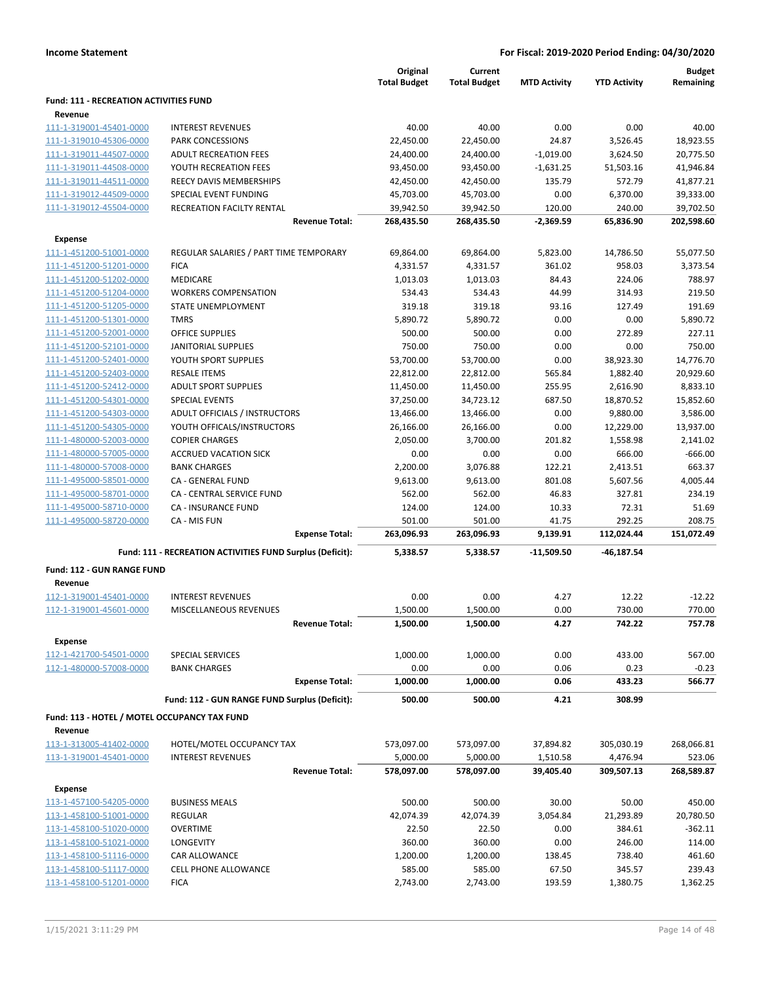|                                                    |                                                           | Original<br><b>Total Budget</b> | Current<br><b>Total Budget</b> | <b>MTD Activity</b>   | <b>YTD Activity</b>  | <b>Budget</b><br>Remaining |
|----------------------------------------------------|-----------------------------------------------------------|---------------------------------|--------------------------------|-----------------------|----------------------|----------------------------|
| <b>Fund: 111 - RECREATION ACTIVITIES FUND</b>      |                                                           |                                 |                                |                       |                      |                            |
| Revenue                                            |                                                           |                                 |                                |                       |                      |                            |
| 111-1-319001-45401-0000                            | <b>INTEREST REVENUES</b>                                  | 40.00                           | 40.00                          | 0.00                  | 0.00                 | 40.00                      |
| 111-1-319010-45306-0000                            | <b>PARK CONCESSIONS</b>                                   | 22,450.00                       | 22,450.00                      | 24.87                 | 3,526.45             | 18,923.55                  |
| 111-1-319011-44507-0000                            | <b>ADULT RECREATION FEES</b>                              | 24,400.00                       | 24,400.00                      | $-1,019.00$           | 3,624.50             | 20,775.50                  |
| 111-1-319011-44508-0000                            | YOUTH RECREATION FEES                                     | 93,450.00                       | 93,450.00                      | $-1,631.25$           | 51,503.16            | 41,946.84                  |
| 111-1-319011-44511-0000                            | REECY DAVIS MEMBERSHIPS                                   | 42,450.00                       | 42,450.00                      | 135.79                | 572.79               | 41,877.21                  |
| 111-1-319012-44509-0000                            | SPECIAL EVENT FUNDING                                     | 45,703.00                       | 45,703.00                      | 0.00                  | 6,370.00             | 39,333.00                  |
| 111-1-319012-45504-0000                            | <b>RECREATION FACILTY RENTAL</b><br><b>Revenue Total:</b> | 39,942.50<br>268,435.50         | 39,942.50<br>268,435.50        | 120.00<br>$-2,369.59$ | 240.00<br>65,836.90  | 39,702.50<br>202,598.60    |
|                                                    |                                                           |                                 |                                |                       |                      |                            |
| Expense                                            |                                                           |                                 |                                |                       |                      |                            |
| 111-1-451200-51001-0000                            | REGULAR SALARIES / PART TIME TEMPORARY                    | 69,864.00                       | 69,864.00                      | 5,823.00              | 14,786.50            | 55,077.50                  |
| 111-1-451200-51201-0000                            | <b>FICA</b>                                               | 4,331.57                        | 4,331.57                       | 361.02                | 958.03               | 3,373.54                   |
| 111-1-451200-51202-0000                            | MEDICARE                                                  | 1,013.03                        | 1,013.03                       | 84.43                 | 224.06               | 788.97                     |
| 111-1-451200-51204-0000                            | <b>WORKERS COMPENSATION</b>                               | 534.43                          | 534.43                         | 44.99                 | 314.93               | 219.50                     |
| 111-1-451200-51205-0000                            | <b>STATE UNEMPLOYMENT</b>                                 | 319.18                          | 319.18                         | 93.16                 | 127.49               | 191.69                     |
| 111-1-451200-51301-0000<br>111-1-451200-52001-0000 | <b>TMRS</b>                                               | 5,890.72                        | 5,890.72                       | 0.00                  | 0.00                 | 5,890.72                   |
|                                                    | <b>OFFICE SUPPLIES</b>                                    | 500.00                          | 500.00<br>750.00               | 0.00                  | 272.89               | 227.11                     |
| 111-1-451200-52101-0000                            | <b>JANITORIAL SUPPLIES</b>                                | 750.00                          |                                | 0.00                  | 0.00                 | 750.00                     |
| 111-1-451200-52401-0000                            | YOUTH SPORT SUPPLIES                                      | 53,700.00                       | 53,700.00                      | 0.00                  | 38,923.30            | 14,776.70                  |
| 111-1-451200-52403-0000                            | <b>RESALE ITEMS</b>                                       | 22,812.00                       | 22,812.00                      | 565.84                | 1,882.40             | 20,929.60                  |
| 111-1-451200-52412-0000                            | <b>ADULT SPORT SUPPLIES</b>                               | 11,450.00                       | 11,450.00                      | 255.95                | 2,616.90             | 8,833.10                   |
| 111-1-451200-54301-0000                            | <b>SPECIAL EVENTS</b>                                     | 37,250.00                       | 34,723.12                      | 687.50                | 18,870.52            | 15,852.60                  |
| 111-1-451200-54303-0000                            | ADULT OFFICIALS / INSTRUCTORS                             | 13,466.00                       | 13,466.00                      | 0.00                  | 9,880.00             | 3,586.00                   |
| 111-1-451200-54305-0000                            | YOUTH OFFICALS/INSTRUCTORS                                | 26,166.00                       | 26,166.00                      | 0.00                  | 12,229.00            | 13,937.00                  |
| 111-1-480000-52003-0000                            | <b>COPIER CHARGES</b>                                     | 2,050.00                        | 3,700.00                       | 201.82                | 1,558.98             | 2,141.02                   |
| 111-1-480000-57005-0000                            | <b>ACCRUED VACATION SICK</b>                              | 0.00                            | 0.00                           | 0.00                  | 666.00               | $-666.00$                  |
| 111-1-480000-57008-0000                            | <b>BANK CHARGES</b>                                       | 2,200.00                        | 3,076.88                       | 122.21                | 2,413.51             | 663.37                     |
| 111-1-495000-58501-0000                            | CA - GENERAL FUND                                         | 9,613.00                        | 9,613.00                       | 801.08                | 5,607.56             | 4,005.44                   |
| 111-1-495000-58701-0000                            | CA - CENTRAL SERVICE FUND                                 | 562.00                          | 562.00                         | 46.83                 | 327.81               | 234.19                     |
| 111-1-495000-58710-0000                            | <b>CA - INSURANCE FUND</b>                                | 124.00                          | 124.00                         | 10.33                 | 72.31                | 51.69                      |
| 111-1-495000-58720-0000                            | CA - MIS FUN<br><b>Expense Total:</b>                     | 501.00<br>263,096.93            | 501.00<br>263,096.93           | 41.75<br>9,139.91     | 292.25<br>112,024.44 | 208.75<br>151,072.49       |
|                                                    |                                                           |                                 |                                |                       |                      |                            |
|                                                    | Fund: 111 - RECREATION ACTIVITIES FUND Surplus (Deficit): | 5,338.57                        | 5,338.57                       | -11,509.50            | -46,187.54           |                            |
| <b>Fund: 112 - GUN RANGE FUND</b>                  |                                                           |                                 |                                |                       |                      |                            |
| Revenue                                            |                                                           |                                 |                                |                       |                      |                            |
| 112-1-319001-45401-0000                            | <b>INTEREST REVENUES</b>                                  | 0.00                            | 0.00                           | 4.27                  | 12.22                | $-12.22$                   |
| 112-1-319001-45601-0000                            | <b>MISCELLANEOUS REVENUES</b>                             | 1,500.00                        | 1,500.00                       | 0.00                  | 730.00               | 770.00                     |
|                                                    | <b>Revenue Total:</b>                                     | 1,500.00                        | 1,500.00                       | 4.27                  | 742.22               | 757.78                     |
| <b>Expense</b>                                     |                                                           |                                 |                                |                       |                      |                            |
| 112-1-421700-54501-0000                            | SPECIAL SERVICES                                          | 1,000.00                        | 1,000.00                       | 0.00                  | 433.00               | 567.00                     |
| 112-1-480000-57008-0000                            | <b>BANK CHARGES</b>                                       | 0.00                            | 0.00                           | 0.06                  | 0.23                 | $-0.23$                    |
|                                                    | <b>Expense Total:</b>                                     | 1,000.00                        | 1,000.00                       | 0.06                  | 433.23               | 566.77                     |
|                                                    | Fund: 112 - GUN RANGE FUND Surplus (Deficit):             | 500.00                          | 500.00                         | 4.21                  | 308.99               |                            |
| Fund: 113 - HOTEL / MOTEL OCCUPANCY TAX FUND       |                                                           |                                 |                                |                       |                      |                            |
| Revenue                                            |                                                           |                                 |                                |                       |                      |                            |
| 113-1-313005-41402-0000                            | HOTEL/MOTEL OCCUPANCY TAX                                 | 573,097.00                      | 573,097.00                     | 37,894.82             | 305,030.19           | 268,066.81                 |
| 113-1-319001-45401-0000                            | <b>INTEREST REVENUES</b>                                  | 5,000.00                        | 5,000.00                       | 1,510.58              | 4,476.94             | 523.06                     |
|                                                    | <b>Revenue Total:</b>                                     | 578,097.00                      | 578,097.00                     | 39,405.40             | 309,507.13           | 268,589.87                 |
| <b>Expense</b>                                     |                                                           |                                 |                                |                       |                      |                            |
| 113-1-457100-54205-0000                            | <b>BUSINESS MEALS</b>                                     | 500.00                          | 500.00                         | 30.00                 | 50.00                | 450.00                     |
| 113-1-458100-51001-0000                            | REGULAR                                                   | 42,074.39                       | 42,074.39                      | 3,054.84              | 21,293.89            | 20,780.50                  |
| 113-1-458100-51020-0000                            | <b>OVERTIME</b>                                           | 22.50                           | 22.50                          | 0.00                  | 384.61               | $-362.11$                  |
| 113-1-458100-51021-0000                            | LONGEVITY                                                 | 360.00                          | 360.00                         | 0.00                  | 246.00               | 114.00                     |
| 113-1-458100-51116-0000                            | CAR ALLOWANCE                                             | 1,200.00                        | 1,200.00                       | 138.45                | 738.40               | 461.60                     |
| 113-1-458100-51117-0000                            | CELL PHONE ALLOWANCE                                      | 585.00                          | 585.00                         | 67.50                 | 345.57               | 239.43                     |
| 113-1-458100-51201-0000                            | <b>FICA</b>                                               | 2,743.00                        | 2,743.00                       | 193.59                | 1,380.75             | 1,362.25                   |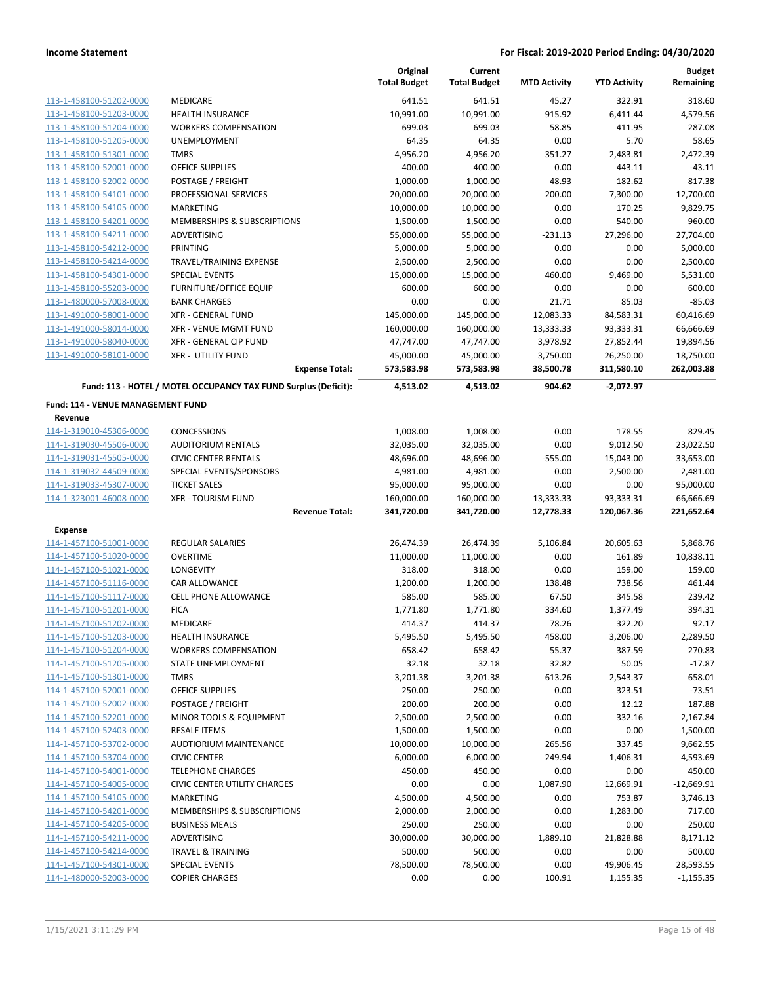|                                   |                                                                 | Original<br><b>Total Budget</b> | Current<br><b>Total Budget</b> | <b>MTD Activity</b> | <b>YTD Activity</b> | <b>Budget</b><br>Remaining |
|-----------------------------------|-----------------------------------------------------------------|---------------------------------|--------------------------------|---------------------|---------------------|----------------------------|
| 113-1-458100-51202-0000           | MEDICARE                                                        | 641.51                          | 641.51                         | 45.27               | 322.91              | 318.60                     |
| 113-1-458100-51203-0000           | <b>HEALTH INSURANCE</b>                                         | 10,991.00                       | 10,991.00                      | 915.92              | 6,411.44            | 4,579.56                   |
| 113-1-458100-51204-0000           | <b>WORKERS COMPENSATION</b>                                     | 699.03                          | 699.03                         | 58.85               | 411.95              | 287.08                     |
| 113-1-458100-51205-0000           | <b>UNEMPLOYMENT</b>                                             | 64.35                           | 64.35                          | 0.00                | 5.70                | 58.65                      |
| 113-1-458100-51301-0000           | <b>TMRS</b>                                                     | 4,956.20                        | 4,956.20                       | 351.27              | 2,483.81            | 2,472.39                   |
| 113-1-458100-52001-0000           | <b>OFFICE SUPPLIES</b>                                          | 400.00                          | 400.00                         | 0.00                | 443.11              | $-43.11$                   |
| 113-1-458100-52002-0000           | POSTAGE / FREIGHT                                               | 1,000.00                        | 1,000.00                       | 48.93               | 182.62              | 817.38                     |
| 113-1-458100-54101-0000           | PROFESSIONAL SERVICES                                           | 20,000.00                       | 20,000.00                      | 200.00              | 7,300.00            | 12.700.00                  |
| 113-1-458100-54105-0000           | <b>MARKETING</b>                                                | 10,000.00                       | 10,000.00                      | 0.00                | 170.25              | 9,829.75                   |
| 113-1-458100-54201-0000           | MEMBERSHIPS & SUBSCRIPTIONS                                     | 1,500.00                        | 1,500.00                       | 0.00                | 540.00              | 960.00                     |
| 113-1-458100-54211-0000           | ADVERTISING                                                     | 55,000.00                       | 55,000.00                      | $-231.13$           | 27,296.00           | 27,704.00                  |
| 113-1-458100-54212-0000           | <b>PRINTING</b>                                                 | 5,000.00                        | 5,000.00                       | 0.00                | 0.00                | 5,000.00                   |
| 113-1-458100-54214-0000           | TRAVEL/TRAINING EXPENSE                                         | 2,500.00                        | 2,500.00                       | 0.00                | 0.00                | 2,500.00                   |
| 113-1-458100-54301-0000           | <b>SPECIAL EVENTS</b>                                           | 15,000.00                       | 15,000.00                      | 460.00              | 9,469.00            | 5,531.00                   |
| 113-1-458100-55203-0000           | <b>FURNITURE/OFFICE EQUIP</b>                                   | 600.00                          | 600.00                         | 0.00                | 0.00                | 600.00                     |
| 113-1-480000-57008-0000           | <b>BANK CHARGES</b>                                             | 0.00                            | 0.00                           | 21.71               | 85.03               | $-85.03$                   |
| 113-1-491000-58001-0000           | <b>XFR - GENERAL FUND</b>                                       | 145,000.00                      | 145,000.00                     | 12,083.33           | 84,583.31           | 60,416.69                  |
| 113-1-491000-58014-0000           | <b>XFR - VENUE MGMT FUND</b>                                    | 160,000.00                      | 160,000.00                     | 13,333.33           | 93,333.31           | 66,666.69                  |
| 113-1-491000-58040-0000           | <b>XFR - GENERAL CIP FUND</b>                                   | 47,747.00                       | 47,747.00                      | 3,978.92            | 27,852.44           | 19,894.56                  |
| 113-1-491000-58101-0000           | <b>XFR - UTILITY FUND</b>                                       | 45,000.00                       | 45,000.00                      | 3,750.00            | 26,250.00           | 18,750.00                  |
|                                   | <b>Expense Total:</b>                                           | 573,583.98                      | 573,583.98                     | 38,500.78           | 311,580.10          | 262,003.88                 |
|                                   | Fund: 113 - HOTEL / MOTEL OCCUPANCY TAX FUND Surplus (Deficit): | 4,513.02                        | 4,513.02                       | 904.62              | $-2,072.97$         |                            |
| Fund: 114 - VENUE MANAGEMENT FUND |                                                                 |                                 |                                |                     |                     |                            |
| Revenue                           |                                                                 |                                 |                                |                     |                     |                            |
| 114-1-319010-45306-0000           | <b>CONCESSIONS</b>                                              | 1,008.00                        | 1,008.00                       | 0.00                | 178.55              | 829.45                     |
| 114-1-319030-45506-0000           | <b>AUDITORIUM RENTALS</b>                                       | 32,035.00                       | 32,035.00                      | 0.00                | 9,012.50            | 23,022.50                  |
| 114-1-319031-45505-0000           | <b>CIVIC CENTER RENTALS</b>                                     | 48,696.00                       | 48,696.00                      | $-555.00$           | 15,043.00           | 33,653.00                  |
| 114-1-319032-44509-0000           | SPECIAL EVENTS/SPONSORS                                         | 4,981.00                        | 4,981.00                       | 0.00                | 2,500.00            | 2,481.00                   |
| 114-1-319033-45307-0000           | <b>TICKET SALES</b>                                             | 95,000.00                       | 95,000.00                      | 0.00                | 0.00                | 95,000.00                  |
| 114-1-323001-46008-0000           | <b>XFR - TOURISM FUND</b>                                       | 160,000.00                      | 160,000.00                     | 13,333.33           | 93,333.31           | 66,666.69                  |
|                                   | <b>Revenue Total:</b>                                           | 341,720.00                      | 341,720.00                     | 12,778.33           | 120,067.36          | 221,652.64                 |
| <b>Expense</b>                    |                                                                 |                                 |                                |                     |                     |                            |
| 114-1-457100-51001-0000           | REGULAR SALARIES                                                | 26,474.39                       | 26,474.39                      | 5,106.84            | 20,605.63           | 5,868.76                   |
| 114-1-457100-51020-0000           | <b>OVERTIME</b>                                                 | 11,000.00                       | 11,000.00                      | 0.00                | 161.89              | 10,838.11                  |
| 114-1-457100-51021-0000           | LONGEVITY                                                       | 318.00                          | 318.00                         | 0.00                | 159.00              | 159.00                     |
| 114-1-457100-51116-0000           | CAR ALLOWANCE                                                   | 1,200.00                        | 1,200.00                       | 138.48              | 738.56              | 461.44                     |
| 114-1-457100-51117-0000           | <b>CELL PHONE ALLOWANCE</b>                                     | 585.00                          | 585.00                         | 67.50               | 345.58              | 239.42                     |
| 114-1-457100-51201-0000           | <b>FICA</b>                                                     | 1,771.80                        | 1,771.80                       | 334.60              | 1,377.49            | 394.31                     |
| 114-1-457100-51202-0000           | MEDICARE                                                        | 414.37                          | 414.37                         | 78.26               | 322.20              | 92.17                      |
| 114-1-457100-51203-0000           | <b>HEALTH INSURANCE</b>                                         | 5,495.50                        | 5,495.50                       | 458.00              | 3,206.00            | 2,289.50                   |
| 114-1-457100-51204-0000           | <b>WORKERS COMPENSATION</b>                                     | 658.42                          | 658.42                         | 55.37               | 387.59              | 270.83                     |
| 114-1-457100-51205-0000           | STATE UNEMPLOYMENT                                              | 32.18                           | 32.18                          | 32.82               | 50.05               | $-17.87$                   |
| 114-1-457100-51301-0000           | <b>TMRS</b>                                                     | 3,201.38                        | 3,201.38                       | 613.26              | 2,543.37            | 658.01                     |
| 114-1-457100-52001-0000           | <b>OFFICE SUPPLIES</b>                                          | 250.00                          | 250.00                         | 0.00                | 323.51              | $-73.51$                   |
| 114-1-457100-52002-0000           | POSTAGE / FREIGHT                                               | 200.00                          | 200.00                         | 0.00                | 12.12               | 187.88                     |
| 114-1-457100-52201-0000           | <b>MINOR TOOLS &amp; EQUIPMENT</b>                              | 2,500.00                        | 2,500.00                       | 0.00                | 332.16              | 2,167.84                   |
| 114-1-457100-52403-0000           | <b>RESALE ITEMS</b>                                             | 1,500.00                        | 1,500.00                       | 0.00                | 0.00                | 1,500.00                   |
| 114-1-457100-53702-0000           | <b>AUDTIORIUM MAINTENANCE</b>                                   | 10,000.00                       | 10,000.00                      | 265.56              | 337.45              | 9,662.55                   |
| 114-1-457100-53704-0000           | <b>CIVIC CENTER</b>                                             | 6,000.00                        | 6,000.00                       | 249.94              | 1,406.31            | 4,593.69                   |
| 114-1-457100-54001-0000           | <b>TELEPHONE CHARGES</b>                                        | 450.00                          | 450.00                         | 0.00                | 0.00                | 450.00                     |
| 114-1-457100-54005-0000           | <b>CIVIC CENTER UTILITY CHARGES</b>                             | 0.00                            | 0.00                           | 1,087.90            | 12,669.91           | $-12,669.91$               |
| 114-1-457100-54105-0000           | <b>MARKETING</b>                                                | 4,500.00                        | 4,500.00                       | 0.00                | 753.87              | 3,746.13                   |
| 114-1-457100-54201-0000           | MEMBERSHIPS & SUBSCRIPTIONS                                     | 2,000.00                        | 2,000.00                       | 0.00                | 1,283.00            | 717.00                     |
| 114-1-457100-54205-0000           | <b>BUSINESS MEALS</b>                                           | 250.00                          | 250.00                         | 0.00                | 0.00                | 250.00                     |
| 114-1-457100-54211-0000           | ADVERTISING                                                     | 30,000.00                       | 30,000.00                      | 1,889.10            | 21,828.88           | 8,171.12                   |
| 114-1-457100-54214-0000           | <b>TRAVEL &amp; TRAINING</b>                                    | 500.00                          | 500.00                         | 0.00                | 0.00                | 500.00                     |
| 114-1-457100-54301-0000           | <b>SPECIAL EVENTS</b>                                           | 78,500.00                       | 78,500.00                      | 0.00                | 49,906.45           | 28,593.55                  |
| 114-1-480000-52003-0000           | <b>COPIER CHARGES</b>                                           | 0.00                            | 0.00                           | 100.91              | 1,155.35            | $-1,155.35$                |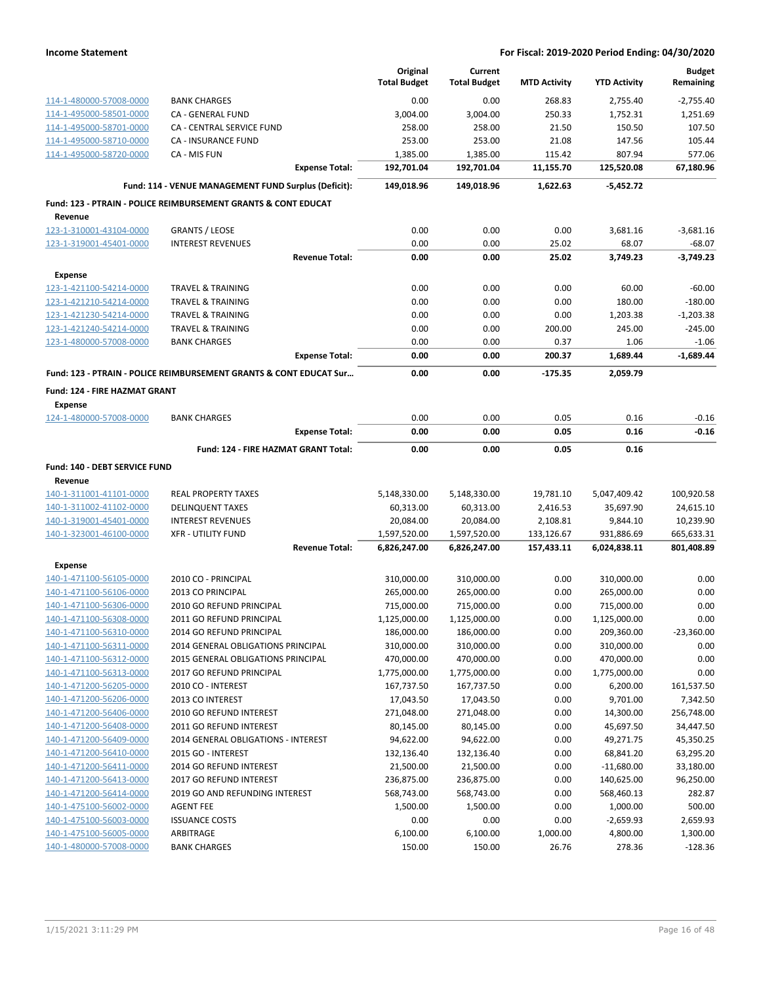|                               |                                                                               |                       | Original<br><b>Total Budget</b> | Current<br><b>Total Budget</b> | <b>MTD Activity</b> | <b>YTD Activity</b> | <b>Budget</b><br>Remaining |
|-------------------------------|-------------------------------------------------------------------------------|-----------------------|---------------------------------|--------------------------------|---------------------|---------------------|----------------------------|
| 114-1-480000-57008-0000       | <b>BANK CHARGES</b>                                                           |                       | 0.00                            | 0.00                           | 268.83              | 2,755.40            | $-2,755.40$                |
| 114-1-495000-58501-0000       | CA - GENERAL FUND                                                             |                       | 3,004.00                        | 3,004.00                       | 250.33              | 1,752.31            | 1,251.69                   |
| 114-1-495000-58701-0000       | CA - CENTRAL SERVICE FUND                                                     |                       | 258.00                          | 258.00                         | 21.50               | 150.50              | 107.50                     |
| 114-1-495000-58710-0000       | CA - INSURANCE FUND                                                           |                       | 253.00                          | 253.00                         | 21.08               | 147.56              | 105.44                     |
| 114-1-495000-58720-0000       | CA - MIS FUN                                                                  |                       | 1,385.00                        | 1,385.00                       | 115.42              | 807.94              | 577.06                     |
|                               |                                                                               | <b>Expense Total:</b> | 192,701.04                      | 192,701.04                     | 11,155.70           | 125,520.08          | 67,180.96                  |
|                               | Fund: 114 - VENUE MANAGEMENT FUND Surplus (Deficit):                          |                       | 149,018.96                      | 149,018.96                     | 1,622.63            | $-5,452.72$         |                            |
|                               | <b>Fund: 123 - PTRAIN - POLICE REIMBURSEMENT GRANTS &amp; CONT EDUCAT</b>     |                       |                                 |                                |                     |                     |                            |
| Revenue                       |                                                                               |                       |                                 |                                |                     |                     |                            |
| 123-1-310001-43104-0000       | <b>GRANTS / LEOSE</b>                                                         |                       | 0.00                            | 0.00                           | 0.00                | 3,681.16            | $-3,681.16$                |
| 123-1-319001-45401-0000       | <b>INTEREST REVENUES</b>                                                      |                       | 0.00                            | 0.00                           | 25.02               | 68.07               | $-68.07$                   |
|                               |                                                                               | <b>Revenue Total:</b> | 0.00                            | 0.00                           | 25.02               | 3,749.23            | $-3,749.23$                |
| <b>Expense</b>                |                                                                               |                       |                                 |                                |                     |                     |                            |
| 123-1-421100-54214-0000       | <b>TRAVEL &amp; TRAINING</b>                                                  |                       | 0.00                            | 0.00                           | 0.00                | 60.00               | $-60.00$                   |
| 123-1-421210-54214-0000       | <b>TRAVEL &amp; TRAINING</b>                                                  |                       | 0.00                            | 0.00                           | 0.00                | 180.00              | $-180.00$                  |
| 123-1-421230-54214-0000       | <b>TRAVEL &amp; TRAINING</b>                                                  |                       | 0.00                            | 0.00                           | 0.00                | 1,203.38            | $-1,203.38$                |
| 123-1-421240-54214-0000       | <b>TRAVEL &amp; TRAINING</b>                                                  |                       | 0.00                            | 0.00                           | 200.00              | 245.00              | $-245.00$                  |
| 123-1-480000-57008-0000       | <b>BANK CHARGES</b>                                                           |                       | 0.00                            | 0.00                           | 0.37                | 1.06                | $-1.06$                    |
|                               |                                                                               | <b>Expense Total:</b> | 0.00                            | 0.00                           | 200.37              | 1,689.44            | $-1,689.44$                |
|                               | <b>Fund: 123 - PTRAIN - POLICE REIMBURSEMENT GRANTS &amp; CONT EDUCAT Sur</b> |                       | 0.00                            | 0.00                           | -175.35             | 2,059.79            |                            |
| Fund: 124 - FIRE HAZMAT GRANT |                                                                               |                       |                                 |                                |                     |                     |                            |
| <b>Expense</b>                |                                                                               |                       |                                 |                                |                     |                     |                            |
| 124-1-480000-57008-0000       | <b>BANK CHARGES</b>                                                           |                       | 0.00                            | 0.00                           | 0.05                | 0.16                | $-0.16$                    |
|                               |                                                                               | <b>Expense Total:</b> | 0.00                            | 0.00                           | 0.05                | 0.16                | $-0.16$                    |
|                               | Fund: 124 - FIRE HAZMAT GRANT Total:                                          |                       | 0.00                            | 0.00                           | 0.05                | 0.16                |                            |
| Fund: 140 - DEBT SERVICE FUND |                                                                               |                       |                                 |                                |                     |                     |                            |
| Revenue                       |                                                                               |                       |                                 |                                |                     |                     |                            |
| 140-1-311001-41101-0000       | <b>REAL PROPERTY TAXES</b>                                                    |                       | 5,148,330.00                    | 5,148,330.00                   | 19,781.10           | 5,047,409.42        | 100,920.58                 |
| 140-1-311002-41102-0000       | <b>DELINQUENT TAXES</b>                                                       |                       | 60,313.00                       | 60,313.00                      | 2,416.53            | 35,697.90           | 24,615.10                  |
| 140-1-319001-45401-0000       | <b>INTEREST REVENUES</b>                                                      |                       | 20,084.00                       | 20,084.00                      | 2,108.81            | 9,844.10            | 10,239.90                  |
| 140-1-323001-46100-0000       | <b>XFR - UTILITY FUND</b>                                                     |                       | 1,597,520.00                    | 1,597,520.00                   | 133,126.67          | 931,886.69          | 665,633.31                 |
|                               |                                                                               | <b>Revenue Total:</b> | 6,826,247.00                    | 6,826,247.00                   | 157,433.11          | 6,024,838.11        | 801,408.89                 |
| <b>Expense</b>                |                                                                               |                       |                                 |                                |                     |                     |                            |
| 140-1-471100-56105-0000       | 2010 CO - PRINCIPAL                                                           |                       | 310,000.00                      | 310,000.00                     | 0.00                | 310,000.00          | 0.00                       |
| 140-1-471100-56106-0000       | 2013 CO PRINCIPAL                                                             |                       | 265,000.00                      | 265,000.00                     | 0.00                | 265,000.00          | 0.00                       |
| 140-1-471100-56306-0000       | 2010 GO REFUND PRINCIPAL                                                      |                       | 715,000.00                      | 715,000.00                     | 0.00                | 715,000.00          | 0.00                       |
| 140-1-471100-56308-0000       | 2011 GO REFUND PRINCIPAL                                                      |                       | 1,125,000.00                    | 1,125,000.00                   | 0.00                | 1,125,000.00        | 0.00                       |
| 140-1-471100-56310-0000       | 2014 GO REFUND PRINCIPAL                                                      |                       | 186,000.00                      | 186,000.00                     | 0.00                | 209,360.00          | $-23,360.00$               |
| 140-1-471100-56311-0000       | 2014 GENERAL OBLIGATIONS PRINCIPAL                                            |                       | 310,000.00                      | 310,000.00                     | 0.00                | 310,000.00          | 0.00                       |
| 140-1-471100-56312-0000       | 2015 GENERAL OBLIGATIONS PRINCIPAL                                            |                       | 470,000.00                      | 470,000.00                     | 0.00                | 470,000.00          | 0.00                       |
| 140-1-471100-56313-0000       | 2017 GO REFUND PRINCIPAL                                                      |                       | 1,775,000.00                    | 1,775,000.00                   | 0.00                | 1,775,000.00        | 0.00                       |
| 140-1-471200-56205-0000       | 2010 CO - INTEREST                                                            |                       | 167,737.50                      | 167,737.50                     | 0.00                | 6,200.00            | 161,537.50                 |
| 140-1-471200-56206-0000       | 2013 CO INTEREST                                                              |                       | 17,043.50                       | 17,043.50                      | 0.00                | 9,701.00            | 7,342.50                   |
| 140-1-471200-56406-0000       | 2010 GO REFUND INTEREST                                                       |                       | 271,048.00                      | 271,048.00                     | 0.00                | 14,300.00           | 256,748.00                 |
| 140-1-471200-56408-0000       | 2011 GO REFUND INTEREST                                                       |                       | 80,145.00                       | 80,145.00                      | 0.00                | 45,697.50           | 34,447.50                  |
| 140-1-471200-56409-0000       | 2014 GENERAL OBLIGATIONS - INTEREST                                           |                       | 94,622.00                       | 94,622.00                      | 0.00                | 49,271.75           | 45,350.25                  |
| 140-1-471200-56410-0000       | 2015 GO - INTEREST                                                            |                       | 132,136.40                      | 132,136.40                     | 0.00                | 68,841.20           | 63,295.20                  |
| 140-1-471200-56411-0000       | 2014 GO REFUND INTEREST                                                       |                       | 21,500.00                       | 21,500.00                      | 0.00                | $-11,680.00$        | 33,180.00                  |
| 140-1-471200-56413-0000       | 2017 GO REFUND INTEREST                                                       |                       | 236,875.00                      | 236,875.00                     | 0.00                | 140,625.00          | 96,250.00                  |
| 140-1-471200-56414-0000       | 2019 GO AND REFUNDING INTEREST                                                |                       | 568,743.00                      | 568,743.00                     | 0.00                | 568,460.13          | 282.87                     |
| 140-1-475100-56002-0000       | <b>AGENT FEE</b>                                                              |                       | 1,500.00                        | 1,500.00                       | 0.00                | 1,000.00            | 500.00                     |
| 140-1-475100-56003-0000       | <b>ISSUANCE COSTS</b>                                                         |                       | 0.00                            | 0.00                           | 0.00                | $-2,659.93$         | 2,659.93                   |
| 140-1-475100-56005-0000       | ARBITRAGE                                                                     |                       | 6,100.00                        | 6,100.00                       | 1,000.00            | 4,800.00            | 1,300.00                   |
|                               |                                                                               |                       |                                 |                                |                     |                     |                            |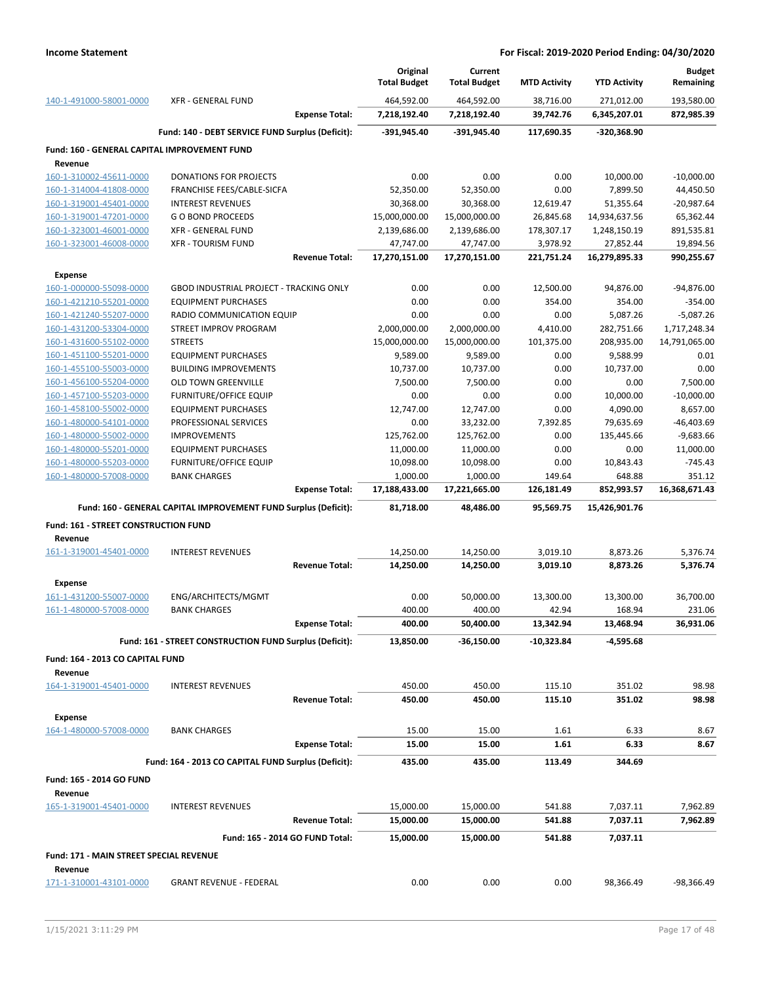|                                                    |                                                                 |                       | Original<br><b>Total Budget</b> | Current<br><b>Total Budget</b> | <b>MTD Activity</b> | <b>YTD Activity</b> | <b>Budget</b><br>Remaining |
|----------------------------------------------------|-----------------------------------------------------------------|-----------------------|---------------------------------|--------------------------------|---------------------|---------------------|----------------------------|
| 140-1-491000-58001-0000                            | <b>XFR - GENERAL FUND</b>                                       |                       | 464,592.00                      | 464,592.00                     | 38,716.00           | 271,012.00          | 193,580.00                 |
|                                                    |                                                                 | <b>Expense Total:</b> | 7,218,192.40                    | 7,218,192.40                   | 39,742.76           | 6,345,207.01        | 872,985.39                 |
|                                                    | Fund: 140 - DEBT SERVICE FUND Surplus (Deficit):                |                       | -391,945.40                     | $-391,945.40$                  | 117,690.35          | -320,368.90         |                            |
| Fund: 160 - GENERAL CAPITAL IMPROVEMENT FUND       |                                                                 |                       |                                 |                                |                     |                     |                            |
| Revenue                                            |                                                                 |                       |                                 |                                |                     |                     |                            |
| 160-1-310002-45611-0000                            | <b>DONATIONS FOR PROJECTS</b>                                   |                       | 0.00                            | 0.00                           | 0.00                | 10,000.00           | $-10,000.00$               |
| 160-1-314004-41808-0000                            | FRANCHISE FEES/CABLE-SICFA                                      |                       | 52,350.00                       | 52,350.00                      | 0.00                | 7,899.50            | 44,450.50                  |
| 160-1-319001-45401-0000                            | <b>INTEREST REVENUES</b>                                        |                       | 30,368.00                       | 30,368.00                      | 12,619.47           | 51,355.64           | $-20,987.64$               |
| 160-1-319001-47201-0000                            | <b>GO BOND PROCEEDS</b>                                         |                       | 15,000,000.00                   | 15,000,000.00                  | 26,845.68           | 14,934,637.56       | 65,362.44                  |
| 160-1-323001-46001-0000                            | XFR - GENERAL FUND                                              |                       | 2,139,686.00                    | 2,139,686.00                   | 178,307.17          | 1,248,150.19        | 891,535.81                 |
| 160-1-323001-46008-0000                            | <b>XFR - TOURISM FUND</b>                                       |                       | 47,747.00                       | 47,747.00                      | 3,978.92            | 27,852.44           | 19,894.56                  |
|                                                    |                                                                 | <b>Revenue Total:</b> | 17,270,151.00                   | 17,270,151.00                  | 221,751.24          | 16,279,895.33       | 990,255.67                 |
| <b>Expense</b>                                     |                                                                 |                       |                                 |                                |                     |                     |                            |
| 160-1-000000-55098-0000                            | GBOD INDUSTRIAL PROJECT - TRACKING ONLY                         |                       | 0.00                            | 0.00                           | 12,500.00           | 94,876.00           | $-94,876.00$               |
| 160-1-421210-55201-0000                            | <b>EQUIPMENT PURCHASES</b>                                      |                       | 0.00                            | 0.00                           | 354.00              | 354.00              | $-354.00$                  |
| 160-1-421240-55207-0000                            | RADIO COMMUNICATION EQUIP                                       |                       | 0.00                            | 0.00                           | 0.00                | 5,087.26            | $-5,087.26$                |
| 160-1-431200-53304-0000                            | STREET IMPROV PROGRAM                                           |                       | 2,000,000.00                    | 2,000,000.00                   | 4,410.00            | 282,751.66          | 1,717,248.34               |
| 160-1-431600-55102-0000                            | <b>STREETS</b>                                                  |                       | 15,000,000.00                   | 15,000,000.00                  | 101,375.00          | 208,935.00          | 14,791,065.00              |
| 160-1-451100-55201-0000                            | <b>EQUIPMENT PURCHASES</b>                                      |                       | 9,589.00                        | 9,589.00                       | 0.00                | 9,588.99            | 0.01                       |
| 160-1-455100-55003-0000                            | <b>BUILDING IMPROVEMENTS</b>                                    |                       | 10,737.00                       | 10,737.00                      | 0.00                | 10,737.00           | 0.00                       |
| 160-1-456100-55204-0000                            | <b>OLD TOWN GREENVILLE</b>                                      |                       | 7,500.00                        | 7,500.00                       | 0.00                | 0.00                | 7,500.00                   |
| 160-1-457100-55203-0000                            | <b>FURNITURE/OFFICE EQUIP</b>                                   |                       | 0.00                            | 0.00                           | 0.00                | 10,000.00           | $-10,000.00$               |
| 160-1-458100-55002-0000                            | <b>EQUIPMENT PURCHASES</b>                                      |                       | 12,747.00                       | 12,747.00                      | 0.00                | 4,090.00            | 8,657.00                   |
| 160-1-480000-54101-0000                            | PROFESSIONAL SERVICES                                           |                       | 0.00                            | 33,232.00                      | 7,392.85            | 79,635.69           | $-46,403.69$               |
| 160-1-480000-55002-0000                            | <b>IMPROVEMENTS</b>                                             |                       | 125,762.00                      | 125,762.00                     | 0.00                | 135,445.66          | $-9,683.66$                |
| 160-1-480000-55201-0000                            | <b>EQUIPMENT PURCHASES</b>                                      |                       | 11,000.00                       | 11,000.00                      | 0.00                | 0.00                | 11,000.00                  |
| 160-1-480000-55203-0000                            | <b>FURNITURE/OFFICE EQUIP</b>                                   |                       | 10,098.00                       | 10,098.00                      | 0.00                | 10,843.43           | $-745.43$                  |
| 160-1-480000-57008-0000                            | <b>BANK CHARGES</b>                                             |                       | 1,000.00                        | 1,000.00                       | 149.64              | 648.88              | 351.12                     |
|                                                    |                                                                 | <b>Expense Total:</b> | 17,188,433.00                   | 17,221,665.00                  | 126,181.49          | 852,993.57          | 16,368,671.43              |
|                                                    | Fund: 160 - GENERAL CAPITAL IMPROVEMENT FUND Surplus (Deficit): |                       | 81,718.00                       | 48,486.00                      | 95,569.75           | 15,426,901.76       |                            |
| Fund: 161 - STREET CONSTRUCTION FUND               |                                                                 |                       |                                 |                                |                     |                     |                            |
| Revenue                                            |                                                                 |                       |                                 |                                |                     |                     |                            |
| 161-1-319001-45401-0000                            | <b>INTEREST REVENUES</b>                                        |                       | 14,250.00                       | 14,250.00                      | 3,019.10            | 8,873.26            | 5,376.74                   |
|                                                    |                                                                 |                       |                                 |                                |                     |                     |                            |
|                                                    |                                                                 | <b>Revenue Total:</b> | 14,250.00                       | 14,250.00                      | 3,019.10            | 8,873.26            | 5,376.74                   |
| <b>Expense</b>                                     |                                                                 |                       |                                 |                                |                     |                     |                            |
| 161-1-431200-55007-0000                            | ENG/ARCHITECTS/MGMT                                             |                       | 0.00                            | 50,000.00                      | 13,300.00           | 13,300.00           | 36,700.00                  |
| 161-1-480000-57008-0000                            | <b>BANK CHARGES</b>                                             |                       | 400.00                          | 400.00                         | 42.94               | 168.94              | 231.06                     |
|                                                    |                                                                 | <b>Expense Total:</b> | 400.00                          | 50,400.00                      | 13,342.94           | 13,468.94           | 36,931.06                  |
|                                                    | Fund: 161 - STREET CONSTRUCTION FUND Surplus (Deficit):         |                       | 13,850.00                       | $-36,150.00$                   | -10,323.84          | -4,595.68           |                            |
|                                                    |                                                                 |                       |                                 |                                |                     |                     |                            |
| Fund: 164 - 2013 CO CAPITAL FUND                   |                                                                 |                       |                                 |                                |                     |                     |                            |
| Revenue                                            |                                                                 |                       |                                 |                                |                     |                     |                            |
| 164-1-319001-45401-0000                            | <b>INTEREST REVENUES</b>                                        |                       | 450.00                          | 450.00                         | 115.10              | 351.02              | 98.98                      |
|                                                    |                                                                 | <b>Revenue Total:</b> | 450.00                          | 450.00                         | 115.10              | 351.02              | 98.98                      |
| Expense                                            |                                                                 |                       |                                 |                                |                     |                     |                            |
| 164-1-480000-57008-0000                            | <b>BANK CHARGES</b>                                             |                       | 15.00                           | 15.00                          | 1.61                | 6.33                | 8.67                       |
|                                                    |                                                                 | <b>Expense Total:</b> | 15.00                           | 15.00                          | 1.61                | 6.33                | 8.67                       |
|                                                    | Fund: 164 - 2013 CO CAPITAL FUND Surplus (Deficit):             |                       | 435.00                          | 435.00                         | 113.49              | 344.69              |                            |
| Fund: 165 - 2014 GO FUND<br>Revenue                |                                                                 |                       |                                 |                                |                     |                     |                            |
| 165-1-319001-45401-0000                            | <b>INTEREST REVENUES</b>                                        |                       | 15,000.00                       | 15,000.00                      | 541.88              | 7,037.11            | 7,962.89                   |
|                                                    |                                                                 | <b>Revenue Total:</b> | 15,000.00                       | 15,000.00                      | 541.88              | 7,037.11            | 7,962.89                   |
|                                                    |                                                                 |                       |                                 |                                |                     |                     |                            |
|                                                    | Fund: 165 - 2014 GO FUND Total:                                 |                       | 15,000.00                       | 15,000.00                      | 541.88              | 7,037.11            |                            |
| Fund: 171 - MAIN STREET SPECIAL REVENUE<br>Revenue |                                                                 |                       | 0.00                            | 0.00                           | 0.00                |                     |                            |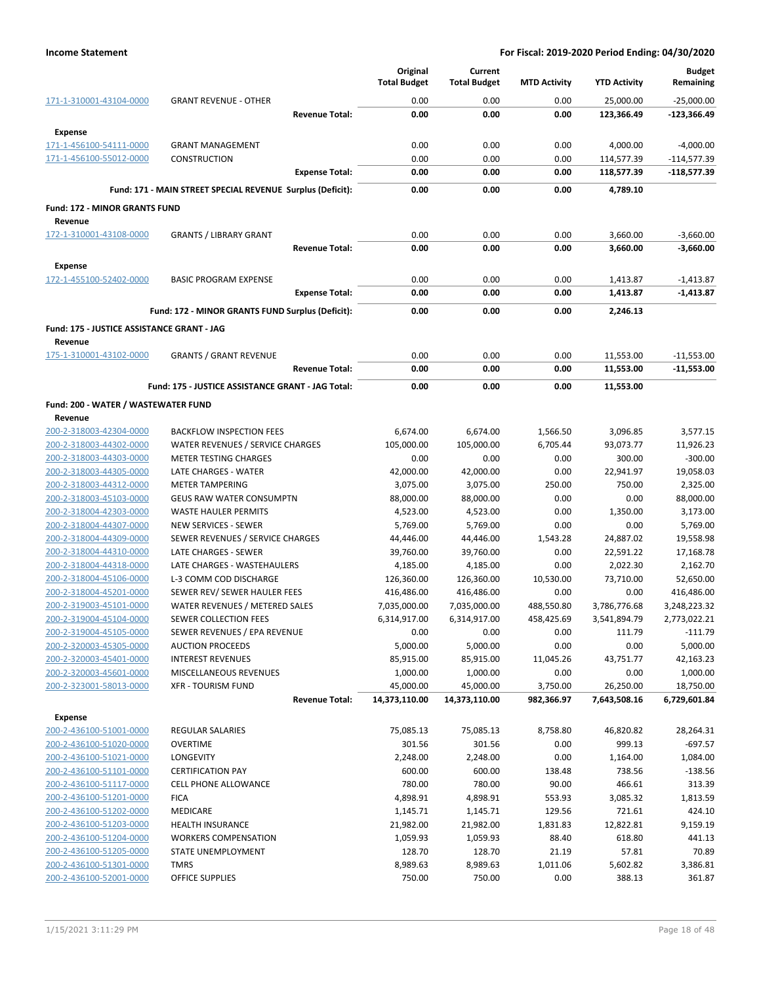|                                                       |                                                            | Original<br><b>Total Budget</b> | Current<br><b>Total Budget</b> | <b>MTD Activity</b> | <b>YTD Activity</b>  | <b>Budget</b><br>Remaining |
|-------------------------------------------------------|------------------------------------------------------------|---------------------------------|--------------------------------|---------------------|----------------------|----------------------------|
| 171-1-310001-43104-0000                               | <b>GRANT REVENUE - OTHER</b>                               | 0.00                            | 0.00                           | 0.00                | 25,000.00            | $-25,000.00$               |
|                                                       | <b>Revenue Total:</b>                                      | 0.00                            | 0.00                           | 0.00                | 123,366.49           | $-123,366.49$              |
| <b>Expense</b>                                        |                                                            |                                 |                                |                     |                      |                            |
| 171-1-456100-54111-0000                               | <b>GRANT MANAGEMENT</b>                                    | 0.00                            | 0.00                           | 0.00                | 4,000.00             | $-4,000.00$                |
| 171-1-456100-55012-0000                               | <b>CONSTRUCTION</b>                                        | 0.00                            | 0.00                           | 0.00                | 114,577.39           | $-114,577.39$              |
|                                                       | <b>Expense Total:</b>                                      | 0.00                            | 0.00                           | 0.00                | 118,577.39           | $-118,577.39$              |
|                                                       | Fund: 171 - MAIN STREET SPECIAL REVENUE Surplus (Deficit): | 0.00                            | 0.00                           | 0.00                | 4,789.10             |                            |
| <b>Fund: 172 - MINOR GRANTS FUND</b>                  |                                                            |                                 |                                |                     |                      |                            |
| Revenue                                               |                                                            |                                 |                                |                     |                      |                            |
| 172-1-310001-43108-0000                               | <b>GRANTS / LIBRARY GRANT</b><br><b>Revenue Total:</b>     | 0.00<br>0.00                    | 0.00<br>0.00                   | 0.00<br>0.00        | 3,660.00<br>3,660.00 | $-3,660.00$<br>$-3,660.00$ |
| <b>Expense</b>                                        |                                                            |                                 |                                |                     |                      |                            |
| 172-1-455100-52402-0000                               | <b>BASIC PROGRAM EXPENSE</b>                               | 0.00                            | 0.00                           | 0.00                | 1,413.87             | $-1,413.87$                |
|                                                       | <b>Expense Total:</b>                                      | 0.00                            | 0.00                           | 0.00                | 1,413.87             | $-1,413.87$                |
|                                                       | Fund: 172 - MINOR GRANTS FUND Surplus (Deficit):           | 0.00                            | 0.00                           | 0.00                | 2,246.13             |                            |
| Fund: 175 - JUSTICE ASSISTANCE GRANT - JAG<br>Revenue |                                                            |                                 |                                |                     |                      |                            |
| 175-1-310001-43102-0000                               | <b>GRANTS / GRANT REVENUE</b>                              | 0.00                            | 0.00                           | 0.00                | 11,553.00            | $-11,553.00$               |
|                                                       | <b>Revenue Total:</b>                                      | 0.00                            | 0.00                           | 0.00                | 11,553.00            | $-11,553.00$               |
|                                                       | Fund: 175 - JUSTICE ASSISTANCE GRANT - JAG Total:          | 0.00                            | 0.00                           | 0.00                | 11,553.00            |                            |
| Fund: 200 - WATER / WASTEWATER FUND                   |                                                            |                                 |                                |                     |                      |                            |
| Revenue                                               |                                                            |                                 |                                |                     |                      |                            |
| 200-2-318003-42304-0000                               | <b>BACKFLOW INSPECTION FEES</b>                            | 6,674.00                        | 6,674.00                       | 1,566.50            | 3,096.85             | 3,577.15                   |
| 200-2-318003-44302-0000                               | WATER REVENUES / SERVICE CHARGES                           | 105,000.00                      | 105,000.00                     | 6,705.44            | 93,073.77            | 11,926.23                  |
| 200-2-318003-44303-0000                               | <b>METER TESTING CHARGES</b>                               | 0.00                            | 0.00                           | 0.00                | 300.00               | $-300.00$                  |
| 200-2-318003-44305-0000                               | LATE CHARGES - WATER                                       | 42,000.00                       | 42,000.00                      | 0.00                | 22,941.97            | 19,058.03                  |
| 200-2-318003-44312-0000                               | <b>METER TAMPERING</b>                                     | 3,075.00                        | 3,075.00                       | 250.00              | 750.00               | 2,325.00                   |
| 200-2-318003-45103-0000                               | <b>GEUS RAW WATER CONSUMPTN</b>                            | 88,000.00                       | 88,000.00                      | 0.00                | 0.00                 | 88,000.00                  |
| 200-2-318004-42303-0000                               | <b>WASTE HAULER PERMITS</b>                                | 4,523.00                        | 4,523.00                       | 0.00                | 1,350.00             | 3,173.00                   |
| 200-2-318004-44307-0000                               | <b>NEW SERVICES - SEWER</b>                                | 5,769.00                        | 5,769.00                       | 0.00                | 0.00                 | 5,769.00                   |
| 200-2-318004-44309-0000                               | SEWER REVENUES / SERVICE CHARGES                           | 44,446.00                       | 44,446.00                      | 1,543.28            | 24,887.02            | 19,558.98                  |
| 200-2-318004-44310-0000                               | LATE CHARGES - SEWER                                       | 39,760.00                       | 39,760.00                      | 0.00                | 22,591.22            | 17,168.78                  |
| 200-2-318004-44318-0000                               | LATE CHARGES - WASTEHAULERS                                | 4,185.00                        | 4,185.00                       | 0.00                | 2,022.30             | 2,162.70                   |
| 200-2-318004-45106-0000                               | L-3 COMM COD DISCHARGE                                     | 126,360.00                      | 126,360.00                     | 10,530.00           | 73,710.00            | 52,650.00                  |
| 200-2-318004-45201-0000                               | SEWER REV/ SEWER HAULER FEES                               | 416,486.00                      | 416,486.00                     | 0.00                | 0.00                 | 416,486.00                 |
| 200-2-319003-45101-0000                               | WATER REVENUES / METERED SALES                             | 7,035,000.00                    | 7,035,000.00                   | 488,550.80          | 3,786,776.68         | 3,248,223.32               |
| 200-2-319004-45104-0000                               | SEWER COLLECTION FEES                                      | 6,314,917.00                    | 6,314,917.00                   | 458,425.69          | 3,541,894.79         | 2,773,022.21               |
| 200-2-319004-45105-0000                               | SEWER REVENUES / EPA REVENUE                               | 0.00                            | 0.00                           | 0.00                | 111.79               | $-111.79$                  |
| 200-2-320003-45305-0000                               | <b>AUCTION PROCEEDS</b>                                    | 5,000.00                        | 5,000.00                       | 0.00                | 0.00                 | 5,000.00                   |
| 200-2-320003-45401-0000                               | <b>INTEREST REVENUES</b>                                   | 85,915.00                       | 85,915.00                      | 11,045.26           | 43,751.77            | 42,163.23                  |
| 200-2-320003-45601-0000                               | MISCELLANEOUS REVENUES                                     | 1,000.00                        | 1,000.00                       | 0.00                | 0.00                 | 1,000.00                   |
| 200-2-323001-58013-0000                               | <b>XFR - TOURISM FUND</b>                                  | 45,000.00                       | 45,000.00                      | 3,750.00            | 26,250.00            | 18,750.00                  |
|                                                       | <b>Revenue Total:</b>                                      | 14,373,110.00                   | 14,373,110.00                  | 982,366.97          | 7,643,508.16         | 6,729,601.84               |
| Expense                                               |                                                            |                                 |                                |                     |                      |                            |
| 200-2-436100-51001-0000                               | REGULAR SALARIES                                           | 75,085.13                       | 75,085.13                      | 8,758.80            | 46,820.82            | 28,264.31                  |
| 200-2-436100-51020-0000                               | <b>OVERTIME</b>                                            | 301.56                          | 301.56                         | 0.00                | 999.13               | $-697.57$                  |
| 200-2-436100-51021-0000                               | LONGEVITY                                                  | 2,248.00                        | 2,248.00                       | 0.00                | 1,164.00             | 1,084.00                   |
| 200-2-436100-51101-0000                               | <b>CERTIFICATION PAY</b>                                   | 600.00                          | 600.00                         | 138.48              | 738.56               | $-138.56$                  |
| 200-2-436100-51117-0000                               | <b>CELL PHONE ALLOWANCE</b>                                | 780.00                          | 780.00                         | 90.00               | 466.61               | 313.39                     |
| 200-2-436100-51201-0000                               | <b>FICA</b>                                                | 4,898.91                        | 4,898.91                       | 553.93              | 3,085.32             | 1,813.59                   |
| 200-2-436100-51202-0000                               | MEDICARE                                                   | 1,145.71                        | 1,145.71                       | 129.56              | 721.61               | 424.10                     |
| 200-2-436100-51203-0000                               | <b>HEALTH INSURANCE</b>                                    | 21,982.00                       | 21,982.00                      | 1,831.83            | 12,822.81            | 9,159.19                   |
| 200-2-436100-51204-0000                               | <b>WORKERS COMPENSATION</b>                                | 1,059.93                        | 1,059.93                       | 88.40               | 618.80               | 441.13                     |
| 200-2-436100-51205-0000                               | STATE UNEMPLOYMENT                                         | 128.70                          | 128.70                         | 21.19               | 57.81                | 70.89                      |
| 200-2-436100-51301-0000                               | <b>TMRS</b>                                                | 8,989.63                        | 8,989.63                       | 1,011.06            | 5,602.82             | 3,386.81                   |
| 200-2-436100-52001-0000                               | <b>OFFICE SUPPLIES</b>                                     | 750.00                          | 750.00                         | 0.00                | 388.13               | 361.87                     |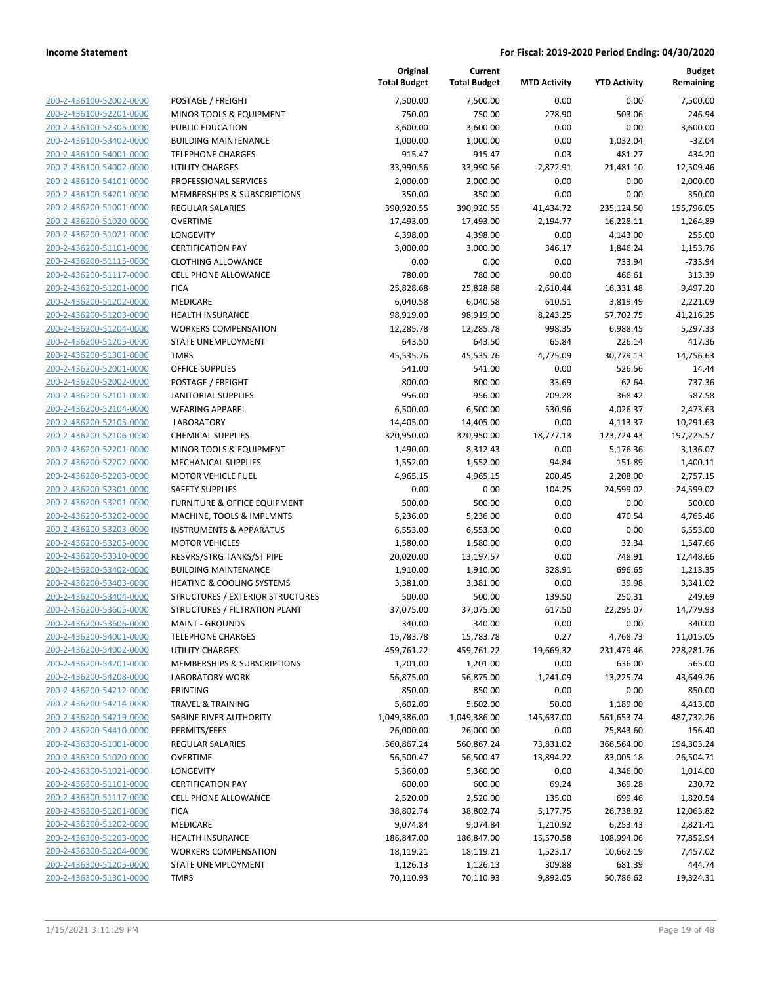| 200-2-436100-52002-0000        |
|--------------------------------|
| 200-2-436100-52201-0000        |
| 200-2-436100-52305-0000        |
| 200-2-436100-53402-0000        |
| 200-2-436100-54001-0000        |
|                                |
| 200-2-436100-54002-0000        |
| 200-2-436100-54101-0000        |
| 200-2-436100-54201-0000        |
| 200-2-436200-51001-0000        |
| 200-2-436200-51020-0000        |
| 200-2-436200-51021-0000        |
| 200-2-436200-51101-0000        |
| 200-2-436200-51115-0000        |
| 200-2-436200-51117-0000        |
|                                |
| 200-2-436200-51201-0000        |
| 200-2-436200-51202-0000        |
| 200-2-436200-51203-0000        |
| 200-2-436200-51204-0000        |
| 200-2-436200-51205-0000        |
| 200-2-436200-51301-0000        |
| 200-2-436200-52001-0000        |
| 200-2-436200-52002-0000        |
| 200-2-436200-52101-0000        |
|                                |
| 200-2-436200-52104-0000        |
| 200-2-436200-52105-0000        |
| 200-2-436200-52106-0000        |
| 200-2-436200-52201-0000        |
| 200-2-436200-52202-0000        |
| 200-2-436200-52203-0000        |
| 200-2-436200-52301-0000        |
| 200-2-436200-53201-0000        |
| 200-2-436200-53202-0000        |
| 200-2-436200-53203-0000        |
|                                |
| 200-2-436200-53205-0000        |
| 200-2-436200-53310-0000        |
| 200-2-436200-53402-0000        |
| 200-2-436200-53403-0000        |
| 200-2-436200-53404-0000        |
| 200-2-436200-53605-0000        |
| 200-2-436200-53606-0000        |
| 200-2-436200-54001-0000        |
| <u>200-2-436200-54002-0000</u> |
| <u>200-2-436200-54201-0000</u> |
|                                |
| <u>200-2-436200-54208-0000</u> |
| 200-2-436200-54212-0000        |
| 200-2-436200-54214-0000        |
| 200-2-436200-54219-0000        |
| 200-2-436200-54410-0000        |
| <u>200-2-436300-51001-0000</u> |
| <u>200-2-436300-51020-0000</u> |
| 200-2-436300-51021-0000        |
| 200-2-436300-51101-0000        |
|                                |
| <u>200-2-436300-51117-0000</u> |
| <u>200-2-436300-51201-0000</u> |
| <u>200-2-436300-51202-0000</u> |
| 200-2-436300-51203-0000        |
| 200-2-436300-51204-0000        |
| <u>200-2-436300-51205-0000</u> |
| <u>200-2-436300-51301-0000</u> |
|                                |

|                         |                                      | Original<br><b>Total Budget</b> | Current<br><b>Total Budget</b> | <b>MTD Activity</b> | <b>YTD Activity</b> | <b>Budget</b><br>Remaining |
|-------------------------|--------------------------------------|---------------------------------|--------------------------------|---------------------|---------------------|----------------------------|
| 200-2-436100-52002-0000 | POSTAGE / FREIGHT                    | 7,500.00                        | 7,500.00                       | 0.00                | 0.00                | 7,500.00                   |
| 200-2-436100-52201-0000 | MINOR TOOLS & EQUIPMENT              | 750.00                          | 750.00                         | 278.90              | 503.06              | 246.94                     |
| 200-2-436100-52305-0000 | PUBLIC EDUCATION                     | 3,600.00                        | 3,600.00                       | 0.00                | 0.00                | 3,600.00                   |
| 200-2-436100-53402-0000 | <b>BUILDING MAINTENANCE</b>          | 1,000.00                        | 1,000.00                       | 0.00                | 1,032.04            | $-32.04$                   |
| 200-2-436100-54001-0000 | <b>TELEPHONE CHARGES</b>             | 915.47                          | 915.47                         | 0.03                | 481.27              | 434.20                     |
| 200-2-436100-54002-0000 | UTILITY CHARGES                      | 33,990.56                       | 33,990.56                      | 2,872.91            | 21,481.10           | 12,509.46                  |
| 200-2-436100-54101-0000 | PROFESSIONAL SERVICES                | 2,000.00                        | 2,000.00                       | 0.00                | 0.00                | 2,000.00                   |
| 200-2-436100-54201-0000 | MEMBERSHIPS & SUBSCRIPTIONS          | 350.00                          | 350.00                         | 0.00                | 0.00                | 350.00                     |
| 200-2-436200-51001-0000 | <b>REGULAR SALARIES</b>              | 390,920.55                      | 390,920.55                     | 41,434.72           | 235,124.50          | 155,796.05                 |
| 200-2-436200-51020-0000 | <b>OVERTIME</b>                      | 17,493.00                       | 17,493.00                      | 2,194.77            | 16,228.11           | 1,264.89                   |
| 200-2-436200-51021-0000 | LONGEVITY                            | 4,398.00                        | 4,398.00                       | 0.00                | 4,143.00            | 255.00                     |
| 200-2-436200-51101-0000 | <b>CERTIFICATION PAY</b>             | 3,000.00                        | 3,000.00                       | 346.17              | 1,846.24            | 1,153.76                   |
| 200-2-436200-51115-0000 | <b>CLOTHING ALLOWANCE</b>            | 0.00                            | 0.00                           | 0.00                | 733.94              | $-733.94$                  |
| 200-2-436200-51117-0000 | <b>CELL PHONE ALLOWANCE</b>          | 780.00                          | 780.00                         | 90.00               | 466.61              | 313.39                     |
| 200-2-436200-51201-0000 | <b>FICA</b>                          | 25,828.68                       | 25,828.68                      | 2,610.44            | 16,331.48           | 9,497.20                   |
| 200-2-436200-51202-0000 | MEDICARE                             | 6,040.58                        | 6,040.58                       | 610.51              | 3,819.49            | 2,221.09                   |
| 200-2-436200-51203-0000 | <b>HEALTH INSURANCE</b>              | 98,919.00                       | 98,919.00                      | 8,243.25            | 57,702.75           | 41,216.25                  |
| 200-2-436200-51204-0000 | <b>WORKERS COMPENSATION</b>          | 12,285.78                       | 12,285.78                      | 998.35              | 6,988.45            | 5,297.33                   |
| 200-2-436200-51205-0000 | <b>STATE UNEMPLOYMENT</b>            | 643.50                          | 643.50                         | 65.84               | 226.14              | 417.36                     |
| 200-2-436200-51301-0000 | <b>TMRS</b>                          | 45,535.76                       | 45,535.76                      | 4,775.09            | 30,779.13           | 14,756.63                  |
| 200-2-436200-52001-0000 | <b>OFFICE SUPPLIES</b>               | 541.00                          | 541.00                         | 0.00                | 526.56              | 14.44                      |
| 200-2-436200-52002-0000 | POSTAGE / FREIGHT                    | 800.00                          | 800.00                         | 33.69               | 62.64               | 737.36                     |
| 200-2-436200-52101-0000 | <b>JANITORIAL SUPPLIES</b>           | 956.00                          | 956.00                         | 209.28              | 368.42              | 587.58                     |
| 200-2-436200-52104-0000 | <b>WEARING APPAREL</b>               | 6,500.00                        | 6,500.00                       | 530.96              | 4,026.37            | 2,473.63                   |
| 200-2-436200-52105-0000 | <b>LABORATORY</b>                    | 14,405.00                       | 14,405.00                      | 0.00                | 4,113.37            | 10,291.63                  |
| 200-2-436200-52106-0000 | <b>CHEMICAL SUPPLIES</b>             | 320,950.00                      | 320,950.00                     | 18,777.13           | 123,724.43          | 197,225.57                 |
| 200-2-436200-52201-0000 | MINOR TOOLS & EQUIPMENT              | 1,490.00                        | 8,312.43                       | 0.00                | 5,176.36            | 3,136.07                   |
| 200-2-436200-52202-0000 | <b>MECHANICAL SUPPLIES</b>           | 1,552.00                        | 1,552.00                       | 94.84               | 151.89              | 1,400.11                   |
| 200-2-436200-52203-0000 | <b>MOTOR VEHICLE FUEL</b>            | 4,965.15                        | 4,965.15                       | 200.45              | 2,208.00            | 2,757.15                   |
| 200-2-436200-52301-0000 | <b>SAFETY SUPPLIES</b>               | 0.00                            | 0.00                           | 104.25              | 24,599.02           | $-24,599.02$               |
| 200-2-436200-53201-0000 | FURNITURE & OFFICE EQUIPMENT         | 500.00                          | 500.00                         | 0.00                | 0.00                | 500.00                     |
| 200-2-436200-53202-0000 | MACHINE, TOOLS & IMPLMNTS            | 5,236.00                        | 5,236.00                       | 0.00                | 470.54              | 4,765.46                   |
| 200-2-436200-53203-0000 | <b>INSTRUMENTS &amp; APPARATUS</b>   | 6,553.00                        | 6,553.00                       | 0.00                | 0.00                | 6,553.00                   |
| 200-2-436200-53205-0000 | <b>MOTOR VEHICLES</b>                | 1,580.00                        | 1,580.00                       | 0.00                | 32.34               | 1,547.66                   |
| 200-2-436200-53310-0000 | RESVRS/STRG TANKS/ST PIPE            | 20,020.00                       | 13,197.57                      | 0.00                | 748.91              | 12,448.66                  |
| 200-2-436200-53402-0000 | <b>BUILDING MAINTENANCE</b>          | 1,910.00                        | 1,910.00                       | 328.91              | 696.65              | 1,213.35                   |
| 200-2-436200-53403-0000 | <b>HEATING &amp; COOLING SYSTEMS</b> | 3,381.00                        | 3,381.00                       | 0.00                | 39.98               | 3,341.02                   |
| 200-2-436200-53404-0000 | STRUCTURES / EXTERIOR STRUCTURES     | 500.00                          | 500.00                         | 139.50              | 250.31              | 249.69                     |
| 200-2-436200-53605-0000 | STRUCTURES / FILTRATION PLANT        | 37,075.00                       | 37,075.00                      | 617.50              | 22,295.07           | 14,779.93                  |
| 200-2-436200-53606-0000 | <b>MAINT - GROUNDS</b>               | 340.00                          | 340.00                         | 0.00                | 0.00                | 340.00                     |
| 200-2-436200-54001-0000 | <b>TELEPHONE CHARGES</b>             | 15,783.78                       | 15,783.78                      | 0.27                | 4,768.73            | 11,015.05                  |
| 200-2-436200-54002-0000 | <b>UTILITY CHARGES</b>               | 459,761.22                      | 459,761.22                     | 19,669.32           | 231,479.46          | 228,281.76                 |
| 200-2-436200-54201-0000 | MEMBERSHIPS & SUBSCRIPTIONS          | 1,201.00                        | 1,201.00                       | 0.00                | 636.00              | 565.00                     |
| 200-2-436200-54208-0000 | <b>LABORATORY WORK</b>               | 56,875.00                       | 56,875.00                      | 1,241.09            | 13,225.74           | 43,649.26                  |
| 200-2-436200-54212-0000 | PRINTING                             | 850.00                          | 850.00                         | 0.00                | 0.00                | 850.00                     |
| 200-2-436200-54214-0000 | <b>TRAVEL &amp; TRAINING</b>         | 5,602.00                        | 5,602.00                       | 50.00               | 1,189.00            | 4,413.00                   |
| 200-2-436200-54219-0000 | SABINE RIVER AUTHORITY               | 1,049,386.00                    | 1,049,386.00                   | 145,637.00          | 561,653.74          | 487,732.26                 |
| 200-2-436200-54410-0000 | PERMITS/FEES                         | 26,000.00                       | 26,000.00                      | 0.00                | 25,843.60           | 156.40                     |
| 200-2-436300-51001-0000 | <b>REGULAR SALARIES</b>              | 560,867.24                      | 560,867.24                     | 73,831.02           | 366,564.00          | 194,303.24                 |
| 200-2-436300-51020-0000 | <b>OVERTIME</b>                      | 56,500.47                       | 56,500.47                      | 13,894.22           | 83,005.18           | $-26,504.71$               |
| 200-2-436300-51021-0000 | <b>LONGEVITY</b>                     | 5,360.00                        | 5,360.00                       | 0.00                | 4,346.00            | 1,014.00                   |
| 200-2-436300-51101-0000 | <b>CERTIFICATION PAY</b>             | 600.00                          | 600.00                         | 69.24               | 369.28              | 230.72                     |
| 200-2-436300-51117-0000 | CELL PHONE ALLOWANCE                 | 2,520.00                        | 2,520.00                       | 135.00              | 699.46              | 1,820.54                   |
| 200-2-436300-51201-0000 | <b>FICA</b>                          | 38,802.74                       | 38,802.74                      | 5,177.75            | 26,738.92           | 12,063.82                  |
| 200-2-436300-51202-0000 | MEDICARE                             | 9,074.84                        | 9,074.84                       | 1,210.92            | 6,253.43            | 2,821.41                   |
| 200-2-436300-51203-0000 | <b>HEALTH INSURANCE</b>              | 186,847.00                      | 186,847.00                     | 15,570.58           | 108,994.06          | 77,852.94                  |
| 200-2-436300-51204-0000 | <b>WORKERS COMPENSATION</b>          | 18,119.21                       | 18,119.21                      | 1,523.17            | 10,662.19           | 7,457.02                   |
| 200-2-436300-51205-0000 | <b>STATE UNEMPLOYMENT</b>            | 1,126.13                        | 1,126.13                       | 309.88              | 681.39              | 444.74                     |
| 200-2-436300-51301-0000 | <b>TMRS</b>                          | 70,110.93                       | 70,110.93                      | 9,892.05            | 50,786.62           | 19,324.31                  |
|                         |                                      |                                 |                                |                     |                     |                            |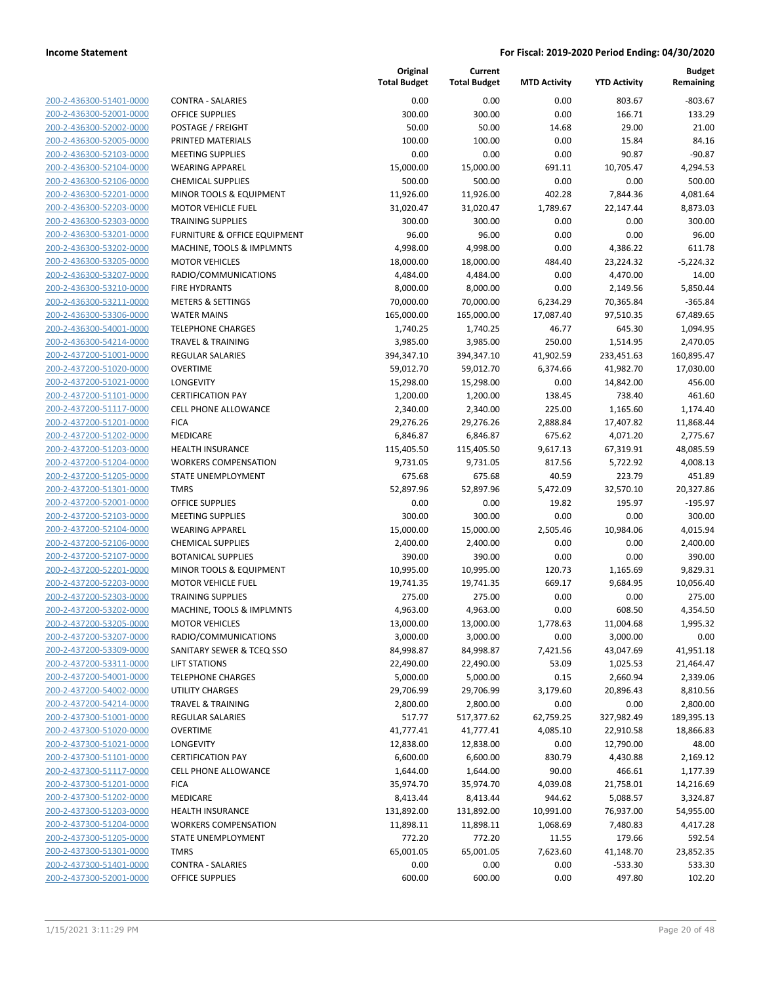| 200-2-436300-51401-0000        |
|--------------------------------|
| 200-2-436300-52001-0000        |
| 200-2-436300-52002-0000        |
| 200-2-436300-52005-0000        |
| 200-2-436300-52103-0000        |
| 200-2-436300-52104-0000        |
|                                |
| 200-2-436300-52106-0000        |
| 200-2-436300-52201-0000        |
| 200-2-436300-52203-0000        |
| 200-2-436300-52303-0000        |
| 200-2-436300-53201-0000        |
| 200-2-436300-53202-0000        |
| <u>200-2-436300-53205-0000</u> |
| 200-2-436300-53207-0000        |
| 200-2-436300-53210-0000        |
|                                |
| 200-2-436300-53211-0000        |
| 200-2-436300-53306-0000        |
| 200-2-436300-54001-0000        |
| 200-2-436300-54214-0000        |
| 200-2-437200-51001-0000        |
| 200-2-437200-51020-0000        |
| 200-2-437200-51021-0000        |
| <u>200-2-437200-51101-0000</u> |
| 200-2-437200-51117-0000        |
|                                |
| 200-2-437200-51201-0000        |
| 200-2-437200-51202-0000        |
| 200-2-437200-51203-0000        |
| 200-2-437200-51204-0000        |
| 200-2-437200-51205-0000        |
| 200-2-437200-51301-0000        |
| 200-2-437200-52001-0000        |
| 200-2-437200-52103-0000        |
| <u>200-2-437200-52104-0000</u> |
|                                |
| 200-2-437200-52106-0000        |
| 200-2-437200-52107-0000        |
| 200-2-437200-52201-0000        |
| 200-2-437200-52203-0000        |
| 200-2-437200-52303-0000        |
| 200-2-437200-53202-0000        |
| 200-2-437200-53205-0000        |
| 200-2-437200-53207-0000        |
| 200-2-437200-53309-0000        |
|                                |
| <u>200-2-437200-53311-0000</u> |
| <u>200-2-437200-54001-0000</u> |
| 200-2-437200-54002-0000        |
| 200-2-437200-54214-0000        |
| 200-2-437300-51001-0000        |
| 200-2-437300-51020-0000        |
| <u>200-2-437300-51021-0000</u> |
| 200-2-437300-51101-0000        |
| 200-2-437300-51117-0000        |
|                                |
| 200-2-437300-51201-0000        |
| <u>200-2-437300-51202-0000</u> |
| 200-2-437300-51203-0000        |
| 200-2-437300-51204-0000        |
| 200-2-437300-51205-0000        |
| 200-2-437300-51301-0000        |
| 200-2-437300-51401-0000        |
| <u>200-2-437300-52001-0000</u> |
|                                |

|                         |                              | Original<br><b>Total Budget</b> | Current<br><b>Total Budget</b> | <b>MTD Activity</b> | <b>YTD Activity</b> | <b>Budget</b><br>Remaining |
|-------------------------|------------------------------|---------------------------------|--------------------------------|---------------------|---------------------|----------------------------|
| 200-2-436300-51401-0000 | <b>CONTRA - SALARIES</b>     | 0.00                            | 0.00                           | 0.00                | 803.67              | $-803.67$                  |
| 200-2-436300-52001-0000 | <b>OFFICE SUPPLIES</b>       | 300.00                          | 300.00                         | 0.00                | 166.71              | 133.29                     |
| 200-2-436300-52002-0000 | POSTAGE / FREIGHT            | 50.00                           | 50.00                          | 14.68               | 29.00               | 21.00                      |
| 200-2-436300-52005-0000 | PRINTED MATERIALS            | 100.00                          | 100.00                         | 0.00                | 15.84               | 84.16                      |
| 200-2-436300-52103-0000 | <b>MEETING SUPPLIES</b>      | 0.00                            | 0.00                           | 0.00                | 90.87               | $-90.87$                   |
| 200-2-436300-52104-0000 | <b>WEARING APPAREL</b>       | 15,000.00                       | 15,000.00                      | 691.11              | 10,705.47           | 4,294.53                   |
| 200-2-436300-52106-0000 | <b>CHEMICAL SUPPLIES</b>     | 500.00                          | 500.00                         | 0.00                | 0.00                | 500.00                     |
| 200-2-436300-52201-0000 | MINOR TOOLS & EQUIPMENT      | 11,926.00                       | 11,926.00                      | 402.28              | 7,844.36            | 4,081.64                   |
| 200-2-436300-52203-0000 | <b>MOTOR VEHICLE FUEL</b>    | 31,020.47                       | 31,020.47                      | 1,789.67            | 22,147.44           | 8,873.03                   |
| 200-2-436300-52303-0000 | <b>TRAINING SUPPLIES</b>     | 300.00                          | 300.00                         | 0.00                | 0.00                | 300.00                     |
| 200-2-436300-53201-0000 | FURNITURE & OFFICE EQUIPMENT | 96.00                           | 96.00                          | 0.00                | 0.00                | 96.00                      |
| 200-2-436300-53202-0000 | MACHINE, TOOLS & IMPLMNTS    | 4,998.00                        | 4,998.00                       | 0.00                | 4,386.22            | 611.78                     |
| 200-2-436300-53205-0000 | <b>MOTOR VEHICLES</b>        | 18,000.00                       | 18,000.00                      | 484.40              | 23,224.32           | $-5,224.32$                |
| 200-2-436300-53207-0000 | RADIO/COMMUNICATIONS         | 4,484.00                        | 4,484.00                       | 0.00                | 4,470.00            | 14.00                      |
| 200-2-436300-53210-0000 | <b>FIRE HYDRANTS</b>         | 8,000.00                        | 8,000.00                       | 0.00                | 2,149.56            | 5,850.44                   |
| 200-2-436300-53211-0000 | <b>METERS &amp; SETTINGS</b> | 70,000.00                       | 70,000.00                      | 6,234.29            | 70,365.84           | $-365.84$                  |
| 200-2-436300-53306-0000 | <b>WATER MAINS</b>           | 165,000.00                      | 165,000.00                     | 17,087.40           | 97,510.35           | 67,489.65                  |
| 200-2-436300-54001-0000 | <b>TELEPHONE CHARGES</b>     | 1,740.25                        | 1,740.25                       | 46.77               | 645.30              | 1,094.95                   |
| 200-2-436300-54214-0000 | <b>TRAVEL &amp; TRAINING</b> | 3,985.00                        | 3,985.00                       | 250.00              | 1,514.95            | 2,470.05                   |
| 200-2-437200-51001-0000 | <b>REGULAR SALARIES</b>      | 394,347.10                      | 394,347.10                     | 41,902.59           | 233,451.63          | 160,895.47                 |
| 200-2-437200-51020-0000 | <b>OVERTIME</b>              | 59,012.70                       | 59,012.70                      | 6,374.66            | 41,982.70           | 17,030.00                  |
| 200-2-437200-51021-0000 | LONGEVITY                    | 15,298.00                       | 15,298.00                      | 0.00                | 14,842.00           | 456.00                     |
| 200-2-437200-51101-0000 | <b>CERTIFICATION PAY</b>     | 1,200.00                        | 1,200.00                       | 138.45              | 738.40              | 461.60                     |
| 200-2-437200-51117-0000 | <b>CELL PHONE ALLOWANCE</b>  | 2,340.00                        | 2,340.00                       | 225.00              | 1,165.60            | 1,174.40                   |
| 200-2-437200-51201-0000 | <b>FICA</b>                  | 29,276.26                       | 29,276.26                      | 2,888.84            | 17,407.82           | 11,868.44                  |
| 200-2-437200-51202-0000 | MEDICARE                     | 6,846.87                        | 6,846.87                       | 675.62              | 4,071.20            | 2,775.67                   |
| 200-2-437200-51203-0000 | HEALTH INSURANCE             | 115,405.50                      | 115,405.50                     | 9,617.13            | 67,319.91           | 48,085.59                  |
| 200-2-437200-51204-0000 | <b>WORKERS COMPENSATION</b>  | 9,731.05                        | 9,731.05                       | 817.56              | 5,722.92            | 4,008.13                   |
| 200-2-437200-51205-0000 | STATE UNEMPLOYMENT           | 675.68                          | 675.68                         | 40.59               | 223.79              | 451.89                     |
| 200-2-437200-51301-0000 | <b>TMRS</b>                  | 52,897.96                       | 52,897.96                      | 5,472.09            | 32,570.10           | 20,327.86                  |
| 200-2-437200-52001-0000 | <b>OFFICE SUPPLIES</b>       | 0.00                            | 0.00                           | 19.82               | 195.97              | $-195.97$                  |
| 200-2-437200-52103-0000 | <b>MEETING SUPPLIES</b>      | 300.00                          | 300.00                         | 0.00                | 0.00                | 300.00                     |
| 200-2-437200-52104-0000 | <b>WEARING APPAREL</b>       | 15,000.00                       | 15,000.00                      | 2,505.46            | 10,984.06           | 4,015.94                   |
| 200-2-437200-52106-0000 | <b>CHEMICAL SUPPLIES</b>     | 2,400.00                        | 2,400.00                       | 0.00                | 0.00                | 2,400.00                   |
| 200-2-437200-52107-0000 | <b>BOTANICAL SUPPLIES</b>    | 390.00                          | 390.00                         | 0.00                | 0.00                | 390.00                     |
| 200-2-437200-52201-0000 | MINOR TOOLS & EQUIPMENT      | 10,995.00                       | 10,995.00                      | 120.73              | 1,165.69            | 9,829.31                   |
| 200-2-437200-52203-0000 | <b>MOTOR VEHICLE FUEL</b>    | 19,741.35                       | 19,741.35                      | 669.17              | 9,684.95            | 10,056.40                  |
| 200-2-437200-52303-0000 | <b>TRAINING SUPPLIES</b>     | 275.00                          | 275.00                         | 0.00                | 0.00                | 275.00                     |
| 200-2-437200-53202-0000 | MACHINE, TOOLS & IMPLMNTS    | 4,963.00                        | 4,963.00                       | 0.00                | 608.50              | 4,354.50                   |
| 200-2-437200-53205-0000 | <b>MOTOR VEHICLES</b>        | 13,000.00                       | 13,000.00                      | 1,778.63            | 11,004.68           | 1,995.32                   |
| 200-2-437200-53207-0000 | RADIO/COMMUNICATIONS         | 3,000.00                        | 3,000.00                       | 0.00                | 3,000.00            | 0.00                       |
| 200-2-437200-53309-0000 | SANITARY SEWER & TCEQ SSO    | 84,998.87                       | 84,998.87                      | 7,421.56            | 43,047.69           | 41,951.18                  |
| 200-2-437200-53311-0000 | <b>LIFT STATIONS</b>         | 22,490.00                       | 22,490.00                      | 53.09               | 1,025.53            | 21,464.47                  |
| 200-2-437200-54001-0000 | <b>TELEPHONE CHARGES</b>     | 5,000.00                        | 5,000.00                       | 0.15                | 2,660.94            | 2,339.06                   |
| 200-2-437200-54002-0000 | UTILITY CHARGES              | 29,706.99                       | 29,706.99                      | 3,179.60            | 20,896.43           | 8,810.56                   |
| 200-2-437200-54214-0000 | <b>TRAVEL &amp; TRAINING</b> | 2,800.00                        | 2,800.00                       | 0.00                | 0.00                | 2,800.00                   |
| 200-2-437300-51001-0000 | REGULAR SALARIES             | 517.77                          | 517,377.62                     | 62,759.25           | 327,982.49          | 189,395.13                 |
| 200-2-437300-51020-0000 | <b>OVERTIME</b>              | 41,777.41                       | 41,777.41                      | 4,085.10            | 22,910.58           | 18,866.83                  |
| 200-2-437300-51021-0000 | LONGEVITY                    | 12,838.00                       | 12,838.00                      | 0.00                | 12,790.00           | 48.00                      |
| 200-2-437300-51101-0000 | <b>CERTIFICATION PAY</b>     | 6,600.00                        | 6,600.00                       | 830.79              | 4,430.88            | 2,169.12                   |
| 200-2-437300-51117-0000 | <b>CELL PHONE ALLOWANCE</b>  | 1,644.00                        | 1,644.00                       | 90.00               | 466.61              | 1,177.39                   |
| 200-2-437300-51201-0000 | <b>FICA</b>                  | 35,974.70                       | 35,974.70                      | 4,039.08            | 21,758.01           | 14,216.69                  |
| 200-2-437300-51202-0000 | MEDICARE                     | 8,413.44                        | 8,413.44                       | 944.62              | 5,088.57            | 3,324.87                   |
| 200-2-437300-51203-0000 | <b>HEALTH INSURANCE</b>      | 131,892.00                      | 131,892.00                     | 10,991.00           | 76,937.00           | 54,955.00                  |
| 200-2-437300-51204-0000 | <b>WORKERS COMPENSATION</b>  | 11,898.11                       | 11,898.11                      | 1,068.69            | 7,480.83            | 4,417.28                   |
| 200-2-437300-51205-0000 | STATE UNEMPLOYMENT           | 772.20                          | 772.20                         | 11.55               | 179.66              | 592.54                     |
| 200-2-437300-51301-0000 | <b>TMRS</b>                  | 65,001.05                       | 65,001.05                      | 7,623.60            | 41,148.70           | 23,852.35                  |
| 200-2-437300-51401-0000 | <b>CONTRA - SALARIES</b>     | 0.00                            | 0.00                           | 0.00                | $-533.30$           | 533.30                     |
| 200-2-437300-52001-0000 | <b>OFFICE SUPPLIES</b>       | 600.00                          | 600.00                         | 0.00                | 497.80              | 102.20                     |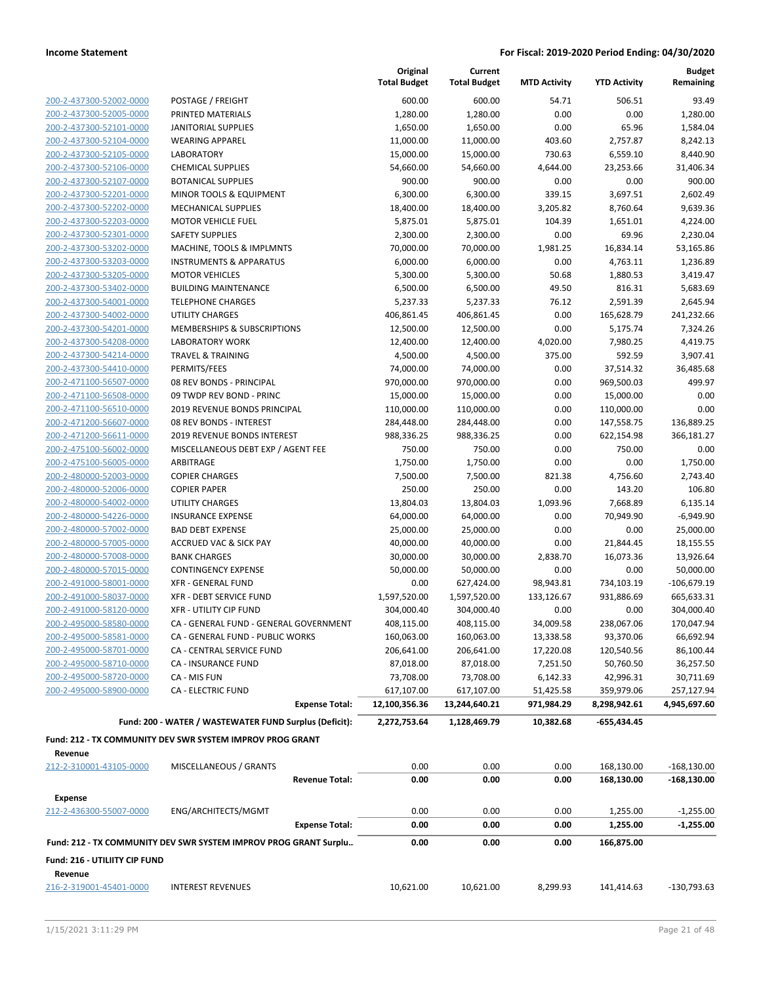**Current Total Budget**

**Original Total Budget** **Budget**

|                                                    |                                                                  | <b>Total Budget</b>    | <b>Total Budget</b>    | <b>MTD Activity</b> | <b>YTD Activity</b> | Remaining               |
|----------------------------------------------------|------------------------------------------------------------------|------------------------|------------------------|---------------------|---------------------|-------------------------|
| 200-2-437300-52002-0000                            | POSTAGE / FREIGHT                                                | 600.00                 | 600.00                 | 54.71               | 506.51              | 93.49                   |
| 200-2-437300-52005-0000                            | PRINTED MATERIALS                                                | 1,280.00               | 1,280.00               | 0.00                | 0.00                | 1,280.00                |
| 200-2-437300-52101-0000                            | <b>JANITORIAL SUPPLIES</b>                                       | 1,650.00               | 1,650.00               | 0.00                | 65.96               | 1,584.04                |
| 200-2-437300-52104-0000                            | <b>WEARING APPAREL</b>                                           | 11,000.00              | 11,000.00              | 403.60              | 2,757.87            | 8,242.13                |
| 200-2-437300-52105-0000                            | <b>LABORATORY</b>                                                | 15,000.00              | 15,000.00              | 730.63              | 6,559.10            | 8,440.90                |
| 200-2-437300-52106-0000                            | <b>CHEMICAL SUPPLIES</b>                                         | 54,660.00              | 54,660.00              | 4,644.00            | 23,253.66           | 31,406.34               |
| 200-2-437300-52107-0000                            | <b>BOTANICAL SUPPLIES</b>                                        | 900.00                 | 900.00                 | 0.00                | 0.00                | 900.00                  |
| 200-2-437300-52201-0000                            | MINOR TOOLS & EQUIPMENT                                          | 6,300.00               | 6,300.00               | 339.15              | 3,697.51            | 2,602.49                |
| 200-2-437300-52202-0000                            | <b>MECHANICAL SUPPLIES</b>                                       | 18,400.00              | 18,400.00              | 3,205.82            | 8,760.64            | 9,639.36                |
| 200-2-437300-52203-0000                            | <b>MOTOR VEHICLE FUEL</b>                                        | 5,875.01               | 5,875.01               | 104.39              | 1,651.01            | 4,224.00                |
| 200-2-437300-52301-0000                            | <b>SAFETY SUPPLIES</b>                                           | 2,300.00               | 2,300.00               | 0.00                | 69.96               | 2,230.04                |
| 200-2-437300-53202-0000                            | MACHINE, TOOLS & IMPLMNTS                                        | 70,000.00              | 70,000.00              | 1,981.25            | 16,834.14           | 53,165.86               |
| 200-2-437300-53203-0000                            | <b>INSTRUMENTS &amp; APPARATUS</b>                               | 6,000.00               | 6,000.00               | 0.00                | 4,763.11            | 1,236.89                |
| 200-2-437300-53205-0000                            | <b>MOTOR VEHICLES</b>                                            | 5,300.00               | 5,300.00               | 50.68               | 1,880.53            | 3,419.47                |
| 200-2-437300-53402-0000                            | <b>BUILDING MAINTENANCE</b>                                      | 6,500.00               | 6,500.00               | 49.50               | 816.31              | 5,683.69                |
| 200-2-437300-54001-0000                            | <b>TELEPHONE CHARGES</b>                                         | 5,237.33               | 5,237.33               | 76.12               | 2,591.39            | 2,645.94                |
| 200-2-437300-54002-0000                            | UTILITY CHARGES                                                  | 406,861.45             | 406,861.45             | 0.00                | 165,628.79          | 241,232.66              |
| 200-2-437300-54201-0000                            | MEMBERSHIPS & SUBSCRIPTIONS                                      | 12,500.00              | 12,500.00              | 0.00                | 5,175.74            | 7,324.26                |
| 200-2-437300-54208-0000                            | <b>LABORATORY WORK</b>                                           | 12,400.00              | 12,400.00              | 4,020.00            | 7,980.25            | 4,419.75                |
| 200-2-437300-54214-0000                            | <b>TRAVEL &amp; TRAINING</b>                                     | 4,500.00               | 4,500.00               | 375.00              | 592.59              | 3,907.41                |
| 200-2-437300-54410-0000                            | PERMITS/FEES                                                     | 74,000.00              | 74,000.00              | 0.00                | 37,514.32           | 36,485.68               |
| 200-2-471100-56507-0000                            | 08 REV BONDS - PRINCIPAL                                         | 970,000.00             | 970,000.00             | 0.00                | 969,500.03          | 499.97                  |
| 200-2-471100-56508-0000                            | 09 TWDP REV BOND - PRINC                                         | 15,000.00              | 15,000.00              | 0.00                | 15,000.00           | 0.00                    |
| 200-2-471100-56510-0000                            | 2019 REVENUE BONDS PRINCIPAL                                     | 110,000.00             | 110,000.00             | 0.00                | 110,000.00          | 0.00                    |
| 200-2-471200-56607-0000                            | 08 REV BONDS - INTEREST                                          | 284,448.00             | 284,448.00             | 0.00                | 147,558.75          | 136,889.25              |
| 200-2-471200-56611-0000                            | 2019 REVENUE BONDS INTEREST                                      | 988,336.25             | 988,336.25             | 0.00                | 622,154.98          | 366,181.27              |
| 200-2-475100-56002-0000                            | MISCELLANEOUS DEBT EXP / AGENT FEE                               | 750.00                 | 750.00                 | 0.00                | 750.00              | 0.00                    |
| 200-2-475100-56005-0000                            | ARBITRAGE                                                        | 1,750.00               | 1,750.00               | 0.00                | 0.00                | 1,750.00                |
| 200-2-480000-52003-0000<br>200-2-480000-52006-0000 | <b>COPIER CHARGES</b>                                            | 7,500.00<br>250.00     | 7,500.00<br>250.00     | 821.38<br>0.00      | 4,756.60<br>143.20  | 2,743.40<br>106.80      |
| 200-2-480000-54002-0000                            | <b>COPIER PAPER</b><br>UTILITY CHARGES                           |                        |                        | 1,093.96            | 7,668.89            |                         |
| 200-2-480000-54226-0000                            | <b>INSURANCE EXPENSE</b>                                         | 13,804.03<br>64,000.00 | 13,804.03<br>64,000.00 | 0.00                | 70,949.90           | 6,135.14<br>$-6,949.90$ |
| 200-2-480000-57002-0000                            | <b>BAD DEBT EXPENSE</b>                                          | 25,000.00              | 25,000.00              | 0.00                | 0.00                | 25,000.00               |
| 200-2-480000-57005-0000                            | <b>ACCRUED VAC &amp; SICK PAY</b>                                | 40,000.00              | 40,000.00              | 0.00                | 21,844.45           | 18,155.55               |
| 200-2-480000-57008-0000                            | <b>BANK CHARGES</b>                                              | 30,000.00              | 30,000.00              | 2,838.70            | 16,073.36           | 13,926.64               |
| 200-2-480000-57015-0000                            | <b>CONTINGENCY EXPENSE</b>                                       | 50,000.00              | 50,000.00              | 0.00                | 0.00                | 50,000.00               |
| 200-2-491000-58001-0000                            | <b>XFR - GENERAL FUND</b>                                        | 0.00                   | 627,424.00             | 98,943.81           | 734,103.19          | $-106,679.19$           |
| 200-2-491000-58037-0000                            | XFR - DEBT SERVICE FUND                                          | 1,597,520.00           | 1,597,520.00           | 133,126.67          | 931,886.69          | 665,633.31              |
| 200-2-491000-58120-0000                            | <b>XFR - UTILITY CIP FUND</b>                                    | 304,000.40             | 304,000.40             | 0.00                | 0.00                | 304,000.40              |
| 200-2-495000-58580-0000                            | CA - GENERAL FUND - GENERAL GOVERNMENT                           | 408,115.00             | 408,115.00             | 34,009.58           | 238,067.06          | 170,047.94              |
| 200-2-495000-58581-0000                            | CA - GENERAL FUND - PUBLIC WORKS                                 | 160,063.00             | 160,063.00             | 13,338.58           | 93,370.06           | 66,692.94               |
| 200-2-495000-58701-0000                            | CA - CENTRAL SERVICE FUND                                        | 206,641.00             | 206,641.00             | 17,220.08           | 120,540.56          | 86,100.44               |
| 200-2-495000-58710-0000                            | CA - INSURANCE FUND                                              | 87,018.00              | 87,018.00              | 7,251.50            | 50,760.50           | 36,257.50               |
| 200-2-495000-58720-0000                            | CA - MIS FUN                                                     | 73,708.00              | 73,708.00              | 6,142.33            | 42,996.31           | 30,711.69               |
| 200-2-495000-58900-0000                            | <b>CA - ELECTRIC FUND</b>                                        | 617,107.00             | 617,107.00             | 51,425.58           | 359,979.06          | 257,127.94              |
|                                                    | <b>Expense Total:</b>                                            | 12,100,356.36          | 13,244,640.21          | 971,984.29          | 8,298,942.61        | 4,945,697.60            |
|                                                    | Fund: 200 - WATER / WASTEWATER FUND Surplus (Deficit):           | 2,272,753.64           | 1,128,469.79           | 10,382.68           | -655,434.45         |                         |
|                                                    |                                                                  |                        |                        |                     |                     |                         |
|                                                    | Fund: 212 - TX COMMUNITY DEV SWR SYSTEM IMPROV PROG GRANT        |                        |                        |                     |                     |                         |
| Revenue                                            |                                                                  |                        |                        |                     |                     |                         |
| 212-2-310001-43105-0000                            | MISCELLANEOUS / GRANTS                                           | 0.00                   | 0.00                   | 0.00                | 168,130.00          | $-168,130.00$           |
|                                                    | <b>Revenue Total:</b>                                            | 0.00                   | 0.00                   | 0.00                | 168,130.00          | $-168,130.00$           |
| <b>Expense</b>                                     |                                                                  |                        |                        |                     |                     |                         |
| 212-2-436300-55007-0000                            | ENG/ARCHITECTS/MGMT                                              | 0.00                   | 0.00                   | 0.00                | 1,255.00            | $-1,255.00$             |
|                                                    | <b>Expense Total:</b>                                            | 0.00                   | 0.00                   | 0.00                | 1,255.00            | $-1,255.00$             |
|                                                    | Fund: 212 - TX COMMUNITY DEV SWR SYSTEM IMPROV PROG GRANT Surplu | 0.00                   | 0.00                   | 0.00                | 166,875.00          |                         |
| Fund: 216 - UTILIITY CIP FUND                      |                                                                  |                        |                        |                     |                     |                         |
| Revenue                                            |                                                                  |                        |                        |                     |                     |                         |
| 216-2-319001-45401-0000                            | <b>INTEREST REVENUES</b>                                         | 10,621.00              | 10,621.00              | 8,299.93            | 141,414.63          | $-130,793.63$           |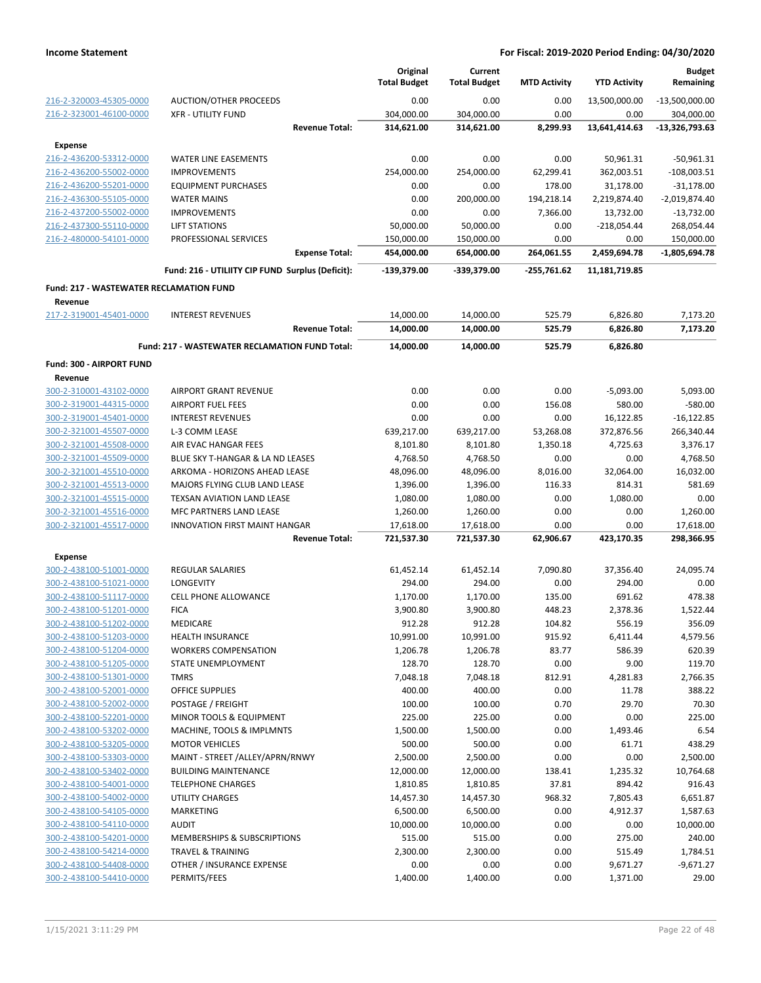|                                                    |                                                  | Original<br><b>Total Budget</b> | Current<br><b>Total Budget</b> | <b>MTD Activity</b> | <b>YTD Activity</b> | <b>Budget</b><br>Remaining |
|----------------------------------------------------|--------------------------------------------------|---------------------------------|--------------------------------|---------------------|---------------------|----------------------------|
| 216-2-320003-45305-0000                            | <b>AUCTION/OTHER PROCEEDS</b>                    | 0.00                            | 0.00                           | 0.00                | 13,500,000.00       | $-13,500,000.00$           |
| 216-2-323001-46100-0000                            | <b>XFR - UTILITY FUND</b>                        | 304,000.00                      | 304,000.00                     | 0.00                | 0.00                | 304,000.00                 |
|                                                    | <b>Revenue Total:</b>                            | 314,621.00                      | 314,621.00                     | 8,299.93            | 13,641,414.63       | $-13,326,793.63$           |
| <b>Expense</b>                                     |                                                  |                                 |                                |                     |                     |                            |
| 216-2-436200-53312-0000                            | WATER LINE EASEMENTS                             | 0.00                            | 0.00                           | 0.00                | 50,961.31           | $-50,961.31$               |
| 216-2-436200-55002-0000                            | <b>IMPROVEMENTS</b>                              | 254,000.00                      | 254,000.00                     | 62,299.41           | 362,003.51          | $-108,003.51$              |
| 216-2-436200-55201-0000                            | <b>EQUIPMENT PURCHASES</b>                       | 0.00                            | 0.00                           | 178.00              | 31,178.00           | $-31,178.00$               |
| 216-2-436300-55105-0000                            | <b>WATER MAINS</b>                               | 0.00                            | 200,000.00                     | 194,218.14          | 2,219,874.40        | $-2,019,874.40$            |
| 216-2-437200-55002-0000                            | <b>IMPROVEMENTS</b>                              | 0.00                            | 0.00                           | 7,366.00            | 13,732.00           | $-13,732.00$               |
| 216-2-437300-55110-0000                            | LIFT STATIONS                                    | 50,000.00                       | 50,000.00                      | 0.00                | $-218,054.44$       | 268,054.44                 |
| 216-2-480000-54101-0000                            | PROFESSIONAL SERVICES                            | 150,000.00                      | 150,000.00                     | 0.00                | 0.00                | 150,000.00                 |
|                                                    | <b>Expense Total:</b>                            | 454,000.00                      | 654,000.00                     | 264,061.55          | 2,459,694.78        | -1,805,694.78              |
|                                                    | Fund: 216 - UTILIITY CIP FUND Surplus (Deficit): | -139,379.00                     | -339,379.00                    | $-255,761.62$       | 11,181,719.85       |                            |
| <b>Fund: 217 - WASTEWATER RECLAMATION FUND</b>     |                                                  |                                 |                                |                     |                     |                            |
| Revenue<br>217-2-319001-45401-0000                 | <b>INTEREST REVENUES</b>                         | 14,000.00                       | 14,000.00                      | 525.79              | 6,826.80            | 7,173.20                   |
|                                                    | <b>Revenue Total:</b>                            | 14,000.00                       | 14,000.00                      | 525.79              | 6,826.80            | 7,173.20                   |
|                                                    | Fund: 217 - WASTEWATER RECLAMATION FUND Total:   | 14,000.00                       | 14,000.00                      | 525.79              | 6,826.80            |                            |
|                                                    |                                                  |                                 |                                |                     |                     |                            |
| Fund: 300 - AIRPORT FUND<br>Revenue                |                                                  |                                 |                                |                     |                     |                            |
| 300-2-310001-43102-0000                            | <b>AIRPORT GRANT REVENUE</b>                     | 0.00                            | 0.00                           | 0.00                | $-5,093.00$         | 5,093.00                   |
| 300-2-319001-44315-0000                            | <b>AIRPORT FUEL FEES</b>                         | 0.00                            | 0.00                           | 156.08              | 580.00              | $-580.00$                  |
| 300-2-319001-45401-0000                            | <b>INTEREST REVENUES</b>                         | 0.00                            | 0.00                           | 0.00                | 16,122.85           | $-16, 122.85$              |
| 300-2-321001-45507-0000                            | L-3 COMM LEASE                                   | 639,217.00                      | 639,217.00                     | 53,268.08           | 372,876.56          | 266,340.44                 |
| 300-2-321001-45508-0000                            | AIR EVAC HANGAR FEES                             | 8,101.80                        | 8,101.80                       | 1,350.18            | 4,725.63            | 3,376.17                   |
| 300-2-321001-45509-0000                            | BLUE SKY T-HANGAR & LA ND LEASES                 | 4,768.50                        | 4,768.50                       | 0.00                | 0.00                | 4,768.50                   |
| 300-2-321001-45510-0000                            | ARKOMA - HORIZONS AHEAD LEASE                    | 48,096.00                       | 48,096.00                      | 8,016.00            | 32,064.00           | 16,032.00                  |
| 300-2-321001-45513-0000                            | MAJORS FLYING CLUB LAND LEASE                    | 1,396.00                        | 1,396.00                       | 116.33              | 814.31              | 581.69                     |
| 300-2-321001-45515-0000                            | TEXSAN AVIATION LAND LEASE                       | 1,080.00                        | 1,080.00                       | 0.00                | 1,080.00            | 0.00                       |
| 300-2-321001-45516-0000                            | MFC PARTNERS LAND LEASE                          | 1,260.00                        | 1,260.00                       | 0.00                | 0.00                | 1,260.00                   |
| 300-2-321001-45517-0000                            | <b>INNOVATION FIRST MAINT HANGAR</b>             | 17,618.00                       | 17,618.00                      | 0.00                | 0.00                | 17,618.00                  |
|                                                    | <b>Revenue Total:</b>                            | 721,537.30                      | 721,537.30                     | 62,906.67           | 423,170.35          | 298,366.95                 |
| <b>Expense</b>                                     |                                                  |                                 |                                |                     |                     |                            |
| 300-2-438100-51001-0000                            | REGULAR SALARIES                                 | 61,452.14                       | 61,452.14                      | 7,090.80            | 37,356.40           | 24,095.74                  |
| 300-2-438100-51021-0000                            | LONGEVITY                                        | 294.00                          | 294.00                         | 0.00                | 294.00              | 0.00                       |
| 300-2-438100-51117-0000                            | <b>CELL PHONE ALLOWANCE</b>                      | 1,170.00                        | 1,170.00                       | 135.00              | 691.62              | 478.38                     |
| 300-2-438100-51201-0000                            | <b>FICA</b>                                      | 3,900.80                        | 3,900.80                       | 448.23              | 2,378.36            | 1,522.44                   |
| 300-2-438100-51202-0000                            | MEDICARE                                         | 912.28                          | 912.28                         | 104.82              | 556.19              | 356.09                     |
| 300-2-438100-51203-0000                            | <b>HEALTH INSURANCE</b>                          | 10,991.00                       | 10,991.00                      | 915.92              | 6,411.44            | 4,579.56                   |
| 300-2-438100-51204-0000<br>300-2-438100-51205-0000 | <b>WORKERS COMPENSATION</b>                      | 1,206.78<br>128.70              | 1,206.78<br>128.70             | 83.77<br>0.00       | 586.39<br>9.00      | 620.39<br>119.70           |
| 300-2-438100-51301-0000                            | STATE UNEMPLOYMENT<br><b>TMRS</b>                | 7,048.18                        | 7,048.18                       | 812.91              | 4,281.83            | 2,766.35                   |
| 300-2-438100-52001-0000                            | <b>OFFICE SUPPLIES</b>                           | 400.00                          | 400.00                         | 0.00                | 11.78               | 388.22                     |
| 300-2-438100-52002-0000                            | POSTAGE / FREIGHT                                | 100.00                          | 100.00                         | 0.70                | 29.70               | 70.30                      |
| 300-2-438100-52201-0000                            | MINOR TOOLS & EQUIPMENT                          | 225.00                          | 225.00                         | 0.00                | 0.00                | 225.00                     |
| 300-2-438100-53202-0000                            | MACHINE, TOOLS & IMPLMNTS                        | 1,500.00                        | 1,500.00                       | 0.00                | 1,493.46            | 6.54                       |
| 300-2-438100-53205-0000                            | <b>MOTOR VEHICLES</b>                            | 500.00                          | 500.00                         | 0.00                | 61.71               | 438.29                     |
| 300-2-438100-53303-0000                            | MAINT - STREET /ALLEY/APRN/RNWY                  | 2,500.00                        | 2,500.00                       | 0.00                | 0.00                | 2,500.00                   |
| 300-2-438100-53402-0000                            | <b>BUILDING MAINTENANCE</b>                      | 12,000.00                       | 12,000.00                      | 138.41              | 1,235.32            | 10,764.68                  |
| 300-2-438100-54001-0000                            | <b>TELEPHONE CHARGES</b>                         | 1,810.85                        | 1,810.85                       | 37.81               | 894.42              | 916.43                     |
| 300-2-438100-54002-0000                            | UTILITY CHARGES                                  | 14,457.30                       | 14,457.30                      | 968.32              | 7,805.43            | 6,651.87                   |
| 300-2-438100-54105-0000                            | MARKETING                                        | 6,500.00                        | 6,500.00                       | 0.00                | 4,912.37            | 1,587.63                   |
| 300-2-438100-54110-0000                            | <b>AUDIT</b>                                     | 10,000.00                       | 10,000.00                      | 0.00                | 0.00                | 10,000.00                  |
| 300-2-438100-54201-0000                            | MEMBERSHIPS & SUBSCRIPTIONS                      | 515.00                          | 515.00                         | 0.00                | 275.00              | 240.00                     |
| 300-2-438100-54214-0000                            | <b>TRAVEL &amp; TRAINING</b>                     | 2,300.00                        | 2,300.00                       | 0.00                | 515.49              | 1,784.51                   |
| 300-2-438100-54408-0000                            | OTHER / INSURANCE EXPENSE                        | 0.00                            | 0.00                           | 0.00                | 9,671.27            | $-9,671.27$                |
| 300-2-438100-54410-0000                            | PERMITS/FEES                                     | 1,400.00                        | 1,400.00                       | 0.00                | 1,371.00            | 29.00                      |
|                                                    |                                                  |                                 |                                |                     |                     |                            |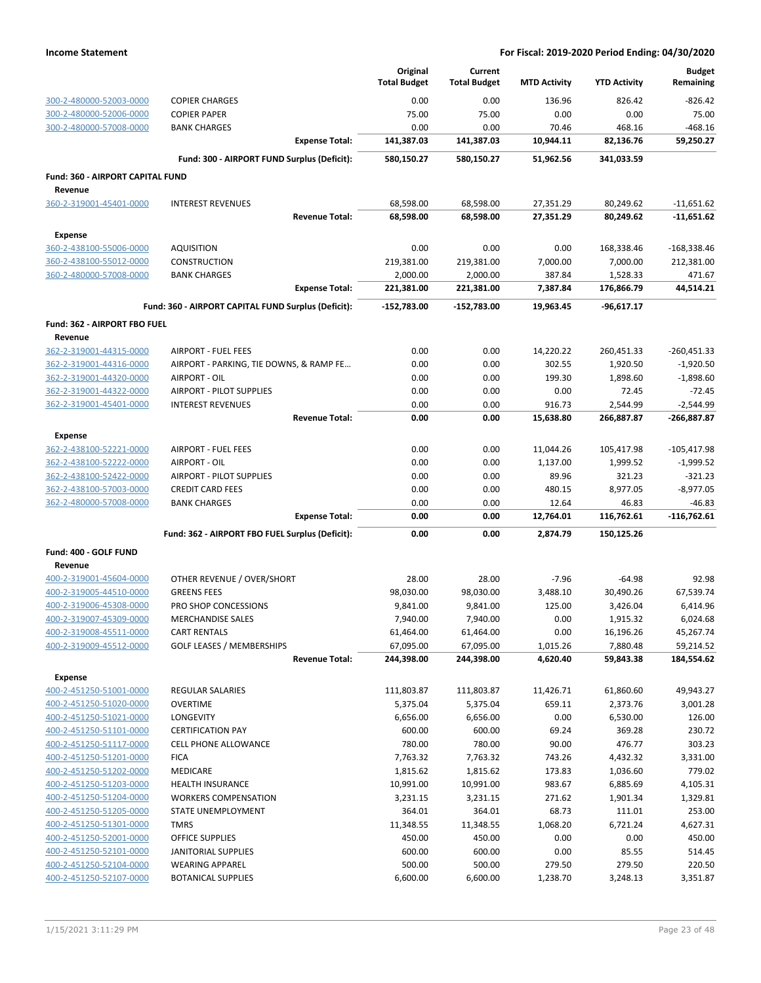|                                  |                                                     | Original<br><b>Total Budget</b> | Current<br><b>Total Budget</b> | <b>MTD Activity</b> | <b>YTD Activity</b> | <b>Budget</b><br>Remaining |
|----------------------------------|-----------------------------------------------------|---------------------------------|--------------------------------|---------------------|---------------------|----------------------------|
| 300-2-480000-52003-0000          | <b>COPIER CHARGES</b>                               | 0.00                            | 0.00                           | 136.96              | 826.42              | $-826.42$                  |
| 300-2-480000-52006-0000          | <b>COPIER PAPER</b>                                 | 75.00                           | 75.00                          | 0.00                | 0.00                | 75.00                      |
| 300-2-480000-57008-0000          | <b>BANK CHARGES</b>                                 | 0.00                            | 0.00                           | 70.46               | 468.16              | -468.16                    |
|                                  | <b>Expense Total:</b>                               | 141,387.03                      | 141,387.03                     | 10,944.11           | 82,136.76           | 59,250.27                  |
|                                  | Fund: 300 - AIRPORT FUND Surplus (Deficit):         | 580,150.27                      | 580,150.27                     | 51,962.56           | 341,033.59          |                            |
| Fund: 360 - AIRPORT CAPITAL FUND |                                                     |                                 |                                |                     |                     |                            |
| Revenue                          |                                                     |                                 |                                |                     |                     |                            |
| 360-2-319001-45401-0000          | <b>INTEREST REVENUES</b>                            | 68,598.00                       | 68,598.00                      | 27,351.29           | 80,249.62           | $-11,651.62$               |
|                                  | <b>Revenue Total:</b>                               | 68,598.00                       | 68,598.00                      | 27,351.29           | 80,249.62           | $-11,651.62$               |
| <b>Expense</b>                   |                                                     |                                 |                                |                     |                     |                            |
| 360-2-438100-55006-0000          | <b>AQUISITION</b>                                   | 0.00                            | 0.00                           | 0.00                | 168,338.46          | -168,338.46                |
| 360-2-438100-55012-0000          | CONSTRUCTION                                        | 219,381.00                      | 219,381.00                     | 7,000.00            | 7,000.00            | 212,381.00                 |
| 360-2-480000-57008-0000          | <b>BANK CHARGES</b>                                 | 2,000.00                        | 2,000.00                       | 387.84              | 1,528.33            | 471.67                     |
|                                  | <b>Expense Total:</b>                               | 221,381.00                      | 221,381.00                     | 7,387.84            | 176,866.79          | 44,514.21                  |
|                                  | Fund: 360 - AIRPORT CAPITAL FUND Surplus (Deficit): | -152,783.00                     | $-152,783.00$                  | 19,963.45           | $-96,617.17$        |                            |
| Fund: 362 - AIRPORT FBO FUEL     |                                                     |                                 |                                |                     |                     |                            |
| Revenue                          |                                                     |                                 |                                |                     |                     |                            |
| 362-2-319001-44315-0000          | <b>AIRPORT - FUEL FEES</b>                          | 0.00                            | 0.00                           | 14,220.22           | 260,451.33          | $-260,451.33$              |
| 362-2-319001-44316-0000          | AIRPORT - PARKING, TIE DOWNS, & RAMP FE             | 0.00                            | 0.00                           | 302.55              | 1,920.50            | $-1,920.50$                |
| 362-2-319001-44320-0000          | AIRPORT - OIL                                       | 0.00                            | 0.00                           | 199.30              | 1,898.60            | $-1,898.60$                |
| 362-2-319001-44322-0000          | AIRPORT - PILOT SUPPLIES                            | 0.00                            | 0.00                           | 0.00                | 72.45               | $-72.45$                   |
| 362-2-319001-45401-0000          | <b>INTEREST REVENUES</b>                            | 0.00                            | 0.00                           | 916.73              | 2,544.99            | $-2,544.99$                |
|                                  | <b>Revenue Total:</b>                               | 0.00                            | 0.00                           | 15,638.80           | 266,887.87          | -266,887.87                |
| <b>Expense</b>                   |                                                     |                                 |                                |                     |                     |                            |
| 362-2-438100-52221-0000          | <b>AIRPORT - FUEL FEES</b>                          | 0.00                            | 0.00                           | 11,044.26           | 105,417.98          | $-105,417.98$              |
| 362-2-438100-52222-0000          | AIRPORT - OIL                                       | 0.00                            | 0.00                           | 1,137.00            | 1,999.52            | $-1,999.52$                |
| 362-2-438100-52422-0000          | <b>AIRPORT - PILOT SUPPLIES</b>                     | 0.00                            | 0.00                           | 89.96               | 321.23              | -321.23                    |
| 362-2-438100-57003-0000          | <b>CREDIT CARD FEES</b>                             | 0.00                            | 0.00                           | 480.15              | 8,977.05            | $-8,977.05$                |
| 362-2-480000-57008-0000          | <b>BANK CHARGES</b>                                 | 0.00                            | 0.00                           | 12.64               | 46.83               | $-46.83$                   |
|                                  | <b>Expense Total:</b>                               | 0.00                            | 0.00                           | 12,764.01           | 116,762.61          | $-116,762.61$              |
|                                  | Fund: 362 - AIRPORT FBO FUEL Surplus (Deficit):     | 0.00                            | 0.00                           | 2,874.79            | 150,125.26          |                            |
| Fund: 400 - GOLF FUND            |                                                     |                                 |                                |                     |                     |                            |
| Revenue                          |                                                     |                                 |                                |                     |                     |                            |
| 400-2-319001-45604-0000          | OTHER REVENUE / OVER/SHORT                          | 28.00                           | 28.00                          | $-7.96$             | $-64.98$            | 92.98                      |
| 400-2-319005-44510-0000          | <b>GREENS FEES</b>                                  | 98,030.00                       | 98,030.00                      | 3,488.10            | 30,490.26           | 67,539.74                  |
| 400-2-319006-45308-0000          | PRO SHOP CONCESSIONS                                | 9,841.00                        | 9,841.00                       | 125.00              | 3,426.04            | 6,414.96                   |
| 400-2-319007-45309-0000          | <b>MERCHANDISE SALES</b>                            | 7,940.00                        | 7,940.00                       | 0.00                | 1,915.32            | 6.024.68                   |
| 400-2-319008-45511-0000          | <b>CART RENTALS</b>                                 | 61,464.00                       | 61,464.00                      | 0.00                | 16,196.26           | 45,267.74                  |
| 400-2-319009-45512-0000          | <b>GOLF LEASES / MEMBERSHIPS</b>                    | 67,095.00                       | 67,095.00                      | 1,015.26            | 7,880.48            | 59,214.52                  |
|                                  | <b>Revenue Total:</b>                               | 244,398.00                      | 244,398.00                     | 4,620.40            | 59,843.38           | 184,554.62                 |
| Expense                          |                                                     |                                 |                                |                     |                     |                            |
| 400-2-451250-51001-0000          | <b>REGULAR SALARIES</b>                             | 111,803.87                      | 111,803.87                     | 11,426.71           | 61,860.60           | 49,943.27                  |
| 400-2-451250-51020-0000          | <b>OVERTIME</b>                                     | 5,375.04                        | 5,375.04                       | 659.11              | 2,373.76            | 3,001.28                   |
| 400-2-451250-51021-0000          | LONGEVITY                                           | 6,656.00                        | 6,656.00                       | 0.00                | 6,530.00            | 126.00                     |
| 400-2-451250-51101-0000          | <b>CERTIFICATION PAY</b>                            | 600.00                          | 600.00                         | 69.24               | 369.28              | 230.72                     |
| 400-2-451250-51117-0000          | CELL PHONE ALLOWANCE                                | 780.00                          | 780.00                         | 90.00               | 476.77              | 303.23                     |
| 400-2-451250-51201-0000          | <b>FICA</b>                                         | 7,763.32                        | 7,763.32                       | 743.26              | 4,432.32            | 3,331.00                   |
| 400-2-451250-51202-0000          | <b>MEDICARE</b>                                     | 1,815.62                        | 1,815.62                       | 173.83              | 1,036.60            | 779.02                     |
| 400-2-451250-51203-0000          | <b>HEALTH INSURANCE</b>                             | 10,991.00                       | 10,991.00                      | 983.67              | 6,885.69            | 4,105.31                   |
| 400-2-451250-51204-0000          | <b>WORKERS COMPENSATION</b>                         | 3,231.15                        | 3,231.15                       | 271.62              | 1,901.34            | 1,329.81                   |
| 400-2-451250-51205-0000          | STATE UNEMPLOYMENT                                  | 364.01                          | 364.01                         | 68.73               | 111.01              | 253.00                     |
| 400-2-451250-51301-0000          | <b>TMRS</b>                                         | 11,348.55                       | 11,348.55                      | 1,068.20            | 6,721.24            | 4,627.31                   |
| 400-2-451250-52001-0000          | OFFICE SUPPLIES                                     | 450.00                          | 450.00                         | 0.00                | 0.00                | 450.00                     |
| 400-2-451250-52101-0000          | JANITORIAL SUPPLIES                                 | 600.00                          | 600.00                         | 0.00                | 85.55               | 514.45                     |
| 400-2-451250-52104-0000          | <b>WEARING APPAREL</b>                              | 500.00                          | 500.00                         | 279.50              | 279.50              | 220.50                     |
| 400-2-451250-52107-0000          | <b>BOTANICAL SUPPLIES</b>                           | 6,600.00                        | 6,600.00                       | 1,238.70            | 3,248.13            | 3,351.87                   |
|                                  |                                                     |                                 |                                |                     |                     |                            |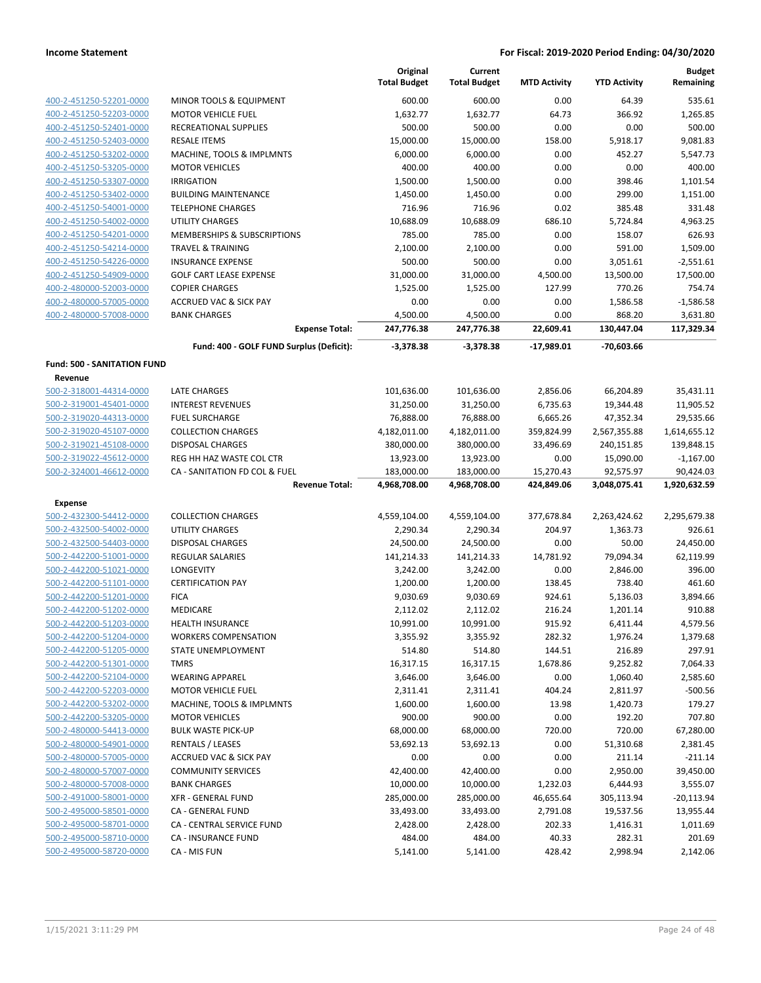|                                    |                                          | Original<br><b>Total Budget</b> | Current<br><b>Total Budget</b> | <b>MTD Activity</b> | <b>YTD Activity</b> | <b>Budget</b><br>Remaining |
|------------------------------------|------------------------------------------|---------------------------------|--------------------------------|---------------------|---------------------|----------------------------|
| 400-2-451250-52201-0000            | MINOR TOOLS & EQUIPMENT                  | 600.00                          | 600.00                         | 0.00                | 64.39               | 535.61                     |
| 400-2-451250-52203-0000            | <b>MOTOR VEHICLE FUEL</b>                | 1,632.77                        | 1,632.77                       | 64.73               | 366.92              | 1,265.85                   |
| 400-2-451250-52401-0000            | RECREATIONAL SUPPLIES                    | 500.00                          | 500.00                         | 0.00                | 0.00                | 500.00                     |
| 400-2-451250-52403-0000            | <b>RESALE ITEMS</b>                      | 15,000.00                       | 15,000.00                      | 158.00              | 5,918.17            | 9,081.83                   |
| 400-2-451250-53202-0000            | MACHINE, TOOLS & IMPLMNTS                | 6,000.00                        | 6,000.00                       | 0.00                | 452.27              | 5,547.73                   |
| 400-2-451250-53205-0000            | <b>MOTOR VEHICLES</b>                    | 400.00                          | 400.00                         | 0.00                | 0.00                | 400.00                     |
| 400-2-451250-53307-0000            | <b>IRRIGATION</b>                        | 1,500.00                        | 1,500.00                       | 0.00                | 398.46              | 1,101.54                   |
| 400-2-451250-53402-0000            | <b>BUILDING MAINTENANCE</b>              | 1,450.00                        | 1,450.00                       | 0.00                | 299.00              | 1,151.00                   |
| 400-2-451250-54001-0000            | <b>TELEPHONE CHARGES</b>                 | 716.96                          | 716.96                         | 0.02                | 385.48              | 331.48                     |
| 400-2-451250-54002-0000            | <b>UTILITY CHARGES</b>                   | 10,688.09                       | 10,688.09                      | 686.10              | 5,724.84            | 4,963.25                   |
| 400-2-451250-54201-0000            | MEMBERSHIPS & SUBSCRIPTIONS              | 785.00                          | 785.00                         | 0.00                | 158.07              | 626.93                     |
| 400-2-451250-54214-0000            | <b>TRAVEL &amp; TRAINING</b>             | 2,100.00                        | 2,100.00                       | 0.00                | 591.00              | 1,509.00                   |
| 400-2-451250-54226-0000            | <b>INSURANCE EXPENSE</b>                 | 500.00                          | 500.00                         | 0.00                | 3,051.61            | $-2,551.61$                |
| 400-2-451250-54909-0000            | <b>GOLF CART LEASE EXPENSE</b>           | 31,000.00                       | 31,000.00                      | 4,500.00            | 13,500.00           | 17,500.00                  |
| 400-2-480000-52003-0000            | <b>COPIER CHARGES</b>                    | 1,525.00                        | 1,525.00                       | 127.99              | 770.26              | 754.74                     |
| 400-2-480000-57005-0000            | <b>ACCRUED VAC &amp; SICK PAY</b>        | 0.00                            | 0.00                           | 0.00                | 1,586.58            | $-1,586.58$                |
| 400-2-480000-57008-0000            | <b>BANK CHARGES</b>                      | 4,500.00                        | 4,500.00                       | 0.00                | 868.20              | 3,631.80                   |
|                                    | <b>Expense Total:</b>                    | 247,776.38                      | 247,776.38                     | 22,609.41           | 130,447.04          | 117,329.34                 |
|                                    | Fund: 400 - GOLF FUND Surplus (Deficit): | $-3,378.38$                     | $-3,378.38$                    | $-17,989.01$        | -70,603.66          |                            |
| <b>Fund: 500 - SANITATION FUND</b> |                                          |                                 |                                |                     |                     |                            |
| Revenue                            |                                          |                                 |                                |                     |                     |                            |
| 500-2-318001-44314-0000            | <b>LATE CHARGES</b>                      | 101,636.00                      | 101,636.00                     | 2,856.06            | 66,204.89           | 35,431.11                  |
| 500-2-319001-45401-0000            | <b>INTEREST REVENUES</b>                 | 31,250.00                       | 31,250.00                      | 6,735.63            | 19,344.48           | 11,905.52                  |
| 500-2-319020-44313-0000            | <b>FUEL SURCHARGE</b>                    | 76,888.00                       | 76,888.00                      | 6,665.26            | 47,352.34           | 29,535.66                  |
| 500-2-319020-45107-0000            | <b>COLLECTION CHARGES</b>                | 4,182,011.00                    | 4,182,011.00                   | 359,824.99          | 2,567,355.88        | 1,614,655.12               |
| 500-2-319021-45108-0000            | <b>DISPOSAL CHARGES</b>                  | 380,000.00                      | 380,000.00                     | 33,496.69           | 240,151.85          | 139,848.15                 |
| 500-2-319022-45612-0000            | REG HH HAZ WASTE COL CTR                 | 13,923.00                       | 13,923.00                      | 0.00                | 15,090.00           | $-1,167.00$                |
| 500-2-324001-46612-0000            | CA - SANITATION FD COL & FUEL            | 183,000.00                      | 183,000.00                     | 15,270.43           | 92,575.97           | 90,424.03                  |
|                                    | <b>Revenue Total:</b>                    | 4,968,708.00                    | 4,968,708.00                   | 424,849.06          | 3,048,075.41        | 1,920,632.59               |
| <b>Expense</b>                     |                                          |                                 |                                |                     |                     |                            |
| 500-2-432300-54412-0000            | <b>COLLECTION CHARGES</b>                | 4,559,104.00                    | 4,559,104.00                   | 377,678.84          | 2,263,424.62        | 2,295,679.38               |
| 500-2-432500-54002-0000            | <b>UTILITY CHARGES</b>                   | 2,290.34                        | 2,290.34                       | 204.97              | 1,363.73            | 926.61                     |
| 500-2-432500-54403-0000            | DISPOSAL CHARGES                         | 24,500.00                       | 24,500.00                      | 0.00                | 50.00               | 24,450.00                  |
| 500-2-442200-51001-0000            | <b>REGULAR SALARIES</b>                  | 141,214.33                      | 141,214.33                     | 14,781.92           | 79,094.34           | 62,119.99                  |
| 500-2-442200-51021-0000            | LONGEVITY                                | 3,242.00                        | 3,242.00                       | 0.00                | 2,846.00            | 396.00                     |
| 500-2-442200-51101-0000            | <b>CERTIFICATION PAY</b>                 | 1,200.00                        | 1,200.00                       | 138.45              | 738.40              | 461.60                     |
| 500-2-442200-51201-0000            | <b>FICA</b>                              | 9,030.69                        | 9,030.69                       | 924.61              | 5,136.03            | 3,894.66                   |
| 500-2-442200-51202-0000            | MEDICARE                                 | 2,112.02                        | 2,112.02                       | 216.24              | 1,201.14            | 910.88                     |
| 500-2-442200-51203-0000            | HEALTH INSURANCE                         | 10,991.00                       | 10,991.00                      | 915.92              | 6,411.44            | 4,579.56                   |
| 500-2-442200-51204-0000            | <b>WORKERS COMPENSATION</b>              | 3,355.92                        | 3,355.92                       | 282.32              | 1,976.24            | 1,379.68                   |
| 500-2-442200-51205-0000            | STATE UNEMPLOYMENT                       | 514.80                          | 514.80                         | 144.51              | 216.89              | 297.91                     |
| 500-2-442200-51301-0000            | <b>TMRS</b>                              | 16,317.15                       | 16,317.15                      | 1,678.86            | 9,252.82            | 7,064.33                   |
| 500-2-442200-52104-0000            | <b>WEARING APPAREL</b>                   | 3,646.00                        | 3,646.00                       | 0.00                | 1,060.40            | 2,585.60                   |
| 500-2-442200-52203-0000            | <b>MOTOR VEHICLE FUEL</b>                | 2,311.41                        | 2,311.41                       | 404.24              | 2,811.97            | $-500.56$                  |
| 500-2-442200-53202-0000            | MACHINE, TOOLS & IMPLMNTS                | 1,600.00                        | 1,600.00                       | 13.98               | 1,420.73            | 179.27                     |
| 500-2-442200-53205-0000            | <b>MOTOR VEHICLES</b>                    | 900.00                          | 900.00                         | 0.00                | 192.20              | 707.80                     |
| 500-2-480000-54413-0000            | <b>BULK WASTE PICK-UP</b>                | 68,000.00                       | 68,000.00                      | 720.00              | 720.00              | 67,280.00                  |
| 500-2-480000-54901-0000            | <b>RENTALS / LEASES</b>                  | 53,692.13                       | 53,692.13                      | 0.00                | 51,310.68           | 2,381.45                   |
| 500-2-480000-57005-0000            | <b>ACCRUED VAC &amp; SICK PAY</b>        | 0.00                            | 0.00                           | 0.00                | 211.14              | $-211.14$                  |
| 500-2-480000-57007-0000            | <b>COMMUNITY SERVICES</b>                | 42,400.00                       | 42,400.00                      | 0.00                | 2,950.00            | 39,450.00                  |
| 500-2-480000-57008-0000            | <b>BANK CHARGES</b>                      | 10,000.00                       | 10,000.00                      | 1,232.03            | 6,444.93            | 3,555.07                   |
| 500-2-491000-58001-0000            | <b>XFR - GENERAL FUND</b>                | 285,000.00                      | 285,000.00                     | 46,655.64           | 305,113.94          | $-20,113.94$               |
| 500-2-495000-58501-0000            | CA - GENERAL FUND                        | 33,493.00                       | 33,493.00                      | 2,791.08            | 19,537.56           | 13,955.44                  |
| 500-2-495000-58701-0000            | CA - CENTRAL SERVICE FUND                | 2,428.00                        | 2,428.00                       | 202.33              | 1,416.31            | 1,011.69                   |
| 500-2-495000-58710-0000            | CA - INSURANCE FUND                      | 484.00                          | 484.00                         | 40.33               | 282.31              | 201.69                     |
| 500-2-495000-58720-0000            | CA - MIS FUN                             | 5,141.00                        | 5,141.00                       | 428.42              | 2,998.94            | 2,142.06                   |
|                                    |                                          |                                 |                                |                     |                     |                            |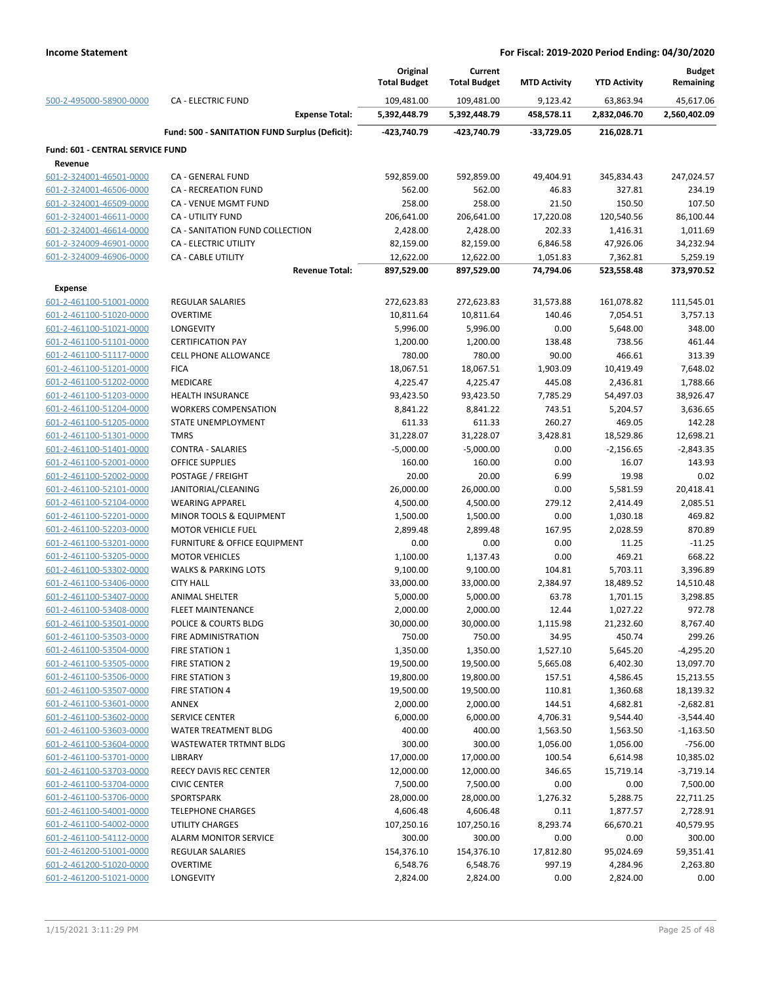|                                                    |                                                | Original<br><b>Total Budget</b> | Current<br><b>Total Budget</b> | <b>MTD Activity</b>   | <b>YTD Activity</b>    | <b>Budget</b><br>Remaining |
|----------------------------------------------------|------------------------------------------------|---------------------------------|--------------------------------|-----------------------|------------------------|----------------------------|
| 500-2-495000-58900-0000                            | <b>CA - ELECTRIC FUND</b>                      | 109,481.00                      | 109,481.00                     | 9,123.42              | 63,863.94              | 45,617.06                  |
|                                                    | <b>Expense Total:</b>                          | 5,392,448.79                    | 5,392,448.79                   | 458,578.11            | 2,832,046.70           | 2,560,402.09               |
|                                                    | Fund: 500 - SANITATION FUND Surplus (Deficit): | -423.740.79                     | -423,740.79                    | $-33,729.05$          | 216,028.71             |                            |
| <b>Fund: 601 - CENTRAL SERVICE FUND</b>            |                                                |                                 |                                |                       |                        |                            |
| Revenue                                            |                                                |                                 |                                |                       |                        |                            |
| 601-2-324001-46501-0000                            | CA - GENERAL FUND                              | 592,859.00                      | 592,859.00                     | 49,404.91             | 345,834.43             | 247,024.57                 |
| 601-2-324001-46506-0000                            | <b>CA - RECREATION FUND</b>                    | 562.00                          | 562.00                         | 46.83                 | 327.81                 | 234.19                     |
| 601-2-324001-46509-0000                            | CA - VENUE MGMT FUND                           | 258.00                          | 258.00                         | 21.50                 | 150.50                 | 107.50                     |
| 601-2-324001-46611-0000                            | <b>CA - UTILITY FUND</b>                       | 206,641.00                      | 206,641.00                     | 17,220.08             | 120,540.56             | 86,100.44                  |
| 601-2-324001-46614-0000                            | CA - SANITATION FUND COLLECTION                | 2,428.00                        | 2,428.00                       | 202.33                | 1,416.31               | 1,011.69                   |
| 601-2-324009-46901-0000                            | CA - ELECTRIC UTILITY                          | 82,159.00                       | 82,159.00                      | 6,846.58              | 47,926.06              | 34,232.94                  |
| 601-2-324009-46906-0000                            | CA - CABLE UTILITY<br><b>Revenue Total:</b>    | 12,622.00<br>897,529.00         | 12,622.00<br>897,529.00        | 1,051.83<br>74,794.06 | 7,362.81<br>523,558.48 | 5,259.19<br>373,970.52     |
| <b>Expense</b>                                     |                                                |                                 |                                |                       |                        |                            |
| 601-2-461100-51001-0000                            | <b>REGULAR SALARIES</b>                        | 272,623.83                      | 272,623.83                     | 31,573.88             | 161,078.82             | 111,545.01                 |
| 601-2-461100-51020-0000                            | <b>OVERTIME</b>                                | 10,811.64                       | 10,811.64                      | 140.46                | 7,054.51               | 3,757.13                   |
| 601-2-461100-51021-0000                            | LONGEVITY                                      | 5,996.00                        | 5,996.00                       | 0.00                  | 5,648.00               | 348.00                     |
| 601-2-461100-51101-0000                            | <b>CERTIFICATION PAY</b>                       | 1,200.00                        | 1,200.00                       | 138.48                | 738.56                 | 461.44                     |
| 601-2-461100-51117-0000                            | <b>CELL PHONE ALLOWANCE</b>                    | 780.00                          | 780.00                         | 90.00                 | 466.61                 | 313.39                     |
| 601-2-461100-51201-0000                            | <b>FICA</b>                                    | 18,067.51                       | 18,067.51                      | 1,903.09              | 10,419.49              | 7,648.02                   |
| 601-2-461100-51202-0000                            | MEDICARE                                       | 4,225.47                        | 4,225.47                       | 445.08                | 2,436.81               | 1,788.66                   |
| 601-2-461100-51203-0000                            | <b>HEALTH INSURANCE</b>                        | 93,423.50                       | 93,423.50                      | 7,785.29              | 54,497.03              | 38,926.47                  |
| 601-2-461100-51204-0000                            | <b>WORKERS COMPENSATION</b>                    | 8,841.22                        | 8,841.22                       | 743.51                | 5,204.57               | 3,636.65                   |
| 601-2-461100-51205-0000                            | STATE UNEMPLOYMENT                             | 611.33                          | 611.33                         | 260.27                | 469.05                 | 142.28                     |
| 601-2-461100-51301-0000                            | <b>TMRS</b>                                    | 31,228.07                       | 31,228.07                      | 3,428.81              | 18,529.86              | 12,698.21                  |
| 601-2-461100-51401-0000                            | <b>CONTRA - SALARIES</b>                       | $-5,000.00$                     | $-5,000.00$                    | 0.00                  | $-2,156.65$            | $-2,843.35$                |
| 601-2-461100-52001-0000                            | <b>OFFICE SUPPLIES</b>                         | 160.00                          | 160.00                         | 0.00                  | 16.07                  | 143.93                     |
| 601-2-461100-52002-0000                            | POSTAGE / FREIGHT                              | 20.00                           | 20.00                          | 6.99                  | 19.98                  | 0.02                       |
| 601-2-461100-52101-0000                            | JANITORIAL/CLEANING                            | 26,000.00                       | 26,000.00                      | 0.00                  | 5,581.59               | 20,418.41                  |
| 601-2-461100-52104-0000                            | <b>WEARING APPAREL</b>                         | 4,500.00                        | 4,500.00                       | 279.12                | 2,414.49               | 2,085.51                   |
| 601-2-461100-52201-0000                            | MINOR TOOLS & EQUIPMENT                        | 1,500.00                        | 1,500.00                       | 0.00                  | 1,030.18               | 469.82                     |
| 601-2-461100-52203-0000                            | <b>MOTOR VEHICLE FUEL</b>                      | 2,899.48                        | 2,899.48                       | 167.95                | 2,028.59               | 870.89                     |
| 601-2-461100-53201-0000                            | FURNITURE & OFFICE EQUIPMENT                   | 0.00                            | 0.00                           | 0.00                  | 11.25                  | $-11.25$                   |
| 601-2-461100-53205-0000                            | <b>MOTOR VEHICLES</b>                          | 1,100.00                        |                                | 0.00                  | 469.21                 | 668.22                     |
| 601-2-461100-53302-0000                            | <b>WALKS &amp; PARKING LOTS</b>                | 9,100.00                        | 1,137.43                       | 104.81                | 5,703.11               | 3,396.89                   |
| 601-2-461100-53406-0000                            | <b>CITY HALL</b>                               |                                 | 9,100.00                       | 2,384.97              | 18,489.52              | 14,510.48                  |
|                                                    | <b>ANIMAL SHELTER</b>                          | 33,000.00                       | 33,000.00                      | 63.78                 |                        |                            |
| 601-2-461100-53407-0000<br>601-2-461100-53408-0000 | <b>FLEET MAINTENANCE</b>                       | 5,000.00                        | 5,000.00                       | 12.44                 | 1,701.15<br>1,027.22   | 3,298.85<br>972.78         |
| 601-2-461100-53501-0000                            |                                                | 2,000.00                        | 2,000.00                       |                       |                        |                            |
| 601-2-461100-53503-0000                            | POLICE & COURTS BLDG<br>FIRE ADMINISTRATION    | 30,000.00<br>750.00             | 30,000.00<br>750.00            | 1,115.98<br>34.95     | 21,232.60<br>450.74    | 8,767.40<br>299.26         |
| 601-2-461100-53504-0000                            | <b>FIRE STATION 1</b>                          |                                 |                                |                       |                        | $-4,295.20$                |
| 601-2-461100-53505-0000                            | FIRE STATION 2                                 | 1,350.00<br>19,500.00           | 1,350.00                       | 1,527.10              | 5,645.20               | 13,097.70                  |
| 601-2-461100-53506-0000                            | <b>FIRE STATION 3</b>                          |                                 | 19,500.00                      | 5,665.08              | 6,402.30               |                            |
|                                                    | <b>FIRE STATION 4</b>                          | 19,800.00                       | 19,800.00                      | 157.51                | 4,586.45               | 15,213.55                  |
| 601-2-461100-53507-0000                            | ANNEX                                          | 19,500.00                       | 19,500.00                      | 110.81                | 1,360.68               | 18,139.32                  |
| 601-2-461100-53601-0000<br>601-2-461100-53602-0000 | <b>SERVICE CENTER</b>                          | 2,000.00<br>6,000.00            | 2,000.00<br>6,000.00           | 144.51<br>4,706.31    | 4,682.81<br>9,544.40   | $-2,682.81$<br>$-3,544.40$ |
| 601-2-461100-53603-0000                            | WATER TREATMENT BLDG                           | 400.00                          | 400.00                         |                       |                        | $-1,163.50$                |
| 601-2-461100-53604-0000                            | <b>WASTEWATER TRTMNT BLDG</b>                  | 300.00                          | 300.00                         | 1,563.50              | 1,563.50<br>1,056.00   |                            |
|                                                    |                                                | 17,000.00                       |                                | 1,056.00<br>100.54    |                        | $-756.00$                  |
| 601-2-461100-53701-0000                            | LIBRARY                                        |                                 | 17,000.00                      |                       | 6,614.98               | 10,385.02                  |
| 601-2-461100-53703-0000                            | REECY DAVIS REC CENTER                         | 12,000.00                       | 12,000.00                      | 346.65                | 15,719.14              | $-3,719.14$                |
| 601-2-461100-53704-0000                            | <b>CIVIC CENTER</b>                            | 7,500.00                        | 7,500.00                       | 0.00                  | 0.00                   | 7,500.00                   |
| 601-2-461100-53706-0000                            | SPORTSPARK                                     | 28,000.00                       | 28,000.00                      | 1,276.32              | 5,288.75               | 22,711.25                  |
| 601-2-461100-54001-0000                            | <b>TELEPHONE CHARGES</b>                       | 4,606.48                        | 4,606.48                       | 0.11                  | 1,877.57               | 2,728.91                   |
| 601-2-461100-54002-0000                            | <b>UTILITY CHARGES</b>                         | 107,250.16                      | 107,250.16                     | 8,293.74              | 66,670.21              | 40,579.95                  |
| 601-2-461100-54112-0000                            | ALARM MONITOR SERVICE                          | 300.00                          | 300.00                         | 0.00                  | 0.00                   | 300.00                     |
| 601-2-461200-51001-0000                            | REGULAR SALARIES                               | 154,376.10                      | 154,376.10                     | 17,812.80             | 95,024.69              | 59,351.41                  |
| 601-2-461200-51020-0000                            | <b>OVERTIME</b>                                | 6,548.76                        | 6,548.76                       | 997.19                | 4,284.96               | 2,263.80                   |
| 601-2-461200-51021-0000                            | LONGEVITY                                      | 2,824.00                        | 2,824.00                       | 0.00                  | 2,824.00               | 0.00                       |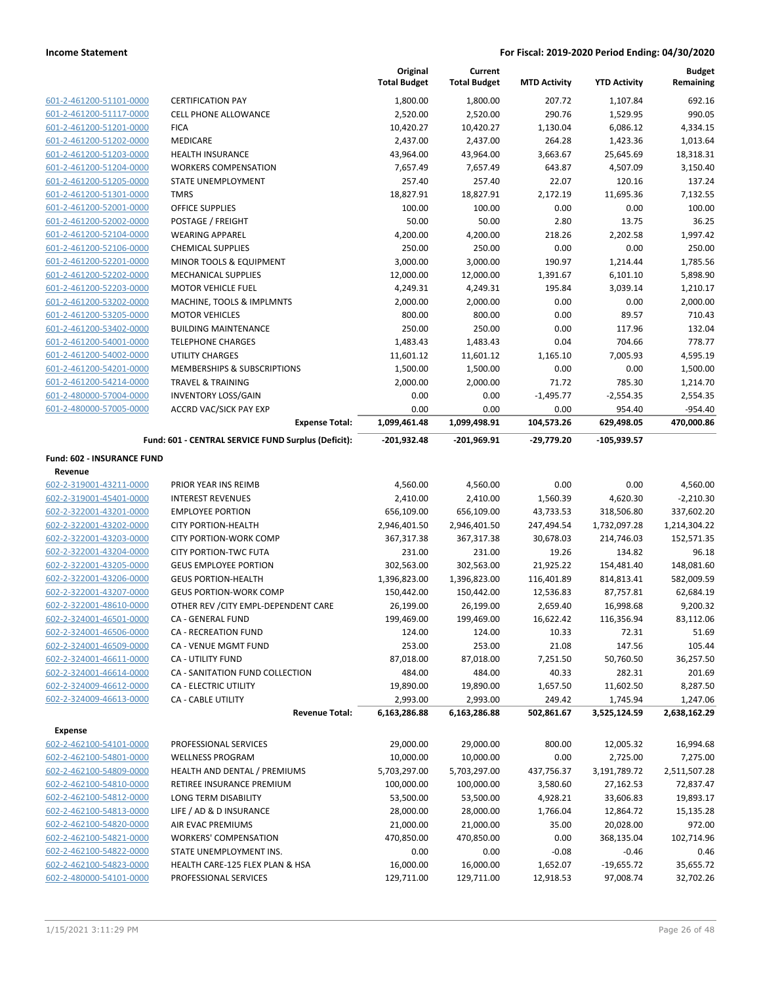|                                                    |                                                            | Original<br><b>Total Budget</b> | Current<br><b>Total Budget</b> | <b>MTD Activity</b>     | <b>YTD Activity</b>     | <b>Budget</b><br>Remaining |
|----------------------------------------------------|------------------------------------------------------------|---------------------------------|--------------------------------|-------------------------|-------------------------|----------------------------|
| 601-2-461200-51101-0000                            | <b>CERTIFICATION PAY</b>                                   | 1,800.00                        | 1,800.00                       | 207.72                  | 1,107.84                | 692.16                     |
| 601-2-461200-51117-0000                            | <b>CELL PHONE ALLOWANCE</b>                                | 2,520.00                        | 2,520.00                       | 290.76                  | 1,529.95                | 990.05                     |
| 601-2-461200-51201-0000                            | <b>FICA</b>                                                | 10,420.27                       | 10,420.27                      | 1,130.04                | 6,086.12                | 4,334.15                   |
| 601-2-461200-51202-0000                            | MEDICARE                                                   | 2,437.00                        | 2,437.00                       | 264.28                  | 1,423.36                | 1,013.64                   |
| 601-2-461200-51203-0000                            | HEALTH INSURANCE                                           | 43,964.00                       | 43,964.00                      | 3,663.67                | 25,645.69               | 18,318.31                  |
| 601-2-461200-51204-0000                            | <b>WORKERS COMPENSATION</b>                                | 7,657.49                        | 7,657.49                       | 643.87                  | 4,507.09                | 3,150.40                   |
| 601-2-461200-51205-0000                            | STATE UNEMPLOYMENT                                         | 257.40                          | 257.40                         | 22.07                   | 120.16                  | 137.24                     |
| 601-2-461200-51301-0000                            | <b>TMRS</b>                                                | 18,827.91                       | 18,827.91                      | 2,172.19                | 11,695.36               | 7,132.55                   |
| 601-2-461200-52001-0000                            | OFFICE SUPPLIES                                            | 100.00                          | 100.00                         | 0.00                    | 0.00                    | 100.00                     |
| 601-2-461200-52002-0000                            | POSTAGE / FREIGHT                                          | 50.00                           | 50.00                          | 2.80                    | 13.75                   | 36.25                      |
| 601-2-461200-52104-0000                            | <b>WEARING APPAREL</b>                                     | 4,200.00                        | 4,200.00                       | 218.26                  | 2,202.58                | 1,997.42                   |
| 601-2-461200-52106-0000                            | <b>CHEMICAL SUPPLIES</b>                                   | 250.00                          | 250.00                         | 0.00                    | 0.00                    | 250.00                     |
| 601-2-461200-52201-0000                            | MINOR TOOLS & EQUIPMENT                                    | 3,000.00                        | 3,000.00                       | 190.97                  | 1,214.44                | 1,785.56                   |
| 601-2-461200-52202-0000                            | MECHANICAL SUPPLIES                                        | 12,000.00                       | 12,000.00                      | 1,391.67                | 6,101.10                | 5,898.90                   |
| 601-2-461200-52203-0000                            | <b>MOTOR VEHICLE FUEL</b>                                  | 4,249.31                        | 4,249.31                       | 195.84                  | 3,039.14                | 1,210.17                   |
| 601-2-461200-53202-0000                            | MACHINE, TOOLS & IMPLMNTS                                  | 2,000.00                        | 2,000.00                       | 0.00                    | 0.00                    | 2,000.00                   |
| 601-2-461200-53205-0000<br>601-2-461200-53402-0000 | <b>MOTOR VEHICLES</b><br><b>BUILDING MAINTENANCE</b>       | 800.00                          | 800.00                         | 0.00                    | 89.57                   | 710.43                     |
| 601-2-461200-54001-0000                            | <b>TELEPHONE CHARGES</b>                                   | 250.00                          | 250.00                         | 0.00<br>0.04            | 117.96<br>704.66        | 132.04<br>778.77           |
| 601-2-461200-54002-0000                            | UTILITY CHARGES                                            | 1,483.43<br>11,601.12           | 1,483.43<br>11,601.12          | 1,165.10                | 7,005.93                | 4,595.19                   |
| 601-2-461200-54201-0000                            | MEMBERSHIPS & SUBSCRIPTIONS                                | 1,500.00                        | 1,500.00                       | 0.00                    | 0.00                    | 1,500.00                   |
| 601-2-461200-54214-0000                            | <b>TRAVEL &amp; TRAINING</b>                               | 2,000.00                        | 2,000.00                       | 71.72                   | 785.30                  | 1,214.70                   |
| 601-2-480000-57004-0000                            | <b>INVENTORY LOSS/GAIN</b>                                 | 0.00                            | 0.00                           | $-1,495.77$             | $-2,554.35$             | 2,554.35                   |
| 601-2-480000-57005-0000                            | <b>ACCRD VAC/SICK PAY EXP</b>                              | 0.00                            | 0.00                           | 0.00                    | 954.40                  | $-954.40$                  |
|                                                    | <b>Expense Total:</b>                                      | 1,099,461.48                    | 1,099,498.91                   | 104,573.26              | 629,498.05              | 470,000.86                 |
|                                                    | Fund: 601 - CENTRAL SERVICE FUND Surplus (Deficit):        | -201,932.48                     | -201,969.91                    | -29,779.20              | $-105,939.57$           |                            |
| Fund: 602 - INSURANCE FUND<br>Revenue              |                                                            |                                 |                                |                         |                         |                            |
| 602-2-319001-43211-0000                            | PRIOR YEAR INS REIMB                                       | 4,560.00                        | 4,560.00                       | 0.00                    | 0.00                    | 4,560.00                   |
| 602-2-319001-45401-0000                            | <b>INTEREST REVENUES</b>                                   | 2,410.00                        | 2,410.00                       | 1,560.39                | 4,620.30                | $-2,210.30$                |
| 602-2-322001-43201-0000                            | <b>EMPLOYEE PORTION</b>                                    | 656,109.00                      | 656,109.00                     | 43,733.53               | 318,506.80              | 337,602.20                 |
| 602-2-322001-43202-0000                            | <b>CITY PORTION-HEALTH</b>                                 | 2,946,401.50                    | 2,946,401.50                   | 247,494.54              | 1,732,097.28            | 1,214,304.22               |
| 602-2-322001-43203-0000                            | <b>CITY PORTION-WORK COMP</b>                              | 367,317.38                      | 367,317.38                     | 30,678.03               | 214,746.03              | 152,571.35                 |
| 602-2-322001-43204-0000                            | <b>CITY PORTION-TWC FUTA</b>                               | 231.00                          | 231.00                         | 19.26                   | 134.82                  | 96.18                      |
| 602-2-322001-43205-0000<br>602-2-322001-43206-0000 | <b>GEUS EMPLOYEE PORTION</b><br><b>GEUS PORTION-HEALTH</b> | 302,563.00<br>1,396,823.00      | 302,563.00                     | 21,925.22               | 154,481.40              | 148,081.60                 |
| 602-2-322001-43207-0000                            | <b>GEUS PORTION-WORK COMP</b>                              | 150,442.00                      | 1,396,823.00<br>150,442.00     | 116,401.89<br>12,536.83 | 814,813.41<br>87,757.81 | 582,009.59<br>62,684.19    |
| 602-2-322001-48610-0000                            | OTHER REV / CITY EMPL-DEPENDENT CARE                       | 26,199.00                       | 26,199.00                      | 2,659.40                | 16,998.68               | 9,200.32                   |
| 602-2-324001-46501-0000                            | CA - GENERAL FUND                                          | 199,469.00                      | 199,469.00                     | 16,622.42               | 116,356.94              | 83,112.06                  |
| 602-2-324001-46506-0000                            | CA - RECREATION FUND                                       | 124.00                          | 124.00                         | 10.33                   | 72.31                   | 51.69                      |
| 602-2-324001-46509-0000                            | CA - VENUE MGMT FUND                                       | 253.00                          | 253.00                         | 21.08                   | 147.56                  | 105.44                     |
| 602-2-324001-46611-0000                            | CA - UTILITY FUND                                          | 87,018.00                       | 87,018.00                      | 7,251.50                | 50,760.50               | 36,257.50                  |
| 602-2-324001-46614-0000                            | CA - SANITATION FUND COLLECTION                            | 484.00                          | 484.00                         | 40.33                   | 282.31                  | 201.69                     |
| 602-2-324009-46612-0000                            | CA - ELECTRIC UTILITY                                      | 19,890.00                       | 19,890.00                      | 1,657.50                | 11,602.50               | 8,287.50                   |
| 602-2-324009-46613-0000                            | <b>CA - CABLE UTILITY</b>                                  | 2,993.00                        | 2,993.00                       | 249.42                  | 1,745.94                | 1,247.06                   |
|                                                    | <b>Revenue Total:</b>                                      | 6,163,286.88                    | 6,163,286.88                   | 502,861.67              | 3,525,124.59            | 2,638,162.29               |
| <b>Expense</b>                                     |                                                            |                                 |                                |                         |                         |                            |
| 602-2-462100-54101-0000                            | PROFESSIONAL SERVICES                                      | 29,000.00                       | 29,000.00                      | 800.00                  | 12,005.32               | 16,994.68                  |
| 602-2-462100-54801-0000                            | <b>WELLNESS PROGRAM</b>                                    | 10,000.00                       | 10,000.00                      | 0.00                    | 2,725.00                | 7,275.00                   |
| 602-2-462100-54809-0000                            | HEALTH AND DENTAL / PREMIUMS                               | 5,703,297.00                    | 5,703,297.00                   | 437,756.37              | 3,191,789.72            | 2,511,507.28               |
| 602-2-462100-54810-0000                            | RETIREE INSURANCE PREMIUM                                  | 100,000.00                      | 100,000.00                     | 3,580.60                | 27,162.53               | 72,837.47                  |
| 602-2-462100-54812-0000                            | LONG TERM DISABILITY                                       | 53,500.00                       | 53,500.00                      | 4,928.21                | 33,606.83               | 19,893.17                  |
| 602-2-462100-54813-0000                            | LIFE / AD & D INSURANCE                                    | 28,000.00                       | 28,000.00                      | 1,766.04                | 12,864.72               | 15,135.28                  |
| 602-2-462100-54820-0000                            | AIR EVAC PREMIUMS                                          | 21,000.00                       | 21,000.00                      | 35.00                   | 20,028.00               | 972.00                     |
| 602-2-462100-54821-0000                            | <b>WORKERS' COMPENSATION</b>                               | 470,850.00                      | 470,850.00                     | 0.00                    | 368,135.04              | 102,714.96                 |
| 602-2-462100-54822-0000                            | STATE UNEMPLOYMENT INS.                                    | 0.00                            | 0.00                           | $-0.08$                 | $-0.46$                 | 0.46                       |
| 602-2-462100-54823-0000                            | HEALTH CARE-125 FLEX PLAN & HSA                            | 16,000.00                       | 16,000.00                      | 1,652.07                | $-19,655.72$            | 35,655.72                  |
| 602-2-480000-54101-0000                            | PROFESSIONAL SERVICES                                      | 129,711.00                      | 129,711.00                     | 12,918.53               | 97,008.74               | 32,702.26                  |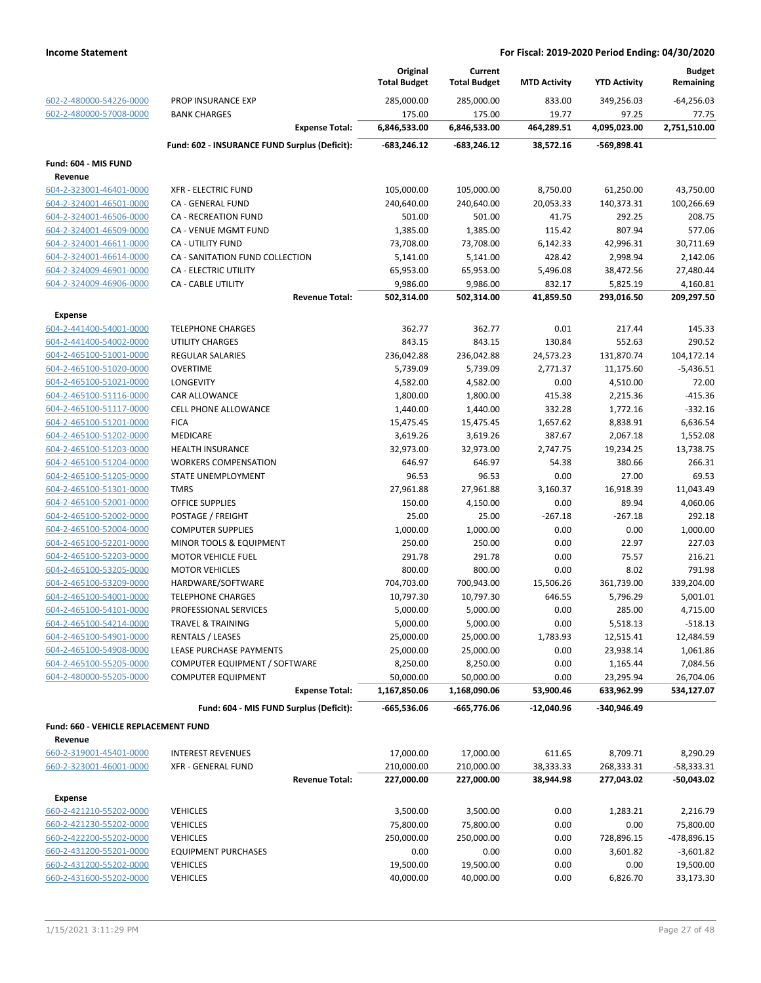|                                                    |                                               | Original<br><b>Total Budget</b> | Current<br><b>Total Budget</b> | <b>MTD Activity</b> | <b>YTD Activity</b> | <b>Budget</b><br>Remaining |
|----------------------------------------------------|-----------------------------------------------|---------------------------------|--------------------------------|---------------------|---------------------|----------------------------|
| 602-2-480000-54226-0000<br>602-2-480000-57008-0000 | PROP INSURANCE EXP<br><b>BANK CHARGES</b>     | 285,000.00<br>175.00            | 285,000.00<br>175.00           | 833.00<br>19.77     | 349,256.03<br>97.25 | $-64,256.03$<br>77.75      |
|                                                    | <b>Expense Total:</b>                         | 6,846,533.00                    | 6,846,533.00                   | 464,289.51          | 4,095,023.00        | 2,751,510.00               |
|                                                    | Fund: 602 - INSURANCE FUND Surplus (Deficit): | -683,246.12                     | -683,246.12                    | 38,572.16           | -569,898.41         |                            |
| Fund: 604 - MIS FUND                               |                                               |                                 |                                |                     |                     |                            |
| Revenue                                            |                                               |                                 |                                |                     |                     |                            |
| 604-2-323001-46401-0000                            | <b>XFR - ELECTRIC FUND</b>                    | 105,000.00                      | 105,000.00                     | 8,750.00            | 61,250.00           | 43,750.00                  |
| 604-2-324001-46501-0000                            | CA - GENERAL FUND                             | 240,640.00                      | 240,640.00                     | 20,053.33           | 140,373.31          | 100,266.69                 |
| 604-2-324001-46506-0000                            | <b>CA - RECREATION FUND</b>                   | 501.00                          | 501.00                         | 41.75               | 292.25              | 208.75                     |
| 604-2-324001-46509-0000                            | CA - VENUE MGMT FUND                          | 1,385.00                        | 1,385.00                       | 115.42              | 807.94              | 577.06                     |
| 604-2-324001-46611-0000                            | <b>CA - UTILITY FUND</b>                      | 73,708.00                       | 73,708.00                      | 6,142.33            | 42,996.31           | 30,711.69                  |
| 604-2-324001-46614-0000                            | CA - SANITATION FUND COLLECTION               | 5,141.00                        | 5,141.00                       | 428.42              | 2,998.94            | 2,142.06                   |
| 604-2-324009-46901-0000                            | CA - ELECTRIC UTILITY                         | 65,953.00                       | 65,953.00                      | 5,496.08            | 38,472.56           | 27,480.44                  |
| 604-2-324009-46906-0000                            | CA - CABLE UTILITY                            | 9,986.00                        | 9,986.00                       | 832.17              | 5,825.19            | 4,160.81                   |
|                                                    | <b>Revenue Total:</b>                         | 502,314.00                      | 502,314.00                     | 41,859.50           | 293,016.50          | 209,297.50                 |
| <b>Expense</b>                                     |                                               |                                 |                                |                     |                     |                            |
| 604-2-441400-54001-0000                            | <b>TELEPHONE CHARGES</b>                      | 362.77                          | 362.77                         | 0.01                | 217.44              | 145.33                     |
| 604-2-441400-54002-0000                            | UTILITY CHARGES                               | 843.15                          | 843.15                         | 130.84              | 552.63              | 290.52                     |
| 604-2-465100-51001-0000                            | <b>REGULAR SALARIES</b>                       | 236,042.88                      | 236,042.88                     | 24,573.23           | 131,870.74          | 104,172.14                 |
| 604-2-465100-51020-0000                            | <b>OVERTIME</b>                               | 5,739.09                        | 5,739.09                       | 2,771.37            | 11,175.60           | $-5,436.51$                |
| 604-2-465100-51021-0000                            | <b>LONGEVITY</b>                              | 4,582.00                        | 4,582.00                       | 0.00                | 4,510.00            | 72.00                      |
| 604-2-465100-51116-0000                            | <b>CAR ALLOWANCE</b>                          | 1,800.00                        | 1,800.00                       | 415.38              | 2,215.36            | $-415.36$                  |
| 604-2-465100-51117-0000                            | <b>CELL PHONE ALLOWANCE</b>                   | 1,440.00                        | 1,440.00                       | 332.28              | 1,772.16            | $-332.16$                  |
| 604-2-465100-51201-0000                            | <b>FICA</b>                                   | 15,475.45                       | 15,475.45                      | 1,657.62            | 8,838.91            | 6,636.54                   |
| 604-2-465100-51202-0000                            | MEDICARE                                      | 3,619.26                        | 3,619.26                       | 387.67              | 2,067.18            | 1,552.08                   |
| 604-2-465100-51203-0000                            | <b>HEALTH INSURANCE</b>                       | 32,973.00                       | 32,973.00                      | 2,747.75            | 19,234.25           | 13,738.75                  |
| 604-2-465100-51204-0000                            | <b>WORKERS COMPENSATION</b>                   | 646.97                          | 646.97                         | 54.38               | 380.66              | 266.31                     |
| 604-2-465100-51205-0000                            | STATE UNEMPLOYMENT                            | 96.53                           | 96.53                          | 0.00                | 27.00               | 69.53                      |
| 604-2-465100-51301-0000                            | <b>TMRS</b>                                   | 27,961.88                       | 27,961.88                      | 3,160.37            | 16,918.39           | 11,043.49                  |
| 604-2-465100-52001-0000                            | <b>OFFICE SUPPLIES</b>                        | 150.00                          | 4,150.00                       | 0.00                | 89.94               | 4,060.06                   |
| 604-2-465100-52002-0000                            | POSTAGE / FREIGHT                             | 25.00                           | 25.00                          | $-267.18$           | $-267.18$           | 292.18                     |
| 604-2-465100-52004-0000                            | <b>COMPUTER SUPPLIES</b>                      | 1,000.00                        | 1,000.00                       | 0.00                | 0.00                | 1,000.00                   |
| 604-2-465100-52201-0000                            | <b>MINOR TOOLS &amp; EQUIPMENT</b>            | 250.00                          | 250.00                         | 0.00                | 22.97               | 227.03                     |
| 604-2-465100-52203-0000                            | <b>MOTOR VEHICLE FUEL</b>                     | 291.78                          | 291.78                         | 0.00                | 75.57               | 216.21                     |
| 604-2-465100-53205-0000                            | <b>MOTOR VEHICLES</b>                         | 800.00                          | 800.00                         | 0.00                | 8.02                | 791.98                     |
| 604-2-465100-53209-0000                            | HARDWARE/SOFTWARE                             | 704,703.00                      | 700,943.00                     | 15,506.26           | 361,739.00          | 339,204.00                 |
| 604-2-465100-54001-0000                            | <b>TELEPHONE CHARGES</b>                      | 10,797.30                       | 10,797.30                      | 646.55              | 5,796.29            | 5,001.01                   |
| 604-2-465100-54101-0000                            | PROFESSIONAL SERVICES                         | 5,000.00                        | 5,000.00                       | 0.00                | 285.00              | 4,715.00                   |
| 604-2-465100-54214-0000                            | <b>TRAVEL &amp; TRAINING</b>                  | 5,000.00                        | 5,000.00                       | 0.00                | 5,518.13            | $-518.13$                  |
| 604-2-465100-54901-0000                            | RENTALS / LEASES                              | 25,000.00                       | 25,000.00                      | 1,783.93            | 12,515.41           | 12,484.59                  |
| 604-2-465100-54908-0000                            | LEASE PURCHASE PAYMENTS                       | 25,000.00                       | 25,000.00                      | 0.00                | 23,938.14           | 1,061.86                   |
| 604-2-465100-55205-0000                            | COMPUTER EQUIPMENT / SOFTWARE                 | 8,250.00                        | 8,250.00                       | 0.00                | 1,165.44            | 7,084.56                   |
| 604-2-480000-55205-0000                            | <b>COMPUTER EQUIPMENT</b>                     | 50,000.00                       | 50,000.00                      | 0.00                | 23,295.94           | 26,704.06                  |
|                                                    | <b>Expense Total:</b>                         | 1,167,850.06                    | 1,168,090.06                   | 53,900.46           | 633,962.99          | 534,127.07                 |
|                                                    | Fund: 604 - MIS FUND Surplus (Deficit):       | $-665,536.06$                   | $-665,776.06$                  | $-12,040.96$        | -340,946.49         |                            |
| Fund: 660 - VEHICLE REPLACEMENT FUND               |                                               |                                 |                                |                     |                     |                            |
| Revenue                                            |                                               |                                 |                                |                     |                     |                            |
| 660-2-319001-45401-0000                            | <b>INTEREST REVENUES</b>                      | 17,000.00                       | 17,000.00                      | 611.65              | 8,709.71            | 8,290.29                   |
| 660-2-323001-46001-0000                            | <b>XFR - GENERAL FUND</b>                     | 210,000.00                      | 210,000.00                     | 38,333.33           | 268,333.31          | $-58,333.31$               |
|                                                    | <b>Revenue Total:</b>                         | 227,000.00                      | 227,000.00                     | 38,944.98           | 277,043.02          | -50,043.02                 |
|                                                    |                                               |                                 |                                |                     |                     |                            |
| <b>Expense</b><br>660-2-421210-55202-0000          | <b>VEHICLES</b>                               | 3,500.00                        | 3,500.00                       | 0.00                | 1,283.21            | 2,216.79                   |
| 660-2-421230-55202-0000                            | <b>VEHICLES</b>                               | 75,800.00                       | 75,800.00                      | 0.00                | 0.00                | 75,800.00                  |
| 660-2-422200-55202-0000                            | <b>VEHICLES</b>                               | 250,000.00                      | 250,000.00                     | 0.00                |                     |                            |
|                                                    |                                               |                                 |                                |                     | 728,896.15          | -478,896.15                |
| 660-2-431200-55201-0000                            | <b>EQUIPMENT PURCHASES</b>                    | 0.00                            | 0.00                           | 0.00                | 3,601.82            | $-3,601.82$                |
| 660-2-431200-55202-0000<br>660-2-431600-55202-0000 | <b>VEHICLES</b>                               | 19,500.00                       | 19,500.00                      | 0.00                | 0.00                | 19,500.00                  |
|                                                    | <b>VEHICLES</b>                               | 40,000.00                       | 40,000.00                      | 0.00                | 6,826.70            | 33,173.30                  |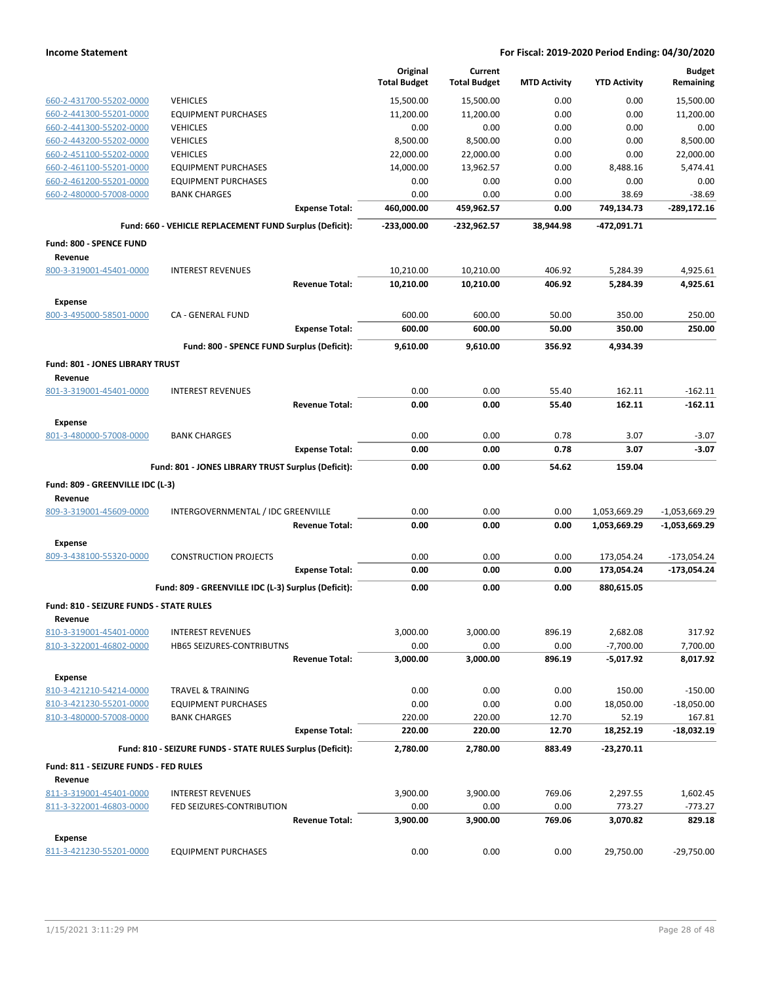|                                                    |                                                            | Original<br><b>Total Budget</b> | Current<br><b>Total Budget</b> | <b>MTD Activity</b> | <b>YTD Activity</b>        | <b>Budget</b><br>Remaining |
|----------------------------------------------------|------------------------------------------------------------|---------------------------------|--------------------------------|---------------------|----------------------------|----------------------------|
| 660-2-431700-55202-0000                            | <b>VEHICLES</b>                                            | 15,500.00                       | 15,500.00                      | 0.00                | 0.00                       | 15,500.00                  |
| 660-2-441300-55201-0000                            | <b>EQUIPMENT PURCHASES</b>                                 | 11,200.00                       | 11,200.00                      | 0.00                | 0.00                       | 11,200.00                  |
| 660-2-441300-55202-0000                            | <b>VEHICLES</b>                                            | 0.00                            | 0.00                           | 0.00                | 0.00                       | 0.00                       |
| 660-2-443200-55202-0000                            | <b>VEHICLES</b>                                            | 8,500.00                        | 8,500.00                       | 0.00                | 0.00                       | 8.500.00                   |
| 660-2-451100-55202-0000                            | <b>VEHICLES</b>                                            | 22,000.00                       | 22,000.00                      | 0.00                | 0.00                       | 22,000.00                  |
| 660-2-461100-55201-0000                            | EQUIPMENT PURCHASES                                        | 14,000.00                       | 13,962.57                      | 0.00                | 8,488.16                   | 5,474.41                   |
| 660-2-461200-55201-0000                            | <b>EQUIPMENT PURCHASES</b>                                 | 0.00                            | 0.00                           | 0.00                | 0.00                       | 0.00                       |
| 660-2-480000-57008-0000                            | BANK CHARGES                                               | 0.00                            | 0.00                           | 0.00                | 38.69                      | $-38.69$                   |
|                                                    | <b>Expense Total:</b>                                      | 460,000.00                      | 459,962.57                     | 0.00                | 749,134.73                 | -289,172.16                |
|                                                    | Fund: 660 - VEHICLE REPLACEMENT FUND Surplus (Deficit):    | -233,000.00                     | -232,962.57                    | 38,944.98           | -472,091.71                |                            |
| Fund: 800 - SPENCE FUND<br>Revenue                 |                                                            |                                 |                                |                     |                            |                            |
| 800-3-319001-45401-0000                            | <b>INTEREST REVENUES</b>                                   | 10,210.00                       | 10,210.00                      | 406.92              | 5,284.39                   | 4,925.61                   |
|                                                    | <b>Revenue Total:</b>                                      | 10,210.00                       | 10,210.00                      | 406.92              | 5,284.39                   | 4,925.61                   |
| <b>Expense</b>                                     |                                                            |                                 |                                |                     |                            |                            |
| 800-3-495000-58501-0000                            | CA - GENERAL FUND                                          | 600.00                          | 600.00                         | 50.00               | 350.00                     | 250.00                     |
|                                                    | <b>Expense Total:</b>                                      | 600.00                          | 600.00                         | 50.00               | 350.00                     | 250.00                     |
|                                                    | Fund: 800 - SPENCE FUND Surplus (Deficit):                 | 9,610.00                        | 9,610.00                       | 356.92              | 4,934.39                   |                            |
| Fund: 801 - JONES LIBRARY TRUST                    |                                                            |                                 |                                |                     |                            |                            |
| Revenue<br>801-3-319001-45401-0000                 | <b>INTEREST REVENUES</b>                                   | 0.00                            | 0.00                           | 55.40               | 162.11                     | $-162.11$                  |
|                                                    | <b>Revenue Total:</b>                                      | 0.00                            | 0.00                           | 55.40               | 162.11                     | $-162.11$                  |
| Expense                                            |                                                            |                                 |                                |                     |                            |                            |
| 801-3-480000-57008-0000                            | BANK CHARGES                                               | 0.00                            | 0.00                           | 0.78                | 3.07                       | $-3.07$                    |
|                                                    | <b>Expense Total:</b>                                      | 0.00                            | 0.00                           | 0.78                | 3.07                       | $-3.07$                    |
|                                                    |                                                            |                                 |                                |                     |                            |                            |
|                                                    | Fund: 801 - JONES LIBRARY TRUST Surplus (Deficit):         | 0.00                            | 0.00                           | 54.62               | 159.04                     |                            |
| Fund: 809 - GREENVILLE IDC (L-3)                   |                                                            |                                 |                                |                     |                            |                            |
| Revenue                                            |                                                            |                                 |                                |                     |                            |                            |
| 809-3-319001-45609-0000                            | INTERGOVERNMENTAL / IDC GREENVILLE                         | 0.00                            | 0.00                           | 0.00                | 1,053,669.29               | $-1,053,669.29$            |
|                                                    | <b>Revenue Total:</b>                                      | 0.00                            | 0.00                           | 0.00                | 1,053,669.29               | $-1,053,669.29$            |
|                                                    |                                                            |                                 |                                |                     |                            |                            |
| <b>Expense</b><br>809-3-438100-55320-0000          | <b>CONSTRUCTION PROJECTS</b>                               | 0.00                            | 0.00                           | 0.00                | 173,054.24                 | $-173,054.24$              |
|                                                    | <b>Expense Total:</b>                                      | 0.00                            | 0.00                           | 0.00                | 173,054.24                 | -173,054.24                |
|                                                    |                                                            |                                 |                                |                     |                            |                            |
|                                                    | Fund: 809 - GREENVILLE IDC (L-3) Surplus (Deficit):        | 0.00                            | 0.00                           | 0.00                | 880,615.05                 |                            |
| Fund: 810 - SEIZURE FUNDS - STATE RULES            |                                                            |                                 |                                |                     |                            |                            |
| Revenue                                            |                                                            |                                 |                                |                     |                            |                            |
| 810-3-319001-45401-0000<br>810-3-322001-46802-0000 | <b>INTEREST REVENUES</b><br>HB65 SEIZURES-CONTRIBUTNS      | 3,000.00                        | 3,000.00                       | 896.19              | 2,682.08                   | 317.92                     |
|                                                    | <b>Revenue Total:</b>                                      | 0.00<br>3,000.00                | 0.00<br>3,000.00               | 0.00<br>896.19      | $-7,700.00$<br>$-5,017.92$ | 7,700.00<br>8,017.92       |
|                                                    |                                                            |                                 |                                |                     |                            |                            |
| <b>Expense</b>                                     |                                                            |                                 |                                |                     |                            |                            |
| 810-3-421210-54214-0000                            | TRAVEL & TRAINING                                          | 0.00                            | 0.00                           | 0.00                | 150.00                     | $-150.00$                  |
| 810-3-421230-55201-0000                            | <b>EQUIPMENT PURCHASES</b>                                 | 0.00                            | 0.00                           | 0.00                | 18,050.00                  | $-18,050.00$               |
| 810-3-480000-57008-0000                            | <b>BANK CHARGES</b><br><b>Expense Total:</b>               | 220.00<br>220.00                | 220.00<br>220.00               | 12.70<br>12.70      | 52.19<br>18,252.19         | 167.81<br>$-18,032.19$     |
|                                                    | Fund: 810 - SEIZURE FUNDS - STATE RULES Surplus (Deficit): |                                 | 2,780.00                       | 883.49              |                            |                            |
|                                                    |                                                            | 2,780.00                        |                                |                     | $-23,270.11$               |                            |
| Fund: 811 - SEIZURE FUNDS - FED RULES<br>Revenue   |                                                            |                                 |                                |                     |                            |                            |
| 811-3-319001-45401-0000                            | <b>INTEREST REVENUES</b>                                   | 3,900.00                        | 3,900.00                       | 769.06              | 2,297.55                   | 1,602.45                   |
| 811-3-322001-46803-0000                            | FED SEIZURES-CONTRIBUTION                                  | 0.00                            | 0.00                           | 0.00                | 773.27                     | $-773.27$                  |
|                                                    | <b>Revenue Total:</b>                                      | 3,900.00                        | 3,900.00                       | 769.06              | 3,070.82                   | 829.18                     |
| <b>Expense</b>                                     |                                                            |                                 |                                |                     |                            |                            |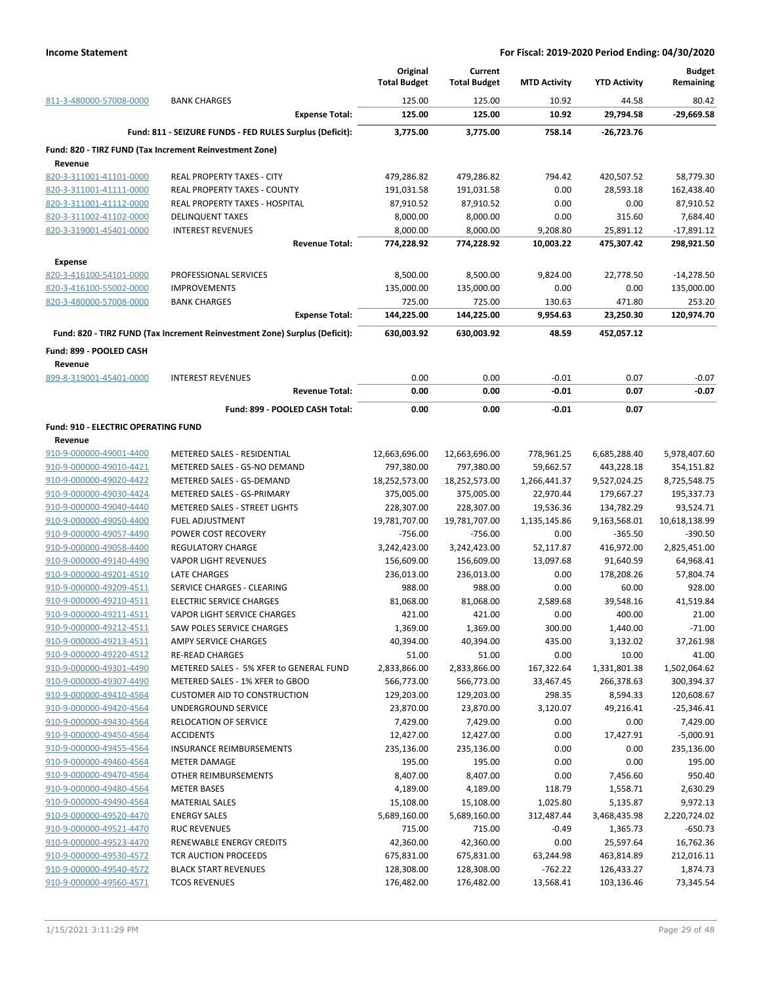|                                     |                                                                            | Original<br><b>Total Budget</b> | Current<br><b>Total Budget</b> | <b>MTD Activity</b> | <b>YTD Activity</b> | <b>Budget</b><br>Remaining |
|-------------------------------------|----------------------------------------------------------------------------|---------------------------------|--------------------------------|---------------------|---------------------|----------------------------|
| 811-3-480000-57008-0000             | <b>BANK CHARGES</b>                                                        | 125.00                          | 125.00                         | 10.92               | 44.58               | 80.42                      |
|                                     | <b>Expense Total:</b>                                                      | 125.00                          | 125.00                         | 10.92               | 29,794.58           | $-29.669.58$               |
|                                     | Fund: 811 - SEIZURE FUNDS - FED RULES Surplus (Deficit):                   | 3,775.00                        | 3,775.00                       | 758.14              | -26,723.76          |                            |
|                                     | Fund: 820 - TIRZ FUND (Tax Increment Reinvestment Zone)                    |                                 |                                |                     |                     |                            |
| Revenue                             |                                                                            |                                 |                                |                     |                     |                            |
| 820-3-311001-41101-0000             | REAL PROPERTY TAXES - CITY                                                 | 479,286.82                      | 479,286.82                     | 794.42              | 420,507.52          | 58,779.30                  |
| 820-3-311001-41111-0000             | <b>REAL PROPERTY TAXES - COUNTY</b>                                        | 191,031.58                      | 191,031.58                     | 0.00                | 28,593.18           | 162,438.40                 |
| 820-3-311001-41112-0000             | REAL PROPERTY TAXES - HOSPITAL                                             | 87,910.52                       | 87,910.52                      | 0.00                | 0.00                | 87,910.52                  |
| 820-3-311002-41102-0000             | <b>DELINQUENT TAXES</b>                                                    | 8,000.00                        | 8,000.00                       | 0.00                | 315.60              | 7,684.40                   |
| 820-3-319001-45401-0000             | <b>INTEREST REVENUES</b>                                                   | 8,000.00                        | 8,000.00                       | 9,208.80            | 25,891.12           | $-17,891.12$               |
|                                     | <b>Revenue Total:</b>                                                      | 774,228.92                      | 774,228.92                     | 10,003.22           | 475,307.42          | 298,921.50                 |
| <b>Expense</b>                      |                                                                            |                                 |                                |                     |                     |                            |
| 820-3-416100-54101-0000             | PROFESSIONAL SERVICES                                                      | 8,500.00                        | 8,500.00                       | 9,824.00            | 22,778.50           | $-14,278.50$               |
| 820-3-416100-55002-0000             | <b>IMPROVEMENTS</b>                                                        | 135,000.00                      | 135,000.00                     | 0.00                | 0.00                | 135,000.00                 |
| 820-3-480000-57008-0000             | <b>BANK CHARGES</b>                                                        | 725.00                          | 725.00                         | 130.63              | 471.80              | 253.20                     |
|                                     | <b>Expense Total:</b>                                                      | 144,225.00                      | 144,225.00                     | 9,954.63            | 23,250.30           | 120,974.70                 |
|                                     | Fund: 820 - TIRZ FUND (Tax Increment Reinvestment Zone) Surplus (Deficit): | 630,003.92                      | 630,003.92                     | 48.59               | 452,057.12          |                            |
| Fund: 899 - POOLED CASH<br>Revenue  |                                                                            |                                 |                                |                     |                     |                            |
| 899-8-319001-45401-0000             | <b>INTEREST REVENUES</b>                                                   | 0.00                            | 0.00                           | $-0.01$             | 0.07                | $-0.07$                    |
|                                     | <b>Revenue Total:</b>                                                      | 0.00                            | 0.00                           | $-0.01$             | 0.07                | $-0.07$                    |
|                                     | Fund: 899 - POOLED CASH Total:                                             | 0.00                            | 0.00                           | $-0.01$             | 0.07                |                            |
| Fund: 910 - ELECTRIC OPERATING FUND |                                                                            |                                 |                                |                     |                     |                            |
| Revenue                             |                                                                            |                                 |                                |                     |                     |                            |
| 910-9-000000-49001-4400             | METERED SALES - RESIDENTIAL                                                | 12,663,696.00                   | 12,663,696.00                  | 778,961.25          | 6,685,288.40        | 5,978,407.60               |
| 910-9-000000-49010-4421             | METERED SALES - GS-NO DEMAND                                               | 797,380.00                      | 797,380.00                     | 59,662.57           | 443,228.18          | 354,151.82                 |
| 910-9-000000-49020-4422             | METERED SALES - GS-DEMAND                                                  | 18,252,573.00                   | 18,252,573.00                  | 1,266,441.37        | 9,527,024.25        | 8,725,548.75               |
| 910-9-000000-49030-4424             | METERED SALES - GS-PRIMARY                                                 | 375,005.00                      | 375,005.00                     | 22,970.44           | 179,667.27          | 195,337.73                 |
| 910-9-000000-49040-4440             | <b>METERED SALES - STREET LIGHTS</b>                                       | 228,307.00                      | 228,307.00                     | 19,536.36           | 134,782.29          | 93,524.71                  |
| 910-9-000000-49050-4400             | <b>FUEL ADJUSTMENT</b>                                                     | 19,781,707.00                   | 19,781,707.00                  | 1,135,145.86        | 9,163,568.01        | 10,618,138.99              |
| 910-9-000000-49057-4490             | POWER COST RECOVERY                                                        | $-756.00$                       | $-756.00$                      | 0.00                | $-365.50$           | $-390.50$                  |
| 910-9-000000-49058-4400             | <b>REGULATORY CHARGE</b>                                                   | 3,242,423.00                    | 3,242,423.00                   | 52,117.87           | 416,972.00          | 2,825,451.00               |
| 910-9-000000-49140-4490             | <b>VAPOR LIGHT REVENUES</b>                                                | 156,609.00                      | 156,609.00                     | 13,097.68           | 91,640.59           | 64,968.41                  |
| 910-9-000000-49201-4510             | <b>LATE CHARGES</b>                                                        | 236,013.00                      | 236,013.00                     | 0.00                | 178,208.26          | 57,804.74                  |
| 910-9-000000-49209-4511             | SERVICE CHARGES - CLEARING                                                 | 988.00                          | 988.00                         | 0.00                | 60.00               | 928.00                     |
| 910-9-000000-49210-4511             | <b>ELECTRIC SERVICE CHARGES</b>                                            | 81,068.00                       | 81,068.00                      | 2,589.68            | 39,548.16           | 41,519.84                  |
| 910-9-000000-49211-4511             | <b>VAPOR LIGHT SERVICE CHARGES</b>                                         | 421.00                          | 421.00                         | 0.00                | 400.00              | 21.00                      |
| 910-9-000000-49212-4511             | SAW POLES SERVICE CHARGES                                                  | 1,369.00                        | 1,369.00                       | 300.00              | 1,440.00            | $-71.00$                   |
| 910-9-000000-49213-4511             | AMPY SERVICE CHARGES                                                       | 40,394.00                       | 40,394.00                      | 435.00              | 3,132.02            | 37,261.98                  |
| 910-9-000000-49220-4512             | <b>RE-READ CHARGES</b>                                                     | 51.00                           | 51.00                          | 0.00                | 10.00               | 41.00                      |
| 910-9-000000-49301-4490             | METERED SALES - 5% XFER to GENERAL FUND                                    | 2,833,866.00                    | 2,833,866.00                   | 167,322.64          | 1,331,801.38        | 1,502,064.62               |
| 910-9-000000-49307-4490             | METERED SALES - 1% XFER to GBOD                                            | 566,773.00                      | 566,773.00                     | 33,467.45           | 266,378.63          | 300,394.37                 |
| 910-9-000000-49410-4564             | <b>CUSTOMER AID TO CONSTRUCTION</b>                                        | 129,203.00                      | 129,203.00                     | 298.35              | 8,594.33            | 120,608.67                 |
| 910-9-000000-49420-4564             | UNDERGROUND SERVICE                                                        | 23,870.00                       | 23,870.00                      | 3,120.07            | 49,216.41           | $-25,346.41$               |
| 910-9-000000-49430-4564             | <b>RELOCATION OF SERVICE</b>                                               | 7,429.00                        | 7,429.00                       | 0.00                | 0.00                | 7,429.00                   |
| 910-9-000000-49450-4564             | <b>ACCIDENTS</b>                                                           | 12,427.00                       | 12,427.00                      | 0.00                | 17,427.91           | $-5,000.91$                |
| 910-9-000000-49455-4564             | <b>INSURANCE REIMBURSEMENTS</b>                                            | 235,136.00                      | 235,136.00                     | 0.00                | 0.00                | 235,136.00                 |
| 910-9-000000-49460-4564             | <b>METER DAMAGE</b>                                                        | 195.00                          | 195.00                         | 0.00                | 0.00                | 195.00                     |
| 910-9-000000-49470-4564             | OTHER REIMBURSEMENTS                                                       | 8,407.00                        | 8,407.00                       | 0.00                | 7,456.60            | 950.40                     |
| 910-9-000000-49480-4564             | <b>METER BASES</b>                                                         | 4,189.00                        | 4,189.00                       | 118.79              | 1,558.71            | 2,630.29                   |
| 910-9-000000-49490-4564             | <b>MATERIAL SALES</b>                                                      | 15,108.00                       | 15,108.00                      | 1,025.80            | 5,135.87            | 9,972.13                   |
| 910-9-000000-49520-4470             | <b>ENERGY SALES</b>                                                        | 5,689,160.00                    | 5,689,160.00                   | 312,487.44          | 3,468,435.98        | 2,220,724.02               |
| 910-9-000000-49521-4470             | <b>RUC REVENUES</b>                                                        | 715.00                          | 715.00                         | $-0.49$             | 1,365.73            | $-650.73$                  |
| 910-9-000000-49523-4470             | RENEWABLE ENERGY CREDITS                                                   | 42,360.00                       |                                | 0.00                | 25,597.64           | 16,762.36                  |
| 910-9-000000-49530-4572             |                                                                            |                                 | 42,360.00                      |                     |                     |                            |
|                                     | TCR AUCTION PROCEEDS                                                       | 675,831.00                      | 675,831.00                     | 63,244.98           | 463,814.89          | 212,016.11                 |
| 910-9-000000-49540-4572             | <b>BLACK START REVENUES</b>                                                | 128,308.00                      | 128,308.00                     | $-762.22$           | 126,433.27          | 1,874.73                   |
| 910-9-000000-49560-4571             | <b>TCOS REVENUES</b>                                                       | 176,482.00                      | 176,482.00                     | 13,568.41           | 103,136.46          | 73,345.54                  |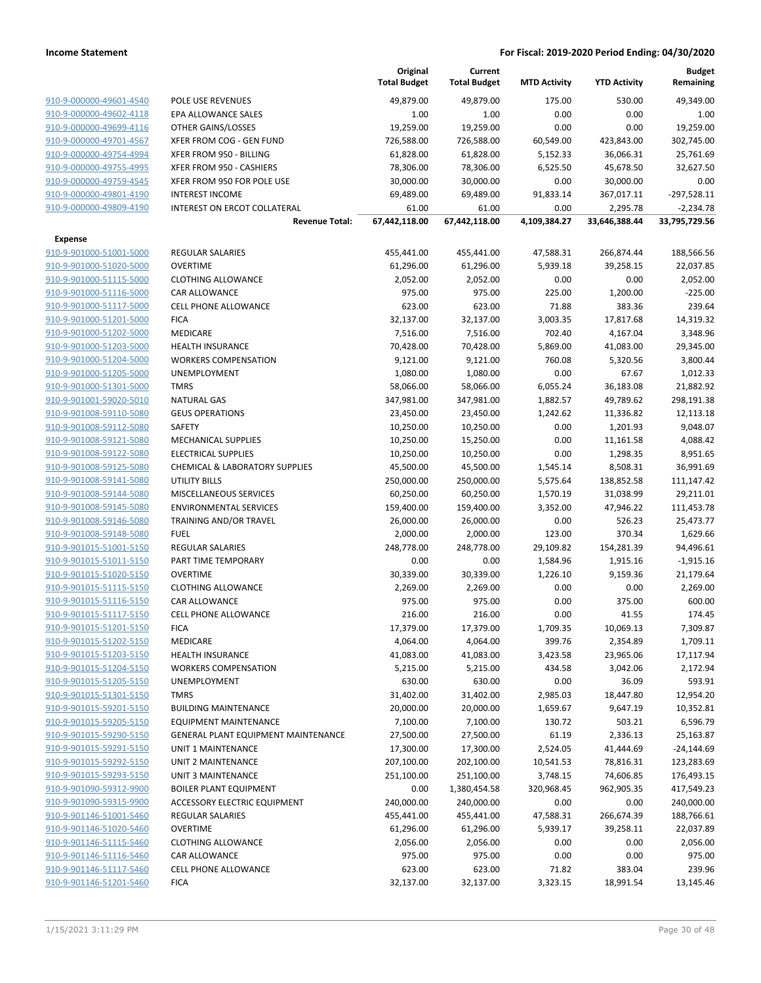|                                                    |                                            | Original<br><b>Total Budget</b> | Current<br><b>Total Budget</b> | <b>MTD Activity</b> | <b>YTD Activity</b> | <b>Budget</b><br>Remaining |
|----------------------------------------------------|--------------------------------------------|---------------------------------|--------------------------------|---------------------|---------------------|----------------------------|
| 910-9-000000-49601-4540                            |                                            |                                 |                                | 175.00              | 530.00              | 49,349.00                  |
| 910-9-000000-49602-4118                            | POLE USE REVENUES<br>EPA ALLOWANCE SALES   | 49,879.00<br>1.00               | 49,879.00<br>1.00              | 0.00                | 0.00                | 1.00                       |
| 910-9-000000-49699-4116                            | OTHER GAINS/LOSSES                         | 19,259.00                       | 19,259.00                      | 0.00                | 0.00                | 19,259.00                  |
| 910-9-000000-49701-4567                            | XFER FROM COG - GEN FUND                   | 726,588.00                      | 726,588.00                     | 60,549.00           | 423,843.00          | 302,745.00                 |
| 910-9-000000-49754-4994                            | XFER FROM 950 - BILLING                    | 61,828.00                       | 61,828.00                      | 5,152.33            | 36,066.31           | 25,761.69                  |
| 910-9-000000-49755-4995                            | XFER FROM 950 - CASHIERS                   | 78,306.00                       | 78,306.00                      | 6,525.50            | 45,678.50           | 32,627.50                  |
| 910-9-000000-49759-4545                            | XFER FROM 950 FOR POLE USE                 | 30,000.00                       | 30,000.00                      | 0.00                | 30,000.00           | 0.00                       |
| 910-9-000000-49801-4190                            | <b>INTEREST INCOME</b>                     | 69,489.00                       | 69,489.00                      | 91,833.14           | 367,017.11          | $-297,528.11$              |
| 910-9-000000-49809-4190                            | INTEREST ON ERCOT COLLATERAL               | 61.00                           | 61.00                          | 0.00                | 2,295.78            | $-2,234.78$                |
|                                                    | <b>Revenue Total:</b>                      | 67,442,118.00                   | 67,442,118.00                  | 4,109,384.27        | 33,646,388.44       | 33,795,729.56              |
|                                                    |                                            |                                 |                                |                     |                     |                            |
| Expense                                            |                                            |                                 |                                |                     |                     |                            |
| 910-9-901000-51001-5000                            | <b>REGULAR SALARIES</b>                    | 455,441.00                      | 455,441.00                     | 47,588.31           | 266,874.44          | 188,566.56                 |
| 910-9-901000-51020-5000                            | <b>OVERTIME</b>                            | 61,296.00                       | 61,296.00                      | 5,939.18            | 39,258.15           | 22,037.85                  |
| 910-9-901000-51115-5000                            | <b>CLOTHING ALLOWANCE</b>                  | 2,052.00                        | 2,052.00                       | 0.00                | 0.00                | 2,052.00                   |
| 910-9-901000-51116-5000                            | CAR ALLOWANCE                              | 975.00                          | 975.00                         | 225.00              | 1,200.00            | $-225.00$                  |
| 910-9-901000-51117-5000                            | <b>CELL PHONE ALLOWANCE</b>                | 623.00                          | 623.00                         | 71.88               | 383.36              | 239.64                     |
| 910-9-901000-51201-5000                            | <b>FICA</b>                                | 32,137.00                       | 32,137.00                      | 3,003.35            | 17,817.68           | 14,319.32                  |
| 910-9-901000-51202-5000                            | MEDICARE                                   | 7,516.00                        | 7,516.00                       | 702.40              | 4,167.04            | 3,348.96                   |
| 910-9-901000-51203-5000                            | <b>HEALTH INSURANCE</b>                    | 70,428.00                       | 70,428.00                      | 5,869.00            | 41,083.00           | 29,345.00                  |
| 910-9-901000-51204-5000                            | <b>WORKERS COMPENSATION</b>                | 9,121.00                        | 9,121.00                       | 760.08              | 5,320.56            | 3,800.44                   |
| 910-9-901000-51205-5000                            | UNEMPLOYMENT                               | 1,080.00                        | 1,080.00                       | 0.00                | 67.67               | 1,012.33                   |
| 910-9-901000-51301-5000                            | <b>TMRS</b>                                | 58,066.00                       | 58,066.00                      | 6,055.24            | 36,183.08           | 21,882.92                  |
| 910-9-901001-59020-5010                            | <b>NATURAL GAS</b>                         | 347,981.00                      | 347,981.00                     | 1,882.57            | 49,789.62           | 298,191.38                 |
| 910-9-901008-59110-5080                            | <b>GEUS OPERATIONS</b>                     | 23,450.00                       | 23,450.00                      | 1,242.62            | 11,336.82           | 12,113.18                  |
| 910-9-901008-59112-5080                            | <b>SAFETY</b>                              | 10,250.00                       | 10,250.00                      | 0.00                | 1,201.93            | 9,048.07                   |
| 910-9-901008-59121-5080                            | MECHANICAL SUPPLIES                        | 10,250.00                       | 15,250.00                      | 0.00                | 11,161.58           | 4,088.42                   |
| 910-9-901008-59122-5080                            | <b>ELECTRICAL SUPPLIES</b>                 | 10,250.00                       | 10,250.00                      | 0.00                | 1,298.35            | 8,951.65                   |
| 910-9-901008-59125-5080                            | CHEMICAL & LABORATORY SUPPLIES             | 45,500.00                       | 45,500.00                      | 1,545.14            | 8,508.31            | 36,991.69                  |
| 910-9-901008-59141-5080                            | UTILITY BILLS                              | 250,000.00                      | 250,000.00                     | 5,575.64            | 138,852.58          | 111,147.42                 |
| 910-9-901008-59144-5080                            | MISCELLANEOUS SERVICES                     | 60,250.00                       | 60,250.00                      | 1,570.19            | 31,038.99           | 29,211.01                  |
| 910-9-901008-59145-5080                            | <b>ENVIRONMENTAL SERVICES</b>              | 159,400.00                      | 159,400.00                     | 3,352.00            | 47,946.22           | 111,453.78                 |
| 910-9-901008-59146-5080<br>910-9-901008-59148-5080 | TRAINING AND/OR TRAVEL<br><b>FUEL</b>      | 26,000.00<br>2,000.00           | 26,000.00<br>2,000.00          | 0.00<br>123.00      | 526.23<br>370.34    | 25,473.77<br>1,629.66      |
| 910-9-901015-51001-5150                            | <b>REGULAR SALARIES</b>                    | 248,778.00                      | 248,778.00                     | 29,109.82           | 154,281.39          |                            |
| 910-9-901015-51011-5150                            | PART TIME TEMPORARY                        | 0.00                            | 0.00                           | 1,584.96            | 1,915.16            | 94,496.61<br>$-1,915.16$   |
| 910-9-901015-51020-5150                            | <b>OVERTIME</b>                            | 30,339.00                       | 30,339.00                      | 1,226.10            | 9,159.36            | 21,179.64                  |
| 910-9-901015-51115-5150                            | <b>CLOTHING ALLOWANCE</b>                  | 2,269.00                        | 2,269.00                       | 0.00                | 0.00                | 2,269.00                   |
| 910-9-901015-51116-5150                            | <b>CAR ALLOWANCE</b>                       | 975.00                          | 975.00                         | 0.00                | 375.00              | 600.00                     |
| 910-9-901015-51117-5150                            | <b>CELL PHONE ALLOWANCE</b>                | 216.00                          | 216.00                         | 0.00                | 41.55               | 174.45                     |
| 910-9-901015-51201-5150                            | <b>FICA</b>                                | 17,379.00                       | 17,379.00                      | 1,709.35            | 10,069.13           | 7,309.87                   |
| 910-9-901015-51202-5150                            | MEDICARE                                   | 4,064.00                        | 4,064.00                       | 399.76              | 2,354.89            | 1,709.11                   |
| 910-9-901015-51203-5150                            | <b>HEALTH INSURANCE</b>                    | 41,083.00                       | 41,083.00                      | 3,423.58            | 23,965.06           | 17,117.94                  |
| 910-9-901015-51204-5150                            | <b>WORKERS COMPENSATION</b>                | 5,215.00                        | 5,215.00                       | 434.58              | 3,042.06            | 2,172.94                   |
| 910-9-901015-51205-5150                            | <b>UNEMPLOYMENT</b>                        | 630.00                          | 630.00                         | 0.00                | 36.09               | 593.91                     |
| 910-9-901015-51301-5150                            | <b>TMRS</b>                                | 31,402.00                       | 31,402.00                      | 2,985.03            | 18,447.80           | 12,954.20                  |
| 910-9-901015-59201-5150                            | <b>BUILDING MAINTENANCE</b>                | 20,000.00                       | 20,000.00                      | 1,659.67            | 9,647.19            | 10,352.81                  |
| 910-9-901015-59205-5150                            | <b>EQUIPMENT MAINTENANCE</b>               | 7,100.00                        | 7,100.00                       | 130.72              | 503.21              | 6,596.79                   |
| 910-9-901015-59290-5150                            | <b>GENERAL PLANT EQUIPMENT MAINTENANCE</b> | 27,500.00                       | 27,500.00                      | 61.19               | 2,336.13            | 25,163.87                  |
| 910-9-901015-59291-5150                            | UNIT 1 MAINTENANCE                         | 17,300.00                       | 17,300.00                      | 2,524.05            | 41,444.69           | -24,144.69                 |
| 910-9-901015-59292-5150                            | UNIT 2 MAINTENANCE                         | 207,100.00                      | 202,100.00                     | 10,541.53           | 78,816.31           | 123,283.69                 |
| 910-9-901015-59293-5150                            | <b>UNIT 3 MAINTENANCE</b>                  | 251,100.00                      | 251,100.00                     | 3,748.15            | 74,606.85           | 176,493.15                 |
| 910-9-901090-59312-9900                            | <b>BOILER PLANT EQUIPMENT</b>              | 0.00                            | 1,380,454.58                   | 320,968.45          | 962,905.35          | 417,549.23                 |
| 910-9-901090-59315-9900                            | ACCESSORY ELECTRIC EQUIPMENT               | 240,000.00                      | 240,000.00                     | 0.00                | 0.00                | 240,000.00                 |
| 910-9-901146-51001-5460                            | REGULAR SALARIES                           | 455,441.00                      | 455,441.00                     | 47,588.31           | 266,674.39          | 188,766.61                 |
| 910-9-901146-51020-5460                            | <b>OVERTIME</b>                            | 61,296.00                       | 61,296.00                      | 5,939.17            | 39,258.11           | 22,037.89                  |
| 910-9-901146-51115-5460                            | <b>CLOTHING ALLOWANCE</b>                  | 2,056.00                        | 2,056.00                       | 0.00                | 0.00                | 2,056.00                   |
| 910-9-901146-51116-5460                            | CAR ALLOWANCE                              | 975.00                          | 975.00                         | 0.00                | 0.00                | 975.00                     |
| 910-9-901146-51117-5460                            | <b>CELL PHONE ALLOWANCE</b>                | 623.00                          | 623.00                         | 71.82               | 383.04              | 239.96                     |
| 910-9-901146-51201-5460                            | <b>FICA</b>                                | 32,137.00                       | 32,137.00                      | 3,323.15            | 18,991.54           | 13,145.46                  |
|                                                    |                                            |                                 |                                |                     |                     |                            |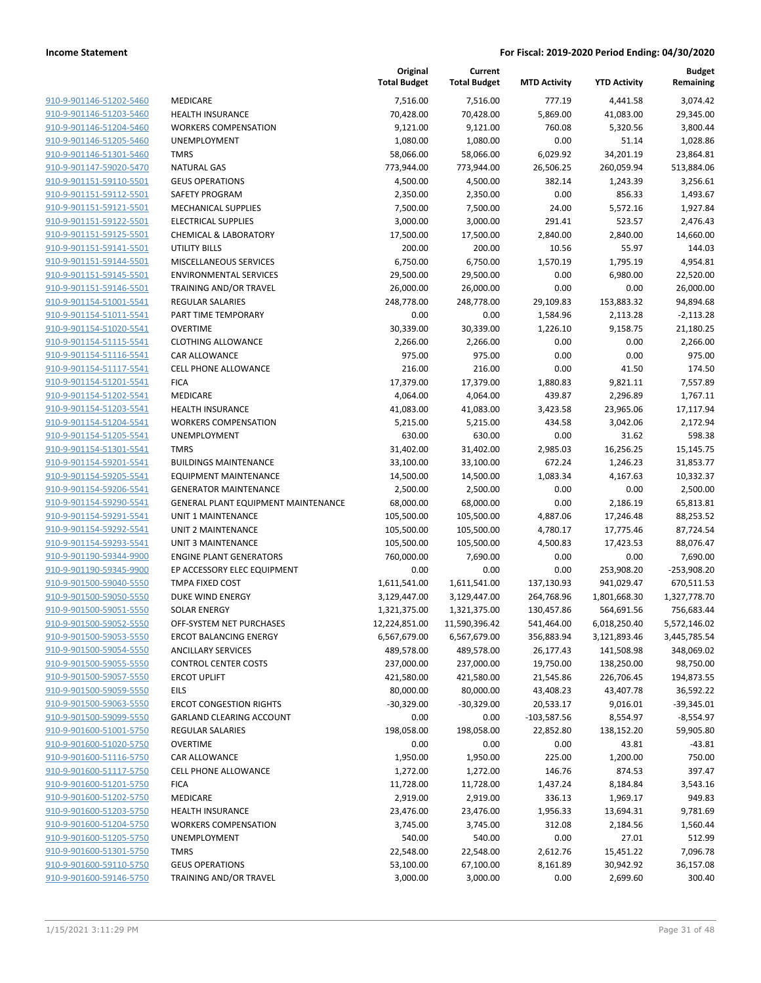|                         |                                            | Original<br><b>Total Budget</b> | Current<br><b>Total Budget</b> | <b>MTD Activity</b> | <b>YTD Activity</b> | <b>Budget</b><br>Remaining |
|-------------------------|--------------------------------------------|---------------------------------|--------------------------------|---------------------|---------------------|----------------------------|
| 910-9-901146-51202-5460 | <b>MEDICARE</b>                            | 7,516.00                        | 7,516.00                       | 777.19              | 4,441.58            | 3,074.42                   |
| 910-9-901146-51203-5460 | <b>HEALTH INSURANCE</b>                    | 70,428.00                       | 70,428.00                      | 5,869.00            | 41,083.00           | 29,345.00                  |
| 910-9-901146-51204-5460 | <b>WORKERS COMPENSATION</b>                | 9,121.00                        | 9,121.00                       | 760.08              | 5,320.56            | 3,800.44                   |
| 910-9-901146-51205-5460 | UNEMPLOYMENT                               | 1,080.00                        | 1,080.00                       | 0.00                | 51.14               | 1,028.86                   |
| 910-9-901146-51301-5460 | <b>TMRS</b>                                | 58,066.00                       | 58,066.00                      | 6,029.92            | 34,201.19           | 23,864.81                  |
| 910-9-901147-59020-5470 | <b>NATURAL GAS</b>                         | 773,944.00                      | 773,944.00                     | 26,506.25           | 260,059.94          | 513,884.06                 |
| 910-9-901151-59110-5501 | <b>GEUS OPERATIONS</b>                     | 4,500.00                        | 4,500.00                       | 382.14              | 1,243.39            | 3,256.61                   |
| 910-9-901151-59112-5501 | SAFETY PROGRAM                             | 2,350.00                        | 2,350.00                       | 0.00                | 856.33              | 1,493.67                   |
| 910-9-901151-59121-5501 | <b>MECHANICAL SUPPLIES</b>                 | 7,500.00                        | 7,500.00                       | 24.00               | 5,572.16            | 1,927.84                   |
| 910-9-901151-59122-5501 | <b>ELECTRICAL SUPPLIES</b>                 | 3,000.00                        | 3,000.00                       | 291.41              | 523.57              | 2,476.43                   |
| 910-9-901151-59125-5501 | <b>CHEMICAL &amp; LABORATORY</b>           | 17,500.00                       | 17,500.00                      | 2,840.00            | 2,840.00            | 14,660.00                  |
| 910-9-901151-59141-5501 | UTILITY BILLS                              | 200.00                          | 200.00                         | 10.56               | 55.97               | 144.03                     |
| 910-9-901151-59144-5501 | MISCELLANEOUS SERVICES                     | 6,750.00                        | 6,750.00                       | 1,570.19            | 1,795.19            | 4,954.81                   |
| 910-9-901151-59145-5501 | <b>ENVIRONMENTAL SERVICES</b>              | 29,500.00                       | 29,500.00                      | 0.00                | 6,980.00            | 22,520.00                  |
| 910-9-901151-59146-5501 | TRAINING AND/OR TRAVEL                     | 26,000.00                       | 26,000.00                      | 0.00                | 0.00                | 26,000.00                  |
| 910-9-901154-51001-5541 | REGULAR SALARIES                           | 248,778.00                      | 248,778.00                     | 29,109.83           | 153,883.32          | 94,894.68                  |
| 910-9-901154-51011-5541 | PART TIME TEMPORARY                        | 0.00                            | 0.00                           | 1,584.96            | 2,113.28            | $-2,113.28$                |
| 910-9-901154-51020-5541 | <b>OVERTIME</b>                            | 30,339.00                       | 30,339.00                      | 1,226.10            | 9,158.75            | 21,180.25                  |
| 910-9-901154-51115-5541 | <b>CLOTHING ALLOWANCE</b>                  | 2,266.00                        | 2,266.00                       | 0.00                | 0.00                | 2,266.00                   |
| 910-9-901154-51116-5541 | <b>CAR ALLOWANCE</b>                       | 975.00                          | 975.00                         | 0.00                | 0.00                | 975.00                     |
| 910-9-901154-51117-5541 | CELL PHONE ALLOWANCE                       | 216.00                          | 216.00                         | 0.00                | 41.50               | 174.50                     |
| 910-9-901154-51201-5541 | <b>FICA</b>                                | 17,379.00                       | 17,379.00                      | 1,880.83            | 9,821.11            | 7,557.89                   |
| 910-9-901154-51202-5541 | <b>MEDICARE</b>                            | 4,064.00                        | 4,064.00                       | 439.87              | 2,296.89            | 1,767.11                   |
| 910-9-901154-51203-5541 | <b>HEALTH INSURANCE</b>                    | 41,083.00                       | 41,083.00                      | 3,423.58            | 23,965.06           | 17,117.94                  |
| 910-9-901154-51204-5541 | <b>WORKERS COMPENSATION</b>                | 5,215.00                        | 5,215.00                       | 434.58              | 3,042.06            | 2,172.94                   |
| 910-9-901154-51205-5541 | UNEMPLOYMENT                               | 630.00                          | 630.00                         | 0.00                | 31.62               | 598.38                     |
| 910-9-901154-51301-5541 | <b>TMRS</b>                                | 31,402.00                       | 31,402.00                      | 2,985.03            | 16,256.25           | 15,145.75                  |
| 910-9-901154-59201-5541 | <b>BUILDINGS MAINTENANCE</b>               | 33,100.00                       | 33,100.00                      | 672.24              | 1,246.23            | 31,853.77                  |
| 910-9-901154-59205-5541 | <b>EQUIPMENT MAINTENANCE</b>               | 14,500.00                       | 14,500.00                      | 1,083.34            | 4,167.63            | 10,332.37                  |
| 910-9-901154-59206-5541 | <b>GENERATOR MAINTENANCE</b>               | 2,500.00                        | 2,500.00                       | 0.00                | 0.00                | 2,500.00                   |
| 910-9-901154-59290-5541 | <b>GENERAL PLANT EQUIPMENT MAINTENANCE</b> | 68,000.00                       | 68,000.00                      | 0.00                | 2,186.19            | 65,813.81                  |
| 910-9-901154-59291-5541 | <b>UNIT 1 MAINTENANCE</b>                  | 105,500.00                      | 105,500.00                     | 4,887.06            | 17,246.48           | 88,253.52                  |
| 910-9-901154-59292-5541 | <b>UNIT 2 MAINTENANCE</b>                  | 105,500.00                      | 105,500.00                     | 4,780.17            | 17,775.46           | 87,724.54                  |
| 910-9-901154-59293-5541 | <b>UNIT 3 MAINTENANCE</b>                  | 105,500.00                      | 105,500.00                     | 4,500.83            | 17,423.53           | 88,076.47                  |
| 910-9-901190-59344-9900 | <b>ENGINE PLANT GENERATORS</b>             | 760,000.00                      | 7,690.00                       | 0.00                | 0.00                | 7,690.00                   |
| 910-9-901190-59345-9900 | EP ACCESSORY ELEC EQUIPMENT                | 0.00                            | 0.00                           | 0.00                | 253,908.20          | $-253,908.20$              |
| 910-9-901500-59040-5550 | TMPA FIXED COST                            | 1,611,541.00                    | 1,611,541.00                   | 137,130.93          | 941,029.47          | 670,511.53                 |
| 910-9-901500-59050-5550 | <b>DUKE WIND ENERGY</b>                    | 3,129,447.00                    | 3,129,447.00                   | 264,768.96          | 1,801,668.30        | 1,327,778.70               |
| 910-9-901500-59051-5550 | <b>SOLAR ENERGY</b>                        | 1,321,375.00                    | 1,321,375.00                   | 130,457.86          | 564,691.56          | 756,683.44                 |
| 910-9-901500-59052-5550 | OFF-SYSTEM NET PURCHASES                   | 12,224,851.00                   | 11,590,396.42                  | 541,464.00          | 6,018,250.40        | 5,572,146.02               |
| 910-9-901500-59053-5550 | <b>ERCOT BALANCING ENERGY</b>              | 6,567,679.00                    | 6,567,679.00                   | 356,883.94          | 3,121,893.46        | 3,445,785.54               |
| 910-9-901500-59054-5550 | <b>ANCILLARY SERVICES</b>                  | 489,578.00                      | 489,578.00                     | 26,177.43           | 141,508.98          | 348,069.02                 |
| 910-9-901500-59055-5550 | <b>CONTROL CENTER COSTS</b>                | 237,000.00                      | 237,000.00                     | 19,750.00           | 138,250.00          | 98,750.00                  |
| 910-9-901500-59057-5550 | <b>ERCOT UPLIFT</b>                        | 421,580.00                      | 421,580.00                     | 21,545.86           | 226,706.45          | 194,873.55                 |
| 910-9-901500-59059-5550 | <b>EILS</b>                                | 80,000.00                       | 80,000.00                      | 43,408.23           | 43,407.78           | 36,592.22                  |
| 910-9-901500-59063-5550 | <b>ERCOT CONGESTION RIGHTS</b>             | $-30,329.00$                    | $-30,329.00$                   | 20,533.17           | 9,016.01            | -39,345.01                 |
| 910-9-901500-59099-5550 | <b>GARLAND CLEARING ACCOUNT</b>            | 0.00                            | 0.00                           | $-103,587.56$       | 8,554.97            | $-8,554.97$                |
| 910-9-901600-51001-5750 | <b>REGULAR SALARIES</b>                    | 198,058.00                      | 198,058.00                     | 22,852.80           | 138,152.20          | 59,905.80                  |
| 910-9-901600-51020-5750 | <b>OVERTIME</b>                            | 0.00                            | 0.00                           | 0.00                | 43.81               | $-43.81$                   |
| 910-9-901600-51116-5750 | <b>CAR ALLOWANCE</b>                       | 1,950.00                        | 1,950.00                       | 225.00              | 1,200.00            | 750.00                     |
| 910-9-901600-51117-5750 | <b>CELL PHONE ALLOWANCE</b>                | 1,272.00                        | 1,272.00                       | 146.76              | 874.53              | 397.47                     |
| 910-9-901600-51201-5750 | <b>FICA</b>                                | 11,728.00                       | 11,728.00                      | 1,437.24            | 8,184.84            | 3,543.16                   |
| 910-9-901600-51202-5750 | MEDICARE                                   | 2,919.00                        | 2,919.00                       | 336.13              | 1,969.17            | 949.83                     |
| 910-9-901600-51203-5750 | <b>HEALTH INSURANCE</b>                    | 23,476.00                       | 23,476.00                      | 1,956.33            | 13,694.31           | 9,781.69                   |
| 910-9-901600-51204-5750 | <b>WORKERS COMPENSATION</b>                | 3,745.00                        | 3,745.00                       | 312.08              | 2,184.56            | 1,560.44                   |
| 910-9-901600-51205-5750 | <b>UNEMPLOYMENT</b>                        | 540.00                          | 540.00                         | 0.00                | 27.01               | 512.99                     |
| 910-9-901600-51301-5750 | <b>TMRS</b>                                | 22,548.00                       | 22,548.00                      | 2,612.76            | 15,451.22           | 7,096.78                   |
| 910-9-901600-59110-5750 | <b>GEUS OPERATIONS</b>                     | 53,100.00                       | 67,100.00                      | 8,161.89            | 30,942.92           | 36,157.08                  |
| 910-9-901600-59146-5750 | TRAINING AND/OR TRAVEL                     | 3,000.00                        | 3,000.00                       | 0.00                | 2,699.60            | 300.40                     |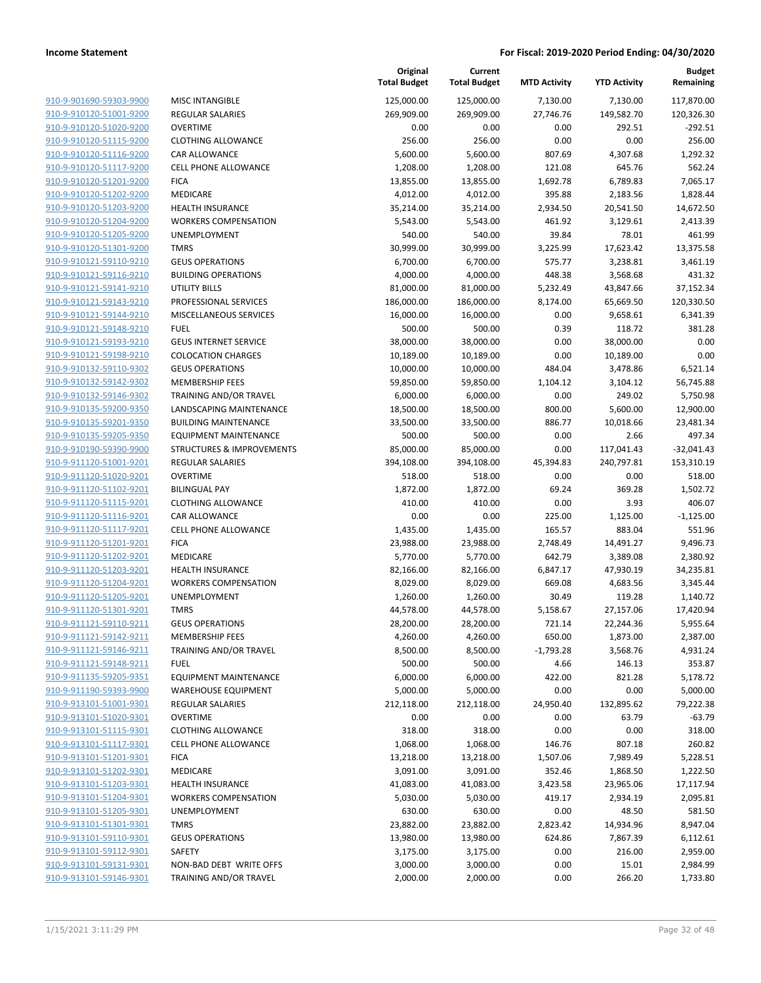| 910-9-901690-59303-9900 | MISC IN           |
|-------------------------|-------------------|
| 910-9-910120-51001-9200 | <b>REGULA</b>     |
| 910-9-910120-51020-9200 | <b>OVERTI</b>     |
| 910-9-910120-51115-9200 | <b>CLOTHI</b>     |
| 910-9-910120-51116-9200 | <b>CAR ALI</b>    |
| 910-9-910120-51117-9200 | <b>CELL PH</b>    |
| 910-9-910120-51201-9200 | <b>FICA</b>       |
| 910-9-910120-51202-9200 | <b>MEDICA</b>     |
| 910-9-910120-51203-9200 | <b>HEALTH</b>     |
| 910-9-910120-51204-9200 | <b>WORKE</b>      |
| 910-9-910120-51205-9200 | <b>UNEMP</b>      |
| 910-9-910120-51301-9200 | <b>TMRS</b>       |
| 910-9-910121-59110-9210 | GEUS <sub>O</sub> |
| 910-9-910121-59116-9210 | <b>BUILDIN</b>    |
| 910-9-910121-59141-9210 | UTILITY           |
| 910-9-910121-59143-9210 | <b>PROFES</b>     |
| 910-9-910121-59144-9210 | <b>MISCEL</b>     |
| 910-9-910121-59148-9210 | <b>FUEL</b>       |
| 910-9-910121-59193-9210 | <b>GEUS IN</b>    |
| 910-9-910121-59198-9210 | <b>COLOC</b>      |
| 910-9-910132-59110-9302 | GEUS O            |
| 910-9-910132-59142-9302 | <b>MEMBE</b>      |
| 910-9-910132-59146-9302 | <b>TRAINII</b>    |
| 910-9-910135-59200-9350 | <b>LANDS</b>      |
| 910-9-910135-59201-9350 | <b>BUILDIN</b>    |
| 910-9-910135-59205-9350 | <b>EQUIPN</b>     |
| 910-9-910190-59390-9900 | <b>STRUCT</b>     |
| 910-9-911120-51001-9201 | <b>REGULA</b>     |
| 910-9-911120-51020-9201 | <b>OVERTI</b>     |
| 910-9-911120-51102-9201 | <b>BILINGU</b>    |
| 910-9-911120-51115-9201 | <b>CLOTHI</b>     |
| 910-9-911120-51116-9201 | CAR ALI           |
| 910-9-911120-51117-9201 | CELL PH           |
| 910-9-911120-51201-9201 | <b>FICA</b>       |
| 910-9-911120-51202-9201 | <b>MEDICA</b>     |
| 910-9-911120-51203-9201 | <b>HEALTH</b>     |
| 910-9-911120-51204-9201 | <b>WORKE</b>      |
| 910-9-911120-51205-9201 | <b>UNEMP</b>      |
| 910-9-911120-51301-9201 | <b>TMRS</b>       |
| 910-9-911121-59110-9211 | GEUS O            |
| 910-9-911121-59142-9211 | <b>MEMBE</b>      |
| 910-9-911121-59146-9211 | <b>TRAINII</b>    |
| 910-9-911121-59148-9211 | FUEL              |
| 910-9-911135-59205-9351 | <b>EQUIPN</b>     |
| 910-9-911190-59393-9900 | WAREH             |
| 910-9-913101-51001-9301 | <b>REGULA</b>     |
| 910-9-913101-51020-9301 | <b>OVERTI</b>     |
| 910-9-913101-51115-9301 | <b>CLOTHI</b>     |
| 910-9-913101-51117-9301 | CELL PH           |
| 910-9-913101-51201-9301 | <b>FICA</b>       |
| 910-9-913101-51202-9301 | <b>MEDICA</b>     |
| 910-9-913101-51203-9301 | <b>HEALTH</b>     |
| 910-9-913101-51204-9301 | WORKE             |
| 910-9-913101-51205-9301 | <b>UNEMP</b>      |
| 910-9-913101-51301-9301 | <b>TMRS</b>       |
| 910-9-913101-59110-9301 | GEUS O            |
| 910-9-913101-59112-9301 | SAFETY            |
| 910-9-913101-59131-9301 | NON-B/            |
| 910-9-913101-59146-9301 | <b>TRAINII</b>    |
|                         |                   |

|                         |                                      | Original<br><b>Total Budget</b> | Current<br><b>Total Budget</b> | <b>MTD Activity</b> | <b>YTD Activity</b> | <b>Budget</b><br>Remaining |
|-------------------------|--------------------------------------|---------------------------------|--------------------------------|---------------------|---------------------|----------------------------|
| 910-9-901690-59303-9900 | <b>MISC INTANGIBLE</b>               | 125,000.00                      | 125,000.00                     | 7,130.00            | 7,130.00            | 117,870.00                 |
| 910-9-910120-51001-9200 | <b>REGULAR SALARIES</b>              | 269,909.00                      | 269,909.00                     | 27,746.76           | 149,582.70          | 120,326.30                 |
| 910-9-910120-51020-9200 | <b>OVERTIME</b>                      | 0.00                            | 0.00                           | 0.00                | 292.51              | -292.51                    |
| 910-9-910120-51115-9200 | <b>CLOTHING ALLOWANCE</b>            | 256.00                          | 256.00                         | 0.00                | 0.00                | 256.00                     |
| 910-9-910120-51116-9200 | <b>CAR ALLOWANCE</b>                 | 5,600.00                        | 5,600.00                       | 807.69              | 4,307.68            | 1,292.32                   |
| 910-9-910120-51117-9200 | <b>CELL PHONE ALLOWANCE</b>          | 1,208.00                        | 1,208.00                       | 121.08              | 645.76              | 562.24                     |
| 910-9-910120-51201-9200 | <b>FICA</b>                          | 13,855.00                       | 13,855.00                      | 1,692.78            | 6,789.83            | 7,065.17                   |
| 910-9-910120-51202-9200 | <b>MEDICARE</b>                      | 4,012.00                        | 4,012.00                       | 395.88              | 2,183.56            | 1,828.44                   |
| 910-9-910120-51203-9200 | <b>HEALTH INSURANCE</b>              | 35,214.00                       | 35,214.00                      | 2,934.50            | 20,541.50           | 14,672.50                  |
| 910-9-910120-51204-9200 | <b>WORKERS COMPENSATION</b>          | 5,543.00                        | 5,543.00                       | 461.92              | 3,129.61            | 2,413.39                   |
| 910-9-910120-51205-9200 | UNEMPLOYMENT                         | 540.00                          | 540.00                         | 39.84               | 78.01               | 461.99                     |
| 910-9-910120-51301-9200 | <b>TMRS</b>                          | 30,999.00                       | 30,999.00                      | 3,225.99            | 17,623.42           | 13,375.58                  |
| 910-9-910121-59110-9210 | <b>GEUS OPERATIONS</b>               | 6,700.00                        | 6,700.00                       | 575.77              | 3,238.81            | 3,461.19                   |
| 910-9-910121-59116-9210 | <b>BUILDING OPERATIONS</b>           | 4,000.00                        | 4,000.00                       | 448.38              | 3,568.68            | 431.32                     |
| 910-9-910121-59141-9210 | <b>UTILITY BILLS</b>                 | 81,000.00                       | 81,000.00                      | 5,232.49            | 43,847.66           | 37,152.34                  |
| 910-9-910121-59143-9210 | PROFESSIONAL SERVICES                | 186,000.00                      | 186,000.00                     | 8,174.00            | 65,669.50           | 120,330.50                 |
| 910-9-910121-59144-9210 | MISCELLANEOUS SERVICES               | 16,000.00                       | 16,000.00                      | 0.00                | 9,658.61            | 6,341.39                   |
| 910-9-910121-59148-9210 | <b>FUEL</b>                          | 500.00                          | 500.00                         | 0.39                | 118.72              | 381.28                     |
| 910-9-910121-59193-9210 | <b>GEUS INTERNET SERVICE</b>         | 38,000.00                       | 38,000.00                      | 0.00                | 38,000.00           | 0.00                       |
| 910-9-910121-59198-9210 | <b>COLOCATION CHARGES</b>            | 10,189.00                       | 10,189.00                      | 0.00                | 10,189.00           | 0.00                       |
| 910-9-910132-59110-9302 | <b>GEUS OPERATIONS</b>               | 10,000.00                       | 10,000.00                      | 484.04              | 3,478.86            | 6,521.14                   |
| 910-9-910132-59142-9302 | <b>MEMBERSHIP FEES</b>               | 59,850.00                       | 59,850.00                      | 1,104.12            | 3,104.12            | 56,745.88                  |
| 910-9-910132-59146-9302 | <b>TRAINING AND/OR TRAVEL</b>        | 6,000.00                        | 6,000.00                       | 0.00                | 249.02              | 5,750.98                   |
| 910-9-910135-59200-9350 | LANDSCAPING MAINTENANCE              | 18,500.00                       | 18,500.00                      | 800.00              | 5,600.00            | 12,900.00                  |
| 910-9-910135-59201-9350 | <b>BUILDING MAINTENANCE</b>          | 33,500.00                       | 33,500.00                      | 886.77              | 10,018.66           | 23,481.34                  |
| 910-9-910135-59205-9350 | <b>EQUIPMENT MAINTENANCE</b>         | 500.00                          | 500.00                         | 0.00                | 2.66                | 497.34                     |
| 910-9-910190-59390-9900 | <b>STRUCTURES &amp; IMPROVEMENTS</b> | 85,000.00                       | 85,000.00                      | 0.00                | 117,041.43          | $-32,041.43$               |
| 910-9-911120-51001-9201 | <b>REGULAR SALARIES</b>              | 394,108.00                      | 394,108.00                     | 45,394.83           | 240,797.81          | 153,310.19                 |
| 910-9-911120-51020-9201 | <b>OVERTIME</b>                      | 518.00                          | 518.00                         | 0.00                | 0.00                | 518.00                     |
| 910-9-911120-51102-9201 | <b>BILINGUAL PAY</b>                 | 1,872.00                        | 1,872.00                       | 69.24               | 369.28              | 1,502.72                   |
| 910-9-911120-51115-9201 | <b>CLOTHING ALLOWANCE</b>            | 410.00                          | 410.00                         | 0.00                | 3.93                | 406.07                     |
| 910-9-911120-51116-9201 | CAR ALLOWANCE                        | 0.00                            | 0.00                           | 225.00              | 1,125.00            | $-1,125.00$                |
| 910-9-911120-51117-9201 | CELL PHONE ALLOWANCE                 | 1,435.00                        | 1,435.00                       | 165.57              | 883.04              | 551.96                     |
| 910-9-911120-51201-9201 | <b>FICA</b>                          | 23,988.00                       | 23,988.00                      | 2,748.49            | 14,491.27           | 9,496.73                   |
| 910-9-911120-51202-9201 | <b>MEDICARE</b>                      | 5,770.00                        | 5,770.00                       | 642.79              | 3,389.08            | 2,380.92                   |
| 910-9-911120-51203-9201 | <b>HEALTH INSURANCE</b>              | 82,166.00                       | 82,166.00                      | 6,847.17            | 47,930.19           | 34,235.81                  |
| 910-9-911120-51204-9201 | <b>WORKERS COMPENSATION</b>          | 8,029.00                        | 8,029.00                       | 669.08              | 4,683.56            | 3,345.44                   |
| 910-9-911120-51205-9201 | UNEMPLOYMENT                         | 1,260.00                        | 1,260.00                       | 30.49               | 119.28              | 1,140.72                   |
| 910-9-911120-51301-9201 | <b>TMRS</b>                          | 44,578.00                       | 44,578.00                      | 5,158.67            | 27,157.06           | 17,420.94                  |
| 910-9-911121-59110-9211 | <b>GEUS OPERATIONS</b>               | 28,200.00                       | 28,200.00                      | 721.14              | 22,244.36           | 5,955.64                   |
| 910-9-911121-59142-9211 | <b>MEMBERSHIP FEES</b>               | 4,260.00                        | 4,260.00                       | 650.00              | 1,873.00            | 2,387.00                   |
| 910-9-911121-59146-9211 | TRAINING AND/OR TRAVEL               | 8,500.00                        | 8,500.00                       | $-1,793.28$         | 3,568.76            | 4,931.24                   |
| 910-9-911121-59148-9211 | <b>FUEL</b>                          | 500.00                          | 500.00                         | 4.66                | 146.13              | 353.87                     |
| 910-9-911135-59205-9351 | <b>EQUIPMENT MAINTENANCE</b>         | 6,000.00                        | 6,000.00                       | 422.00              | 821.28              | 5,178.72                   |
| 910-9-911190-59393-9900 | <b>WAREHOUSE EQUIPMENT</b>           | 5,000.00                        | 5,000.00                       | 0.00                | 0.00                | 5,000.00                   |
| 910-9-913101-51001-9301 | <b>REGULAR SALARIES</b>              | 212,118.00                      | 212,118.00                     | 24,950.40           | 132,895.62          | 79,222.38                  |
| 910-9-913101-51020-9301 | <b>OVERTIME</b>                      | 0.00                            | 0.00                           | 0.00                | 63.79               | $-63.79$                   |
| 910-9-913101-51115-9301 | <b>CLOTHING ALLOWANCE</b>            | 318.00                          | 318.00                         | 0.00                | 0.00                | 318.00                     |
| 910-9-913101-51117-9301 | CELL PHONE ALLOWANCE                 | 1,068.00                        | 1,068.00                       | 146.76              | 807.18              | 260.82                     |
| 910-9-913101-51201-9301 | <b>FICA</b>                          | 13,218.00                       | 13,218.00                      | 1,507.06            | 7,989.49            | 5,228.51                   |
| 910-9-913101-51202-9301 | MEDICARE                             | 3,091.00                        | 3,091.00                       | 352.46              | 1,868.50            | 1,222.50                   |
| 910-9-913101-51203-9301 | <b>HEALTH INSURANCE</b>              | 41,083.00                       | 41,083.00                      | 3,423.58            | 23,965.06           | 17,117.94                  |
| 910-9-913101-51204-9301 | <b>WORKERS COMPENSATION</b>          | 5,030.00                        | 5,030.00                       | 419.17              | 2,934.19            | 2,095.81                   |
| 910-9-913101-51205-9301 | UNEMPLOYMENT                         | 630.00                          | 630.00                         | 0.00                | 48.50               | 581.50                     |
| 910-9-913101-51301-9301 | <b>TMRS</b>                          | 23,882.00                       | 23,882.00                      | 2,823.42            | 14,934.96           | 8,947.04                   |
| 910-9-913101-59110-9301 | <b>GEUS OPERATIONS</b>               | 13,980.00                       | 13,980.00                      | 624.86              | 7,867.39            | 6,112.61                   |
| 910-9-913101-59112-9301 | SAFETY                               | 3,175.00                        | 3,175.00                       | 0.00                | 216.00              | 2,959.00                   |
| 910-9-913101-59131-9301 | NON-BAD DEBT WRITE OFFS              | 3,000.00                        | 3,000.00                       | 0.00                | 15.01               | 2,984.99                   |
| 910-9-913101-59146-9301 | TRAINING AND/OR TRAVEL               | 2,000.00                        | 2,000.00                       | 0.00                | 266.20              | 1,733.80                   |
|                         |                                      |                                 |                                |                     |                     |                            |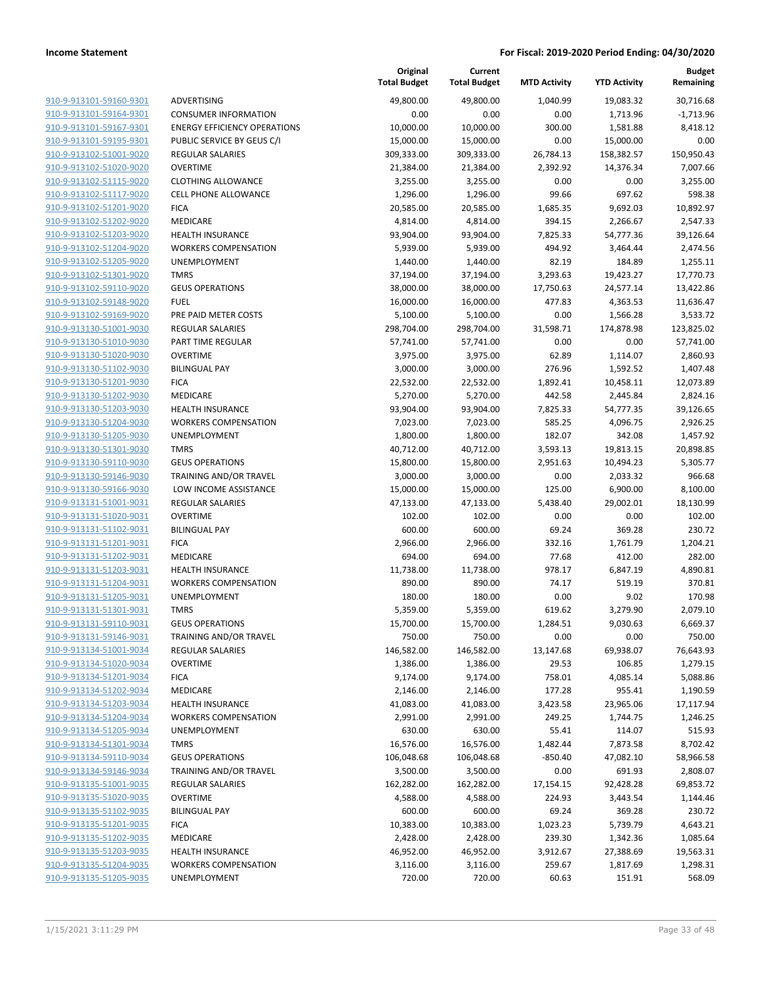**Current**

**Original**

**Budget**

|                         |                                     | <b>Total Budget</b>   | <b>Total Budget</b> | <b>MTD Activity</b> | <b>YTD Activity</b> | Remaining   |
|-------------------------|-------------------------------------|-----------------------|---------------------|---------------------|---------------------|-------------|
| 910-9-913101-59160-9301 | ADVERTISING                         | 49,800.00             | 49,800.00           | 1,040.99            | 19,083.32           | 30,716.68   |
| 910-9-913101-59164-9301 | <b>CONSUMER INFORMATION</b>         | 0.00                  | 0.00                | 0.00                | 1,713.96            | $-1,713.96$ |
| 910-9-913101-59167-9301 | <b>ENERGY EFFICIENCY OPERATIONS</b> | 10,000.00             | 10,000.00           | 300.00              | 1,581.88            | 8,418.12    |
| 910-9-913101-59195-9301 | PUBLIC SERVICE BY GEUS C/I          | 15,000.00             | 15,000.00           | 0.00                | 15,000.00           | 0.00        |
| 910-9-913102-51001-9020 | REGULAR SALARIES                    | 309,333.00            | 309,333.00          | 26,784.13           | 158,382.57          | 150,950.43  |
| 910-9-913102-51020-9020 | <b>OVERTIME</b>                     | 21,384.00             | 21,384.00           | 2,392.92            | 14,376.34           | 7,007.66    |
| 910-9-913102-51115-9020 | <b>CLOTHING ALLOWANCE</b>           | 3,255.00              | 3,255.00            | 0.00                | 0.00                | 3,255.00    |
| 910-9-913102-51117-9020 | <b>CELL PHONE ALLOWANCE</b>         | 1,296.00              | 1,296.00            | 99.66               | 697.62              | 598.38      |
| 910-9-913102-51201-9020 | <b>FICA</b>                         | 20,585.00             | 20,585.00           | 1,685.35            | 9,692.03            | 10,892.97   |
| 910-9-913102-51202-9020 | MEDICARE                            | 4,814.00              | 4,814.00            | 394.15              | 2,266.67            | 2,547.33    |
| 910-9-913102-51203-9020 | <b>HEALTH INSURANCE</b>             | 93,904.00             | 93,904.00           | 7,825.33            | 54,777.36           | 39,126.64   |
| 910-9-913102-51204-9020 | <b>WORKERS COMPENSATION</b>         | 5,939.00              | 5,939.00            | 494.92              | 3,464.44            | 2,474.56    |
| 910-9-913102-51205-9020 | <b>UNEMPLOYMENT</b>                 | 1,440.00              | 1,440.00            | 82.19               | 184.89              | 1,255.11    |
| 910-9-913102-51301-9020 | <b>TMRS</b>                         | 37,194.00             | 37,194.00           | 3,293.63            | 19,423.27           | 17,770.73   |
| 910-9-913102-59110-9020 | <b>GEUS OPERATIONS</b>              | 38,000.00             | 38,000.00           | 17,750.63           | 24,577.14           | 13,422.86   |
| 910-9-913102-59148-9020 | <b>FUEL</b>                         | 16,000.00             | 16,000.00           | 477.83              | 4,363.53            | 11,636.47   |
| 910-9-913102-59169-9020 | PRE PAID METER COSTS                | 5,100.00              | 5,100.00            | 0.00                | 1,566.28            | 3,533.72    |
| 910-9-913130-51001-9030 | <b>REGULAR SALARIES</b>             | 298,704.00            | 298,704.00          | 31,598.71           | 174,878.98          | 123,825.02  |
| 910-9-913130-51010-9030 | PART TIME REGULAR                   | 57,741.00             | 57,741.00           | 0.00                | 0.00                | 57,741.00   |
| 910-9-913130-51020-9030 | <b>OVERTIME</b>                     | 3,975.00              | 3,975.00            | 62.89               | 1,114.07            | 2,860.93    |
| 910-9-913130-51102-9030 | <b>BILINGUAL PAY</b>                | 3,000.00              | 3,000.00            | 276.96              | 1,592.52            | 1,407.48    |
| 910-9-913130-51201-9030 | <b>FICA</b>                         | 22,532.00             | 22,532.00           | 1,892.41            | 10,458.11           | 12,073.89   |
| 910-9-913130-51202-9030 | MEDICARE                            | 5,270.00              | 5,270.00            | 442.58              | 2,445.84            | 2,824.16    |
| 910-9-913130-51203-9030 | <b>HEALTH INSURANCE</b>             | 93,904.00             | 93,904.00           | 7,825.33            | 54,777.35           | 39,126.65   |
| 910-9-913130-51204-9030 | <b>WORKERS COMPENSATION</b>         | 7,023.00              | 7,023.00            | 585.25              | 4,096.75            | 2,926.25    |
| 910-9-913130-51205-9030 | UNEMPLOYMENT                        | 1,800.00              | 1,800.00            | 182.07              | 342.08              | 1,457.92    |
| 910-9-913130-51301-9030 | <b>TMRS</b>                         | 40,712.00             | 40,712.00           | 3,593.13            | 19,813.15           | 20,898.85   |
| 910-9-913130-59110-9030 | <b>GEUS OPERATIONS</b>              | 15,800.00             | 15,800.00           | 2,951.63            | 10,494.23           | 5,305.77    |
| 910-9-913130-59146-9030 | TRAINING AND/OR TRAVEL              | 3,000.00              | 3,000.00            | 0.00                | 2,033.32            | 966.68      |
| 910-9-913130-59166-9030 | LOW INCOME ASSISTANCE               | 15,000.00             | 15,000.00           | 125.00              | 6,900.00            | 8,100.00    |
| 910-9-913131-51001-9031 | <b>REGULAR SALARIES</b>             | 47,133.00             | 47,133.00           | 5,438.40            | 29,002.01           | 18,130.99   |
| 910-9-913131-51020-9031 | <b>OVERTIME</b>                     | 102.00                | 102.00              | 0.00                | 0.00                | 102.00      |
| 910-9-913131-51102-9031 | <b>BILINGUAL PAY</b>                | 600.00                | 600.00              | 69.24               | 369.28              | 230.72      |
| 910-9-913131-51201-9031 | <b>FICA</b>                         | 2,966.00              | 2,966.00            | 332.16              | 1,761.79            | 1,204.21    |
| 910-9-913131-51202-9031 | MEDICARE                            | 694.00                | 694.00              | 77.68               | 412.00              | 282.00      |
| 910-9-913131-51203-9031 | <b>HEALTH INSURANCE</b>             | 11,738.00             | 11,738.00           | 978.17              | 6,847.19            | 4,890.81    |
| 910-9-913131-51204-9031 | <b>WORKERS COMPENSATION</b>         | 890.00                | 890.00              | 74.17               | 519.19              | 370.81      |
| 910-9-913131-51205-9031 | UNEMPLOYMENT                        | 180.00                | 180.00              | 0.00                | 9.02                | 170.98      |
| 910-9-913131-51301-9031 | <b>TMRS</b>                         | 5,359.00              | 5,359.00            | 619.62              | 3,279.90            | 2,079.10    |
| 910-9-913131-59110-9031 | <b>GEUS OPERATIONS</b>              | 15,700.00             | 15,700.00           | 1,284.51            | 9,030.63            | 6,669.37    |
| 910-9-913131-59146-9031 | TRAINING AND/OR TRAVEL              | 750.00                | 750.00              | 0.00                | 0.00                | 750.00      |
| 910-9-913134-51001-9034 | <b>REGULAR SALARIES</b>             | 146,582.00            | 146,582.00          | 13,147.68           | 69,938.07           | 76,643.93   |
| 910-9-913134-51020-9034 | <b>OVERTIME</b>                     | 1,386.00              | 1,386.00            | 29.53               | 106.85              | 1,279.15    |
| 910-9-913134-51201-9034 | <b>FICA</b>                         | 9,174.00              | 9,174.00            | 758.01              | 4,085.14            | 5,088.86    |
| 910-9-913134-51202-9034 | MEDICARE                            | 2,146.00              | 2,146.00            | 177.28              | 955.41              | 1,190.59    |
| 910-9-913134-51203-9034 | <b>HEALTH INSURANCE</b>             | 41,083.00             | 41,083.00           | 3,423.58            | 23,965.06           | 17,117.94   |
| 910-9-913134-51204-9034 | <b>WORKERS COMPENSATION</b>         | 2,991.00              | 2,991.00            | 249.25              | 1,744.75            | 1,246.25    |
| 910-9-913134-51205-9034 | <b>UNEMPLOYMENT</b>                 | 630.00                | 630.00              | 55.41               | 114.07              | 515.93      |
| 910-9-913134-51301-9034 | <b>TMRS</b>                         | 16,576.00             | 16,576.00           | 1,482.44            | 7,873.58            | 8,702.42    |
| 910-9-913134-59110-9034 | <b>GEUS OPERATIONS</b>              | 106,048.68            | 106,048.68          | $-850.40$           | 47,082.10           | 58,966.58   |
| 910-9-913134-59146-9034 | TRAINING AND/OR TRAVEL              | 3,500.00              | 3,500.00            | 0.00                | 691.93              | 2,808.07    |
| 910-9-913135-51001-9035 | <b>REGULAR SALARIES</b>             | 162,282.00            | 162,282.00          | 17,154.15           | 92,428.28           | 69,853.72   |
| 910-9-913135-51020-9035 | <b>OVERTIME</b>                     | 4,588.00              | 4,588.00            | 224.93              | 3,443.54            | 1,144.46    |
| 910-9-913135-51102-9035 | <b>BILINGUAL PAY</b>                |                       |                     |                     |                     |             |
| 910-9-913135-51201-9035 | <b>FICA</b>                         | 600.00                | 600.00              | 69.24               | 369.28              | 230.72      |
| 910-9-913135-51202-9035 | MEDICARE                            | 10,383.00<br>2,428.00 | 10,383.00           | 1,023.23<br>239.30  | 5,739.79            | 4,643.21    |
| 910-9-913135-51203-9035 | <b>HEALTH INSURANCE</b>             |                       | 2,428.00            |                     | 1,342.36            | 1,085.64    |
| 910-9-913135-51204-9035 |                                     | 46,952.00             | 46,952.00           | 3,912.67            | 27,388.69           | 19,563.31   |
|                         | <b>WORKERS COMPENSATION</b>         | 3,116.00              | 3,116.00            | 259.67              | 1,817.69            | 1,298.31    |
| 910-9-913135-51205-9035 | UNEMPLOYMENT                        | 720.00                | 720.00              | 60.63               | 151.91              | 568.09      |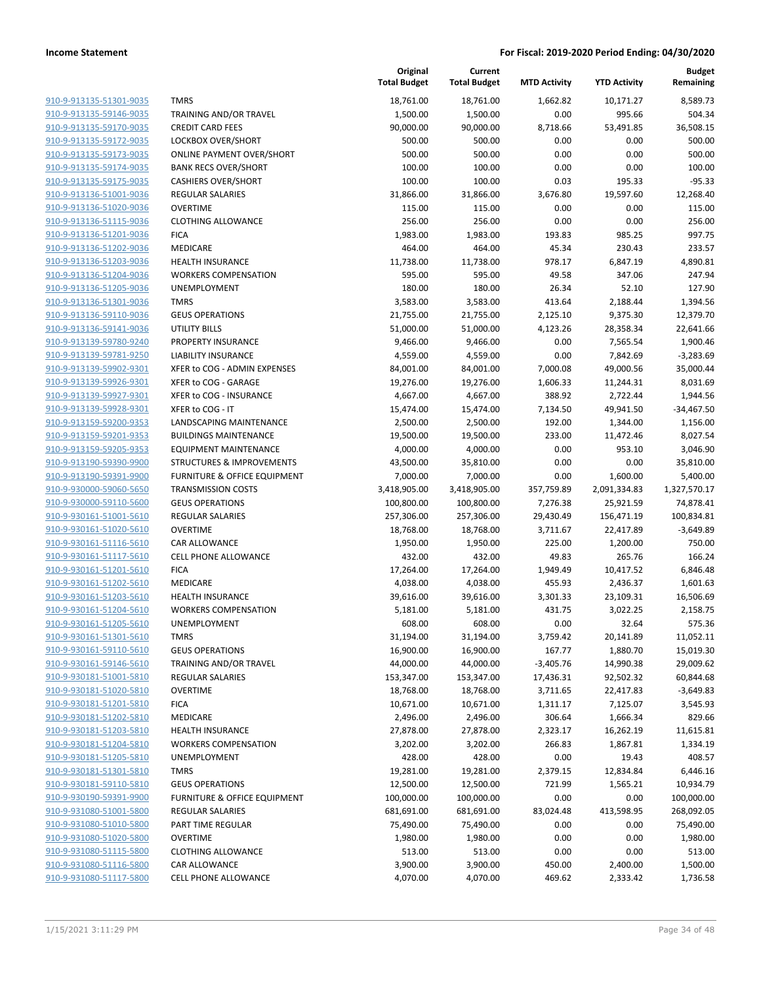| 910-9-913135-51301-9035        |  |
|--------------------------------|--|
| 910-9-913135-59146-9035        |  |
| 910-9-913135-59170-9035        |  |
| 910-9-913135-59172-9035        |  |
| 910-9-913135-59173-9035        |  |
| 910-9-913135-59174-9035        |  |
| 910-9-913135-59175-9035        |  |
| <u>910-9-913136-51001-9036</u> |  |
| 910-9-913136-51020-9036        |  |
| 910-9-913136-51115-9036        |  |
| 910-9-913136-51201-9036        |  |
| 910-9-913136-51202-9036        |  |
| 910-9-913136-51203-9036        |  |
| 910-9-913136-51204-9036        |  |
| 910-9-913136-51205-9036        |  |
| 910-9-913136-51301-9036        |  |
| 910-9-913136-59110-9036        |  |
| 910-9-913136-59141-9036        |  |
| 910-9-913139-59780-9240        |  |
| 910-9-913139-59781-9250        |  |
| 910-9-913139-59902-9301        |  |
| <u>910-9-913139-59926-9301</u> |  |
| 910-9-913139-59927-9301        |  |
| 910-9-913139-59928-9301        |  |
| 910-9-913159-59200-9353        |  |
| 910-9-913159-59201-9353        |  |
| 910-9-913159-59205-9353        |  |
| 910-9-913190-59390-9900        |  |
| 910-9-913190-59391-9900        |  |
|                                |  |
| 910-9-930000-59060-5650        |  |
| 910-9-930000-59110-5600        |  |
| 910-9-930161-51001-5610        |  |
| 910-9-930161-51020-5610        |  |
| 910-9-930161-51116-5610        |  |
| 910-9-930161-51117-5610        |  |
| 910-9-930161-51201-5610        |  |
| 910-9-930161-51202-5610        |  |
| 910-9-930161-51203-5610        |  |
| 910-9-930161-51204-5610        |  |
| 910-9-930161-51205-5610        |  |
| 910-9-930161-51301-5610        |  |
| 910-9-930161-59110-5610        |  |
| 910-9-930161-59146-5610        |  |
| 910-9-930181-51001-5810        |  |
| 910-9-930181-51020-5810        |  |
| 910-9-930181-51201-5810        |  |
| 910-9-930181-51202-5810        |  |
| 910-9-930181-51203-5810        |  |
| 910-9-930181-51204-5810        |  |
| 910-9-930181-51205-5810        |  |
| 910-9-930181-51301-5810        |  |
| 910-9-930181-59110-5810        |  |
| 910-9-930190-59391-9900        |  |
| 910-9-931080-51001-5800        |  |
| 910-9-931080-51010-5800        |  |
| 910-9-931080-51020-5800        |  |
| 910-9-931080-51115-5800        |  |
| 910-9-931080-51116-5800        |  |
| 910-9-931080-51117-5800        |  |
|                                |  |

|                                                    |                                         | Original<br><b>Total Budget</b> | Current<br><b>Total Budget</b> | <b>MTD Activity</b> | <b>YTD Activity</b>   | <b>Budget</b><br>Remaining |
|----------------------------------------------------|-----------------------------------------|---------------------------------|--------------------------------|---------------------|-----------------------|----------------------------|
| 910-9-913135-51301-9035                            | <b>TMRS</b>                             | 18,761.00                       | 18,761.00                      | 1,662.82            | 10,171.27             | 8,589.73                   |
| 910-9-913135-59146-9035                            | TRAINING AND/OR TRAVEL                  | 1,500.00                        | 1,500.00                       | 0.00                | 995.66                | 504.34                     |
| 910-9-913135-59170-9035                            | <b>CREDIT CARD FEES</b>                 | 90,000.00                       | 90,000.00                      | 8,718.66            | 53,491.85             | 36,508.15                  |
| 910-9-913135-59172-9035                            | <b>LOCKBOX OVER/SHORT</b>               | 500.00                          | 500.00                         | 0.00                | 0.00                  | 500.00                     |
| 910-9-913135-59173-9035                            | <b>ONLINE PAYMENT OVER/SHORT</b>        | 500.00                          | 500.00                         | 0.00                | 0.00                  | 500.00                     |
| 910-9-913135-59174-9035                            | <b>BANK RECS OVER/SHORT</b>             | 100.00                          | 100.00                         | 0.00                | 0.00                  | 100.00                     |
| 910-9-913135-59175-9035                            | <b>CASHIERS OVER/SHORT</b>              | 100.00                          | 100.00                         | 0.03                | 195.33                | $-95.33$                   |
| 910-9-913136-51001-9036                            | <b>REGULAR SALARIES</b>                 | 31,866.00                       | 31,866.00                      | 3,676.80            | 19,597.60             | 12,268.40                  |
| 910-9-913136-51020-9036                            | <b>OVERTIME</b>                         | 115.00                          | 115.00                         | 0.00                | 0.00                  | 115.00                     |
| 910-9-913136-51115-9036                            | <b>CLOTHING ALLOWANCE</b>               | 256.00                          | 256.00                         | 0.00                | 0.00                  | 256.00                     |
| 910-9-913136-51201-9036                            | <b>FICA</b>                             | 1,983.00                        | 1,983.00                       | 193.83              | 985.25                | 997.75                     |
| 910-9-913136-51202-9036                            | MEDICARE                                | 464.00                          | 464.00                         | 45.34               | 230.43                | 233.57                     |
| 910-9-913136-51203-9036                            | <b>HEALTH INSURANCE</b>                 | 11,738.00                       | 11,738.00                      | 978.17              | 6,847.19              | 4,890.81                   |
| 910-9-913136-51204-9036                            | <b>WORKERS COMPENSATION</b>             | 595.00                          | 595.00                         | 49.58               | 347.06                | 247.94                     |
| 910-9-913136-51205-9036                            | <b>UNEMPLOYMENT</b>                     | 180.00                          | 180.00                         | 26.34               | 52.10                 | 127.90                     |
| 910-9-913136-51301-9036<br>910-9-913136-59110-9036 | <b>TMRS</b>                             | 3,583.00                        | 3,583.00                       | 413.64              | 2,188.44              | 1,394.56                   |
| 910-9-913136-59141-9036                            | <b>GEUS OPERATIONS</b><br>UTILITY BILLS | 21,755.00<br>51,000.00          | 21,755.00                      | 2,125.10            | 9,375.30              | 12,379.70                  |
| 910-9-913139-59780-9240                            | PROPERTY INSURANCE                      |                                 | 51,000.00                      | 4,123.26<br>0.00    | 28,358.34             | 22,641.66                  |
| 910-9-913139-59781-9250                            | <b>LIABILITY INSURANCE</b>              | 9,466.00<br>4,559.00            | 9,466.00<br>4,559.00           | 0.00                | 7,565.54              | 1,900.46<br>$-3,283.69$    |
| 910-9-913139-59902-9301                            | XFER to COG - ADMIN EXPENSES            | 84,001.00                       | 84,001.00                      | 7,000.08            | 7,842.69<br>49,000.56 | 35,000.44                  |
| 910-9-913139-59926-9301                            | XFER to COG - GARAGE                    | 19,276.00                       | 19,276.00                      | 1,606.33            | 11,244.31             | 8,031.69                   |
| 910-9-913139-59927-9301                            | XFER to COG - INSURANCE                 | 4,667.00                        | 4,667.00                       | 388.92              | 2,722.44              | 1,944.56                   |
| 910-9-913139-59928-9301                            | XFER to COG - IT                        | 15,474.00                       | 15,474.00                      | 7,134.50            | 49,941.50             | $-34,467.50$               |
| 910-9-913159-59200-9353                            | LANDSCAPING MAINTENANCE                 | 2,500.00                        | 2,500.00                       | 192.00              | 1,344.00              | 1,156.00                   |
| 910-9-913159-59201-9353                            | <b>BUILDINGS MAINTENANCE</b>            | 19,500.00                       | 19,500.00                      | 233.00              | 11,472.46             | 8,027.54                   |
| 910-9-913159-59205-9353                            | <b>EQUIPMENT MAINTENANCE</b>            | 4,000.00                        | 4,000.00                       | 0.00                | 953.10                | 3,046.90                   |
| 910-9-913190-59390-9900                            | <b>STRUCTURES &amp; IMPROVEMENTS</b>    | 43,500.00                       | 35,810.00                      | 0.00                | 0.00                  | 35,810.00                  |
| 910-9-913190-59391-9900                            | <b>FURNITURE &amp; OFFICE EQUIPMENT</b> | 7,000.00                        | 7,000.00                       | 0.00                | 1,600.00              | 5,400.00                   |
| 910-9-930000-59060-5650                            | <b>TRANSMISSION COSTS</b>               | 3,418,905.00                    | 3,418,905.00                   | 357,759.89          | 2,091,334.83          | 1,327,570.17               |
| 910-9-930000-59110-5600                            | <b>GEUS OPERATIONS</b>                  | 100,800.00                      | 100,800.00                     | 7,276.38            | 25,921.59             | 74,878.41                  |
| 910-9-930161-51001-5610                            | REGULAR SALARIES                        | 257,306.00                      | 257,306.00                     | 29,430.49           | 156,471.19            | 100,834.81                 |
| 910-9-930161-51020-5610                            | <b>OVERTIME</b>                         | 18,768.00                       | 18,768.00                      | 3,711.67            | 22,417.89             | $-3,649.89$                |
| 910-9-930161-51116-5610                            | CAR ALLOWANCE                           | 1,950.00                        | 1,950.00                       | 225.00              | 1,200.00              | 750.00                     |
| 910-9-930161-51117-5610                            | <b>CELL PHONE ALLOWANCE</b>             | 432.00                          | 432.00                         | 49.83               | 265.76                | 166.24                     |
| 910-9-930161-51201-5610                            | <b>FICA</b>                             | 17,264.00                       | 17,264.00                      | 1,949.49            | 10,417.52             | 6,846.48                   |
| 910-9-930161-51202-5610                            | MEDICARE                                | 4,038.00                        | 4,038.00                       | 455.93              | 2,436.37              | 1,601.63                   |
| 910-9-930161-51203-5610                            | <b>HEALTH INSURANCE</b>                 | 39,616.00                       | 39,616.00                      | 3,301.33            | 23,109.31             | 16,506.69                  |
| 910-9-930161-51204-5610                            | <b>WORKERS COMPENSATION</b>             | 5,181.00                        | 5,181.00                       | 431.75              | 3,022.25              | 2,158.75                   |
| 910-9-930161-51205-5610                            | UNEMPLOYMENT                            | 608.00                          | 608.00                         | 0.00                | 32.64                 | 575.36                     |
| 910-9-930161-51301-5610                            | TMRS                                    | 31,194.00                       | 31,194.00                      | 3,759.42            | 20,141.89             | 11,052.11                  |
| 910-9-930161-59110-5610                            | <b>GEUS OPERATIONS</b>                  | 16,900.00                       | 16,900.00                      | 167.77              | 1,880.70              | 15,019.30                  |
| 910-9-930161-59146-5610                            | TRAINING AND/OR TRAVEL                  | 44,000.00                       | 44,000.00                      | $-3,405.76$         | 14,990.38             | 29,009.62                  |
| 910-9-930181-51001-5810                            | <b>REGULAR SALARIES</b>                 | 153,347.00                      | 153,347.00                     | 17,436.31           | 92,502.32             | 60,844.68                  |
| 910-9-930181-51020-5810                            | <b>OVERTIME</b>                         | 18,768.00                       | 18,768.00                      | 3,711.65            | 22,417.83             | $-3,649.83$                |
| 910-9-930181-51201-5810                            | <b>FICA</b>                             | 10,671.00                       | 10,671.00                      | 1,311.17            | 7,125.07              | 3,545.93                   |
| 910-9-930181-51202-5810                            | MEDICARE                                | 2,496.00                        | 2,496.00                       | 306.64              | 1,666.34              | 829.66                     |
| 910-9-930181-51203-5810                            | <b>HEALTH INSURANCE</b>                 | 27,878.00                       | 27,878.00                      | 2,323.17            | 16,262.19             | 11,615.81                  |
| 910-9-930181-51204-5810                            | <b>WORKERS COMPENSATION</b>             | 3,202.00                        | 3,202.00                       | 266.83              | 1,867.81              | 1,334.19                   |
| 910-9-930181-51205-5810                            | <b>UNEMPLOYMENT</b>                     | 428.00                          | 428.00                         | 0.00                | 19.43                 | 408.57                     |
| 910-9-930181-51301-5810                            | <b>TMRS</b>                             | 19,281.00                       | 19,281.00                      | 2,379.15            | 12,834.84             | 6,446.16                   |
| 910-9-930181-59110-5810                            | <b>GEUS OPERATIONS</b>                  | 12,500.00                       | 12,500.00                      | 721.99              | 1,565.21              | 10,934.79                  |
| 910-9-930190-59391-9900                            | FURNITURE & OFFICE EQUIPMENT            | 100,000.00                      | 100,000.00                     | 0.00                | 0.00                  | 100,000.00                 |
| 910-9-931080-51001-5800                            | <b>REGULAR SALARIES</b>                 | 681,691.00                      | 681,691.00                     | 83,024.48           | 413,598.95            | 268,092.05                 |
| 910-9-931080-51010-5800                            | PART TIME REGULAR                       | 75,490.00                       | 75,490.00                      | 0.00                | 0.00                  | 75,490.00                  |
| 910-9-931080-51020-5800                            | <b>OVERTIME</b>                         | 1,980.00                        | 1,980.00                       | 0.00                | 0.00                  | 1,980.00                   |
| 910-9-931080-51115-5800                            | <b>CLOTHING ALLOWANCE</b>               | 513.00                          | 513.00                         | 0.00                | 0.00                  | 513.00                     |
| 910-9-931080-51116-5800                            | CAR ALLOWANCE                           | 3,900.00                        | 3,900.00                       | 450.00              | 2,400.00              | 1,500.00                   |
| 910-9-931080-51117-5800                            | CELL PHONE ALLOWANCE                    | 4,070.00                        | 4,070.00                       | 469.62              | 2,333.42              | 1,736.58                   |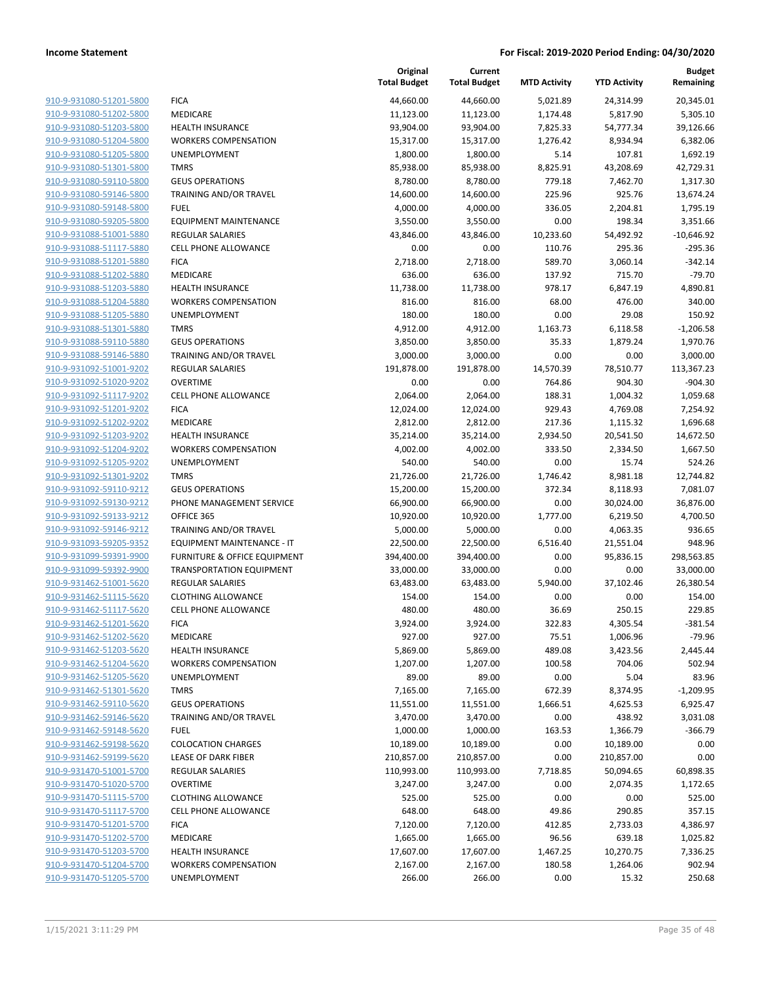|                         |                                         | Original<br><b>Total Budget</b> | Current<br><b>Total Budget</b> | <b>MTD Activity</b> | <b>YTD Activity</b> | <b>Budget</b><br>Remaining |
|-------------------------|-----------------------------------------|---------------------------------|--------------------------------|---------------------|---------------------|----------------------------|
| 910-9-931080-51201-5800 | <b>FICA</b>                             | 44,660.00                       | 44,660.00                      | 5,021.89            | 24,314.99           | 20,345.01                  |
| 910-9-931080-51202-5800 | MEDICARE                                | 11,123.00                       | 11,123.00                      | 1,174.48            | 5,817.90            | 5,305.10                   |
| 910-9-931080-51203-5800 | <b>HEALTH INSURANCE</b>                 | 93,904.00                       | 93,904.00                      | 7,825.33            | 54,777.34           | 39,126.66                  |
| 910-9-931080-51204-5800 | <b>WORKERS COMPENSATION</b>             | 15,317.00                       | 15,317.00                      | 1,276.42            | 8,934.94            | 6,382.06                   |
| 910-9-931080-51205-5800 | UNEMPLOYMENT                            | 1,800.00                        | 1,800.00                       | 5.14                | 107.81              | 1,692.19                   |
| 910-9-931080-51301-5800 | <b>TMRS</b>                             | 85,938.00                       | 85,938.00                      | 8,825.91            | 43,208.69           | 42,729.31                  |
| 910-9-931080-59110-5800 | <b>GEUS OPERATIONS</b>                  | 8,780.00                        | 8,780.00                       | 779.18              | 7,462.70            | 1,317.30                   |
| 910-9-931080-59146-5800 | TRAINING AND/OR TRAVEL                  | 14,600.00                       | 14,600.00                      | 225.96              | 925.76              | 13,674.24                  |
| 910-9-931080-59148-5800 | <b>FUEL</b>                             | 4,000.00                        | 4,000.00                       | 336.05              | 2,204.81            | 1,795.19                   |
| 910-9-931080-59205-5800 | <b>EQUIPMENT MAINTENANCE</b>            | 3,550.00                        | 3,550.00                       | 0.00                | 198.34              | 3,351.66                   |
| 910-9-931088-51001-5880 | <b>REGULAR SALARIES</b>                 | 43,846.00                       | 43,846.00                      | 10,233.60           | 54,492.92           | $-10,646.92$               |
| 910-9-931088-51117-5880 | <b>CELL PHONE ALLOWANCE</b>             | 0.00                            | 0.00                           | 110.76              | 295.36              | $-295.36$                  |
| 910-9-931088-51201-5880 | <b>FICA</b>                             | 2,718.00                        | 2,718.00                       | 589.70              | 3,060.14            | $-342.14$                  |
| 910-9-931088-51202-5880 | MEDICARE                                | 636.00                          | 636.00                         | 137.92              | 715.70              | $-79.70$                   |
| 910-9-931088-51203-5880 | <b>HEALTH INSURANCE</b>                 | 11,738.00                       | 11,738.00                      | 978.17              | 6,847.19            | 4,890.81                   |
| 910-9-931088-51204-5880 | <b>WORKERS COMPENSATION</b>             | 816.00                          | 816.00                         | 68.00               | 476.00              | 340.00                     |
| 910-9-931088-51205-5880 | UNEMPLOYMENT                            | 180.00                          | 180.00                         | 0.00                | 29.08               | 150.92                     |
| 910-9-931088-51301-5880 | <b>TMRS</b>                             | 4,912.00                        | 4,912.00                       | 1,163.73            | 6,118.58            | $-1,206.58$                |
| 910-9-931088-59110-5880 | <b>GEUS OPERATIONS</b>                  | 3,850.00                        | 3,850.00                       | 35.33               | 1,879.24            | 1,970.76                   |
| 910-9-931088-59146-5880 | TRAINING AND/OR TRAVEL                  | 3,000.00                        | 3,000.00                       | 0.00                | 0.00                | 3,000.00                   |
| 910-9-931092-51001-9202 | <b>REGULAR SALARIES</b>                 | 191,878.00                      | 191,878.00                     | 14,570.39           | 78,510.77           | 113,367.23                 |
| 910-9-931092-51020-9202 | <b>OVERTIME</b>                         | 0.00                            | 0.00                           | 764.86              | 904.30              | $-904.30$                  |
| 910-9-931092-51117-9202 | <b>CELL PHONE ALLOWANCE</b>             | 2,064.00                        | 2,064.00                       | 188.31              | 1,004.32            | 1,059.68                   |
| 910-9-931092-51201-9202 | <b>FICA</b>                             | 12,024.00                       | 12,024.00                      | 929.43              | 4,769.08            | 7,254.92                   |
| 910-9-931092-51202-9202 | MEDICARE                                | 2,812.00                        | 2,812.00                       | 217.36              | 1,115.32            | 1,696.68                   |
| 910-9-931092-51203-9202 | <b>HEALTH INSURANCE</b>                 | 35,214.00                       | 35,214.00                      | 2,934.50            | 20,541.50           | 14,672.50                  |
| 910-9-931092-51204-9202 | <b>WORKERS COMPENSATION</b>             | 4,002.00                        | 4,002.00                       | 333.50              | 2,334.50            | 1,667.50                   |
| 910-9-931092-51205-9202 | UNEMPLOYMENT                            | 540.00                          | 540.00                         | 0.00                | 15.74               | 524.26                     |
| 910-9-931092-51301-9202 | <b>TMRS</b>                             | 21,726.00                       | 21,726.00                      | 1,746.42            | 8,981.18            | 12,744.82                  |
| 910-9-931092-59110-9212 | <b>GEUS OPERATIONS</b>                  | 15,200.00                       | 15,200.00                      | 372.34              | 8,118.93            | 7,081.07                   |
| 910-9-931092-59130-9212 | PHONE MANAGEMENT SERVICE                | 66,900.00                       | 66,900.00                      | 0.00                | 30,024.00           | 36,876.00                  |
| 910-9-931092-59133-9212 | OFFICE 365                              | 10,920.00                       | 10,920.00                      | 1,777.00            | 6,219.50            | 4,700.50                   |
| 910-9-931092-59146-9212 | TRAINING AND/OR TRAVEL                  | 5,000.00                        | 5,000.00                       | 0.00                | 4,063.35            | 936.65                     |
| 910-9-931093-59205-9352 | EQUIPMENT MAINTENANCE - IT              | 22,500.00                       | 22,500.00                      | 6,516.40            | 21,551.04           | 948.96                     |
| 910-9-931099-59391-9900 | <b>FURNITURE &amp; OFFICE EQUIPMENT</b> | 394,400.00                      | 394,400.00                     | 0.00                | 95,836.15           | 298,563.85                 |
| 910-9-931099-59392-9900 | <b>TRANSPORTATION EQUIPMENT</b>         | 33,000.00                       | 33,000.00                      | 0.00                | 0.00                | 33,000.00                  |
| 910-9-931462-51001-5620 | REGULAR SALARIES                        | 63,483.00                       | 63,483.00                      | 5,940.00            | 37,102.46           | 26,380.54                  |
| 910-9-931462-51115-5620 | <b>CLOTHING ALLOWANCE</b>               | 154.00                          | 154.00                         | 0.00                | 0.00                | 154.00                     |
| 910-9-931462-51117-5620 | <b>CELL PHONE ALLOWANCE</b>             | 480.00                          | 480.00                         | 36.69               | 250.15              | 229.85                     |
| 910-9-931462-51201-5620 | <b>FICA</b>                             | 3,924.00                        | 3,924.00                       | 322.83              | 4,305.54            | $-381.54$                  |
| 910-9-931462-51202-5620 | MEDICARE                                | 927.00                          | 927.00                         | 75.51               | 1,006.96            | $-79.96$                   |
| 910-9-931462-51203-5620 | <b>HEALTH INSURANCE</b>                 | 5,869.00                        | 5,869.00                       | 489.08              | 3,423.56            | 2,445.44                   |
| 910-9-931462-51204-5620 | <b>WORKERS COMPENSATION</b>             | 1,207.00                        | 1,207.00                       | 100.58              | 704.06              | 502.94                     |
| 910-9-931462-51205-5620 | UNEMPLOYMENT                            | 89.00                           | 89.00                          | 0.00                | 5.04                | 83.96                      |
| 910-9-931462-51301-5620 | <b>TMRS</b>                             | 7,165.00                        | 7,165.00                       | 672.39              | 8,374.95            | $-1,209.95$                |
| 910-9-931462-59110-5620 | <b>GEUS OPERATIONS</b>                  | 11,551.00                       | 11,551.00                      | 1,666.51            | 4,625.53            | 6,925.47                   |
| 910-9-931462-59146-5620 | TRAINING AND/OR TRAVEL                  | 3,470.00                        | 3,470.00                       | 0.00                | 438.92              |                            |
| 910-9-931462-59148-5620 | <b>FUEL</b>                             |                                 |                                |                     |                     | 3,031.08<br>$-366.79$      |
| 910-9-931462-59198-5620 | <b>COLOCATION CHARGES</b>               | 1,000.00                        | 1,000.00                       | 163.53              | 1,366.79            |                            |
|                         |                                         | 10,189.00                       | 10,189.00                      | 0.00                | 10,189.00           | 0.00                       |
| 910-9-931462-59199-5620 | LEASE OF DARK FIBER                     | 210,857.00                      | 210,857.00                     | 0.00                | 210,857.00          | 0.00                       |
| 910-9-931470-51001-5700 | <b>REGULAR SALARIES</b>                 | 110,993.00                      | 110,993.00                     | 7,718.85            | 50,094.65           | 60,898.35                  |
| 910-9-931470-51020-5700 | <b>OVERTIME</b>                         | 3,247.00                        | 3,247.00                       | 0.00                | 2,074.35            | 1,172.65                   |
| 910-9-931470-51115-5700 | <b>CLOTHING ALLOWANCE</b>               | 525.00                          | 525.00                         | 0.00                | 0.00                | 525.00                     |
| 910-9-931470-51117-5700 | <b>CELL PHONE ALLOWANCE</b>             | 648.00                          | 648.00                         | 49.86               | 290.85              | 357.15                     |
| 910-9-931470-51201-5700 | <b>FICA</b>                             | 7,120.00                        | 7,120.00                       | 412.85              | 2,733.03            | 4,386.97                   |
| 910-9-931470-51202-5700 | MEDICARE                                | 1,665.00                        | 1,665.00                       | 96.56               | 639.18              | 1,025.82                   |
| 910-9-931470-51203-5700 | <b>HEALTH INSURANCE</b>                 | 17,607.00                       | 17,607.00                      | 1,467.25            | 10,270.75           | 7,336.25                   |
| 910-9-931470-51204-5700 | <b>WORKERS COMPENSATION</b>             | 2,167.00                        | 2,167.00                       | 180.58              | 1,264.06            | 902.94                     |
| 910-9-931470-51205-5700 | UNEMPLOYMENT                            | 266.00                          | 266.00                         | 0.00                | 15.32               | 250.68                     |
|                         |                                         |                                 |                                |                     |                     |                            |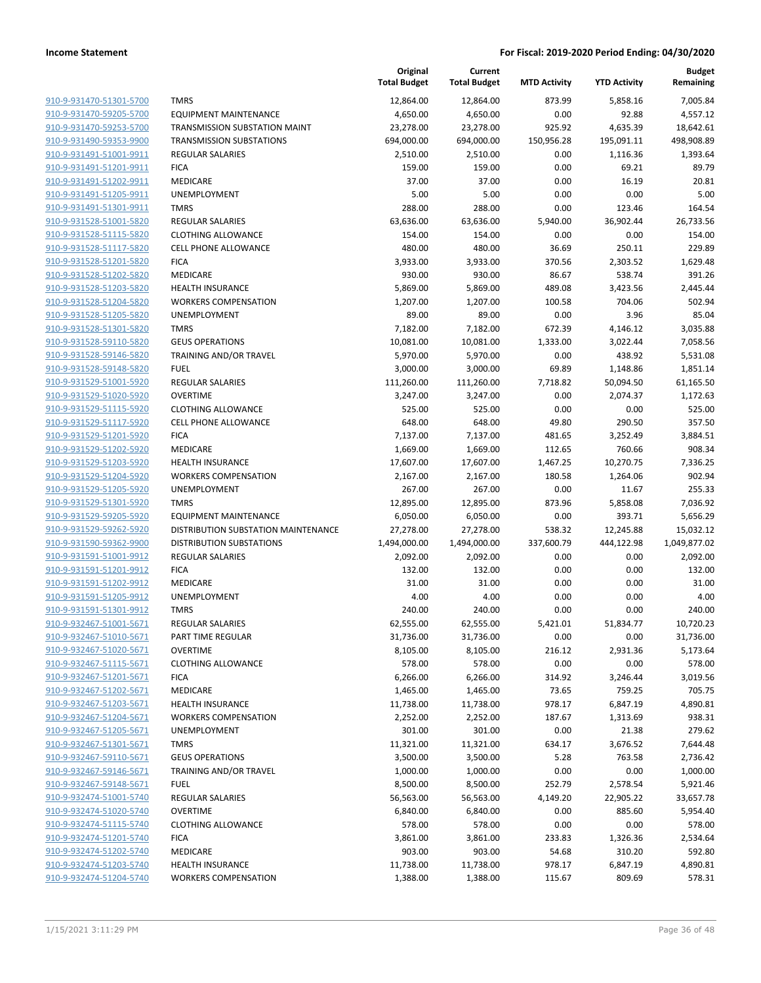|                                                    |                                     | Original<br><b>Total Budget</b> | Current<br><b>Total Budget</b> | <b>MTD Activity</b> | <b>YTD Activity</b> | <b>Budget</b><br>Remaining |
|----------------------------------------------------|-------------------------------------|---------------------------------|--------------------------------|---------------------|---------------------|----------------------------|
| 910-9-931470-51301-5700                            | <b>TMRS</b>                         | 12,864.00                       | 12,864.00                      | 873.99              | 5,858.16            | 7,005.84                   |
| 910-9-931470-59205-5700                            | <b>EQUIPMENT MAINTENANCE</b>        | 4,650.00                        | 4,650.00                       | 0.00                | 92.88               | 4,557.12                   |
| 910-9-931470-59253-5700                            | TRANSMISSION SUBSTATION MAINT       | 23,278.00                       | 23,278.00                      | 925.92              | 4,635.39            | 18,642.61                  |
| 910-9-931490-59353-9900                            | <b>TRANSMISSION SUBSTATIONS</b>     | 694,000.00                      | 694,000.00                     | 150,956.28          | 195,091.11          | 498,908.89                 |
| 910-9-931491-51001-9911                            | <b>REGULAR SALARIES</b>             | 2,510.00                        | 2,510.00                       | 0.00                | 1,116.36            | 1,393.64                   |
| 910-9-931491-51201-9911                            | <b>FICA</b>                         | 159.00                          | 159.00                         | 0.00                | 69.21               | 89.79                      |
| 910-9-931491-51202-9911                            | MEDICARE                            | 37.00                           | 37.00                          | 0.00                | 16.19               | 20.81                      |
| 910-9-931491-51205-9911                            | UNEMPLOYMENT                        | 5.00                            | 5.00                           | 0.00                | 0.00                | 5.00                       |
| 910-9-931491-51301-9911                            | <b>TMRS</b>                         | 288.00                          | 288.00                         | 0.00                | 123.46              | 164.54                     |
| 910-9-931528-51001-5820                            | <b>REGULAR SALARIES</b>             | 63,636.00                       | 63,636.00                      | 5,940.00            | 36,902.44           | 26,733.56                  |
| 910-9-931528-51115-5820                            | <b>CLOTHING ALLOWANCE</b>           | 154.00                          | 154.00                         | 0.00                | 0.00                | 154.00                     |
| 910-9-931528-51117-5820                            | <b>CELL PHONE ALLOWANCE</b>         | 480.00                          | 480.00                         | 36.69               | 250.11              | 229.89                     |
| 910-9-931528-51201-5820                            | <b>FICA</b>                         | 3,933.00                        | 3,933.00                       | 370.56              | 2,303.52            | 1,629.48                   |
| 910-9-931528-51202-5820                            | MEDICARE                            | 930.00                          | 930.00                         | 86.67               | 538.74              | 391.26                     |
| 910-9-931528-51203-5820                            | <b>HEALTH INSURANCE</b>             | 5,869.00                        | 5,869.00                       | 489.08              | 3,423.56            | 2,445.44                   |
| 910-9-931528-51204-5820                            | <b>WORKERS COMPENSATION</b>         | 1,207.00                        | 1,207.00                       | 100.58              | 704.06              | 502.94                     |
| 910-9-931528-51205-5820                            | UNEMPLOYMENT                        | 89.00                           | 89.00                          | 0.00                | 3.96                | 85.04                      |
| 910-9-931528-51301-5820                            | <b>TMRS</b>                         | 7,182.00                        | 7,182.00                       | 672.39              | 4,146.12            | 3,035.88                   |
| 910-9-931528-59110-5820                            | <b>GEUS OPERATIONS</b>              | 10,081.00                       | 10,081.00                      | 1,333.00            | 3,022.44            | 7,058.56                   |
| 910-9-931528-59146-5820                            | TRAINING AND/OR TRAVEL              | 5,970.00                        | 5,970.00                       | 0.00                | 438.92              | 5,531.08                   |
| 910-9-931528-59148-5820                            | <b>FUEL</b>                         | 3,000.00                        | 3,000.00                       | 69.89               | 1,148.86            | 1,851.14                   |
| 910-9-931529-51001-5920                            | REGULAR SALARIES                    | 111,260.00                      | 111,260.00                     | 7,718.82            | 50,094.50           | 61,165.50                  |
| 910-9-931529-51020-5920                            | <b>OVERTIME</b>                     | 3,247.00                        | 3,247.00                       | 0.00                | 2,074.37            | 1,172.63                   |
| 910-9-931529-51115-5920                            | <b>CLOTHING ALLOWANCE</b>           | 525.00                          | 525.00                         | 0.00                | 0.00                | 525.00                     |
| 910-9-931529-51117-5920                            | <b>CELL PHONE ALLOWANCE</b>         | 648.00                          | 648.00                         | 49.80               | 290.50              | 357.50                     |
| 910-9-931529-51201-5920                            | <b>FICA</b>                         | 7,137.00                        | 7,137.00                       | 481.65              | 3,252.49            | 3,884.51                   |
| 910-9-931529-51202-5920                            | MEDICARE                            | 1,669.00                        | 1,669.00                       | 112.65              | 760.66              | 908.34                     |
| 910-9-931529-51203-5920                            | <b>HEALTH INSURANCE</b>             | 17,607.00                       | 17,607.00                      | 1,467.25            | 10,270.75           | 7,336.25                   |
| 910-9-931529-51204-5920                            | <b>WORKERS COMPENSATION</b>         | 2,167.00                        | 2,167.00                       | 180.58              | 1,264.06            | 902.94                     |
| 910-9-931529-51205-5920                            | UNEMPLOYMENT                        | 267.00                          | 267.00                         | 0.00                | 11.67               | 255.33                     |
| 910-9-931529-51301-5920                            | <b>TMRS</b>                         | 12,895.00                       | 12,895.00                      | 873.96              | 5,858.08            | 7,036.92                   |
| 910-9-931529-59205-5920                            | <b>EQUIPMENT MAINTENANCE</b>        | 6,050.00                        | 6,050.00                       | 0.00                | 393.71              | 5,656.29                   |
| 910-9-931529-59262-5920                            | DISTRIBUTION SUBSTATION MAINTENANCE | 27,278.00                       | 27,278.00                      | 538.32              | 12,245.88           | 15,032.12                  |
| 910-9-931590-59362-9900                            | <b>DISTRIBUTION SUBSTATIONS</b>     | 1,494,000.00                    | 1,494,000.00                   | 337,600.79          | 444,122.98          | 1,049,877.02               |
| 910-9-931591-51001-9912                            | <b>REGULAR SALARIES</b>             | 2,092.00                        | 2,092.00                       | 0.00                | 0.00                | 2,092.00                   |
| 910-9-931591-51201-9912                            | <b>FICA</b>                         | 132.00                          | 132.00                         | 0.00                | 0.00                | 132.00                     |
| 910-9-931591-51202-9912                            | MEDICARE                            | 31.00                           | 31.00                          | 0.00                | 0.00                | 31.00                      |
| 910-9-931591-51205-9912<br>910-9-931591-51301-9912 | UNEMPLOYMENT<br><b>TMRS</b>         | 4.00<br>240.00                  | 4.00<br>240.00                 | 0.00<br>0.00        | 0.00<br>0.00        | 4.00<br>240.00             |
| 910-9-932467-51001-5671                            | <b>REGULAR SALARIES</b>             | 62,555.00                       | 62,555.00                      | 5,421.01            | 51,834.77           | 10,720.23                  |
| 910-9-932467-51010-5671                            | PART TIME REGULAR                   | 31,736.00                       | 31,736.00                      | 0.00                | 0.00                | 31,736.00                  |
| 910-9-932467-51020-5671                            | <b>OVERTIME</b>                     | 8,105.00                        | 8,105.00                       | 216.12              | 2,931.36            | 5,173.64                   |
| 910-9-932467-51115-5671                            | <b>CLOTHING ALLOWANCE</b>           | 578.00                          | 578.00                         | 0.00                | 0.00                | 578.00                     |
| 910-9-932467-51201-5671                            | <b>FICA</b>                         | 6,266.00                        | 6,266.00                       | 314.92              | 3,246.44            | 3,019.56                   |
| 910-9-932467-51202-5671                            | MEDICARE                            | 1,465.00                        | 1,465.00                       | 73.65               | 759.25              | 705.75                     |
| 910-9-932467-51203-5671                            | HEALTH INSURANCE                    | 11,738.00                       | 11,738.00                      | 978.17              | 6,847.19            | 4,890.81                   |
| 910-9-932467-51204-5671                            | <b>WORKERS COMPENSATION</b>         | 2,252.00                        | 2,252.00                       | 187.67              | 1,313.69            | 938.31                     |
| 910-9-932467-51205-5671                            | UNEMPLOYMENT                        | 301.00                          | 301.00                         | 0.00                | 21.38               | 279.62                     |
| 910-9-932467-51301-5671                            | <b>TMRS</b>                         | 11,321.00                       | 11,321.00                      | 634.17              | 3,676.52            | 7,644.48                   |
| 910-9-932467-59110-5671                            | <b>GEUS OPERATIONS</b>              | 3,500.00                        | 3,500.00                       | 5.28                | 763.58              | 2,736.42                   |
| 910-9-932467-59146-5671                            | TRAINING AND/OR TRAVEL              | 1,000.00                        | 1,000.00                       | 0.00                | 0.00                | 1,000.00                   |
| 910-9-932467-59148-5671                            | <b>FUEL</b>                         | 8,500.00                        | 8,500.00                       | 252.79              | 2,578.54            | 5,921.46                   |
| 910-9-932474-51001-5740                            | REGULAR SALARIES                    | 56,563.00                       | 56,563.00                      | 4,149.20            | 22,905.22           | 33,657.78                  |
| 910-9-932474-51020-5740                            | <b>OVERTIME</b>                     | 6,840.00                        | 6,840.00                       | 0.00                | 885.60              | 5,954.40                   |
| 910-9-932474-51115-5740                            | <b>CLOTHING ALLOWANCE</b>           | 578.00                          | 578.00                         | 0.00                | 0.00                | 578.00                     |
| 910-9-932474-51201-5740                            | <b>FICA</b>                         | 3,861.00                        | 3,861.00                       | 233.83              | 1,326.36            | 2,534.64                   |
| 910-9-932474-51202-5740                            | MEDICARE                            | 903.00                          | 903.00                         | 54.68               | 310.20              | 592.80                     |
| 910-9-932474-51203-5740                            | HEALTH INSURANCE                    | 11,738.00                       | 11,738.00                      | 978.17              | 6,847.19            | 4,890.81                   |
| 910-9-932474-51204-5740                            | <b>WORKERS COMPENSATION</b>         |                                 |                                |                     |                     |                            |
|                                                    |                                     | 1,388.00                        | 1,388.00                       | 115.67              | 809.69              | 578.31                     |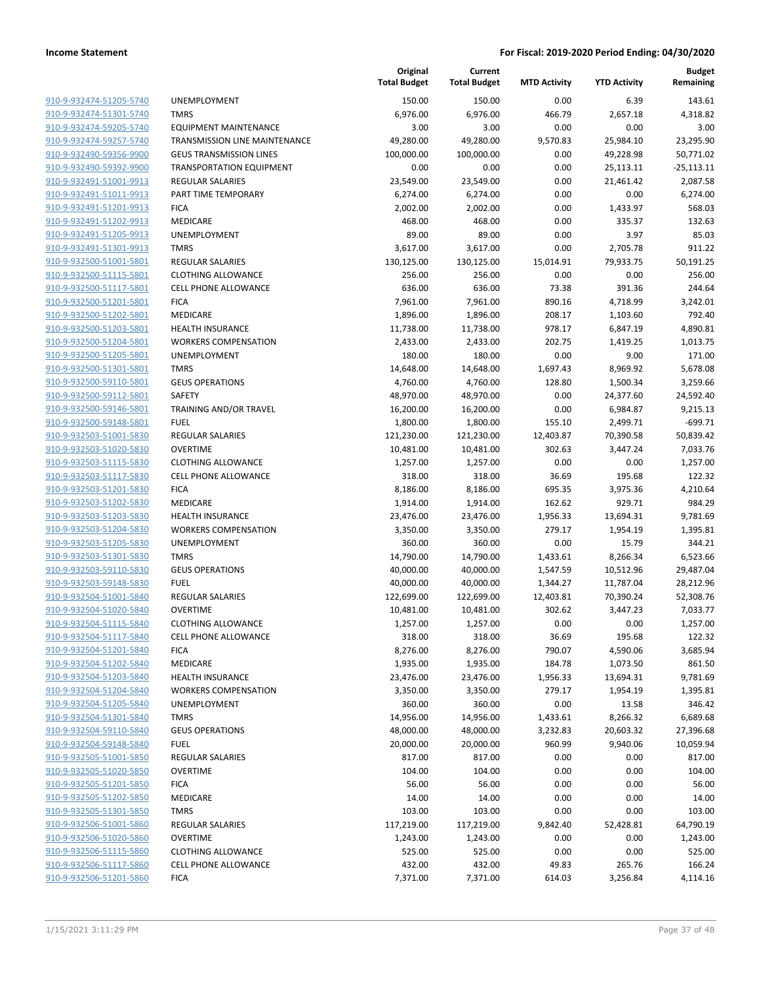|                                                    |                                                          | Original<br><b>Total Budget</b> | Current<br><b>Total Budget</b> | <b>MTD Activity</b> | <b>YTD Activity</b> | <b>Budget</b><br>Remaining |
|----------------------------------------------------|----------------------------------------------------------|---------------------------------|--------------------------------|---------------------|---------------------|----------------------------|
| 910-9-932474-51205-5740                            | <b>UNEMPLOYMENT</b>                                      | 150.00                          | 150.00                         | 0.00                | 6.39                | 143.61                     |
| 910-9-932474-51301-5740                            | <b>TMRS</b>                                              | 6,976.00                        | 6,976.00                       | 466.79              | 2,657.18            | 4,318.82                   |
| 910-9-932474-59205-5740                            | <b>EQUIPMENT MAINTENANCE</b>                             | 3.00                            | 3.00                           | 0.00                | 0.00                | 3.00                       |
| 910-9-932474-59257-5740                            | <b>TRANSMISSION LINE MAINTENANCE</b>                     | 49,280.00                       | 49,280.00                      | 9,570.83            | 25,984.10           | 23,295.90                  |
| 910-9-932490-59356-9900                            | <b>GEUS TRANSMISSION LINES</b>                           | 100,000.00                      | 100,000.00                     | 0.00                | 49,228.98           | 50,771.02                  |
| 910-9-932490-59392-9900                            | <b>TRANSPORTATION EQUIPMENT</b>                          | 0.00                            | 0.00                           | 0.00                | 25,113.11           | $-25,113.11$               |
| 910-9-932491-51001-9913                            | <b>REGULAR SALARIES</b>                                  | 23,549.00                       | 23,549.00                      | 0.00                | 21,461.42           | 2,087.58                   |
| 910-9-932491-51011-9913                            | PART TIME TEMPORARY                                      | 6,274.00                        | 6,274.00                       | 0.00                | 0.00                | 6,274.00                   |
| 910-9-932491-51201-9913                            | <b>FICA</b>                                              | 2,002.00                        | 2,002.00                       | 0.00                | 1,433.97            | 568.03                     |
| 910-9-932491-51202-9913                            | MEDICARE                                                 | 468.00                          | 468.00                         | 0.00                | 335.37              | 132.63                     |
| 910-9-932491-51205-9913                            | <b>UNEMPLOYMENT</b>                                      | 89.00                           | 89.00                          | 0.00                | 3.97                | 85.03                      |
| 910-9-932491-51301-9913                            | <b>TMRS</b>                                              | 3,617.00                        | 3,617.00                       | 0.00                | 2,705.78            | 911.22                     |
| 910-9-932500-51001-5801                            | <b>REGULAR SALARIES</b>                                  | 130,125.00                      | 130,125.00                     | 15,014.91           | 79,933.75           | 50,191.25                  |
| 910-9-932500-51115-5801                            | <b>CLOTHING ALLOWANCE</b>                                | 256.00                          | 256.00                         | 0.00                | 0.00                | 256.00                     |
| 910-9-932500-51117-5801                            | <b>CELL PHONE ALLOWANCE</b>                              | 636.00                          | 636.00                         | 73.38               | 391.36              | 244.64                     |
| 910-9-932500-51201-5801                            | <b>FICA</b>                                              | 7,961.00                        | 7,961.00                       | 890.16              | 4,718.99            | 3,242.01                   |
| 910-9-932500-51202-5801                            | MEDICARE                                                 | 1,896.00                        | 1,896.00                       | 208.17              | 1,103.60            | 792.40                     |
| 910-9-932500-51203-5801                            | <b>HEALTH INSURANCE</b>                                  | 11,738.00                       | 11,738.00                      | 978.17              | 6,847.19            | 4,890.81                   |
| 910-9-932500-51204-5801                            | <b>WORKERS COMPENSATION</b>                              | 2,433.00                        | 2,433.00                       | 202.75              | 1,419.25            | 1,013.75                   |
| 910-9-932500-51205-5801                            | <b>UNEMPLOYMENT</b>                                      | 180.00                          | 180.00                         | 0.00                | 9.00                | 171.00                     |
| 910-9-932500-51301-5801                            | <b>TMRS</b>                                              | 14,648.00                       | 14,648.00                      | 1,697.43            | 8,969.92            | 5,678.08                   |
| 910-9-932500-59110-5801                            | <b>GEUS OPERATIONS</b>                                   | 4,760.00                        | 4,760.00                       | 128.80              | 1,500.34            | 3,259.66                   |
| 910-9-932500-59112-5801                            | SAFETY                                                   | 48,970.00                       | 48,970.00                      | 0.00                | 24,377.60           | 24,592.40                  |
| 910-9-932500-59146-5801                            | TRAINING AND/OR TRAVEL                                   | 16,200.00                       | 16,200.00                      | 0.00                | 6,984.87            | 9,215.13                   |
| 910-9-932500-59148-5801                            | <b>FUEL</b>                                              | 1,800.00                        | 1,800.00                       | 155.10              | 2,499.71            | $-699.71$                  |
| 910-9-932503-51001-5830                            | REGULAR SALARIES                                         | 121,230.00                      | 121,230.00                     | 12,403.87           | 70,390.58           | 50,839.42                  |
| 910-9-932503-51020-5830                            | <b>OVERTIME</b>                                          | 10,481.00                       | 10,481.00                      | 302.63              | 3,447.24            | 7,033.76                   |
| 910-9-932503-51115-5830<br>910-9-932503-51117-5830 | <b>CLOTHING ALLOWANCE</b><br><b>CELL PHONE ALLOWANCE</b> | 1,257.00<br>318.00              | 1,257.00<br>318.00             | 0.00<br>36.69       | 0.00<br>195.68      | 1,257.00<br>122.32         |
| 910-9-932503-51201-5830                            | <b>FICA</b>                                              | 8,186.00                        | 8,186.00                       | 695.35              | 3,975.36            | 4,210.64                   |
| 910-9-932503-51202-5830                            | MEDICARE                                                 | 1,914.00                        | 1,914.00                       | 162.62              | 929.71              | 984.29                     |
| 910-9-932503-51203-5830                            | <b>HEALTH INSURANCE</b>                                  | 23,476.00                       | 23,476.00                      | 1,956.33            | 13,694.31           | 9,781.69                   |
| 910-9-932503-51204-5830                            | <b>WORKERS COMPENSATION</b>                              | 3,350.00                        | 3,350.00                       | 279.17              | 1,954.19            | 1,395.81                   |
| 910-9-932503-51205-5830                            | UNEMPLOYMENT                                             | 360.00                          | 360.00                         | 0.00                | 15.79               | 344.21                     |
| 910-9-932503-51301-5830                            | <b>TMRS</b>                                              | 14,790.00                       | 14,790.00                      | 1,433.61            | 8,266.34            | 6,523.66                   |
| 910-9-932503-59110-5830                            | <b>GEUS OPERATIONS</b>                                   | 40,000.00                       | 40,000.00                      | 1,547.59            | 10,512.96           | 29,487.04                  |
| 910-9-932503-59148-5830                            | <b>FUEL</b>                                              | 40,000.00                       | 40,000.00                      | 1,344.27            | 11,787.04           | 28,212.96                  |
| 910-9-932504-51001-5840                            | <b>REGULAR SALARIES</b>                                  | 122,699.00                      | 122,699.00                     | 12,403.81           | 70,390.24           | 52,308.76                  |
| 910-9-932504-51020-5840                            | <b>OVERTIME</b>                                          | 10,481.00                       | 10,481.00                      | 302.62              | 3,447.23            | 7,033.77                   |
| 910-9-932504-51115-5840                            | <b>CLOTHING ALLOWANCE</b>                                | 1,257.00                        | 1,257.00                       | 0.00                | 0.00                | 1,257.00                   |
| 910-9-932504-51117-5840                            | <b>CELL PHONE ALLOWANCE</b>                              | 318.00                          | 318.00                         | 36.69               | 195.68              | 122.32                     |
| 910-9-932504-51201-5840                            | <b>FICA</b>                                              | 8,276.00                        | 8,276.00                       | 790.07              | 4,590.06            | 3,685.94                   |
| 910-9-932504-51202-5840                            | MEDICARE                                                 | 1,935.00                        | 1,935.00                       | 184.78              | 1,073.50            | 861.50                     |
| 910-9-932504-51203-5840                            | <b>HEALTH INSURANCE</b>                                  | 23,476.00                       | 23,476.00                      | 1,956.33            | 13,694.31           | 9,781.69                   |
| 910-9-932504-51204-5840                            | <b>WORKERS COMPENSATION</b>                              | 3,350.00                        | 3,350.00                       | 279.17              | 1,954.19            | 1,395.81                   |
| 910-9-932504-51205-5840                            | UNEMPLOYMENT                                             | 360.00                          | 360.00                         | 0.00                | 13.58               | 346.42                     |
| 910-9-932504-51301-5840                            | <b>TMRS</b>                                              | 14,956.00                       | 14,956.00                      | 1,433.61            | 8,266.32            | 6,689.68                   |
| 910-9-932504-59110-5840                            | <b>GEUS OPERATIONS</b>                                   | 48,000.00                       | 48,000.00                      | 3,232.83            | 20,603.32           | 27,396.68                  |
| 910-9-932504-59148-5840                            | <b>FUEL</b>                                              | 20,000.00                       | 20,000.00                      | 960.99              | 9,940.06            | 10,059.94                  |
| 910-9-932505-51001-5850                            | REGULAR SALARIES                                         | 817.00                          | 817.00                         | 0.00                | 0.00                | 817.00                     |
| 910-9-932505-51020-5850                            | <b>OVERTIME</b>                                          | 104.00                          | 104.00                         | 0.00                | 0.00                | 104.00                     |
| 910-9-932505-51201-5850                            | <b>FICA</b>                                              | 56.00                           | 56.00                          | 0.00                | 0.00                | 56.00                      |
| 910-9-932505-51202-5850                            | MEDICARE                                                 | 14.00                           | 14.00                          | 0.00                | 0.00                | 14.00                      |
| 910-9-932505-51301-5850                            | <b>TMRS</b>                                              | 103.00                          | 103.00                         | 0.00                | 0.00                | 103.00                     |
| 910-9-932506-51001-5860                            | REGULAR SALARIES                                         | 117,219.00                      | 117,219.00                     | 9,842.40            | 52,428.81           | 64,790.19                  |
| 910-9-932506-51020-5860                            | <b>OVERTIME</b>                                          | 1,243.00                        | 1,243.00                       | 0.00                | 0.00                | 1,243.00                   |
| 910-9-932506-51115-5860                            | <b>CLOTHING ALLOWANCE</b>                                | 525.00                          | 525.00                         | 0.00                | 0.00                | 525.00                     |
| 910-9-932506-51117-5860                            | <b>CELL PHONE ALLOWANCE</b>                              | 432.00                          | 432.00                         | 49.83               | 265.76              | 166.24                     |
| 910-9-932506-51201-5860                            | <b>FICA</b>                                              | 7,371.00                        | 7,371.00                       | 614.03              | 3,256.84            | 4,114.16                   |
|                                                    |                                                          |                                 |                                |                     |                     |                            |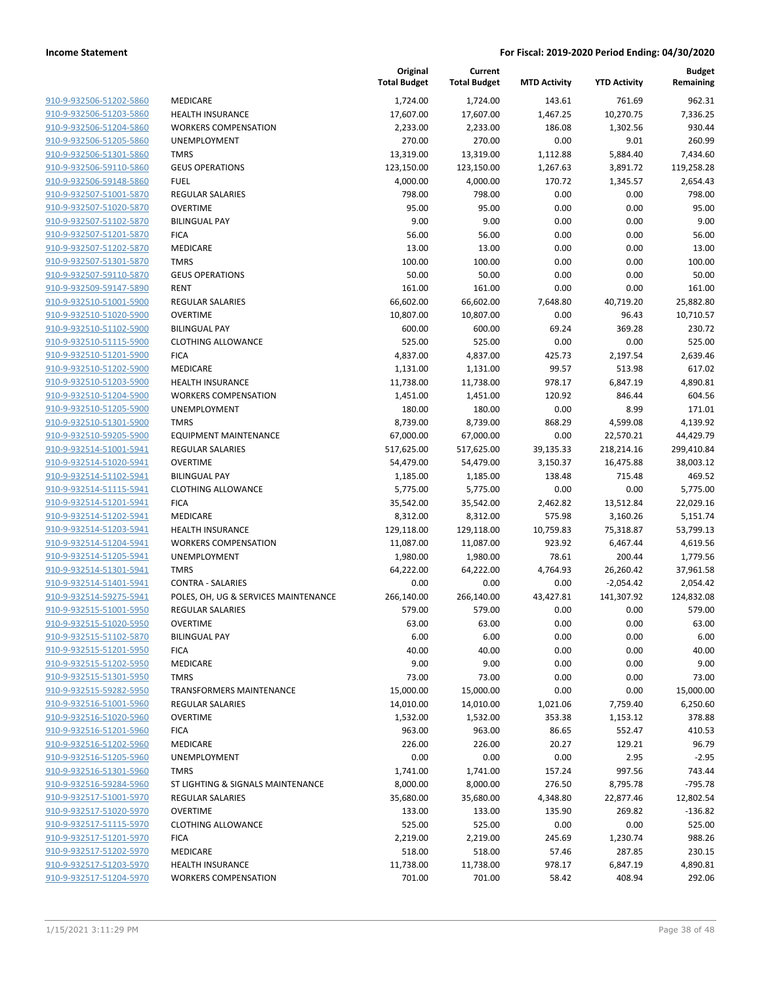| 910-9-932506-51202-5860                            |
|----------------------------------------------------|
| 910-9-932506-51203-5860                            |
| 910-9-932506-51204-5860                            |
| 910-9-932506-51205-5860                            |
| 910-9-932506-51301-5860                            |
| 910-9-932506-59110-5860                            |
| 910-9-932506-59148-5860                            |
| 910-9-932507-51001-5870                            |
| 910-9-932507-51020-5870                            |
| 910-9-932507-51102-5870                            |
| 910-9-932507-51201-5870                            |
| 910-9-932507-51202-5870                            |
| 910-9-932507-51301-5870                            |
| 910-9-932507-59110-5870                            |
| 910-9-932509-59147-5890                            |
| 910-9-932510-51001-5900                            |
| 910-9-932510-51020-5900                            |
| 910-9-932510-51102-5900                            |
| 910-9-932510-51115-5900                            |
| 910-9-932510-51201-5900                            |
| 910-9-932510-51202-5900                            |
| 910-9-932510-51203-5900                            |
| 910-9-932510-51204-5900                            |
| 910-9-932510-51205-5900                            |
| 910-9-932510-51301-5900                            |
| 910-9-932510-59205-5900                            |
| 910-9-932514-51001-5941                            |
| 910-9-932514-51020-5941<br>910-9-932514-51102-5941 |
| 910-9-932514-51115-5941                            |
| 910-9-932514-51201-5941                            |
| 910-9-932514-51202-5941                            |
| 910-9-932514-51203-5941                            |
| 910-9-932514-51204-5941                            |
| 910-9-932514-51205-5941                            |
| 910-9-932514-51301-5941                            |
| 910-9-932514-51401-5941                            |
| 910-9-932514-59275-5941                            |
| 910-9-932515-51001-5950                            |
| 910-9-932515-51020-5950                            |
| 910-9-932515-51102-5870                            |
| <u>910-9-932515-51201-5950</u>                     |
| <u>910-9-932515-51202-5950</u>                     |
| 910-9-932515-51301-5950                            |
| 910-9-932515-59282-5950                            |
| 910-9-932516-51001-5960                            |
| 910-9-932516-51020-5960                            |
| <u>910-9-932516-51201-5960</u>                     |
| 910-9-932516-51202-5960                            |
| 910-9-932516-51205-5960                            |
| 910-9-932516-51301-5960                            |
| <u>910-9-932516-59284-5960</u>                     |
| 910-9-932517-51001-5970                            |
| 910-9-932517-51020-5970                            |
| 910-9-932517-51115-5970                            |
| 910-9-932517-51201-5970                            |
| <u>910-9-932517-51202-5970</u>                     |
| 910-9-932517-51203-5970                            |
| 910-9-932517-51204-5970                            |
|                                                    |

|                         |                                      | Original<br><b>Total Budget</b> | Current<br><b>Total Budget</b> | <b>MTD Activity</b> | <b>YTD Activity</b> | <b>Budget</b><br>Remaining |
|-------------------------|--------------------------------------|---------------------------------|--------------------------------|---------------------|---------------------|----------------------------|
| 910-9-932506-51202-5860 | MEDICARE                             | 1,724.00                        | 1,724.00                       | 143.61              | 761.69              | 962.31                     |
| 910-9-932506-51203-5860 | <b>HEALTH INSURANCE</b>              | 17,607.00                       | 17,607.00                      | 1,467.25            | 10,270.75           | 7,336.25                   |
| 910-9-932506-51204-5860 | <b>WORKERS COMPENSATION</b>          | 2,233.00                        | 2,233.00                       | 186.08              | 1,302.56            | 930.44                     |
| 910-9-932506-51205-5860 | UNEMPLOYMENT                         | 270.00                          | 270.00                         | 0.00                | 9.01                | 260.99                     |
| 910-9-932506-51301-5860 | <b>TMRS</b>                          | 13,319.00                       | 13,319.00                      | 1,112.88            | 5,884.40            | 7,434.60                   |
| 910-9-932506-59110-5860 | <b>GEUS OPERATIONS</b>               | 123,150.00                      | 123,150.00                     | 1,267.63            | 3,891.72            | 119,258.28                 |
| 910-9-932506-59148-5860 | <b>FUEL</b>                          | 4,000.00                        | 4,000.00                       | 170.72              | 1,345.57            | 2,654.43                   |
| 910-9-932507-51001-5870 | REGULAR SALARIES                     | 798.00                          | 798.00                         | 0.00                | 0.00                | 798.00                     |
| 910-9-932507-51020-5870 | <b>OVERTIME</b>                      | 95.00                           | 95.00                          | 0.00                | 0.00                | 95.00                      |
| 910-9-932507-51102-5870 | <b>BILINGUAL PAY</b>                 | 9.00                            | 9.00                           | 0.00                | 0.00                | 9.00                       |
| 910-9-932507-51201-5870 | <b>FICA</b>                          | 56.00                           | 56.00                          | 0.00                | 0.00                | 56.00                      |
| 910-9-932507-51202-5870 | MEDICARE                             | 13.00                           | 13.00                          | 0.00                | 0.00                | 13.00                      |
| 910-9-932507-51301-5870 | <b>TMRS</b>                          | 100.00                          | 100.00                         | 0.00                | 0.00                | 100.00                     |
| 910-9-932507-59110-5870 | <b>GEUS OPERATIONS</b>               | 50.00                           | 50.00                          | 0.00                | 0.00                | 50.00                      |
| 910-9-932509-59147-5890 | <b>RENT</b>                          | 161.00                          | 161.00                         | 0.00                | 0.00                | 161.00                     |
| 910-9-932510-51001-5900 | <b>REGULAR SALARIES</b>              | 66,602.00                       | 66,602.00                      | 7,648.80            | 40,719.20           | 25,882.80                  |
| 910-9-932510-51020-5900 | <b>OVERTIME</b>                      | 10,807.00                       | 10,807.00                      | 0.00                | 96.43               | 10,710.57                  |
| 910-9-932510-51102-5900 | <b>BILINGUAL PAY</b>                 | 600.00                          | 600.00                         | 69.24               | 369.28              | 230.72                     |
| 910-9-932510-51115-5900 | <b>CLOTHING ALLOWANCE</b>            | 525.00                          | 525.00                         | 0.00                | 0.00                | 525.00                     |
| 910-9-932510-51201-5900 | <b>FICA</b>                          | 4,837.00                        | 4,837.00                       | 425.73              | 2,197.54            | 2,639.46                   |
| 910-9-932510-51202-5900 | MEDICARE                             | 1,131.00                        | 1,131.00                       | 99.57               | 513.98              | 617.02                     |
| 910-9-932510-51203-5900 | <b>HEALTH INSURANCE</b>              | 11,738.00                       | 11,738.00                      | 978.17              | 6,847.19            | 4,890.81                   |
| 910-9-932510-51204-5900 | <b>WORKERS COMPENSATION</b>          | 1,451.00                        | 1,451.00                       | 120.92              | 846.44              | 604.56                     |
| 910-9-932510-51205-5900 | UNEMPLOYMENT                         | 180.00                          | 180.00                         | 0.00                | 8.99                | 171.01                     |
| 910-9-932510-51301-5900 | <b>TMRS</b>                          | 8,739.00                        | 8,739.00                       | 868.29              | 4,599.08            | 4,139.92                   |
| 910-9-932510-59205-5900 | <b>EQUIPMENT MAINTENANCE</b>         | 67,000.00                       | 67,000.00                      | 0.00                | 22,570.21           | 44,429.79                  |
| 910-9-932514-51001-5941 | REGULAR SALARIES                     | 517,625.00                      | 517,625.00                     | 39,135.33           | 218,214.16          | 299,410.84                 |
| 910-9-932514-51020-5941 | <b>OVERTIME</b>                      | 54,479.00                       | 54,479.00                      | 3,150.37            | 16,475.88           | 38,003.12                  |
| 910-9-932514-51102-5941 | <b>BILINGUAL PAY</b>                 | 1,185.00                        | 1,185.00                       | 138.48              | 715.48              | 469.52                     |
| 910-9-932514-51115-5941 | <b>CLOTHING ALLOWANCE</b>            | 5,775.00                        | 5,775.00                       | 0.00                | 0.00                | 5,775.00                   |
| 910-9-932514-51201-5941 | <b>FICA</b>                          | 35,542.00                       | 35,542.00                      | 2,462.82            | 13,512.84           | 22,029.16                  |
| 910-9-932514-51202-5941 | MEDICARE                             | 8,312.00                        | 8,312.00                       | 575.98              | 3,160.26            | 5,151.74                   |
| 910-9-932514-51203-5941 | <b>HEALTH INSURANCE</b>              | 129,118.00                      | 129,118.00                     | 10,759.83           | 75,318.87           | 53,799.13                  |
| 910-9-932514-51204-5941 | <b>WORKERS COMPENSATION</b>          | 11,087.00                       | 11,087.00                      | 923.92              | 6,467.44            | 4,619.56                   |
| 910-9-932514-51205-5941 | <b>UNEMPLOYMENT</b>                  | 1,980.00                        | 1,980.00                       | 78.61               | 200.44              | 1,779.56                   |
| 910-9-932514-51301-5941 | <b>TMRS</b>                          | 64,222.00                       | 64,222.00                      | 4,764.93            | 26,260.42           | 37,961.58                  |
| 910-9-932514-51401-5941 | <b>CONTRA - SALARIES</b>             | 0.00                            | 0.00                           | 0.00                | $-2,054.42$         | 2,054.42                   |
| 910-9-932514-59275-5941 | POLES, OH, UG & SERVICES MAINTENANCE | 266,140.00                      | 266,140.00                     | 43,427.81           | 141,307.92          | 124,832.08                 |
| 910-9-932515-51001-5950 | <b>REGULAR SALARIES</b>              | 579.00                          | 579.00                         | 0.00                | 0.00                | 579.00                     |
| 910-9-932515-51020-5950 | <b>OVERTIME</b>                      | 63.00                           | 63.00                          | 0.00                | 0.00                | 63.00                      |
| 910-9-932515-51102-5870 | <b>BILINGUAL PAY</b>                 | 6.00                            | 6.00                           | 0.00                | 0.00                | 6.00                       |
| 910-9-932515-51201-5950 | <b>FICA</b>                          | 40.00                           | 40.00                          | 0.00                | 0.00                | 40.00                      |
| 910-9-932515-51202-5950 | <b>MEDICARE</b>                      | 9.00                            | 9.00                           | 0.00                | 0.00                | 9.00                       |
| 910-9-932515-51301-5950 | <b>TMRS</b>                          | 73.00                           | 73.00                          | 0.00                | 0.00                | 73.00                      |
| 910-9-932515-59282-5950 | <b>TRANSFORMERS MAINTENANCE</b>      | 15,000.00                       | 15,000.00                      | 0.00                | 0.00                | 15,000.00                  |
| 910-9-932516-51001-5960 | <b>REGULAR SALARIES</b>              | 14,010.00                       | 14,010.00                      | 1,021.06            | 7,759.40            | 6,250.60                   |
| 910-9-932516-51020-5960 | <b>OVERTIME</b>                      | 1,532.00                        | 1,532.00                       | 353.38              | 1,153.12            | 378.88                     |
| 910-9-932516-51201-5960 | <b>FICA</b>                          | 963.00                          | 963.00                         | 86.65               | 552.47              | 410.53                     |
| 910-9-932516-51202-5960 | MEDICARE                             | 226.00                          | 226.00                         | 20.27               | 129.21              | 96.79                      |
| 910-9-932516-51205-5960 | <b>UNEMPLOYMENT</b>                  | 0.00                            | 0.00                           | 0.00                | 2.95                | $-2.95$                    |
| 910-9-932516-51301-5960 | <b>TMRS</b>                          | 1,741.00                        | 1,741.00                       | 157.24              | 997.56              | 743.44                     |
| 910-9-932516-59284-5960 | ST LIGHTING & SIGNALS MAINTENANCE    | 8,000.00                        | 8,000.00                       | 276.50              | 8,795.78            | $-795.78$                  |
| 910-9-932517-51001-5970 | <b>REGULAR SALARIES</b>              | 35,680.00                       | 35,680.00                      | 4,348.80            | 22,877.46           | 12,802.54                  |
| 910-9-932517-51020-5970 | <b>OVERTIME</b>                      | 133.00                          | 133.00                         | 135.90              | 269.82              | $-136.82$                  |
| 910-9-932517-51115-5970 | <b>CLOTHING ALLOWANCE</b>            | 525.00                          | 525.00                         | 0.00                | 0.00                | 525.00                     |
| 910-9-932517-51201-5970 | <b>FICA</b>                          | 2,219.00                        | 2,219.00                       | 245.69              | 1,230.74            | 988.26                     |
| 910-9-932517-51202-5970 | MEDICARE                             | 518.00                          | 518.00                         | 57.46               | 287.85              | 230.15                     |
| 910-9-932517-51203-5970 | <b>HEALTH INSURANCE</b>              | 11,738.00                       | 11,738.00                      | 978.17              | 6,847.19            | 4,890.81                   |
| 910-9-932517-51204-5970 | <b>WORKERS COMPENSATION</b>          | 701.00                          | 701.00                         | 58.42               | 408.94              | 292.06                     |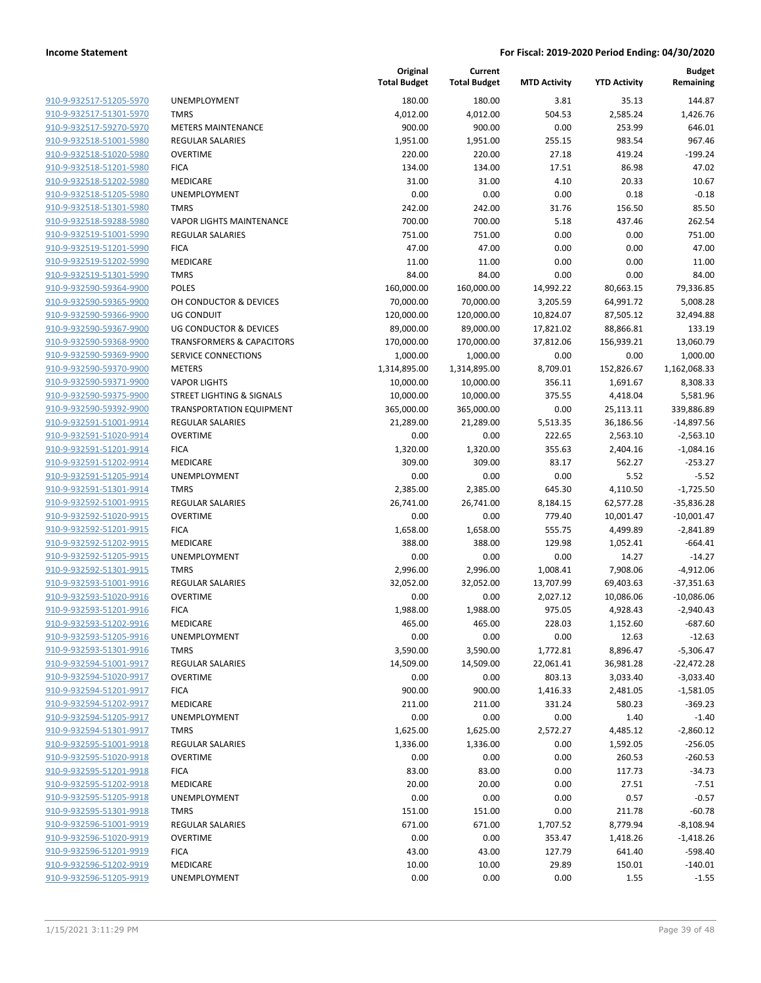| 910-9-932517-51205-5970        |
|--------------------------------|
| 910-9-932517-51301-5970        |
| 910-9-932517-59270-5970        |
| 910-9-932518-51001-5980        |
| 910-9-932518-51020-5980        |
| 910-9-932518-51201-5980        |
| 910-9-932518-51202-5980        |
| <u>910-9-932518-51205-5980</u> |
| 910-9-932518-51301-5980        |
| 910-9-932518-59288-5980        |
| 910-9-932519-51001-5990        |
| 910-9-932519-51201-5990        |
| 910-9-932519-51202-5990        |
| 910-9-932519-51301-5990        |
| 910-9-932590-59364-9900        |
| 910-9-932590-59365-9900        |
| 910-9-932590-59366-9900        |
| 910-9-932590-59367-9900        |
| 910-9-932590-59368-9900        |
| 910-9-932590-59369-9900        |
| 910-9-932590-59370-9900        |
| 910-9-932590-59371-9900        |
| 910-9-932590-59375-9900        |
| 910-9-932590-59392-9900        |
| 910-9-932591-51001-9914        |
| 910-9-932591-51020-9914        |
| 910-9-932591-51201-9914        |
| 910-9-932591-51202-9914        |
| 910-9-932591-51205-9914        |
| 910-9-932591-51301-9914        |
| 910-9-932592-51001-9915        |
| 910-9-932592-51020-9915        |
| 910-9-932592-51201-9915        |
| 910-9-932592-51202-9915        |
| 910-9-932592-51205-9915        |
| 910-9-932592-51301-9915        |
| 910-9-932593-51001-9916        |
| 910-9-932593-51020-9916        |
| 910-9-932593-51201-9916        |
| 910-9-932593-51202-9916        |
| 910-9-932593-51205-9916        |
| <u>910-9-932593-51301-9916</u> |
| 910-9-932594-51001-9917        |
| 910-9-932594-51020-9917        |
| 910-9-932594-51201-9917        |
| 910-9-932594-51202-9917        |
| 910-9-932594-51205-9917        |
| 910-9-932594-51301-9917        |
| <u>910-9-932595-51001-9918</u> |
| 910-9-932595-51020-9918        |
| 910-9-932595-51201-9918        |
| 910-9-932595-51202-9918        |
| 910-9-932595-51205-9918        |
| 910-9-932595-51301-9918        |
| 910-9-932596-51001-9919        |
| 910-9-932596-51020-9919        |
| 910-9-932596-51201-9919        |
| 910-9-932596-51202-9919        |
| 910-9-932596-51205-9919        |
|                                |

|                         |                                      | Original<br><b>Total Budget</b> | Current<br><b>Total Budget</b> | <b>MTD Activity</b> | <b>YTD Activity</b> | <b>Budget</b><br>Remaining |
|-------------------------|--------------------------------------|---------------------------------|--------------------------------|---------------------|---------------------|----------------------------|
| 910-9-932517-51205-5970 | UNEMPLOYMENT                         | 180.00                          | 180.00                         | 3.81                | 35.13               | 144.87                     |
| 910-9-932517-51301-5970 | <b>TMRS</b>                          | 4,012.00                        | 4,012.00                       | 504.53              | 2,585.24            | 1,426.76                   |
| 910-9-932517-59270-5970 | <b>METERS MAINTENANCE</b>            | 900.00                          | 900.00                         | 0.00                | 253.99              | 646.01                     |
| 910-9-932518-51001-5980 | <b>REGULAR SALARIES</b>              | 1,951.00                        | 1,951.00                       | 255.15              | 983.54              | 967.46                     |
| 910-9-932518-51020-5980 | <b>OVERTIME</b>                      | 220.00                          | 220.00                         | 27.18               | 419.24              | $-199.24$                  |
| 910-9-932518-51201-5980 | <b>FICA</b>                          | 134.00                          | 134.00                         | 17.51               | 86.98               | 47.02                      |
| 910-9-932518-51202-5980 | MEDICARE                             | 31.00                           | 31.00                          | 4.10                | 20.33               | 10.67                      |
| 910-9-932518-51205-5980 | UNEMPLOYMENT                         | 0.00                            | 0.00                           | 0.00                | 0.18                | $-0.18$                    |
| 910-9-932518-51301-5980 | <b>TMRS</b>                          | 242.00                          | 242.00                         | 31.76               | 156.50              | 85.50                      |
| 910-9-932518-59288-5980 | <b>VAPOR LIGHTS MAINTENANCE</b>      | 700.00                          | 700.00                         | 5.18                | 437.46              | 262.54                     |
| 910-9-932519-51001-5990 | REGULAR SALARIES                     | 751.00                          | 751.00                         | 0.00                | 0.00                | 751.00                     |
| 910-9-932519-51201-5990 | <b>FICA</b>                          | 47.00                           | 47.00                          | 0.00                | 0.00                | 47.00                      |
| 910-9-932519-51202-5990 | MEDICARE                             | 11.00                           | 11.00                          | 0.00                | 0.00                | 11.00                      |
| 910-9-932519-51301-5990 | <b>TMRS</b>                          | 84.00                           | 84.00                          | 0.00                | 0.00                | 84.00                      |
| 910-9-932590-59364-9900 | <b>POLES</b>                         | 160,000.00                      | 160,000.00                     | 14,992.22           | 80,663.15           | 79,336.85                  |
| 910-9-932590-59365-9900 | OH CONDUCTOR & DEVICES               | 70,000.00                       | 70,000.00                      | 3,205.59            | 64,991.72           | 5,008.28                   |
| 910-9-932590-59366-9900 | <b>UG CONDUIT</b>                    | 120,000.00                      | 120,000.00                     | 10,824.07           | 87,505.12           | 32,494.88                  |
| 910-9-932590-59367-9900 | <b>UG CONDUCTOR &amp; DEVICES</b>    | 89,000.00                       | 89,000.00                      | 17,821.02           | 88,866.81           | 133.19                     |
| 910-9-932590-59368-9900 | <b>TRANSFORMERS &amp; CAPACITORS</b> | 170,000.00                      | 170,000.00                     | 37,812.06           | 156,939.21          | 13,060.79                  |
| 910-9-932590-59369-9900 | SERVICE CONNECTIONS                  | 1,000.00                        | 1,000.00                       | 0.00                | 0.00                | 1,000.00                   |
| 910-9-932590-59370-9900 | <b>METERS</b>                        | 1,314,895.00                    | 1,314,895.00                   | 8,709.01            | 152,826.67          | 1,162,068.33               |
| 910-9-932590-59371-9900 | <b>VAPOR LIGHTS</b>                  | 10,000.00                       | 10,000.00                      | 356.11              | 1,691.67            | 8,308.33                   |
| 910-9-932590-59375-9900 | <b>STREET LIGHTING &amp; SIGNALS</b> | 10,000.00                       | 10,000.00                      | 375.55              | 4,418.04            | 5,581.96                   |
| 910-9-932590-59392-9900 | <b>TRANSPORTATION EQUIPMENT</b>      | 365,000.00                      | 365,000.00                     | 0.00                | 25,113.11           | 339,886.89                 |
| 910-9-932591-51001-9914 | REGULAR SALARIES                     | 21,289.00                       | 21,289.00                      | 5,513.35            | 36,186.56           | $-14,897.56$               |
| 910-9-932591-51020-9914 | <b>OVERTIME</b>                      | 0.00                            | 0.00                           | 222.65              | 2,563.10            | $-2,563.10$                |
| 910-9-932591-51201-9914 | <b>FICA</b>                          | 1,320.00                        | 1,320.00                       | 355.63              | 2,404.16            | $-1,084.16$                |
| 910-9-932591-51202-9914 | MEDICARE                             | 309.00                          | 309.00                         | 83.17               | 562.27              | $-253.27$                  |
| 910-9-932591-51205-9914 | UNEMPLOYMENT                         | 0.00                            | 0.00                           | 0.00                | 5.52                | $-5.52$                    |
| 910-9-932591-51301-9914 | <b>TMRS</b>                          | 2,385.00                        | 2,385.00                       | 645.30              | 4,110.50            | $-1,725.50$                |
| 910-9-932592-51001-9915 | <b>REGULAR SALARIES</b>              | 26,741.00                       | 26,741.00                      | 8,184.15            | 62,577.28           | $-35,836.28$               |
| 910-9-932592-51020-9915 | <b>OVERTIME</b>                      | 0.00                            | 0.00                           | 779.40              | 10,001.47           | $-10,001.47$               |
| 910-9-932592-51201-9915 | <b>FICA</b>                          | 1,658.00                        | 1,658.00                       | 555.75              | 4,499.89            | $-2,841.89$                |
| 910-9-932592-51202-9915 | MEDICARE                             | 388.00                          | 388.00                         | 129.98              | 1,052.41            | $-664.41$                  |
| 910-9-932592-51205-9915 | UNEMPLOYMENT                         | 0.00                            | 0.00                           | 0.00                | 14.27               | $-14.27$                   |
| 910-9-932592-51301-9915 | <b>TMRS</b>                          | 2,996.00                        | 2,996.00                       | 1,008.41            | 7,908.06            | $-4,912.06$                |
| 910-9-932593-51001-9916 | <b>REGULAR SALARIES</b>              | 32,052.00                       | 32,052.00                      | 13,707.99           | 69,403.63           | $-37,351.63$               |
| 910-9-932593-51020-9916 | <b>OVERTIME</b>                      | 0.00                            | 0.00                           | 2,027.12            | 10,086.06           | $-10,086.06$               |
| 910-9-932593-51201-9916 | <b>FICA</b>                          | 1,988.00                        | 1,988.00                       | 975.05              | 4,928.43            | $-2,940.43$                |
| 910-9-932593-51202-9916 | MEDICARE                             | 465.00                          | 465.00                         | 228.03              | 1,152.60            | $-687.60$                  |
| 910-9-932593-51205-9916 | UNEMPLOYMENT                         | 0.00                            | 0.00                           | 0.00                | 12.63               | $-12.63$                   |
| 910-9-932593-51301-9916 | <b>TMRS</b>                          | 3,590.00                        | 3,590.00                       | 1,772.81            | 8,896.47            | $-5,306.47$                |
| 910-9-932594-51001-9917 | <b>REGULAR SALARIES</b>              | 14,509.00                       | 14,509.00                      | 22,061.41           | 36,981.28           | $-22,472.28$               |
| 910-9-932594-51020-9917 | <b>OVERTIME</b>                      | 0.00                            | 0.00                           | 803.13              | 3,033.40            | $-3,033.40$                |
| 910-9-932594-51201-9917 | <b>FICA</b>                          | 900.00                          | 900.00                         | 1,416.33            | 2,481.05            | $-1,581.05$                |
| 910-9-932594-51202-9917 | MEDICARE                             | 211.00                          | 211.00                         | 331.24              | 580.23              | $-369.23$                  |
| 910-9-932594-51205-9917 | <b>UNEMPLOYMENT</b>                  | 0.00                            | 0.00                           | 0.00                | 1.40                | $-1.40$                    |
| 910-9-932594-51301-9917 | <b>TMRS</b>                          | 1,625.00                        | 1,625.00                       | 2,572.27            | 4,485.12            | $-2,860.12$                |
| 910-9-932595-51001-9918 | <b>REGULAR SALARIES</b>              | 1,336.00                        | 1,336.00                       | 0.00                | 1,592.05            | $-256.05$                  |
| 910-9-932595-51020-9918 | <b>OVERTIME</b>                      | 0.00                            | 0.00                           | 0.00                | 260.53              | $-260.53$                  |
| 910-9-932595-51201-9918 | <b>FICA</b>                          | 83.00                           | 83.00                          | 0.00                | 117.73              | $-34.73$                   |
| 910-9-932595-51202-9918 | MEDICARE                             | 20.00                           | 20.00                          | 0.00                | 27.51               | $-7.51$                    |
| 910-9-932595-51205-9918 | <b>UNEMPLOYMENT</b>                  | 0.00                            | 0.00                           | 0.00                | 0.57                | $-0.57$                    |
| 910-9-932595-51301-9918 | <b>TMRS</b>                          | 151.00                          | 151.00                         | 0.00                | 211.78              | $-60.78$                   |
| 910-9-932596-51001-9919 | REGULAR SALARIES                     | 671.00                          | 671.00                         | 1,707.52            | 8,779.94            | $-8,108.94$                |
| 910-9-932596-51020-9919 | <b>OVERTIME</b>                      | 0.00                            | 0.00                           | 353.47              | 1,418.26            | $-1,418.26$                |
| 910-9-932596-51201-9919 | <b>FICA</b>                          | 43.00                           | 43.00                          | 127.79              | 641.40              | $-598.40$                  |
| 910-9-932596-51202-9919 | MEDICARE                             | 10.00                           | 10.00                          | 29.89               | 150.01              | $-140.01$                  |
| 910-9-932596-51205-9919 | UNEMPLOYMENT                         | 0.00                            | 0.00                           | 0.00                | 1.55                | $-1.55$                    |
|                         |                                      |                                 |                                |                     |                     |                            |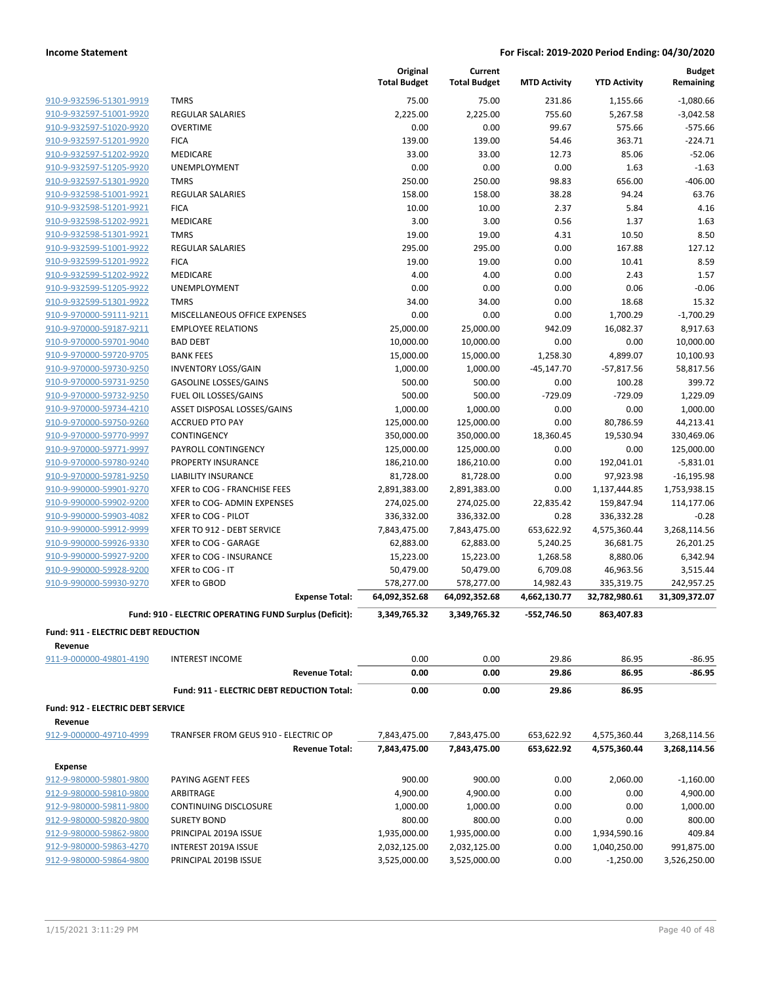|                                                |                                                        | Original            | Current             |                     |                     | <b>Budget</b> |
|------------------------------------------------|--------------------------------------------------------|---------------------|---------------------|---------------------|---------------------|---------------|
|                                                |                                                        | <b>Total Budget</b> | <b>Total Budget</b> | <b>MTD Activity</b> | <b>YTD Activity</b> | Remaining     |
| 910-9-932596-51301-9919                        | <b>TMRS</b>                                            | 75.00               | 75.00               | 231.86              | 1,155.66            | $-1,080.66$   |
| 910-9-932597-51001-9920                        | <b>REGULAR SALARIES</b>                                | 2,225.00            | 2,225.00            | 755.60              | 5,267.58            | $-3,042.58$   |
| 910-9-932597-51020-9920                        | <b>OVERTIME</b>                                        | 0.00                | 0.00                | 99.67               | 575.66              | $-575.66$     |
| 910-9-932597-51201-9920                        | <b>FICA</b>                                            | 139.00              | 139.00              | 54.46               | 363.71              | $-224.71$     |
| 910-9-932597-51202-9920                        | MEDICARE                                               | 33.00               | 33.00               | 12.73               | 85.06               | $-52.06$      |
|                                                |                                                        | 0.00                | 0.00                | 0.00                |                     | $-1.63$       |
| 910-9-932597-51205-9920                        | UNEMPLOYMENT                                           |                     |                     |                     | 1.63                |               |
| 910-9-932597-51301-9920                        | <b>TMRS</b>                                            | 250.00              | 250.00              | 98.83               | 656.00              | $-406.00$     |
| 910-9-932598-51001-9921                        | <b>REGULAR SALARIES</b>                                | 158.00              | 158.00              | 38.28               | 94.24               | 63.76         |
| 910-9-932598-51201-9921                        | <b>FICA</b>                                            | 10.00               | 10.00               | 2.37                | 5.84                | 4.16          |
| 910-9-932598-51202-9921                        | MEDICARE                                               | 3.00                | 3.00                | 0.56                | 1.37                | 1.63          |
| 910-9-932598-51301-9921                        | <b>TMRS</b>                                            | 19.00               | 19.00               | 4.31                | 10.50               | 8.50          |
| 910-9-932599-51001-9922                        | <b>REGULAR SALARIES</b>                                | 295.00              | 295.00              | 0.00                | 167.88              | 127.12        |
| 910-9-932599-51201-9922                        | <b>FICA</b>                                            | 19.00               | 19.00               | 0.00                | 10.41               | 8.59          |
| 910-9-932599-51202-9922                        | MEDICARE                                               | 4.00                | 4.00                | 0.00                | 2.43                | 1.57          |
| 910-9-932599-51205-9922                        | UNEMPLOYMENT                                           | 0.00                | 0.00                | 0.00                | 0.06                | $-0.06$       |
| 910-9-932599-51301-9922                        | <b>TMRS</b>                                            | 34.00               | 34.00               | 0.00                | 18.68               | 15.32         |
| 910-9-970000-59111-9211                        | MISCELLANEOUS OFFICE EXPENSES                          | 0.00                | 0.00                | 0.00                | 1,700.29            | $-1,700.29$   |
| 910-9-970000-59187-9211                        | <b>EMPLOYEE RELATIONS</b>                              | 25,000.00           | 25,000.00           | 942.09              | 16,082.37           | 8,917.63      |
| 910-9-970000-59701-9040                        | <b>BAD DEBT</b>                                        | 10,000.00           | 10,000.00           | 0.00                | 0.00                | 10,000.00     |
| 910-9-970000-59720-9705                        | <b>BANK FEES</b>                                       |                     |                     | 1,258.30            | 4,899.07            | 10,100.93     |
|                                                |                                                        | 15,000.00           | 15,000.00           |                     |                     |               |
| 910-9-970000-59730-9250                        | <b>INVENTORY LOSS/GAIN</b>                             | 1,000.00            | 1,000.00            | $-45,147.70$        | $-57,817.56$        | 58,817.56     |
| 910-9-970000-59731-9250                        | <b>GASOLINE LOSSES/GAINS</b>                           | 500.00              | 500.00              | 0.00                | 100.28              | 399.72        |
| 910-9-970000-59732-9250                        | FUEL OIL LOSSES/GAINS                                  | 500.00              | 500.00              | $-729.09$           | $-729.09$           | 1,229.09      |
| 910-9-970000-59734-4210                        | ASSET DISPOSAL LOSSES/GAINS                            | 1,000.00            | 1,000.00            | 0.00                | 0.00                | 1,000.00      |
| 910-9-970000-59750-9260                        | <b>ACCRUED PTO PAY</b>                                 | 125,000.00          | 125,000.00          | 0.00                | 80,786.59           | 44,213.41     |
| 910-9-970000-59770-9997                        | CONTINGENCY                                            | 350,000.00          | 350,000.00          | 18,360.45           | 19,530.94           | 330,469.06    |
| 910-9-970000-59771-9997                        | PAYROLL CONTINGENCY                                    | 125,000.00          | 125,000.00          | 0.00                | 0.00                | 125,000.00    |
| 910-9-970000-59780-9240                        | PROPERTY INSURANCE                                     | 186,210.00          | 186,210.00          | 0.00                | 192,041.01          | $-5,831.01$   |
| 910-9-970000-59781-9250                        | <b>LIABILITY INSURANCE</b>                             | 81,728.00           | 81,728.00           | 0.00                | 97,923.98           | $-16, 195.98$ |
| 910-9-990000-59901-9270                        | XFER to COG - FRANCHISE FEES                           | 2,891,383.00        | 2,891,383.00        | 0.00                | 1,137,444.85        | 1,753,938.15  |
| 910-9-990000-59902-9200                        | XFER to COG- ADMIN EXPENSES                            | 274,025.00          | 274,025.00          | 22,835.42           | 159,847.94          | 114,177.06    |
| 910-9-990000-59903-4082                        | XFER to COG - PILOT                                    | 336,332.00          | 336,332.00          | 0.28                | 336,332.28          | $-0.28$       |
| 910-9-990000-59912-9999                        | XFER TO 912 - DEBT SERVICE                             | 7,843,475.00        | 7,843,475.00        | 653,622.92          | 4,575,360.44        | 3,268,114.56  |
| 910-9-990000-59926-9330                        | XFER to COG - GARAGE                                   | 62,883.00           | 62,883.00           | 5,240.25            | 36,681.75           | 26,201.25     |
| 910-9-990000-59927-9200                        | XFER to COG - INSURANCE                                | 15,223.00           | 15,223.00           | 1,268.58            | 8,880.06            | 6,342.94      |
| 910-9-990000-59928-9200                        | XFER to COG - IT                                       | 50,479.00           | 50,479.00           | 6,709.08            | 46,963.56           | 3,515.44      |
|                                                |                                                        |                     |                     |                     |                     |               |
| 910-9-990000-59930-9270                        | XFER to GBOD                                           | 578,277.00          | 578,277.00          | 14,982.43           | 335,319.75          | 242,957.25    |
|                                                | <b>Expense Total:</b>                                  | 64,092,352.68       | 64,092,352.68       | 4,662,130.77        | 32,782,980.61       | 31,309,372.07 |
|                                                | Fund: 910 - ELECTRIC OPERATING FUND Surplus (Deficit): | 3,349,765.32        | 3,349,765.32        | -552,746.50         | 863,407.83          |               |
| Fund: 911 - ELECTRIC DEBT REDUCTION<br>Revenue |                                                        |                     |                     |                     |                     |               |
| 911-9-000000-49801-4190                        | <b>INTEREST INCOME</b>                                 | 0.00                | 0.00                | 29.86               | 86.95               | $-86.95$      |
|                                                | <b>Revenue Total:</b>                                  | 0.00                | 0.00                | 29.86               | 86.95               | $-86.95$      |
|                                                |                                                        |                     |                     |                     |                     |               |
|                                                | Fund: 911 - ELECTRIC DEBT REDUCTION Total:             | 0.00                | 0.00                | 29.86               | 86.95               |               |
| Fund: 912 - ELECTRIC DEBT SERVICE              |                                                        |                     |                     |                     |                     |               |
| Revenue                                        |                                                        |                     |                     |                     |                     |               |
| 912-9-000000-49710-4999                        | TRANFSER FROM GEUS 910 - ELECTRIC OP                   | 7,843,475.00        | 7,843,475.00        | 653,622.92          | 4,575,360.44        | 3,268,114.56  |
|                                                |                                                        |                     |                     |                     |                     |               |
|                                                | <b>Revenue Total:</b>                                  | 7,843,475.00        | 7,843,475.00        | 653,622.92          | 4,575,360.44        | 3,268,114.56  |
| <b>Expense</b>                                 |                                                        |                     |                     |                     |                     |               |
| 912-9-980000-59801-9800                        | PAYING AGENT FEES                                      | 900.00              | 900.00              | 0.00                | 2,060.00            | $-1,160.00$   |
| 912-9-980000-59810-9800                        | ARBITRAGE                                              | 4,900.00            | 4,900.00            | 0.00                | 0.00                | 4,900.00      |
| 912-9-980000-59811-9800                        | CONTINUING DISCLOSURE                                  | 1,000.00            | 1,000.00            | 0.00                | 0.00                | 1,000.00      |
| 912-9-980000-59820-9800                        | <b>SURETY BOND</b>                                     | 800.00              | 800.00              | 0.00                | 0.00                | 800.00        |
| 912-9-980000-59862-9800                        | PRINCIPAL 2019A ISSUE                                  | 1,935,000.00        | 1,935,000.00        | 0.00                | 1,934,590.16        | 409.84        |
| 912-9-980000-59863-4270                        | INTEREST 2019A ISSUE                                   | 2,032,125.00        | 2,032,125.00        | 0.00                | 1,040,250.00        | 991,875.00    |
| 912-9-980000-59864-9800                        | PRINCIPAL 2019B ISSUE                                  | 3,525,000.00        | 3,525,000.00        | 0.00                | $-1,250.00$         |               |
|                                                |                                                        |                     |                     |                     |                     | 3,526,250.00  |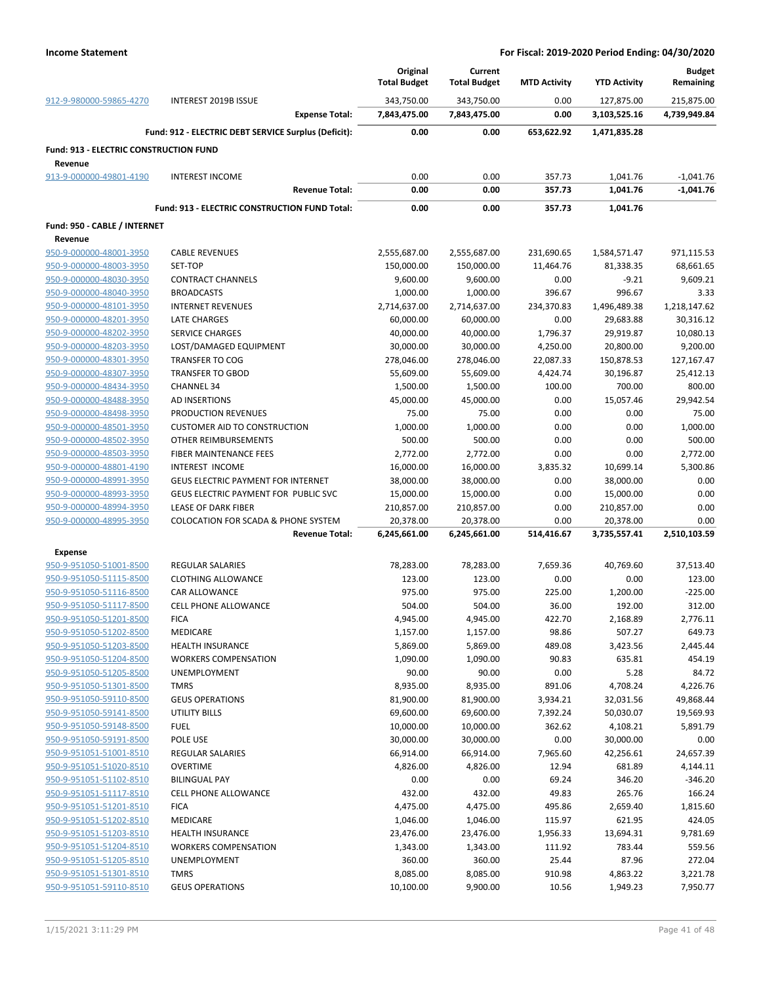|                                               |                                                                         | Original<br><b>Total Budget</b> | Current<br><b>Total Budget</b> | <b>MTD Activity</b> | <b>YTD Activity</b>       | <b>Budget</b><br>Remaining |
|-----------------------------------------------|-------------------------------------------------------------------------|---------------------------------|--------------------------------|---------------------|---------------------------|----------------------------|
| 912-9-980000-59865-4270                       | INTEREST 2019B ISSUE                                                    | 343,750.00                      | 343,750.00                     | 0.00                | 127,875.00                | 215,875.00                 |
|                                               | <b>Expense Total:</b>                                                   | 7,843,475.00                    | 7,843,475.00                   | 0.00                | 3,103,525.16              | 4,739,949.84               |
|                                               | Fund: 912 - ELECTRIC DEBT SERVICE Surplus (Deficit):                    | 0.00                            | 0.00                           | 653,622.92          | 1,471,835.28              |                            |
| <b>Fund: 913 - ELECTRIC CONSTRUCTION FUND</b> |                                                                         |                                 |                                |                     |                           |                            |
| Revenue                                       |                                                                         |                                 |                                |                     |                           |                            |
| 913-9-000000-49801-4190                       | <b>INTEREST INCOME</b>                                                  | 0.00                            | 0.00                           | 357.73              | 1,041.76                  | $-1,041.76$                |
|                                               | <b>Revenue Total:</b>                                                   | 0.00                            | 0.00                           | 357.73              | 1,041.76                  | $-1,041.76$                |
|                                               | Fund: 913 - ELECTRIC CONSTRUCTION FUND Total:                           | 0.00                            | 0.00                           | 357.73              | 1,041.76                  |                            |
| Fund: 950 - CABLE / INTERNET                  |                                                                         |                                 |                                |                     |                           |                            |
| Revenue                                       |                                                                         |                                 |                                |                     |                           |                            |
| 950-9-000000-48001-3950                       | <b>CABLE REVENUES</b>                                                   | 2,555,687.00                    | 2,555,687.00                   | 231,690.65          | 1,584,571.47              | 971,115.53                 |
| 950-9-000000-48003-3950                       | SET-TOP                                                                 | 150,000.00                      | 150,000.00                     | 11,464.76           | 81,338.35                 | 68,661.65                  |
| 950-9-000000-48030-3950                       | <b>CONTRACT CHANNELS</b>                                                | 9,600.00                        | 9,600.00                       | 0.00                | $-9.21$                   | 9,609.21                   |
| 950-9-000000-48040-3950                       | <b>BROADCASTS</b>                                                       | 1,000.00                        | 1,000.00                       | 396.67              | 996.67                    | 3.33                       |
| 950-9-000000-48101-3950                       | <b>INTERNET REVENUES</b>                                                | 2,714,637.00                    | 2,714,637.00                   | 234,370.83          | 1,496,489.38              | 1,218,147.62               |
| 950-9-000000-48201-3950                       | <b>LATE CHARGES</b>                                                     | 60,000.00                       | 60,000.00                      | 0.00                | 29,683.88                 | 30,316.12                  |
| 950-9-000000-48202-3950                       | <b>SERVICE CHARGES</b>                                                  | 40,000.00                       | 40,000.00                      | 1,796.37            | 29,919.87                 | 10,080.13                  |
| 950-9-000000-48203-3950                       | LOST/DAMAGED EQUIPMENT                                                  | 30,000.00                       | 30,000.00                      | 4,250.00            | 20,800.00                 | 9,200.00                   |
| 950-9-000000-48301-3950                       | <b>TRANSFER TO COG</b>                                                  | 278,046.00                      | 278,046.00                     | 22,087.33           | 150,878.53                | 127,167.47                 |
| 950-9-000000-48307-3950                       | <b>TRANSFER TO GBOD</b>                                                 | 55,609.00                       | 55,609.00                      | 4,424.74            | 30,196.87                 | 25,412.13                  |
| 950-9-000000-48434-3950                       | <b>CHANNEL 34</b>                                                       | 1,500.00                        | 1,500.00                       | 100.00              | 700.00                    | 800.00                     |
| 950-9-000000-48488-3950                       | AD INSERTIONS                                                           | 45,000.00                       | 45,000.00                      | 0.00                | 15,057.46                 | 29,942.54                  |
| 950-9-000000-48498-3950                       | PRODUCTION REVENUES                                                     | 75.00                           | 75.00                          | 0.00                | 0.00                      | 75.00                      |
| 950-9-000000-48501-3950                       | <b>CUSTOMER AID TO CONSTRUCTION</b>                                     | 1,000.00                        | 1,000.00                       | 0.00                | 0.00                      | 1,000.00                   |
| 950-9-000000-48502-3950                       | OTHER REIMBURSEMENTS                                                    | 500.00                          | 500.00                         | 0.00                | 0.00                      | 500.00                     |
| 950-9-000000-48503-3950                       | FIBER MAINTENANCE FEES                                                  | 2,772.00                        | 2,772.00                       | 0.00                | 0.00                      | 2,772.00                   |
| 950-9-000000-48801-4190                       | INTEREST INCOME                                                         | 16,000.00                       | 16,000.00                      | 3,835.32            | 10,699.14                 | 5,300.86                   |
| 950-9-000000-48991-3950                       | GEUS ELECTRIC PAYMENT FOR INTERNET                                      | 38,000.00                       | 38,000.00                      | 0.00                | 38,000.00                 | 0.00                       |
| 950-9-000000-48993-3950                       | GEUS ELECTRIC PAYMENT FOR PUBLIC SVC                                    | 15,000.00                       | 15,000.00                      | 0.00                | 15,000.00                 | 0.00                       |
| 950-9-000000-48994-3950                       | LEASE OF DARK FIBER                                                     | 210,857.00                      | 210,857.00                     | 0.00                | 210,857.00                | 0.00                       |
| 950-9-000000-48995-3950                       | <b>COLOCATION FOR SCADA &amp; PHONE SYSTEM</b><br><b>Revenue Total:</b> | 20,378.00<br>6,245,661.00       | 20,378.00<br>6,245,661.00      | 0.00<br>514,416.67  | 20,378.00<br>3,735,557.41 | 0.00<br>2,510,103.59       |
|                                               |                                                                         |                                 |                                |                     |                           |                            |
| <b>Expense</b>                                |                                                                         |                                 |                                |                     |                           |                            |
| 950-9-951050-51001-8500                       | <b>REGULAR SALARIES</b>                                                 | 78,283.00                       | 78,283.00                      | 7,659.36            | 40,769.60                 | 37,513.40                  |
| 950-9-951050-51115-8500                       | <b>CLOTHING ALLOWANCE</b>                                               | 123.00                          | 123.00                         | 0.00                | 0.00                      | 123.00                     |
| 950-9-951050-51116-8500                       | CAR ALLOWANCE                                                           | 975.00                          | 975.00                         | 225.00              | 1,200.00                  | $-225.00$                  |
| 950-9-951050-51117-8500                       | <b>CELL PHONE ALLOWANCE</b>                                             | 504.00                          | 504.00                         | 36.00               | 192.00                    | 312.00                     |
| 950-9-951050-51201-8500                       | <b>FICA</b>                                                             | 4,945.00                        | 4,945.00                       | 422.70              | 2,168.89                  | 2,776.11                   |
| 950-9-951050-51202-8500                       | MEDICARE                                                                | 1,157.00                        | 1,157.00                       | 98.86               | 507.27                    | 649.73                     |
| 950-9-951050-51203-8500                       | <b>HEALTH INSURANCE</b>                                                 | 5,869.00                        | 5,869.00                       | 489.08              | 3,423.56                  | 2,445.44                   |
| 950-9-951050-51204-8500                       | <b>WORKERS COMPENSATION</b>                                             | 1,090.00                        | 1,090.00                       | 90.83               | 635.81                    | 454.19                     |
| 950-9-951050-51205-8500                       | UNEMPLOYMENT                                                            | 90.00                           | 90.00                          | 0.00                | 5.28                      | 84.72                      |
| 950-9-951050-51301-8500                       | <b>TMRS</b>                                                             | 8,935.00                        | 8,935.00                       | 891.06              | 4,708.24                  | 4,226.76                   |
| 950-9-951050-59110-8500                       | <b>GEUS OPERATIONS</b>                                                  | 81,900.00                       | 81,900.00                      | 3,934.21            | 32,031.56                 | 49,868.44                  |
| 950-9-951050-59141-8500                       | UTILITY BILLS                                                           | 69,600.00                       | 69,600.00                      | 7,392.24            | 50,030.07                 | 19,569.93                  |
| 950-9-951050-59148-8500                       | <b>FUEL</b>                                                             | 10,000.00                       | 10,000.00                      | 362.62              | 4,108.21                  | 5,891.79                   |
| 950-9-951050-59191-8500                       | POLE USE                                                                | 30,000.00                       | 30,000.00                      | 0.00                | 30,000.00                 | 0.00                       |
| 950-9-951051-51001-8510                       | REGULAR SALARIES                                                        | 66,914.00                       | 66,914.00                      | 7,965.60            | 42,256.61                 | 24,657.39                  |
| 950-9-951051-51020-8510                       | <b>OVERTIME</b>                                                         | 4,826.00                        | 4,826.00                       | 12.94               | 681.89                    | 4,144.11                   |
| 950-9-951051-51102-8510                       | <b>BILINGUAL PAY</b>                                                    | 0.00                            | 0.00                           | 69.24               | 346.20                    | $-346.20$                  |
| 950-9-951051-51117-8510                       | CELL PHONE ALLOWANCE                                                    | 432.00                          | 432.00                         | 49.83               | 265.76                    | 166.24                     |
| 950-9-951051-51201-8510                       | <b>FICA</b>                                                             | 4,475.00                        | 4,475.00                       | 495.86              | 2,659.40                  | 1,815.60                   |
| 950-9-951051-51202-8510                       | <b>MEDICARE</b>                                                         | 1,046.00                        | 1,046.00                       | 115.97              | 621.95                    | 424.05                     |
| 950-9-951051-51203-8510                       | <b>HEALTH INSURANCE</b>                                                 | 23,476.00                       | 23,476.00                      | 1,956.33            | 13,694.31                 | 9,781.69                   |
| 950-9-951051-51204-8510                       | <b>WORKERS COMPENSATION</b>                                             | 1,343.00                        | 1,343.00                       | 111.92              | 783.44                    | 559.56                     |
| 950-9-951051-51205-8510                       | UNEMPLOYMENT                                                            | 360.00                          | 360.00                         | 25.44               | 87.96                     | 272.04                     |
| 950-9-951051-51301-8510                       | <b>TMRS</b>                                                             | 8,085.00                        | 8,085.00                       | 910.98              | 4,863.22                  | 3,221.78                   |
| 950-9-951051-59110-8510                       | <b>GEUS OPERATIONS</b>                                                  | 10,100.00                       | 9,900.00                       | 10.56               | 1,949.23                  | 7,950.77                   |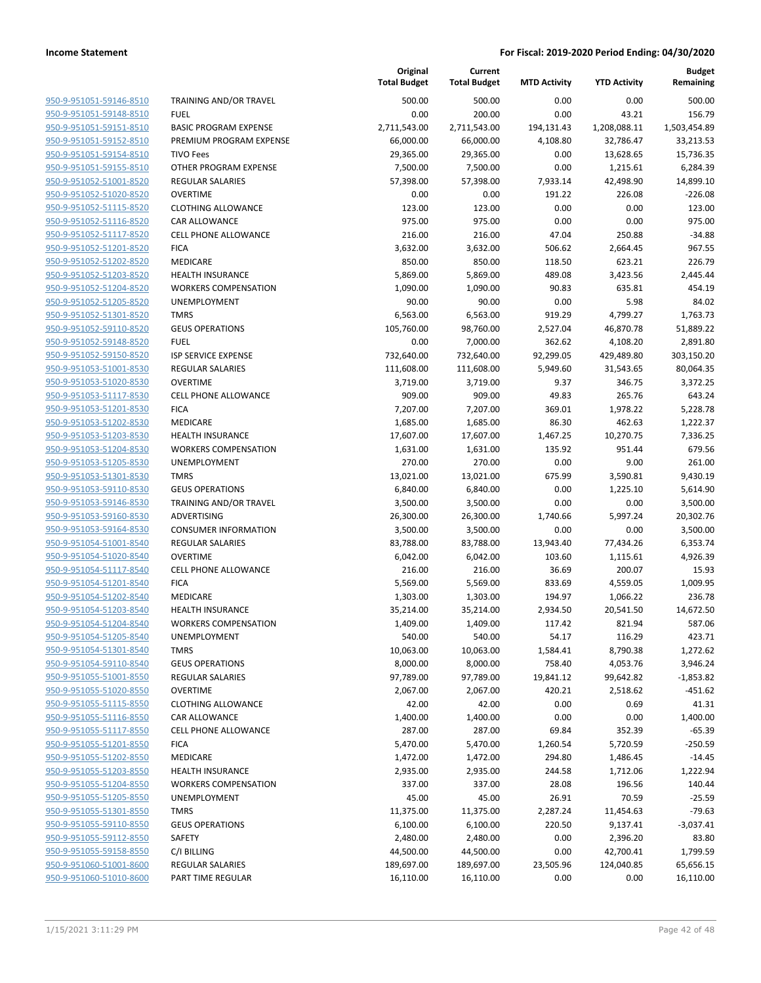| 950-9-951051-59146-8510        |
|--------------------------------|
| 950-9-951051-59148-8510        |
| 950-9-951051-59151-8510        |
| 950-9-951051-59152-8510        |
| 950-9-951051-59154-8510        |
| 950-9-951051-59155-8510        |
| 950-9-951052-51001-8520        |
| 950-9-951052-51020-8520        |
| 950-9-951052-51115-8520        |
| 950-9-951052-51116-8520        |
| 950-9-951052-51117-8520        |
| 950-9-951052-51201-8520        |
| 950-9-951052-51202-8520        |
| 950-9-951052-51203-8520        |
| 950-9-951052-51204-8520        |
| 950-9-951052-51205-8520        |
| 950-9-951052-51301-8520        |
| 950-9-951052-59110-8520        |
|                                |
| 950-9-951052-59148-8520        |
| 950-9-951052-59150-8520        |
| 950-9-951053-51001-8530        |
| 950-9-951053-51020-8530        |
| 950-9-951053-51117-8530        |
| 950-9-951053-51201-8530        |
| 950-9-951053-51202-8530        |
| 950-9-951053-51203-8530        |
| 950-9-951053-51204-8530        |
| 950-9-951053-51205-8530        |
| 950-9-951053-51301-8530        |
| 950-9-951053-59110-8530        |
| 950-9-951053-59146-8530        |
| 950-9-951053-59160-8530        |
| 950-9-951053-59164-8530        |
| 950-9-951054-51001-8540        |
| 950-9-951054-51020-8540        |
| 950-9-951054-51117-8540        |
| 950-9-951054-51201-8540        |
| 950-9-951054-51202-8540        |
| 950-9-951054-51203-8540        |
| 950-9-951054-51204-8540        |
| 950-9-951054-51205-8540        |
| <u>950-9-951054-51301-8540</u> |
| 950-9-951054-59110-8540        |
| 950-9-951055-51001-8550        |
| 950-9-951055-51020-8550        |
| <u>950-9-951055-51115-8550</u> |
| <u>950-9-951055-51116-8550</u> |
| 950-9-951055-51117-8550        |
|                                |
| 950-9-951055-51201-8550        |
| <u>950-9-951055-51202-8550</u> |
| 950-9-951055-51203-8550        |
| <u>950-9-951055-51204-8550</u> |
| 950-9-951055-51205-8550        |
| 950-9-951055-51301-8550        |
| 950-9-951055-59110-8550        |
| 950-9-951055-59112-8550        |
| <u>950-9-951055-59158-8550</u> |
| 950-9-951060-51001-8600        |
| 950-9-951060-51010-8600        |
|                                |

|                         |                               | Original<br><b>Total Budget</b> | Current<br><b>Total Budget</b> | <b>MTD Activity</b> | <b>YTD Activity</b> | <b>Budget</b><br>Remaining |
|-------------------------|-------------------------------|---------------------------------|--------------------------------|---------------------|---------------------|----------------------------|
| 950-9-951051-59146-8510 | <b>TRAINING AND/OR TRAVEL</b> | 500.00                          | 500.00                         | 0.00                | 0.00                | 500.00                     |
| 950-9-951051-59148-8510 | <b>FUEL</b>                   | 0.00                            | 200.00                         | 0.00                | 43.21               | 156.79                     |
| 950-9-951051-59151-8510 | <b>BASIC PROGRAM EXPENSE</b>  | 2,711,543.00                    | 2,711,543.00                   | 194,131.43          | 1,208,088.11        | 1,503,454.89               |
| 950-9-951051-59152-8510 | PREMIUM PROGRAM EXPENSE       | 66,000.00                       | 66,000.00                      | 4,108.80            | 32,786.47           | 33,213.53                  |
| 950-9-951051-59154-8510 | <b>TIVO Fees</b>              | 29,365.00                       | 29,365.00                      | 0.00                | 13,628.65           | 15,736.35                  |
| 950-9-951051-59155-8510 | OTHER PROGRAM EXPENSE         | 7,500.00                        | 7,500.00                       | 0.00                | 1,215.61            | 6,284.39                   |
| 950-9-951052-51001-8520 | <b>REGULAR SALARIES</b>       | 57,398.00                       | 57,398.00                      | 7,933.14            | 42,498.90           | 14,899.10                  |
| 950-9-951052-51020-8520 | <b>OVERTIME</b>               | 0.00                            | 0.00                           | 191.22              | 226.08              | $-226.08$                  |
| 950-9-951052-51115-8520 | <b>CLOTHING ALLOWANCE</b>     | 123.00                          | 123.00                         | 0.00                | 0.00                | 123.00                     |
| 950-9-951052-51116-8520 | CAR ALLOWANCE                 | 975.00                          | 975.00                         | 0.00                | 0.00                | 975.00                     |
| 950-9-951052-51117-8520 | CELL PHONE ALLOWANCE          | 216.00                          | 216.00                         | 47.04               | 250.88              | $-34.88$                   |
| 950-9-951052-51201-8520 | <b>FICA</b>                   | 3,632.00                        | 3,632.00                       | 506.62              | 2,664.45            | 967.55                     |
| 950-9-951052-51202-8520 | MEDICARE                      | 850.00                          | 850.00                         | 118.50              | 623.21              | 226.79                     |
| 950-9-951052-51203-8520 | <b>HEALTH INSURANCE</b>       | 5,869.00                        | 5,869.00                       | 489.08              | 3,423.56            | 2,445.44                   |
| 950-9-951052-51204-8520 | <b>WORKERS COMPENSATION</b>   | 1,090.00                        | 1,090.00                       | 90.83               | 635.81              | 454.19                     |
| 950-9-951052-51205-8520 | UNEMPLOYMENT                  | 90.00                           | 90.00                          | 0.00                | 5.98                | 84.02                      |
| 950-9-951052-51301-8520 | <b>TMRS</b>                   | 6,563.00                        | 6,563.00                       | 919.29              | 4,799.27            | 1,763.73                   |
| 950-9-951052-59110-8520 | <b>GEUS OPERATIONS</b>        | 105,760.00                      | 98,760.00                      | 2,527.04            | 46,870.78           | 51,889.22                  |
| 950-9-951052-59148-8520 | <b>FUEL</b>                   | 0.00                            | 7,000.00                       | 362.62              | 4,108.20            | 2,891.80                   |
| 950-9-951052-59150-8520 | ISP SERVICE EXPENSE           | 732,640.00                      | 732,640.00                     | 92,299.05           | 429,489.80          | 303,150.20                 |
| 950-9-951053-51001-8530 | <b>REGULAR SALARIES</b>       | 111,608.00                      | 111,608.00                     | 5,949.60            | 31,543.65           | 80,064.35                  |
| 950-9-951053-51020-8530 | <b>OVERTIME</b>               | 3,719.00                        | 3,719.00                       | 9.37                | 346.75              | 3,372.25                   |
| 950-9-951053-51117-8530 | <b>CELL PHONE ALLOWANCE</b>   | 909.00                          | 909.00                         | 49.83               | 265.76              | 643.24                     |
| 950-9-951053-51201-8530 | <b>FICA</b>                   | 7,207.00                        | 7,207.00                       | 369.01              | 1,978.22            | 5,228.78                   |
| 950-9-951053-51202-8530 | MEDICARE                      | 1,685.00                        | 1,685.00                       | 86.30               | 462.63              | 1,222.37                   |
| 950-9-951053-51203-8530 | <b>HEALTH INSURANCE</b>       | 17,607.00                       | 17,607.00                      | 1,467.25            | 10,270.75           | 7,336.25                   |
| 950-9-951053-51204-8530 | <b>WORKERS COMPENSATION</b>   | 1,631.00                        | 1,631.00                       | 135.92              | 951.44              | 679.56                     |
| 950-9-951053-51205-8530 | UNEMPLOYMENT                  | 270.00                          | 270.00                         | 0.00                | 9.00                | 261.00                     |
| 950-9-951053-51301-8530 | <b>TMRS</b>                   | 13,021.00                       | 13,021.00                      | 675.99              | 3,590.81            | 9,430.19                   |
| 950-9-951053-59110-8530 | <b>GEUS OPERATIONS</b>        | 6,840.00                        | 6,840.00                       | 0.00                | 1,225.10            | 5,614.90                   |
| 950-9-951053-59146-8530 | TRAINING AND/OR TRAVEL        | 3,500.00                        | 3,500.00                       | 0.00                | 0.00                | 3,500.00                   |
| 950-9-951053-59160-8530 | ADVERTISING                   | 26,300.00                       | 26,300.00                      | 1,740.66            | 5,997.24            | 20,302.76                  |
| 950-9-951053-59164-8530 | <b>CONSUMER INFORMATION</b>   | 3,500.00                        | 3,500.00                       | 0.00                | 0.00                | 3,500.00                   |
| 950-9-951054-51001-8540 | <b>REGULAR SALARIES</b>       | 83,788.00                       | 83,788.00                      | 13,943.40           | 77,434.26           | 6,353.74                   |
| 950-9-951054-51020-8540 | <b>OVERTIME</b>               | 6,042.00                        | 6,042.00                       | 103.60              | 1,115.61            | 4,926.39                   |
| 950-9-951054-51117-8540 | <b>CELL PHONE ALLOWANCE</b>   | 216.00                          | 216.00                         | 36.69               | 200.07              | 15.93                      |
| 950-9-951054-51201-8540 | <b>FICA</b>                   | 5,569.00                        | 5,569.00                       | 833.69              | 4,559.05            | 1,009.95                   |
| 950-9-951054-51202-8540 | MEDICARE                      | 1,303.00                        | 1,303.00                       | 194.97              | 1,066.22            | 236.78                     |
| 950-9-951054-51203-8540 | <b>HEALTH INSURANCE</b>       | 35,214.00                       | 35,214.00                      | 2,934.50            | 20,541.50           | 14,672.50                  |
| 950-9-951054-51204-8540 | <b>WORKERS COMPENSATION</b>   | 1,409.00                        | 1,409.00                       | 117.42              | 821.94              | 587.06                     |
| 950-9-951054-51205-8540 | UNEMPLOYMENT                  | 540.00                          | 540.00                         | 54.17               | 116.29              | 423.71                     |
| 950-9-951054-51301-8540 | <b>TMRS</b>                   | 10,063.00                       | 10,063.00                      | 1,584.41            | 8,790.38            | 1,272.62                   |
| 950-9-951054-59110-8540 | <b>GEUS OPERATIONS</b>        | 8,000.00                        | 8,000.00                       | 758.40              | 4,053.76            | 3,946.24                   |
| 950-9-951055-51001-8550 | <b>REGULAR SALARIES</b>       | 97,789.00                       | 97,789.00                      | 19,841.12           | 99,642.82           | $-1,853.82$                |
| 950-9-951055-51020-8550 | <b>OVERTIME</b>               | 2,067.00                        | 2,067.00                       | 420.21              | 2,518.62            | $-451.62$                  |
| 950-9-951055-51115-8550 | <b>CLOTHING ALLOWANCE</b>     | 42.00                           | 42.00                          | 0.00                | 0.69                | 41.31                      |
| 950-9-951055-51116-8550 | CAR ALLOWANCE                 | 1,400.00                        | 1,400.00                       | 0.00                | 0.00                | 1,400.00                   |
| 950-9-951055-51117-8550 | <b>CELL PHONE ALLOWANCE</b>   | 287.00                          | 287.00                         | 69.84               | 352.39              | $-65.39$                   |
| 950-9-951055-51201-8550 | <b>FICA</b>                   | 5,470.00                        | 5,470.00                       | 1,260.54            | 5,720.59            | $-250.59$                  |
| 950-9-951055-51202-8550 | MEDICARE                      | 1,472.00                        | 1,472.00                       | 294.80              | 1,486.45            | $-14.45$                   |
| 950-9-951055-51203-8550 | <b>HEALTH INSURANCE</b>       | 2,935.00                        | 2,935.00                       | 244.58              | 1,712.06            | 1,222.94                   |
| 950-9-951055-51204-8550 | <b>WORKERS COMPENSATION</b>   | 337.00                          | 337.00                         | 28.08               | 196.56              | 140.44                     |
| 950-9-951055-51205-8550 | UNEMPLOYMENT                  | 45.00                           | 45.00                          | 26.91               | 70.59               | $-25.59$                   |
| 950-9-951055-51301-8550 | <b>TMRS</b>                   | 11,375.00                       | 11,375.00                      | 2,287.24            | 11,454.63           | $-79.63$                   |
| 950-9-951055-59110-8550 | <b>GEUS OPERATIONS</b>        | 6,100.00                        | 6,100.00                       | 220.50              | 9,137.41            | $-3,037.41$                |
| 950-9-951055-59112-8550 | SAFETY                        | 2,480.00                        | 2,480.00                       | 0.00                | 2,396.20            | 83.80                      |
| 950-9-951055-59158-8550 | C/I BILLING                   | 44,500.00                       | 44,500.00                      | 0.00                | 42,700.41           | 1,799.59                   |
| 950-9-951060-51001-8600 | <b>REGULAR SALARIES</b>       | 189,697.00                      | 189,697.00                     | 23,505.96           | 124,040.85          | 65,656.15                  |
| 950-9-951060-51010-8600 | PART TIME REGULAR             | 16,110.00                       | 16,110.00                      | 0.00                | 0.00                | 16,110.00                  |
|                         |                               |                                 |                                |                     |                     |                            |

**Original**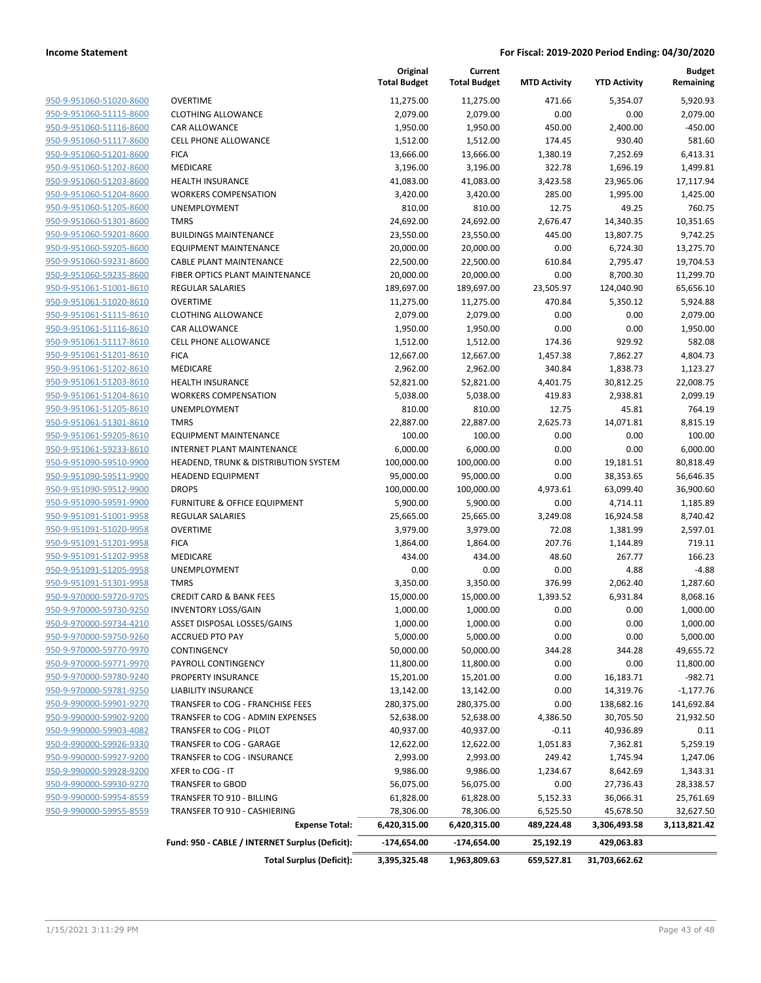**Current**

**Original**

**Budget Remaining**

|                         |                                                 | <b>Unginal</b><br><b>Total Budget</b> | <b>Canena</b><br><b>Total Budget</b> | <b>MTD Activity</b> | <b>YTD Activity</b> | nunger<br>Remaining |
|-------------------------|-------------------------------------------------|---------------------------------------|--------------------------------------|---------------------|---------------------|---------------------|
| 950-9-951060-51020-8600 | <b>OVERTIME</b>                                 | 11,275.00                             | 11,275.00                            | 471.66              | 5,354.07            | 5,920.93            |
| 950-9-951060-51115-8600 | <b>CLOTHING ALLOWANCE</b>                       | 2,079.00                              | 2,079.00                             | 0.00                | 0.00                | 2,079.00            |
| 950-9-951060-51116-8600 | <b>CAR ALLOWANCE</b>                            | 1,950.00                              | 1,950.00                             | 450.00              | 2,400.00            | $-450.00$           |
| 950-9-951060-51117-8600 | CELL PHONE ALLOWANCE                            | 1,512.00                              | 1,512.00                             | 174.45              | 930.40              | 581.60              |
| 950-9-951060-51201-8600 | <b>FICA</b>                                     | 13,666.00                             | 13,666.00                            | 1,380.19            | 7,252.69            | 6,413.31            |
| 950-9-951060-51202-8600 | MEDICARE                                        | 3,196.00                              | 3,196.00                             | 322.78              | 1,696.19            | 1,499.81            |
| 950-9-951060-51203-8600 | <b>HEALTH INSURANCE</b>                         | 41,083.00                             | 41,083.00                            | 3,423.58            | 23,965.06           | 17,117.94           |
| 950-9-951060-51204-8600 | <b>WORKERS COMPENSATION</b>                     | 3,420.00                              | 3,420.00                             | 285.00              | 1,995.00            | 1,425.00            |
| 950-9-951060-51205-8600 | UNEMPLOYMENT                                    | 810.00                                | 810.00                               | 12.75               | 49.25               | 760.75              |
| 950-9-951060-51301-8600 | <b>TMRS</b>                                     | 24,692.00                             | 24,692.00                            | 2,676.47            | 14,340.35           | 10,351.65           |
| 950-9-951060-59201-8600 | <b>BUILDINGS MAINTENANCE</b>                    | 23,550.00                             | 23,550.00                            | 445.00              | 13,807.75           | 9,742.25            |
| 950-9-951060-59205-8600 | <b>EQUIPMENT MAINTENANCE</b>                    | 20,000.00                             | 20,000.00                            | 0.00                | 6,724.30            | 13,275.70           |
| 950-9-951060-59231-8600 | <b>CABLE PLANT MAINTENANCE</b>                  | 22,500.00                             | 22,500.00                            | 610.84              | 2,795.47            | 19,704.53           |
| 950-9-951060-59235-8600 | FIBER OPTICS PLANT MAINTENANCE                  | 20,000.00                             | 20,000.00                            | 0.00                | 8,700.30            | 11,299.70           |
| 950-9-951061-51001-8610 | <b>REGULAR SALARIES</b>                         | 189,697.00                            | 189,697.00                           | 23,505.97           | 124,040.90          | 65,656.10           |
| 950-9-951061-51020-8610 | <b>OVERTIME</b>                                 | 11,275.00                             | 11,275.00                            | 470.84              | 5,350.12            | 5,924.88            |
| 950-9-951061-51115-8610 | <b>CLOTHING ALLOWANCE</b>                       | 2,079.00                              | 2,079.00                             | 0.00                | 0.00                | 2,079.00            |
| 950-9-951061-51116-8610 | <b>CAR ALLOWANCE</b>                            | 1,950.00                              | 1,950.00                             | 0.00                | 0.00                | 1,950.00            |
| 950-9-951061-51117-8610 | <b>CELL PHONE ALLOWANCE</b>                     | 1,512.00                              | 1,512.00                             | 174.36              | 929.92              | 582.08              |
| 950-9-951061-51201-8610 | <b>FICA</b>                                     | 12,667.00                             | 12,667.00                            | 1,457.38            | 7,862.27            | 4,804.73            |
| 950-9-951061-51202-8610 | MEDICARE                                        | 2,962.00                              | 2,962.00                             | 340.84              | 1,838.73            | 1,123.27            |
| 950-9-951061-51203-8610 | <b>HEALTH INSURANCE</b>                         | 52,821.00                             | 52,821.00                            | 4,401.75            | 30,812.25           | 22,008.75           |
| 950-9-951061-51204-8610 | <b>WORKERS COMPENSATION</b>                     | 5,038.00                              | 5,038.00                             | 419.83              | 2,938.81            | 2,099.19            |
| 950-9-951061-51205-8610 | UNEMPLOYMENT                                    | 810.00                                | 810.00                               | 12.75               | 45.81               | 764.19              |
| 950-9-951061-51301-8610 | <b>TMRS</b>                                     | 22,887.00                             | 22,887.00                            | 2,625.73            | 14,071.81           | 8,815.19            |
| 950-9-951061-59205-8610 | <b>EQUIPMENT MAINTENANCE</b>                    | 100.00                                | 100.00                               | 0.00                | 0.00                | 100.00              |
| 950-9-951061-59233-8610 | <b>INTERNET PLANT MAINTENANCE</b>               | 6,000.00                              | 6,000.00                             | 0.00                | 0.00                | 6,000.00            |
| 950-9-951090-59510-9900 | HEADEND, TRUNK & DISTRIBUTION SYSTEM            | 100,000.00                            | 100,000.00                           | 0.00                | 19,181.51           | 80,818.49           |
| 950-9-951090-59511-9900 | <b>HEADEND EQUIPMENT</b>                        | 95,000.00                             | 95,000.00                            | 0.00                | 38,353.65           | 56,646.35           |
| 950-9-951090-59512-9900 | <b>DROPS</b>                                    | 100,000.00                            | 100,000.00                           | 4,973.61            | 63,099.40           | 36,900.60           |
| 950-9-951090-59591-9900 | FURNITURE & OFFICE EQUIPMENT                    | 5,900.00                              | 5,900.00                             | 0.00                | 4,714.11            | 1,185.89            |
| 950-9-951091-51001-9958 | <b>REGULAR SALARIES</b>                         | 25,665.00                             | 25,665.00                            | 3,249.08            | 16,924.58           | 8,740.42            |
| 950-9-951091-51020-9958 | <b>OVERTIME</b>                                 | 3,979.00                              | 3,979.00                             | 72.08               | 1,381.99            | 2,597.01            |
| 950-9-951091-51201-9958 | <b>FICA</b>                                     | 1,864.00                              | 1,864.00                             | 207.76              | 1,144.89            | 719.11              |
| 950-9-951091-51202-9958 | MEDICARE                                        | 434.00                                | 434.00                               | 48.60               | 267.77              | 166.23              |
| 950-9-951091-51205-9958 | UNEMPLOYMENT                                    | 0.00                                  | 0.00                                 | 0.00                | 4.88                | $-4.88$             |
| 950-9-951091-51301-9958 | <b>TMRS</b>                                     | 3,350.00                              | 3,350.00                             | 376.99              | 2,062.40            | 1,287.60            |
| 950-9-970000-59720-9705 | <b>CREDIT CARD &amp; BANK FEES</b>              | 15,000.00                             | 15,000.00                            | 1,393.52            | 6,931.84            | 8,068.16            |
| 950-9-970000-59730-9250 | <b>INVENTORY LOSS/GAIN</b>                      | 1,000.00                              | 1,000.00                             | 0.00                | 0.00                | 1,000.00            |
| 950-9-970000-59734-4210 | ASSET DISPOSAL LOSSES/GAINS                     | 1,000.00                              | 1,000.00                             | 0.00                | 0.00                | 1,000.00            |
| 950-9-970000-59750-9260 | <b>ACCRUED PTO PAY</b>                          | 5,000.00                              | 5,000.00                             | 0.00                | 0.00                | 5,000.00            |
| 950-9-970000-59770-9970 | CONTINGENCY                                     | 50,000.00                             | 50,000.00                            | 344.28              | 344.28              | 49,655.72           |
| 950-9-970000-59771-9970 | PAYROLL CONTINGENCY                             | 11,800.00                             | 11,800.00                            | 0.00                | 0.00                | 11,800.00           |
| 950-9-970000-59780-9240 | PROPERTY INSURANCE                              | 15,201.00                             | 15,201.00                            | 0.00                | 16,183.71           | $-982.71$           |
| 950-9-970000-59781-9250 | LIABILITY INSURANCE                             | 13,142.00                             | 13,142.00                            | 0.00                | 14,319.76           | $-1,177.76$         |
| 950-9-990000-59901-9270 | TRANSFER to COG - FRANCHISE FEES                | 280,375.00                            | 280,375.00                           | 0.00                | 138,682.16          | 141,692.84          |
| 950-9-990000-59902-9200 | TRANSFER to COG - ADMIN EXPENSES                | 52,638.00                             | 52,638.00                            | 4,386.50            | 30,705.50           | 21,932.50           |
| 950-9-990000-59903-4082 | TRANSFER to COG - PILOT                         | 40,937.00                             | 40,937.00                            | $-0.11$             | 40,936.89           | 0.11                |
| 950-9-990000-59926-9330 | TRANSFER to COG - GARAGE                        | 12,622.00                             | 12,622.00                            | 1,051.83            | 7,362.81            | 5,259.19            |
| 950-9-990000-59927-9200 | TRANSFER to COG - INSURANCE                     | 2,993.00                              | 2,993.00                             | 249.42              | 1,745.94            | 1,247.06            |
| 950-9-990000-59928-9200 | XFER to COG - IT                                | 9,986.00                              | 9,986.00                             | 1,234.67            | 8,642.69            | 1,343.31            |
| 950-9-990000-59930-9270 | TRANSFER to GBOD                                | 56,075.00                             | 56,075.00                            | 0.00                | 27,736.43           | 28,338.57           |
| 950-9-990000-59954-8559 | TRANSFER TO 910 - BILLING                       | 61,828.00                             | 61,828.00                            | 5,152.33            | 36,066.31           | 25,761.69           |
| 950-9-990000-59955-8559 | TRANSFER TO 910 - CASHIERING                    | 78,306.00                             | 78,306.00                            | 6,525.50            | 45,678.50           | 32,627.50           |
|                         | <b>Expense Total:</b>                           | 6,420,315.00                          | 6,420,315.00                         | 489,224.48          | 3,306,493.58        | 3,113,821.42        |
|                         | Fund: 950 - CABLE / INTERNET Surplus (Deficit): | -174,654.00                           | -174,654.00                          | 25,192.19           | 429,063.83          |                     |
|                         | <b>Total Surplus (Deficit):</b>                 | 3,395,325.48                          | 1,963,809.63                         | 659,527.81          | 31,703,662.62       |                     |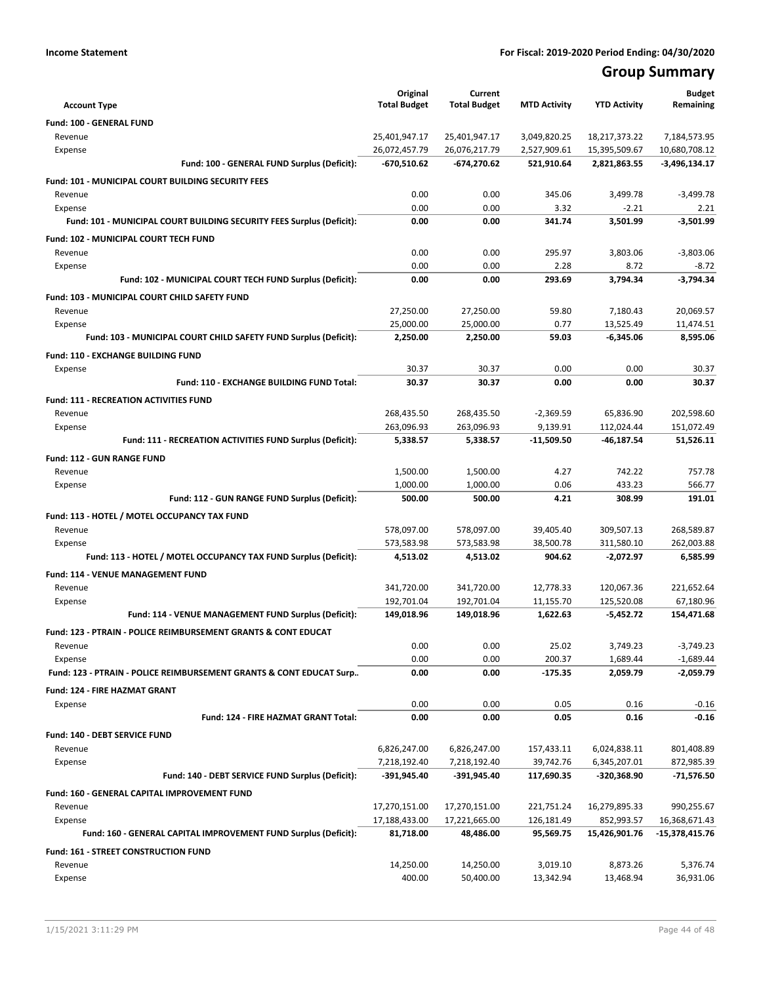## **Group Summary**

|                                                                           | Original            | Current             |                     |                     | <b>Budget</b>   |
|---------------------------------------------------------------------------|---------------------|---------------------|---------------------|---------------------|-----------------|
| <b>Account Type</b>                                                       | <b>Total Budget</b> | <b>Total Budget</b> | <b>MTD Activity</b> | <b>YTD Activity</b> | Remaining       |
| Fund: 100 - GENERAL FUND                                                  |                     |                     |                     |                     |                 |
| Revenue                                                                   | 25,401,947.17       | 25,401,947.17       | 3,049,820.25        | 18,217,373.22       | 7,184,573.95    |
| Expense                                                                   | 26,072,457.79       | 26,076,217.79       | 2,527,909.61        | 15,395,509.67       | 10,680,708.12   |
| Fund: 100 - GENERAL FUND Surplus (Deficit):                               | -670,510.62         | -674,270.62         | 521,910.64          | 2,821,863.55        | $-3,496,134.17$ |
| <b>Fund: 101 - MUNICIPAL COURT BUILDING SECURITY FEES</b>                 |                     |                     |                     |                     |                 |
| Revenue                                                                   | 0.00                | 0.00                | 345.06              | 3,499.78            | $-3,499.78$     |
| Expense                                                                   | 0.00                | 0.00                | 3.32                | $-2.21$             | 2.21            |
| Fund: 101 - MUNICIPAL COURT BUILDING SECURITY FEES Surplus (Deficit):     | 0.00                | 0.00                | 341.74              | 3,501.99            | $-3,501.99$     |
| Fund: 102 - MUNICIPAL COURT TECH FUND                                     |                     |                     |                     |                     |                 |
| Revenue                                                                   | 0.00                | 0.00                | 295.97              | 3,803.06            | $-3.803.06$     |
| Expense                                                                   | 0.00                | 0.00                | 2.28                | 8.72                | $-8.72$         |
| Fund: 102 - MUNICIPAL COURT TECH FUND Surplus (Deficit):                  | 0.00                | 0.00                | 293.69              | 3,794.34            | $-3,794.34$     |
| Fund: 103 - MUNICIPAL COURT CHILD SAFETY FUND                             |                     |                     |                     |                     |                 |
| Revenue                                                                   | 27,250.00           | 27,250.00           | 59.80               | 7,180.43            | 20,069.57       |
| Expense                                                                   | 25,000.00           | 25,000.00           | 0.77                | 13,525.49           | 11,474.51       |
| Fund: 103 - MUNICIPAL COURT CHILD SAFETY FUND Surplus (Deficit):          | 2,250.00            | 2,250.00            | 59.03               | $-6,345.06$         | 8,595.06        |
| <b>Fund: 110 - EXCHANGE BUILDING FUND</b>                                 |                     |                     |                     |                     |                 |
| Expense                                                                   | 30.37               | 30.37               | 0.00                | 0.00                | 30.37           |
| Fund: 110 - EXCHANGE BUILDING FUND Total:                                 | 30.37               | 30.37               | 0.00                | 0.00                | 30.37           |
| <b>Fund: 111 - RECREATION ACTIVITIES FUND</b>                             |                     |                     |                     |                     |                 |
| Revenue                                                                   | 268,435.50          | 268,435.50          | -2,369.59           | 65,836.90           | 202,598.60      |
| Expense                                                                   | 263,096.93          | 263,096.93          | 9,139.91            | 112,024.44          | 151,072.49      |
| Fund: 111 - RECREATION ACTIVITIES FUND Surplus (Deficit):                 | 5,338.57            | 5,338.57            | -11,509.50          | -46,187.54          | 51,526.11       |
| Fund: 112 - GUN RANGE FUND                                                |                     |                     |                     |                     |                 |
| Revenue                                                                   | 1,500.00            | 1,500.00            | 4.27                | 742.22              | 757.78          |
| Expense                                                                   | 1,000.00            | 1,000.00            | 0.06                | 433.23              | 566.77          |
| Fund: 112 - GUN RANGE FUND Surplus (Deficit):                             | 500.00              | 500.00              | 4.21                | 308.99              | 191.01          |
| Fund: 113 - HOTEL / MOTEL OCCUPANCY TAX FUND                              |                     |                     |                     |                     |                 |
| Revenue                                                                   | 578,097.00          | 578,097.00          | 39,405.40           | 309,507.13          | 268,589.87      |
| Expense                                                                   | 573,583.98          | 573,583.98          | 38,500.78           | 311,580.10          | 262,003.88      |
| Fund: 113 - HOTEL / MOTEL OCCUPANCY TAX FUND Surplus (Deficit):           | 4,513.02            | 4,513.02            | 904.62              | -2,072.97           | 6,585.99        |
| Fund: 114 - VENUE MANAGEMENT FUND                                         |                     |                     |                     |                     |                 |
| Revenue                                                                   | 341,720.00          | 341,720.00          | 12,778.33           | 120,067.36          | 221,652.64      |
| Expense                                                                   | 192,701.04          | 192,701.04          | 11,155.70           | 125,520.08          | 67,180.96       |
| Fund: 114 - VENUE MANAGEMENT FUND Surplus (Deficit):                      | 149,018.96          | 149,018.96          | 1,622.63            | $-5,452.72$         | 154,471.68      |
| <b>Fund: 123 - PTRAIN - POLICE REIMBURSEMENT GRANTS &amp; CONT EDUCAT</b> |                     |                     |                     |                     |                 |
| Revenue                                                                   | 0.00                | 0.00                | 25.02               | 3,749.23            | $-3,749.23$     |
| Expense                                                                   | 0.00                | 0.00                | 200.37              | 1,689.44            | $-1,689.44$     |
| Fund: 123 - PTRAIN - POLICE REIMBURSEMENT GRANTS & CONT EDUCAT Surp       | 0.00                | 0.00                | $-175.35$           | 2,059.79            | $-2,059.79$     |
| <b>Fund: 124 - FIRE HAZMAT GRANT</b>                                      |                     |                     |                     |                     |                 |
| Expense                                                                   | 0.00                | 0.00                | 0.05                | 0.16                | $-0.16$         |
| Fund: 124 - FIRE HAZMAT GRANT Total:                                      | 0.00                | 0.00                | 0.05                | 0.16                | $-0.16$         |
| Fund: 140 - DEBT SERVICE FUND                                             |                     |                     |                     |                     |                 |
| Revenue                                                                   | 6,826,247.00        | 6,826,247.00        | 157,433.11          | 6,024,838.11        | 801,408.89      |
| Expense                                                                   | 7,218,192.40        | 7,218,192.40        | 39,742.76           | 6,345,207.01        | 872,985.39      |
| Fund: 140 - DEBT SERVICE FUND Surplus (Deficit):                          | -391,945.40         | $-391,945.40$       | 117,690.35          | -320,368.90         | -71,576.50      |
| Fund: 160 - GENERAL CAPITAL IMPROVEMENT FUND                              |                     |                     |                     |                     |                 |
| Revenue                                                                   | 17,270,151.00       | 17,270,151.00       | 221,751.24          | 16,279,895.33       | 990,255.67      |
| Expense                                                                   | 17,188,433.00       | 17,221,665.00       | 126,181.49          | 852,993.57          | 16,368,671.43   |
| Fund: 160 - GENERAL CAPITAL IMPROVEMENT FUND Surplus (Deficit):           | 81,718.00           | 48,486.00           | 95,569.75           | 15,426,901.76       | -15,378,415.76  |
| Fund: 161 - STREET CONSTRUCTION FUND                                      |                     |                     |                     |                     |                 |
| Revenue                                                                   | 14,250.00           | 14,250.00           | 3,019.10            | 8,873.26            | 5,376.74        |
| Expense                                                                   | 400.00              | 50,400.00           | 13,342.94           | 13,468.94           | 36,931.06       |
|                                                                           |                     |                     |                     |                     |                 |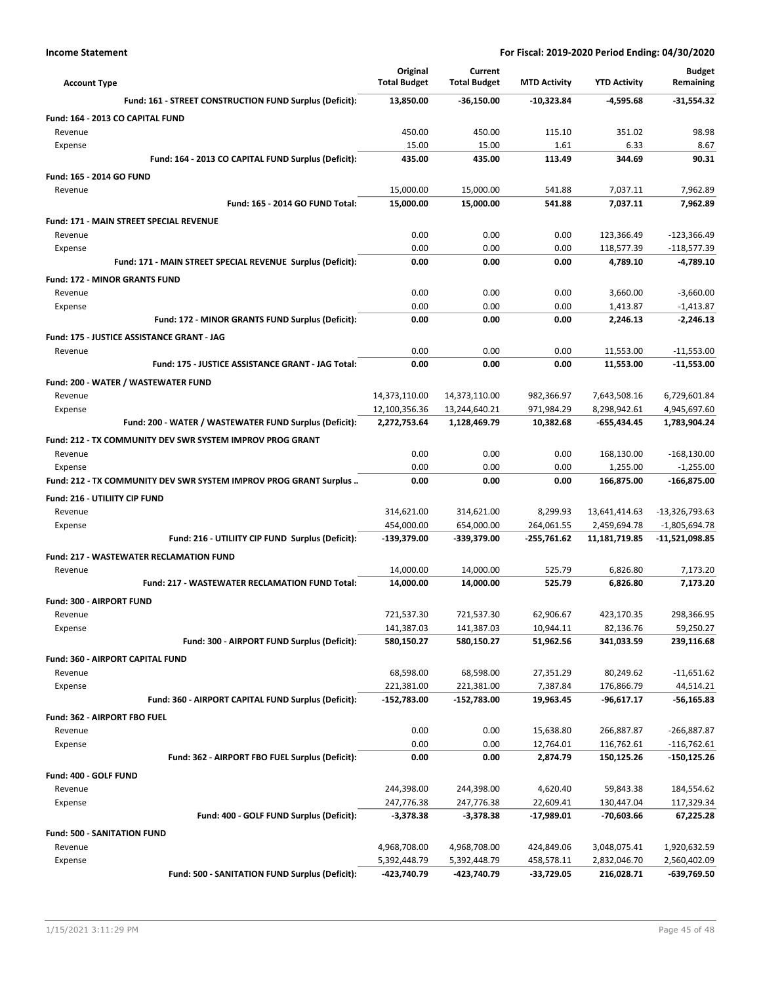| <b>Account Type</b>                                               | Original<br><b>Total Budget</b> | Current<br><b>Total Budget</b> | <b>MTD Activity</b> | <b>YTD Activity</b> | Budget<br>Remaining |
|-------------------------------------------------------------------|---------------------------------|--------------------------------|---------------------|---------------------|---------------------|
| Fund: 161 - STREET CONSTRUCTION FUND Surplus (Deficit):           | 13,850.00                       | $-36,150.00$                   | -10,323.84          | -4,595.68           | $-31,554.32$        |
| Fund: 164 - 2013 CO CAPITAL FUND                                  |                                 |                                |                     |                     |                     |
| Revenue                                                           | 450.00                          | 450.00                         | 115.10              | 351.02              | 98.98               |
| Expense                                                           | 15.00                           | 15.00                          | 1.61                | 6.33                | 8.67                |
| Fund: 164 - 2013 CO CAPITAL FUND Surplus (Deficit):               | 435.00                          | 435.00                         | 113.49              | 344.69              | 90.31               |
| Fund: 165 - 2014 GO FUND                                          |                                 |                                |                     |                     |                     |
| Revenue                                                           | 15,000.00                       | 15,000.00                      | 541.88              | 7,037.11            | 7,962.89            |
| Fund: 165 - 2014 GO FUND Total:                                   | 15,000.00                       | 15,000.00                      | 541.88              | 7,037.11            | 7,962.89            |
| <b>Fund: 171 - MAIN STREET SPECIAL REVENUE</b>                    |                                 |                                |                     |                     |                     |
| Revenue                                                           | 0.00                            | 0.00                           | 0.00                | 123,366.49          | -123,366.49         |
| Expense                                                           | 0.00                            | 0.00                           | 0.00                | 118,577.39          | $-118,577.39$       |
| Fund: 171 - MAIN STREET SPECIAL REVENUE Surplus (Deficit):        | 0.00                            | 0.00                           | 0.00                | 4,789.10            | $-4,789.10$         |
| <b>Fund: 172 - MINOR GRANTS FUND</b>                              |                                 |                                |                     |                     |                     |
| Revenue                                                           | 0.00                            | 0.00                           | 0.00                | 3,660.00            | $-3,660.00$         |
| Expense                                                           | 0.00                            | 0.00                           | 0.00                | 1,413.87            | $-1,413.87$         |
| Fund: 172 - MINOR GRANTS FUND Surplus (Deficit):                  | 0.00                            | 0.00                           | 0.00                | 2,246.13            | $-2,246.13$         |
| Fund: 175 - JUSTICE ASSISTANCE GRANT - JAG                        |                                 |                                |                     |                     |                     |
| Revenue                                                           | 0.00                            | 0.00                           | 0.00                | 11,553.00           | $-11,553.00$        |
| Fund: 175 - JUSTICE ASSISTANCE GRANT - JAG Total:                 | 0.00                            | 0.00                           | 0.00                | 11,553.00           | $-11,553.00$        |
| Fund: 200 - WATER / WASTEWATER FUND                               |                                 |                                |                     |                     |                     |
| Revenue                                                           | 14,373,110.00                   | 14,373,110.00                  | 982,366.97          | 7,643,508.16        | 6,729,601.84        |
| Expense                                                           | 12,100,356.36                   | 13,244,640.21                  | 971,984.29          | 8,298,942.61        | 4,945,697.60        |
| Fund: 200 - WATER / WASTEWATER FUND Surplus (Deficit):            | 2,272,753.64                    | 1,128,469.79                   | 10,382.68           | -655,434.45         | 1,783,904.24        |
| Fund: 212 - TX COMMUNITY DEV SWR SYSTEM IMPROV PROG GRANT         |                                 |                                |                     |                     |                     |
| Revenue                                                           | 0.00                            | 0.00                           | 0.00                | 168,130.00          | $-168,130.00$       |
| Expense                                                           | 0.00                            | 0.00                           | 0.00                | 1,255.00            | $-1,255.00$         |
| Fund: 212 - TX COMMUNITY DEV SWR SYSTEM IMPROV PROG GRANT Surplus | 0.00                            | 0.00                           | 0.00                | 166,875.00          | -166,875.00         |
| Fund: 216 - UTILIITY CIP FUND                                     |                                 |                                |                     |                     |                     |
| Revenue                                                           | 314,621.00                      | 314,621.00                     | 8,299.93            | 13,641,414.63       | -13,326,793.63      |
| Expense                                                           | 454,000.00                      | 654,000.00                     | 264,061.55          | 2,459,694.78        | $-1,805,694.78$     |
| Fund: 216 - UTILIITY CIP FUND Surplus (Deficit):                  | -139,379.00                     | -339,379.00                    | -255,761.62         | 11,181,719.85       | -11,521,098.85      |
| <b>Fund: 217 - WASTEWATER RECLAMATION FUND</b>                    |                                 |                                |                     |                     |                     |
| Revenue                                                           | 14,000.00                       | 14,000.00                      | 525.79              | 6,826.80            | 7,173.20            |
| Fund: 217 - WASTEWATER RECLAMATION FUND Total:                    | 14,000.00                       | 14,000.00                      | 525.79              | 6,826.80            | 7,173.20            |
| <b>Fund: 300 - AIRPORT FUND</b>                                   |                                 |                                |                     |                     |                     |
| Revenue                                                           | 721,537.30                      | 721,537.30                     | 62,906.67           | 423,170.35          | 298.366.95          |
| Expense                                                           | 141,387.03                      | 141,387.03                     | 10,944.11           | 82,136.76           | 59,250.27           |
| Fund: 300 - AIRPORT FUND Surplus (Deficit):                       | 580,150.27                      | 580,150.27                     | 51,962.56           | 341,033.59          | 239,116.68          |
| Fund: 360 - AIRPORT CAPITAL FUND                                  |                                 |                                |                     |                     |                     |
| Revenue                                                           | 68,598.00                       | 68,598.00                      | 27,351.29           | 80,249.62           | $-11,651.62$        |
| Expense                                                           | 221,381.00                      | 221,381.00                     | 7,387.84            | 176,866.79          | 44,514.21           |
| Fund: 360 - AIRPORT CAPITAL FUND Surplus (Deficit):               | -152,783.00                     | -152,783.00                    | 19,963.45           | -96,617.17          | -56,165.83          |
| Fund: 362 - AIRPORT FBO FUEL                                      |                                 |                                |                     |                     |                     |
| Revenue                                                           | 0.00                            | 0.00                           | 15,638.80           | 266,887.87          | -266,887.87         |
| Expense                                                           | 0.00                            | 0.00                           | 12,764.01           | 116,762.61          | $-116,762.61$       |
| Fund: 362 - AIRPORT FBO FUEL Surplus (Deficit):                   | 0.00                            | 0.00                           | 2,874.79            | 150,125.26          | -150,125.26         |
| Fund: 400 - GOLF FUND                                             |                                 |                                |                     |                     |                     |
| Revenue                                                           | 244,398.00                      | 244,398.00                     | 4,620.40            | 59,843.38           | 184,554.62          |
| Expense                                                           | 247,776.38                      | 247,776.38                     | 22,609.41           | 130,447.04          | 117,329.34          |
| Fund: 400 - GOLF FUND Surplus (Deficit):                          | -3,378.38                       | -3,378.38                      | -17,989.01          | -70,603.66          | 67,225.28           |
| <b>Fund: 500 - SANITATION FUND</b>                                |                                 |                                |                     |                     |                     |
| Revenue                                                           | 4,968,708.00                    | 4,968,708.00                   | 424,849.06          | 3,048,075.41        | 1,920,632.59        |
| Expense                                                           | 5,392,448.79                    | 5,392,448.79                   | 458,578.11          | 2,832,046.70        | 2,560,402.09        |
| Fund: 500 - SANITATION FUND Surplus (Deficit):                    | -423,740.79                     | -423,740.79                    | -33,729.05          | 216,028.71          | -639,769.50         |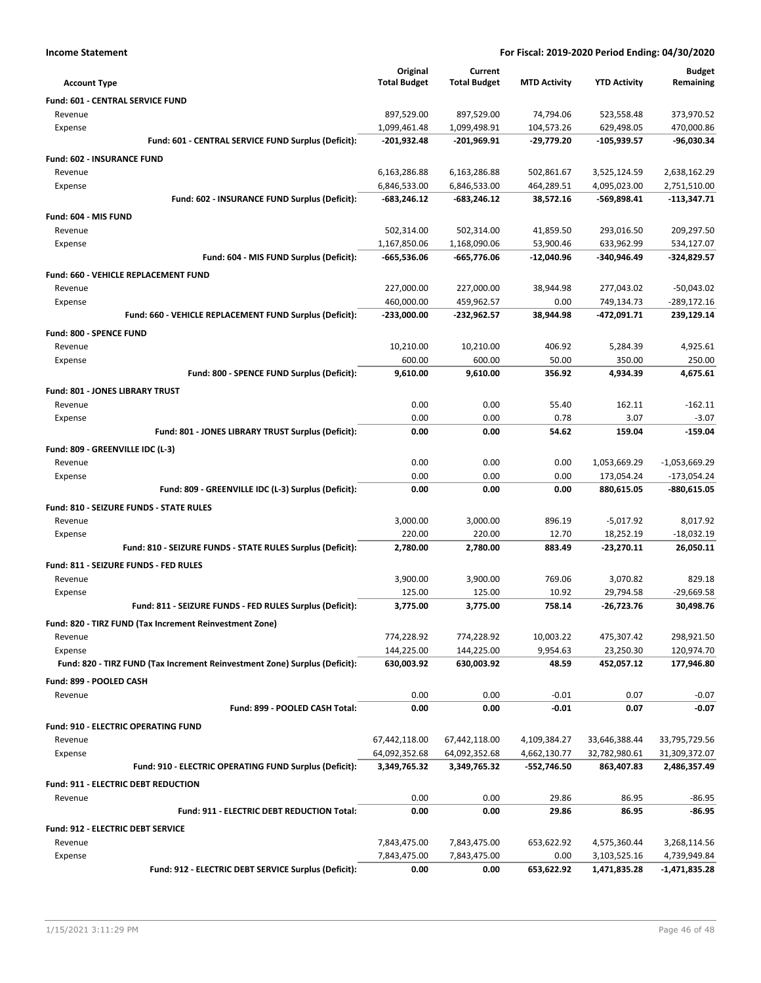|  | Income Statement |
|--|------------------|
|--|------------------|

| <b>Account Type</b>                                                        | Original<br><b>Total Budget</b> | Current<br><b>Total Budget</b> | <b>MTD Activity</b> | <b>YTD Activity</b>      | <b>Budget</b><br>Remaining   |
|----------------------------------------------------------------------------|---------------------------------|--------------------------------|---------------------|--------------------------|------------------------------|
| Fund: 601 - CENTRAL SERVICE FUND                                           |                                 |                                |                     |                          |                              |
| Revenue                                                                    | 897,529.00                      | 897,529.00                     | 74,794.06           | 523,558.48               | 373,970.52                   |
| Expense                                                                    | 1,099,461.48                    | 1,099,498.91                   | 104,573.26          | 629,498.05               | 470,000.86                   |
| Fund: 601 - CENTRAL SERVICE FUND Surplus (Deficit):                        | $-201,932.48$                   | $-201,969.91$                  | $-29,779.20$        | $-105,939.57$            | -96,030.34                   |
| <b>Fund: 602 - INSURANCE FUND</b>                                          |                                 |                                |                     |                          |                              |
| Revenue                                                                    | 6,163,286.88                    | 6,163,286.88                   | 502,861.67          | 3,525,124.59             | 2,638,162.29                 |
| Expense                                                                    | 6,846,533.00                    | 6,846,533.00                   | 464,289.51          | 4,095,023.00             | 2,751,510.00                 |
| Fund: 602 - INSURANCE FUND Surplus (Deficit):                              | -683,246.12                     | $-683,246.12$                  | 38,572.16           | $-569,898.41$            | $-113,347.71$                |
| Fund: 604 - MIS FUND                                                       |                                 |                                |                     |                          |                              |
| Revenue                                                                    | 502,314.00                      | 502,314.00                     | 41,859.50           | 293,016.50               | 209,297.50                   |
| Expense                                                                    | 1,167,850.06                    | 1,168,090.06                   | 53,900.46           | 633,962.99               | 534,127.07                   |
| Fund: 604 - MIS FUND Surplus (Deficit):                                    | -665,536.06                     | -665,776.06                    | $-12,040.96$        | -340,946.49              | -324,829.57                  |
| Fund: 660 - VEHICLE REPLACEMENT FUND                                       |                                 |                                |                     |                          |                              |
| Revenue                                                                    | 227,000.00                      | 227,000.00                     | 38,944.98           | 277,043.02               | $-50,043.02$                 |
| Expense                                                                    | 460,000.00                      | 459,962.57                     | 0.00                | 749,134.73               | $-289,172.16$                |
| Fund: 660 - VEHICLE REPLACEMENT FUND Surplus (Deficit):                    | -233,000.00                     | -232,962.57                    | 38,944.98           | -472,091.71              | 239,129.14                   |
| Fund: 800 - SPENCE FUND                                                    |                                 |                                |                     |                          |                              |
| Revenue                                                                    | 10,210.00                       | 10,210.00                      | 406.92              | 5,284.39                 | 4,925.61                     |
| Expense                                                                    | 600.00                          | 600.00                         | 50.00               | 350.00                   | 250.00                       |
| Fund: 800 - SPENCE FUND Surplus (Deficit):                                 | 9,610.00                        | 9,610.00                       | 356.92              | 4,934.39                 | 4,675.61                     |
| Fund: 801 - JONES LIBRARY TRUST                                            |                                 |                                |                     |                          |                              |
| Revenue                                                                    | 0.00                            | 0.00                           | 55.40               | 162.11                   | $-162.11$                    |
| Expense                                                                    | 0.00                            | 0.00                           | 0.78                | 3.07                     | $-3.07$                      |
| Fund: 801 - JONES LIBRARY TRUST Surplus (Deficit):                         | 0.00                            | 0.00                           | 54.62               | 159.04                   | $-159.04$                    |
|                                                                            |                                 |                                |                     |                          |                              |
| Fund: 809 - GREENVILLE IDC (L-3)                                           |                                 |                                |                     |                          |                              |
| Revenue                                                                    | 0.00                            | 0.00                           | 0.00                | 1,053,669.29             | $-1,053,669.29$              |
| Expense<br>Fund: 809 - GREENVILLE IDC (L-3) Surplus (Deficit):             | 0.00<br>0.00                    | 0.00<br>0.00                   | 0.00<br>0.00        | 173,054.24<br>880,615.05 | $-173,054.24$<br>-880,615.05 |
|                                                                            |                                 |                                |                     |                          |                              |
| Fund: 810 - SEIZURE FUNDS - STATE RULES                                    |                                 |                                |                     |                          |                              |
| Revenue                                                                    | 3,000.00                        | 3,000.00                       | 896.19              | $-5,017.92$              | 8,017.92                     |
| Expense                                                                    | 220.00                          | 220.00                         | 12.70               | 18,252.19                | $-18,032.19$                 |
| Fund: 810 - SEIZURE FUNDS - STATE RULES Surplus (Deficit):                 | 2,780.00                        | 2,780.00                       | 883.49              | $-23,270.11$             | 26,050.11                    |
| Fund: 811 - SEIZURE FUNDS - FED RULES                                      |                                 |                                |                     |                          |                              |
| Revenue                                                                    | 3,900.00                        | 3,900.00                       | 769.06              | 3,070.82                 | 829.18                       |
| Expense                                                                    | 125.00                          | 125.00                         | 10.92               | 29,794.58                | $-29,669.58$                 |
| Fund: 811 - SEIZURE FUNDS - FED RULES Surplus (Deficit):                   | 3,775.00                        | 3,775.00                       | 758.14              | $-26,723.76$             | 30,498.76                    |
| Fund: 820 - TIRZ FUND (Tax Increment Reinvestment Zone)                    |                                 |                                |                     |                          |                              |
| Revenue                                                                    | 774,228.92                      | 774,228.92                     | 10,003.22           | 475,307.42               | 298,921.50                   |
| Expense                                                                    | 144,225.00                      | 144,225.00                     | 9,954.63            | 23,250.30                | 120,974.70                   |
| Fund: 820 - TIRZ FUND (Tax Increment Reinvestment Zone) Surplus (Deficit): | 630,003.92                      | 630,003.92                     | 48.59               | 452,057.12               | 177,946.80                   |
| Fund: 899 - POOLED CASH                                                    |                                 |                                |                     |                          |                              |
| Revenue                                                                    | 0.00                            | 0.00                           | $-0.01$             | 0.07                     | $-0.07$                      |
| Fund: 899 - POOLED CASH Total:                                             | 0.00                            | 0.00                           | $-0.01$             | 0.07                     | $-0.07$                      |
| Fund: 910 - ELECTRIC OPERATING FUND                                        |                                 |                                |                     |                          |                              |
| Revenue                                                                    | 67,442,118.00                   | 67,442,118.00                  | 4,109,384.27        | 33,646,388.44            | 33,795,729.56                |
| Expense                                                                    | 64,092,352.68                   | 64,092,352.68                  | 4,662,130.77        | 32,782,980.61            | 31,309,372.07                |
| Fund: 910 - ELECTRIC OPERATING FUND Surplus (Deficit):                     | 3,349,765.32                    | 3,349,765.32                   | -552,746.50         | 863,407.83               | 2,486,357.49                 |
| Fund: 911 - ELECTRIC DEBT REDUCTION                                        |                                 |                                |                     |                          |                              |
| Revenue                                                                    | 0.00                            | 0.00                           | 29.86               | 86.95                    | $-86.95$                     |
| Fund: 911 - ELECTRIC DEBT REDUCTION Total:                                 | 0.00                            | 0.00                           | 29.86               | 86.95                    | -86.95                       |
| <b>Fund: 912 - ELECTRIC DEBT SERVICE</b>                                   |                                 |                                |                     |                          |                              |
| Revenue                                                                    | 7,843,475.00                    | 7,843,475.00                   | 653,622.92          | 4,575,360.44             | 3,268,114.56                 |
| Expense                                                                    | 7,843,475.00                    | 7,843,475.00                   | 0.00                | 3,103,525.16             | 4,739,949.84                 |
| Fund: 912 - ELECTRIC DEBT SERVICE Surplus (Deficit):                       | 0.00                            | 0.00                           | 653,622.92          | 1,471,835.28             | $-1,471,835.28$              |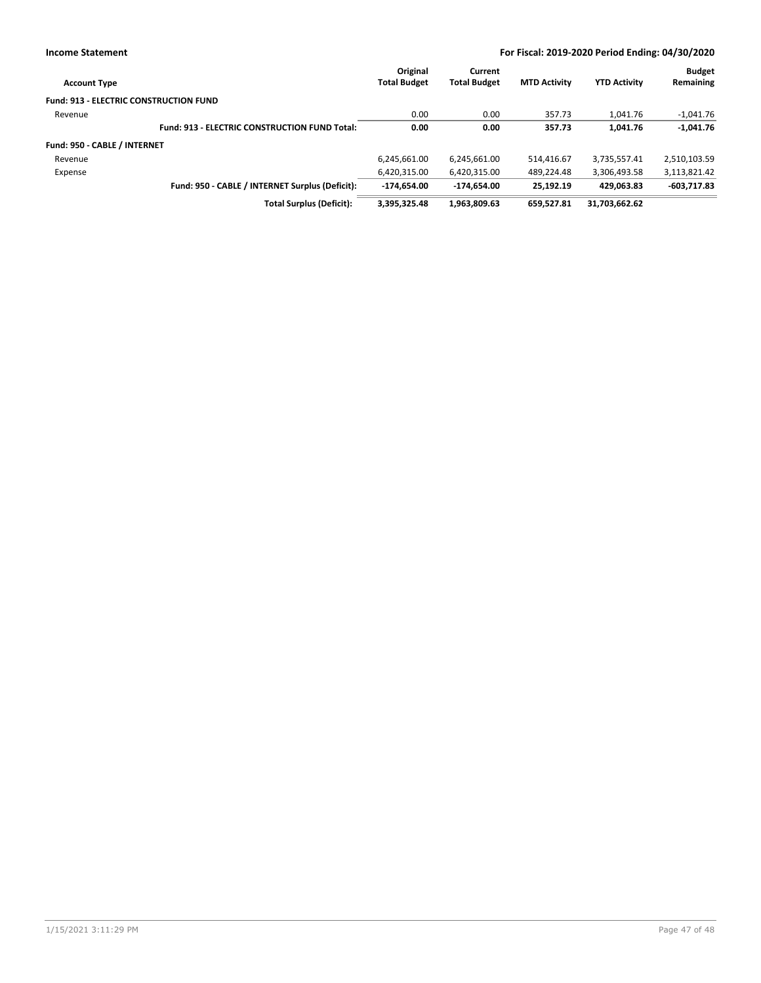| <b>Account Type</b>                           |                                                      | Original<br><b>Total Budget</b> | Current<br><b>Total Budget</b> | <b>MTD Activity</b> | <b>YTD Activity</b> | <b>Budget</b><br>Remaining |
|-----------------------------------------------|------------------------------------------------------|---------------------------------|--------------------------------|---------------------|---------------------|----------------------------|
| <b>Fund: 913 - ELECTRIC CONSTRUCTION FUND</b> |                                                      |                                 |                                |                     |                     |                            |
| Revenue                                       |                                                      | 0.00                            | 0.00                           | 357.73              | 1,041.76            | $-1,041.76$                |
|                                               | <b>Fund: 913 - ELECTRIC CONSTRUCTION FUND Total:</b> | 0.00                            | 0.00                           | 357.73              | 1.041.76            | $-1,041.76$                |
| Fund: 950 - CABLE / INTERNET                  |                                                      |                                 |                                |                     |                     |                            |
| Revenue                                       |                                                      | 6,245,661.00                    | 6,245,661.00                   | 514.416.67          | 3,735,557.41        | 2,510,103.59               |
| Expense                                       |                                                      | 6,420,315.00                    | 6,420,315.00                   | 489.224.48          | 3,306,493.58        | 3,113,821.42               |
|                                               | Fund: 950 - CABLE / INTERNET Surplus (Deficit):      | $-174.654.00$                   | $-174.654.00$                  | 25.192.19           | 429.063.83          | $-603,717.83$              |
|                                               | <b>Total Surplus (Deficit):</b>                      | 3,395,325.48                    | 1,963,809.63                   | 659.527.81          | 31,703,662.62       |                            |